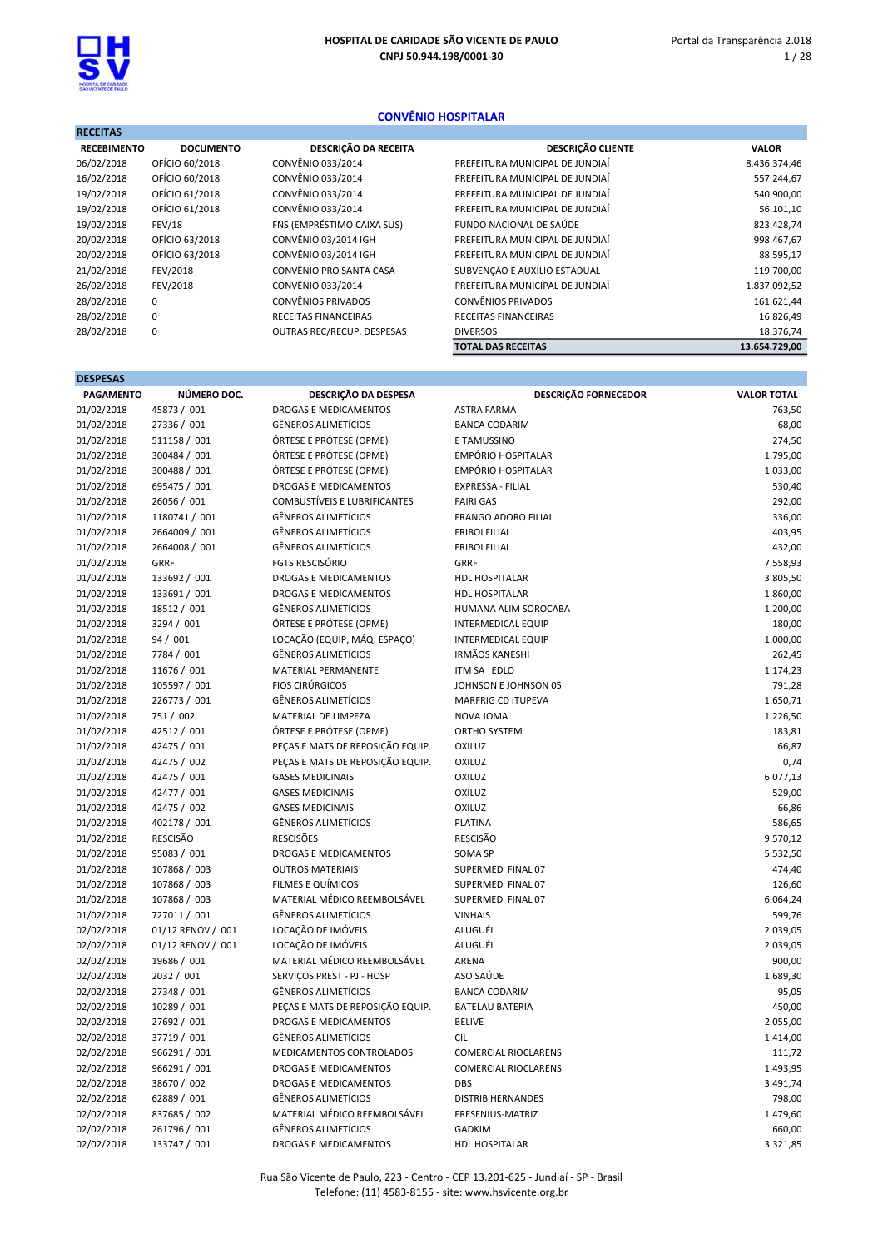

#### CONVÊNIO HOSPITALAR

| <b>RECEITAS</b>    |                  |                             |                                 |               |
|--------------------|------------------|-----------------------------|---------------------------------|---------------|
| <b>RECEBIMENTO</b> | <b>DOCUMENTO</b> | DESCRIÇÃO DA RECEITA        | <b>DESCRIÇÃO CLIENTE</b>        | <b>VALOR</b>  |
| 06/02/2018         | OFÍCIO 60/2018   | CONVÊNIO 033/2014           | PREFEITURA MUNICIPAL DE JUNDIAÍ | 8.436.374,46  |
| 16/02/2018         | OFÍCIO 60/2018   | CONVÊNIO 033/2014           | PREFEITURA MUNICIPAL DE JUNDIAÍ | 557.244,67    |
| 19/02/2018         | OFÍCIO 61/2018   | CONVÊNIO 033/2014           | PREFEITURA MUNICIPAL DE JUNDIAÍ | 540.900,00    |
| 19/02/2018         | OFÍCIO 61/2018   | CONVÊNIO 033/2014           | PREFEITURA MUNICIPAL DE JUNDIAÍ | 56.101,10     |
| 19/02/2018         | <b>FEV/18</b>    | FNS (EMPRÉSTIMO CAIXA SUS)  | FUNDO NACIONAL DE SAÚDE         | 823.428,74    |
| 20/02/2018         | OFÍCIO 63/2018   | CONVÊNIO 03/2014 IGH        | PREFEITURA MUNICIPAL DE JUNDIAÍ | 998.467,67    |
| 20/02/2018         | OFÍCIO 63/2018   | CONVÊNIO 03/2014 IGH        | PREFEITURA MUNICIPAL DE JUNDIAÍ | 88.595,17     |
| 21/02/2018         | FEV/2018         | CONVÊNIO PRO SANTA CASA     | SUBVENÇÃO E AUXÍLIO ESTADUAL    | 119.700,00    |
| 26/02/2018         | FEV/2018         | CONVÊNIO 033/2014           | PREFEITURA MUNICIPAL DE JUNDIAÍ | 1.837.092,52  |
| 28/02/2018         | 0                | <b>CONVÊNIOS PRIVADOS</b>   | CONVÊNIOS PRIVADOS              | 161.621,44    |
| 28/02/2018         | 0                | <b>RECEITAS FINANCEIRAS</b> | RECEITAS FINANCEIRAS            | 16.826,49     |
| 28/02/2018         | 0                | OUTRAS REC/RECUP. DESPESAS  | <b>DIVERSOS</b>                 | 18.376,74     |
|                    |                  |                             | <b>TOTAL DAS RECEITAS</b>       | 13.654.729,00 |

| <b>DESPESAS</b>  |                   |                                     |                             |                    |
|------------------|-------------------|-------------------------------------|-----------------------------|--------------------|
| <b>PAGAMENTO</b> | NÚMERO DOC.       | DESCRIÇÃO DA DESPESA                | <b>DESCRIÇÃO FORNECEDOR</b> | <b>VALOR TOTAL</b> |
| 01/02/2018       | 45873 / 001       | <b>DROGAS E MEDICAMENTOS</b>        | <b>ASTRA FARMA</b>          | 763,50             |
| 01/02/2018       | 27336 / 001       | <b>GÊNEROS ALIMETÍCIOS</b>          | <b>BANCA CODARIM</b>        | 68,00              |
| 01/02/2018       | 511158 / 001      | ÓRTESE E PRÓTESE (OPME)             | E TAMUSSINO                 | 274,50             |
| 01/02/2018       | 300484 / 001      | ÓRTESE E PRÓTESE (OPME)             | <b>EMPÓRIO HOSPITALAR</b>   | 1.795,00           |
| 01/02/2018       | 300488 / 001      | ÓRTESE E PRÓTESE (OPME)             | <b>EMPÓRIO HOSPITALAR</b>   | 1.033,00           |
| 01/02/2018       | 695475 / 001      | <b>DROGAS E MEDICAMENTOS</b>        | <b>EXPRESSA - FILIAL</b>    | 530,40             |
| 01/02/2018       | 26056 / 001       | <b>COMBUSTÍVEIS E LUBRIFICANTES</b> | <b>FAIRI GAS</b>            | 292,00             |
| 01/02/2018       | 1180741 / 001     | <b>GÊNEROS ALIMETÍCIOS</b>          | FRANGO ADORO FILIAL         | 336,00             |
| 01/02/2018       | 2664009 / 001     | <b>GÊNEROS ALIMETÍCIOS</b>          | <b>FRIBOI FILIAL</b>        | 403,95             |
| 01/02/2018       | 2664008 / 001     | <b>GÊNEROS ALIMETÍCIOS</b>          | <b>FRIBOI FILIAL</b>        | 432,00             |
| 01/02/2018       | <b>GRRF</b>       | <b>FGTS RESCISÓRIO</b>              | <b>GRRF</b>                 | 7.558,93           |
| 01/02/2018       | 133692 / 001      | DROGAS E MEDICAMENTOS               | <b>HDL HOSPITALAR</b>       | 3.805,50           |
| 01/02/2018       | 133691 / 001      | DROGAS E MEDICAMENTOS               | <b>HDL HOSPITALAR</b>       | 1.860,00           |
| 01/02/2018       | 18512 / 001       | <b>GÊNEROS ALIMETÍCIOS</b>          | HUMANA ALIM SOROCABA        | 1.200,00           |
| 01/02/2018       | 3294 / 001        | ÓRTESE E PRÓTESE (OPME)             | <b>INTERMEDICAL EQUIP</b>   | 180,00             |
| 01/02/2018       | 94 / 001          | LOCAÇÃO (EQUIP, MÁQ. ESPAÇO)        | <b>INTERMEDICAL EQUIP</b>   | 1.000,00           |
| 01/02/2018       | 7784 / 001        | <b>GÊNEROS ALIMETÍCIOS</b>          | <b>IRMÃOS KANESHI</b>       | 262,45             |
| 01/02/2018       | 11676 / 001       | MATERIAL PERMANENTE                 | ITM SA EDLO                 | 1.174,23           |
| 01/02/2018       | 105597 / 001      | <b>FIOS CIRÚRGICOS</b>              | JOHNSON E JOHNSON 05        | 791,28             |
| 01/02/2018       | 226773 / 001      | <b>GÊNEROS ALIMETÍCIOS</b>          | <b>MARFRIG CD ITUPEVA</b>   | 1.650,71           |
| 01/02/2018       | 751 / 002         | MATERIAL DE LIMPEZA                 | NOVA JOMA                   | 1.226,50           |
| 01/02/2018       | 42512 / 001       | ÓRTESE E PRÓTESE (OPME)             | <b>ORTHO SYSTEM</b>         | 183,81             |
| 01/02/2018       | 42475 / 001       | PEÇAS E MATS DE REPOSIÇÃO EQUIP.    | OXILUZ                      | 66,87              |
| 01/02/2018       | 42475 / 002       | PEÇAS E MATS DE REPOSIÇÃO EQUIP.    | OXILUZ                      | 0,74               |
| 01/02/2018       | 42475 / 001       | <b>GASES MEDICINAIS</b>             | OXILUZ                      | 6.077,13           |
| 01/02/2018       | 42477 / 001       | <b>GASES MEDICINAIS</b>             | OXILUZ                      | 529,00             |
| 01/02/2018       | 42475 / 002       | <b>GASES MEDICINAIS</b>             | <b>OXILUZ</b>               | 66,86              |
| 01/02/2018       | 402178 / 001      | <b>GÊNEROS ALIMETÍCIOS</b>          | PLATINA                     | 586,65             |
| 01/02/2018       | <b>RESCISÃO</b>   | <b>RESCISÕES</b>                    | <b>RESCISÃO</b>             | 9.570,12           |
| 01/02/2018       | 95083 / 001       | DROGAS E MEDICAMENTOS               | <b>SOMA SP</b>              | 5.532,50           |
| 01/02/2018       | 107868 / 003      | <b>OUTROS MATERIAIS</b>             | SUPERMED FINAL 07           | 474,40             |
| 01/02/2018       | 107868 / 003      | FILMES E QUÍMICOS                   | SUPERMED FINAL 07           | 126,60             |
| 01/02/2018       | 107868 / 003      | MATERIAL MÉDICO REEMBOLSÁVEL        | SUPERMED FINAL 07           | 6.064,24           |
| 01/02/2018       | 727011 / 001      | <b>GÊNEROS ALIMETÍCIOS</b>          | <b>VINHAIS</b>              | 599,76             |
| 02/02/2018       | 01/12 RENOV / 001 | LOCAÇÃO DE IMÓVEIS                  | ALUGUÉL                     | 2.039,05           |
| 02/02/2018       | 01/12 RENOV / 001 | LOCAÇÃO DE IMÓVEIS                  | ALUGUÉL                     | 2.039,05           |
| 02/02/2018       | 19686 / 001       | MATERIAL MÉDICO REEMBOLSÁVEL        | ARENA                       | 900,00             |
| 02/02/2018       | 2032 / 001        | SERVIÇOS PREST - PJ - HOSP          | ASO SAÚDE                   | 1.689,30           |
| 02/02/2018       | 27348 / 001       | <b>GÊNEROS ALIMETÍCIOS</b>          | <b>BANCA CODARIM</b>        | 95,05              |
| 02/02/2018       | 10289 / 001       | PEÇAS E MATS DE REPOSIÇÃO EQUIP.    | <b>BATELAU BATERIA</b>      | 450,00             |
| 02/02/2018       | 27692 / 001       | <b>DROGAS E MEDICAMENTOS</b>        | <b>BELIVE</b>               | 2.055,00           |
| 02/02/2018       | 37719 / 001       | <b>GÊNEROS ALIMETÍCIOS</b>          | <b>CIL</b>                  | 1.414,00           |
| 02/02/2018       | 966291 / 001      | MEDICAMENTOS CONTROLADOS            | <b>COMERCIAL RIOCLARENS</b> | 111,72             |
| 02/02/2018       | 966291 / 001      | DROGAS E MEDICAMENTOS               | <b>COMERCIAL RIOCLARENS</b> | 1.493,95           |
| 02/02/2018       | 38670 / 002       | DROGAS E MEDICAMENTOS               | <b>DBS</b>                  | 3.491,74           |
| 02/02/2018       | 62889 / 001       | <b>GÊNEROS ALIMETÍCIOS</b>          | <b>DISTRIB HERNANDES</b>    | 798,00             |
| 02/02/2018       | 837685 / 002      | MATERIAL MÉDICO REEMBOLSÁVEL        | FRESENIUS-MATRIZ            | 1.479,60           |
| 02/02/2018       | 261796 / 001      | <b>GÊNEROS ALIMETÍCIOS</b>          | <b>GADKIM</b>               | 660,00             |
| 02/02/2018       | 133747 / 001      | DROGAS E MEDICAMENTOS               | HDL HOSPITALAR              | 3.321,85           |

Rua São Vicente de Paulo, 223 - Centro - CEP 13.201-625 - Jundiaí - SP - Brasil Telefone: (11) 4583-8155 - site: www.hsvicente.org.br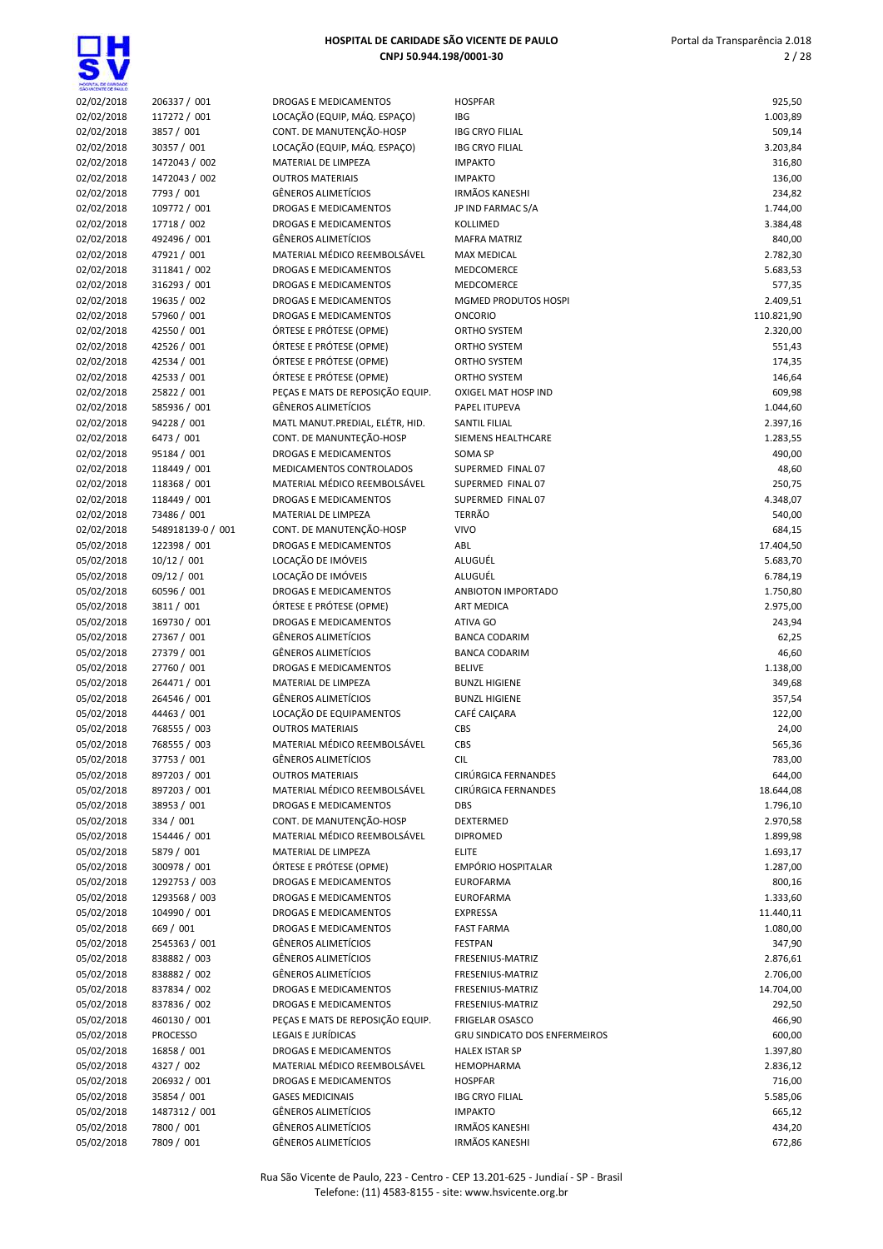识

| HOGIYTA, DE GANDADE<br>GÁO VICENTE DE FAULO |                               |                                                          |                                      |                    |
|---------------------------------------------|-------------------------------|----------------------------------------------------------|--------------------------------------|--------------------|
| 02/02/2018                                  | 206337 / 001                  | DROGAS E MEDICAMENTOS                                    | <b>HOSPFAR</b>                       | 925,50             |
| 02/02/2018                                  | 117272 / 001                  | LOCAÇÃO (EQUIP, MÁQ. ESPAÇO)                             | IBG                                  | 1.003,89           |
| 02/02/2018                                  | 3857 / 001                    | CONT. DE MANUTENÇÃO-HOSP                                 | <b>IBG CRYO FILIAL</b>               | 509,14             |
| 02/02/2018                                  | 30357 / 001                   | LOCAÇÃO (EQUIP, MÁQ. ESPAÇO)                             | <b>IBG CRYO FILIAL</b>               | 3.203,84           |
| 02/02/2018                                  | 1472043 / 002                 | MATERIAL DE LIMPEZA                                      | <b>IMPAKTO</b><br><b>IMPAKTO</b>     | 316,80             |
| 02/02/2018                                  | 1472043 / 002<br>7793 / 001   | <b>OUTROS MATERIAIS</b><br>GÊNEROS ALIMETÍCIOS           | <b>IRMÃOS KANESHI</b>                | 136,00<br>234,82   |
| 02/02/2018<br>02/02/2018                    | 109772 / 001                  | <b>DROGAS E MEDICAMENTOS</b>                             | JP IND FARMAC S/A                    | 1.744,00           |
| 02/02/2018                                  | 17718 / 002                   | DROGAS E MEDICAMENTOS                                    | KOLLIMED                             | 3.384,48           |
| 02/02/2018                                  | 492496 / 001                  | GÊNEROS ALIMETÍCIOS                                      | <b>MAFRA MATRIZ</b>                  | 840,00             |
| 02/02/2018                                  | 47921 / 001                   | MATERIAL MÉDICO REEMBOLSÁVEL                             | <b>MAX MEDICAL</b>                   | 2.782,30           |
| 02/02/2018                                  | 311841 / 002                  | DROGAS E MEDICAMENTOS                                    | <b>MEDCOMERCE</b>                    | 5.683,53           |
| 02/02/2018                                  | 316293 / 001                  | DROGAS E MEDICAMENTOS                                    | MEDCOMERCE                           | 577,35             |
| 02/02/2018                                  | 19635 / 002                   | DROGAS E MEDICAMENTOS                                    | <b>MGMED PRODUTOS HOSPI</b>          | 2.409,51           |
| 02/02/2018                                  | 57960 / 001                   | DROGAS E MEDICAMENTOS                                    | <b>ONCORIO</b>                       | 110.821,90         |
| 02/02/2018                                  | 42550 / 001                   | ÓRTESE E PRÓTESE (OPME)                                  | ORTHO SYSTEM                         | 2.320,00           |
| 02/02/2018                                  | 42526 / 001                   | ÓRTESE E PRÓTESE (OPME)                                  | ORTHO SYSTEM                         | 551,43             |
| 02/02/2018                                  | 42534 / 001                   | ÓRTESE E PRÓTESE (OPME)                                  | ORTHO SYSTEM                         | 174,35             |
| 02/02/2018                                  | 42533 / 001                   | ÓRTESE E PRÓTESE (OPME)                                  | ORTHO SYSTEM                         | 146,64             |
| 02/02/2018                                  | 25822 / 001                   | PEÇAS E MATS DE REPOSIÇÃO EQUIP.                         | OXIGEL MAT HOSP IND                  | 609,98             |
| 02/02/2018                                  | 585936 / 001                  | <b>GÊNEROS ALIMETÍCIOS</b>                               | PAPEL ITUPEVA                        | 1.044,60           |
| 02/02/2018                                  | 94228 / 001                   | MATL MANUT.PREDIAL, ELÉTR, HID.                          | <b>SANTIL FILIAL</b>                 | 2.397,16           |
| 02/02/2018                                  | 6473 / 001                    | CONT. DE MANUNTEÇÃO-HOSP<br><b>DROGAS E MEDICAMENTOS</b> | SIEMENS HEALTHCARE<br><b>SOMA SP</b> | 1.283,55           |
| 02/02/2018                                  | 95184 / 001<br>118449 / 001   | MEDICAMENTOS CONTROLADOS                                 | SUPERMED FINAL 07                    | 490,00<br>48,60    |
| 02/02/2018<br>02/02/2018                    | 118368 / 001                  | MATERIAL MÉDICO REEMBOLSÁVEL                             | SUPERMED FINAL 07                    | 250,75             |
| 02/02/2018                                  | 118449 / 001                  | DROGAS E MEDICAMENTOS                                    | SUPERMED FINAL 07                    | 4.348,07           |
| 02/02/2018                                  | 73486 / 001                   | MATERIAL DE LIMPEZA                                      | <b>TERRÃO</b>                        | 540,00             |
| 02/02/2018                                  | 548918139-0 / 001             | CONT. DE MANUTENÇÃO-HOSP                                 | <b>VIVO</b>                          | 684,15             |
| 05/02/2018                                  | 122398 / 001                  | <b>DROGAS E MEDICAMENTOS</b>                             | ABL                                  | 17.404,50          |
| 05/02/2018                                  | 10/12 / 001                   | LOCAÇÃO DE IMÓVEIS                                       | ALUGUÉL                              | 5.683,70           |
| 05/02/2018                                  | 09/12 / 001                   | LOCAÇÃO DE IMÓVEIS                                       | ALUGUÉL                              | 6.784,19           |
| 05/02/2018                                  | 60596 / 001                   | DROGAS E MEDICAMENTOS                                    | ANBIOTON IMPORTADO                   | 1.750,80           |
| 05/02/2018                                  | 3811 / 001                    | ÓRTESE E PRÓTESE (OPME)                                  | <b>ART MEDICA</b>                    | 2.975,00           |
| 05/02/2018                                  | 169730 / 001                  | DROGAS E MEDICAMENTOS                                    | ATIVA GO                             | 243,94             |
| 05/02/2018                                  | 27367 / 001                   | GÊNEROS ALIMETÍCIOS                                      | <b>BANCA CODARIM</b>                 | 62,25              |
| 05/02/2018                                  | 27379 / 001                   | <b>GÊNEROS ALIMETÍCIOS</b>                               | <b>BANCA CODARIM</b>                 | 46,60              |
| 05/02/2018                                  | 27760 / 001                   | DROGAS E MEDICAMENTOS                                    | <b>BELIVE</b>                        | 1.138,00           |
| 05/02/2018                                  | 264471 / 001                  | MATERIAL DE LIMPEZA                                      | <b>BUNZL HIGIENE</b>                 | 349,68             |
| 05/02/2018<br>05/02/2018                    | 264546 / 001<br>44463 / 001   | <b>GÊNEROS ALIMETÍCIOS</b><br>LOCAÇÃO DE EQUIPAMENTOS    | <b>BUNZL HIGIENE</b><br>CAFÉ CAIÇARA | 357,54<br>122,00   |
| 05/02/2018                                  | 768555 / 003                  | <b>OUTROS MATERIAIS</b>                                  | CBS                                  | 24,00              |
| 05/02/2018                                  | 768555 / 003                  | MATERIAL MÉDICO REEMBOLSÁVEL                             | CBS                                  | 565,36             |
| 05/02/2018                                  | 37753 / 001                   | <b>GËNEROS ALIMETÍCIOS</b>                               | <b>CIL</b>                           | 783,00             |
| 05/02/2018                                  | 897203 / 001                  | <b>OUTROS MATERIAIS</b>                                  | CIRÚRGICA FERNANDES                  | 644,00             |
| 05/02/2018                                  | 897203 / 001                  | MATERIAL MÉDICO REEMBOLSÁVEL                             | CIRÚRGICA FERNANDES                  | 18.644,08          |
| 05/02/2018                                  | 38953 / 001                   | DROGAS E MEDICAMENTOS                                    | DBS                                  | 1.796,10           |
| 05/02/2018                                  | 334 / 001                     | CONT. DE MANUTENÇÃO-HOSP                                 | DEXTERMED                            | 2.970,58           |
| 05/02/2018                                  | 154446 / 001                  | MATERIAL MÉDICO REEMBOLSÁVEL                             | <b>DIPROMED</b>                      | 1.899,98           |
| 05/02/2018                                  | 5879 / 001                    | MATERIAL DE LIMPEZA                                      | <b>ELITE</b>                         | 1.693,17           |
| 05/02/2018                                  | 300978 / 001                  | ÓRTESE E PRÓTESE (OPME)                                  | EMPÓRIO HOSPITALAR                   | 1.287,00           |
| 05/02/2018                                  | 1292753 / 003                 | DROGAS E MEDICAMENTOS                                    | <b>EUROFARMA</b>                     | 800,16             |
| 05/02/2018                                  | 1293568 / 003                 | DROGAS E MEDICAMENTOS                                    | <b>EUROFARMA</b>                     | 1.333,60           |
| 05/02/2018                                  | 104990 / 001                  | DROGAS E MEDICAMENTOS                                    | <b>EXPRESSA</b>                      | 11.440,11          |
| 05/02/2018                                  | 669 / 001                     | DROGAS E MEDICAMENTOS                                    | <b>FAST FARMA</b>                    | 1.080,00           |
| 05/02/2018                                  | 2545363 / 001<br>838882 / 003 | <b>GÊNEROS ALIMETÍCIOS</b><br>GÊNEROS ALIMETÍCIOS        | <b>FESTPAN</b>                       | 347,90<br>2.876,61 |
| 05/02/2018<br>05/02/2018                    | 838882 / 002                  | GÊNEROS ALIMETÍCIOS                                      | FRESENIUS-MATRIZ<br>FRESENIUS-MATRIZ | 2.706,00           |
| 05/02/2018                                  | 837834 / 002                  | DROGAS E MEDICAMENTOS                                    | FRESENIUS-MATRIZ                     | 14.704,00          |
| 05/02/2018                                  | 837836 / 002                  | DROGAS E MEDICAMENTOS                                    | FRESENIUS-MATRIZ                     | 292,50             |
| 05/02/2018                                  | 460130 / 001                  | PEÇAS E MATS DE REPOSIÇÃO EQUIP.                         | <b>FRIGELAR OSASCO</b>               | 466,90             |
| 05/02/2018                                  | <b>PROCESSO</b>               | LEGAIS E JURÍDICAS                                       | <b>GRU SINDICATO DOS ENFERMEIROS</b> | 600,00             |
| 05/02/2018                                  | 16858 / 001                   | DROGAS E MEDICAMENTOS                                    | <b>HALEX ISTAR SP</b>                | 1.397,80           |
| 05/02/2018                                  | 4327 / 002                    | MATERIAL MÉDICO REEMBOLSÁVEL                             | <b>HEMOPHARMA</b>                    | 2.836,12           |
| 05/02/2018                                  | 206932 / 001                  | DROGAS E MEDICAMENTOS                                    | <b>HOSPFAR</b>                       | 716,00             |
| 05/02/2018                                  | 35854 / 001                   | <b>GASES MEDICINAIS</b>                                  | <b>IBG CRYO FILIAL</b>               | 5.585,06           |
| 05/02/2018                                  | 1487312 / 001                 | GÊNEROS ALIMETÍCIOS                                      | <b>IMPAKTO</b>                       | 665,12             |
| 05/02/2018                                  | 7800 / 001                    | GÊNEROS ALIMETÍCIOS                                      | <b>IRMÃOS KANESHI</b>                | 434,20             |
| 05/02/2018                                  | 7809 / 001                    | GÊNEROS ALIMETÍCIOS                                      | <b>IRMÃOS KANESHI</b>                | 672,86             |

Rua São Vicente de Paulo, 223 - Centro - CEP 13.201-625 - Jundiaí - SP - Brasil Telefone: (11) 4583-8155 - site: www.hsvicente.org.br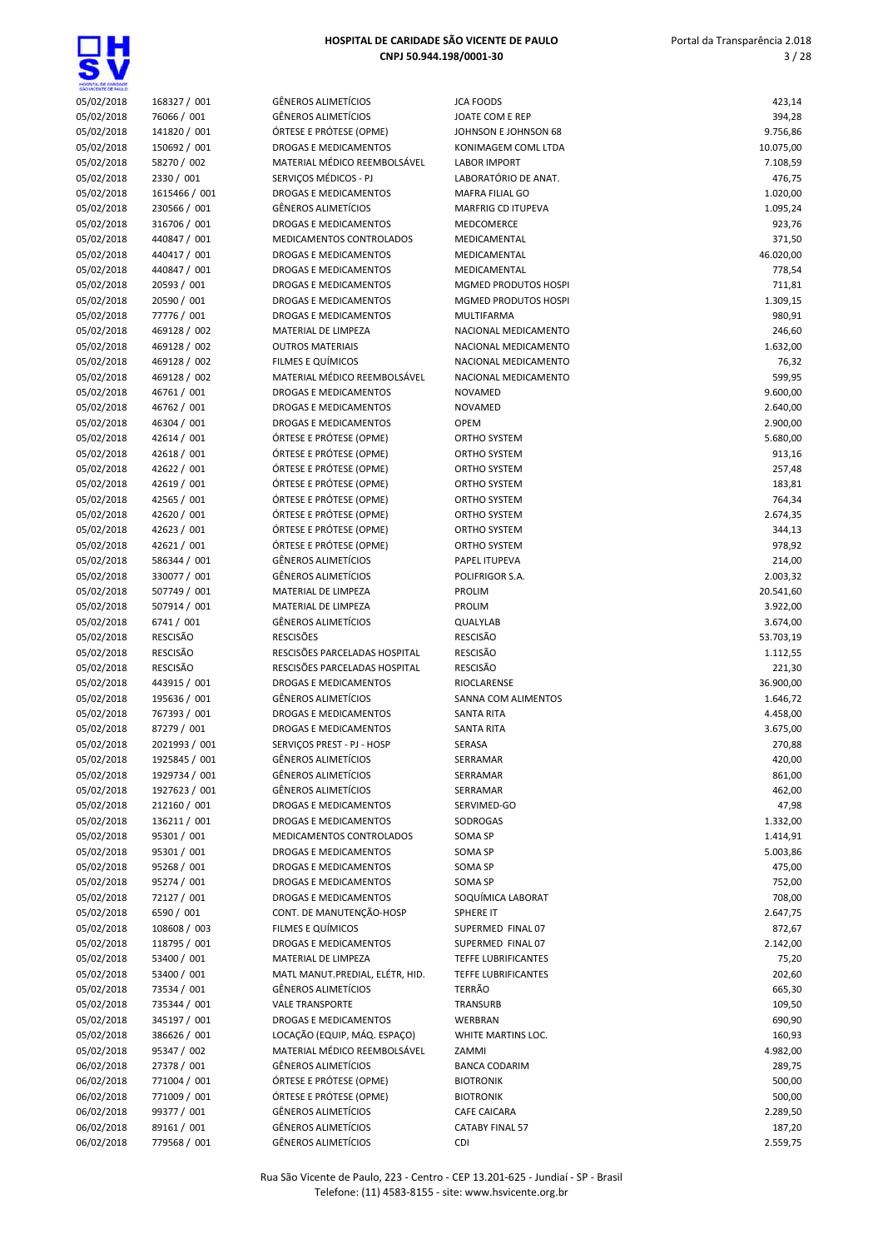| HOSPITAL DE GANDADE<br>SÃO VICENTE DE FAIX O |                                |                                                          |                                              |                    |
|----------------------------------------------|--------------------------------|----------------------------------------------------------|----------------------------------------------|--------------------|
| 05/02/2018                                   | 168327 / 001                   | GÊNEROS ALIMETÍCIOS                                      | <b>JCA FOODS</b>                             | 423,14             |
| 05/02/2018                                   | 76066 / 001                    | <b>GÊNEROS ALIMETÍCIOS</b>                               | JOATE COM E REP                              | 394,28             |
| 05/02/2018                                   | 141820 / 001                   | ÓRTESE E PRÓTESE (OPME)                                  | JOHNSON E JOHNSON 68                         | 9.756,86           |
| 05/02/2018                                   | 150692 / 001                   | DROGAS E MEDICAMENTOS                                    | KONIMAGEM COML LTDA                          | 10.075,00          |
| 05/02/2018                                   | 58270 / 002<br>2330 / 001      | MATERIAL MÉDICO REEMBOLSÁVEL<br>SERVIÇOS MÉDICOS - PJ    | <b>LABOR IMPORT</b><br>LABORATÓRIO DE ANAT.  | 7.108,59           |
| 05/02/2018<br>05/02/2018                     | 1615466 / 001                  | DROGAS E MEDICAMENTOS                                    | <b>MAFRA FILIAL GO</b>                       | 476,75<br>1.020,00 |
| 05/02/2018                                   | 230566 / 001                   | <b>GÊNEROS ALIMETÍCIOS</b>                               | <b>MARFRIG CD ITUPEVA</b>                    | 1.095,24           |
| 05/02/2018                                   | 316706 / 001                   | <b>DROGAS E MEDICAMENTOS</b>                             | MEDCOMERCE                                   | 923,76             |
| 05/02/2018                                   | 440847 / 001                   | MEDICAMENTOS CONTROLADOS                                 | MEDICAMENTAL                                 | 371,50             |
| 05/02/2018                                   | 440417 / 001                   | DROGAS E MEDICAMENTOS                                    | MEDICAMENTAL                                 | 46.020,00          |
| 05/02/2018                                   | 440847 / 001                   | DROGAS E MEDICAMENTOS                                    | MEDICAMENTAL                                 | 778,54             |
| 05/02/2018                                   | 20593 / 001                    | DROGAS E MEDICAMENTOS                                    | <b>MGMED PRODUTOS HOSPI</b>                  | 711,81             |
| 05/02/2018                                   | 20590 / 001                    | DROGAS E MEDICAMENTOS                                    | MGMED PRODUTOS HOSPI                         | 1.309,15           |
| 05/02/2018                                   | 77776 / 001                    | DROGAS E MEDICAMENTOS                                    | MULTIFARMA                                   | 980,91             |
| 05/02/2018                                   | 469128 / 002                   | MATERIAL DE LIMPEZA                                      | NACIONAL MEDICAMENTO                         | 246,60             |
| 05/02/2018<br>05/02/2018                     | 469128 / 002<br>469128 / 002   | <b>OUTROS MATERIAIS</b><br>FILMES E QUÍMICOS             | NACIONAL MEDICAMENTO<br>NACIONAL MEDICAMENTO | 1.632,00<br>76,32  |
| 05/02/2018                                   | 469128 / 002                   | MATERIAL MÉDICO REEMBOLSÁVEL                             | NACIONAL MEDICAMENTO                         | 599,95             |
| 05/02/2018                                   | 46761 / 001                    | <b>DROGAS E MEDICAMENTOS</b>                             | <b>NOVAMED</b>                               | 9.600,00           |
| 05/02/2018                                   | 46762 / 001                    | <b>DROGAS E MEDICAMENTOS</b>                             | <b>NOVAMED</b>                               | 2.640,00           |
| 05/02/2018                                   | 46304 / 001                    | DROGAS E MEDICAMENTOS                                    | <b>OPEM</b>                                  | 2.900,00           |
| 05/02/2018                                   | 42614 / 001                    | ÓRTESE E PRÓTESE (OPME)                                  | <b>ORTHO SYSTEM</b>                          | 5.680,00           |
| 05/02/2018                                   | 42618 / 001                    | ÓRTESE E PRÓTESE (OPME)                                  | <b>ORTHO SYSTEM</b>                          | 913,16             |
| 05/02/2018                                   | 42622 / 001                    | ÓRTESE E PRÓTESE (OPME)                                  | <b>ORTHO SYSTEM</b>                          | 257,48             |
| 05/02/2018                                   | 42619 / 001                    | ÓRTESE E PRÓTESE (OPME)                                  | ORTHO SYSTEM                                 | 183,81             |
| 05/02/2018                                   | 42565 / 001                    | ÓRTESE E PRÓTESE (OPME)                                  | <b>ORTHO SYSTEM</b>                          | 764,34             |
| 05/02/2018                                   | 42620 / 001                    | ÓRTESE E PRÓTESE (OPME)                                  | ORTHO SYSTEM                                 | 2.674,35           |
| 05/02/2018                                   | 42623 / 001                    | ÓRTESE E PRÓTESE (OPME)                                  | <b>ORTHO SYSTEM</b>                          | 344,13             |
| 05/02/2018<br>05/02/2018                     | 42621 / 001<br>586344 / 001    | ÓRTESE E PRÓTESE (OPME)<br><b>GÊNEROS ALIMETÍCIOS</b>    | ORTHO SYSTEM<br>PAPEL ITUPEVA                | 978,92<br>214,00   |
| 05/02/2018                                   | 330077 / 001                   | <b>GÊNEROS ALIMETÍCIOS</b>                               | POLIFRIGOR S.A.                              | 2.003,32           |
| 05/02/2018                                   | 507749 / 001                   | MATERIAL DE LIMPEZA                                      | <b>PROLIM</b>                                | 20.541,60          |
| 05/02/2018                                   | 507914 / 001                   | MATERIAL DE LIMPEZA                                      | PROLIM                                       | 3.922,00           |
| 05/02/2018                                   | 6741 / 001                     | <b>GÊNEROS ALIMETÍCIOS</b>                               | QUALYLAB                                     | 3.674,00           |
| 05/02/2018                                   | <b>RESCISÃO</b>                | <b>RESCISÕES</b>                                         | <b>RESCISÃO</b>                              | 53.703,19          |
| 05/02/2018                                   | <b>RESCISÃO</b>                | RESCISÕES PARCELADAS HOSPITAL                            | <b>RESCISÃO</b>                              | 1.112,55           |
| 05/02/2018                                   | <b>RESCISÃO</b>                | RESCISÕES PARCELADAS HOSPITAL                            | <b>RESCISÃO</b>                              | 221,30             |
| 05/02/2018                                   | 443915 / 001                   | DROGAS E MEDICAMENTOS                                    | RIOCLARENSE                                  | 36.900,00          |
| 05/02/2018                                   | 195636 / 001                   | <b>GÊNEROS ALIMETÍCIOS</b>                               | SANNA COM ALIMENTOS                          | 1.646,72           |
| 05/02/2018                                   | 767393 / 001                   | DROGAS E MEDICAMENTOS                                    | <b>SANTA RITA</b>                            | 4.458,00           |
| 05/02/2018                                   | 87279 / 001                    | <b>DROGAS E MEDICAMENTOS</b>                             | <b>SANTA RITA</b>                            | 3.675,00           |
| 05/02/2018<br>05/02/2018                     | 2021993 / 001<br>1925845 / 001 | SERVIÇOS PREST - PJ - HOSP<br><b>GÊNEROS ALIMETÍCIOS</b> | SERASA<br>SERRAMAR                           | 270,88<br>420,00   |
| 05/02/2018                                   | 1929734 / 001                  | GÊNEROS ALIMETÍCIOS                                      | SERRAMAR                                     | 861,00             |
| 05/02/2018                                   | 1927623 / 001                  | <b>GÊNEROS ALIMETÍCIOS</b>                               | SERRAMAR                                     | 462,00             |
| 05/02/2018                                   | 212160 / 001                   | DROGAS E MEDICAMENTOS                                    | SERVIMED-GO                                  | 47,98              |
| 05/02/2018                                   | 136211 / 001                   | DROGAS E MEDICAMENTOS                                    | SODROGAS                                     | 1.332,00           |
| 05/02/2018                                   | 95301 / 001                    | MEDICAMENTOS CONTROLADOS                                 | SOMA SP                                      | 1.414,91           |
| 05/02/2018                                   | 95301 / 001                    | DROGAS E MEDICAMENTOS                                    | SOMA SP                                      | 5.003,86           |
| 05/02/2018                                   | 95268 / 001                    | DROGAS E MEDICAMENTOS                                    | SOMA SP                                      | 475,00             |
| 05/02/2018                                   | 95274 / 001                    | DROGAS E MEDICAMENTOS                                    | SOMA SP                                      | 752,00             |
| 05/02/2018                                   | 72127 / 001                    | DROGAS E MEDICAMENTOS                                    | SOQUÍMICA LABORAT                            | 708,00             |
| 05/02/2018                                   | 6590 / 001                     | CONT. DE MANUTENÇÃO-HOSP                                 | SPHERE IT                                    | 2.647,75           |
| 05/02/2018                                   | 108608 / 003<br>118795 / 001   | FILMES E QUÍMICOS<br>DROGAS E MEDICAMENTOS               | SUPERMED FINAL 07<br>SUPERMED FINAL 07       | 872,67             |
| 05/02/2018<br>05/02/2018                     | 53400 / 001                    | MATERIAL DE LIMPEZA                                      | <b>TEFFE LUBRIFICANTES</b>                   | 2.142,00<br>75,20  |
| 05/02/2018                                   | 53400 / 001                    | MATL MANUT.PREDIAL, ELÉTR, HID.                          | TEFFE LUBRIFICANTES                          | 202,60             |
| 05/02/2018                                   | 73534 / 001                    | <b>GÊNEROS ALIMETÍCIOS</b>                               | TERRÃO                                       | 665,30             |
| 05/02/2018                                   | 735344 / 001                   | <b>VALE TRANSPORTE</b>                                   | TRANSURB                                     | 109,50             |
| 05/02/2018                                   | 345197 / 001                   | DROGAS E MEDICAMENTOS                                    | WERBRAN                                      | 690,90             |
| 05/02/2018                                   | 386626 / 001                   | LOCAÇÃO (EQUIP, MÁQ. ESPAÇO)                             | WHITE MARTINS LOC.                           | 160,93             |
| 05/02/2018                                   | 95347 / 002                    | MATERIAL MÉDICO REEMBOLSÁVEL                             | ZAMMI                                        | 4.982,00           |
| 06/02/2018                                   | 27378 / 001                    | <b>GÊNEROS ALIMETÍCIOS</b>                               | <b>BANCA CODARIM</b>                         | 289,75             |
| 06/02/2018                                   | 771004 / 001                   | ÓRTESE E PRÓTESE (OPME)                                  | <b>BIOTRONIK</b>                             | 500,00             |
| 06/02/2018                                   | 771009 / 001                   | ÓRTESE E PRÓTESE (OPME)                                  | <b>BIOTRONIK</b>                             | 500,00             |
| 06/02/2018                                   | 99377 / 001                    | <b>GÊNEROS ALIMETÍCIOS</b>                               | CAFE CAICARA                                 | 2.289,50           |
| 06/02/2018                                   | 89161 / 001                    | <b>GÊNEROS ALIMETÍCIOS</b>                               | <b>CATABY FINAL 57</b>                       | 187,20             |
| 06/02/2018                                   | 779568 / 001                   | GÊNEROS ALIMETÍCIOS                                      | <b>CDI</b>                                   | 2.559,75           |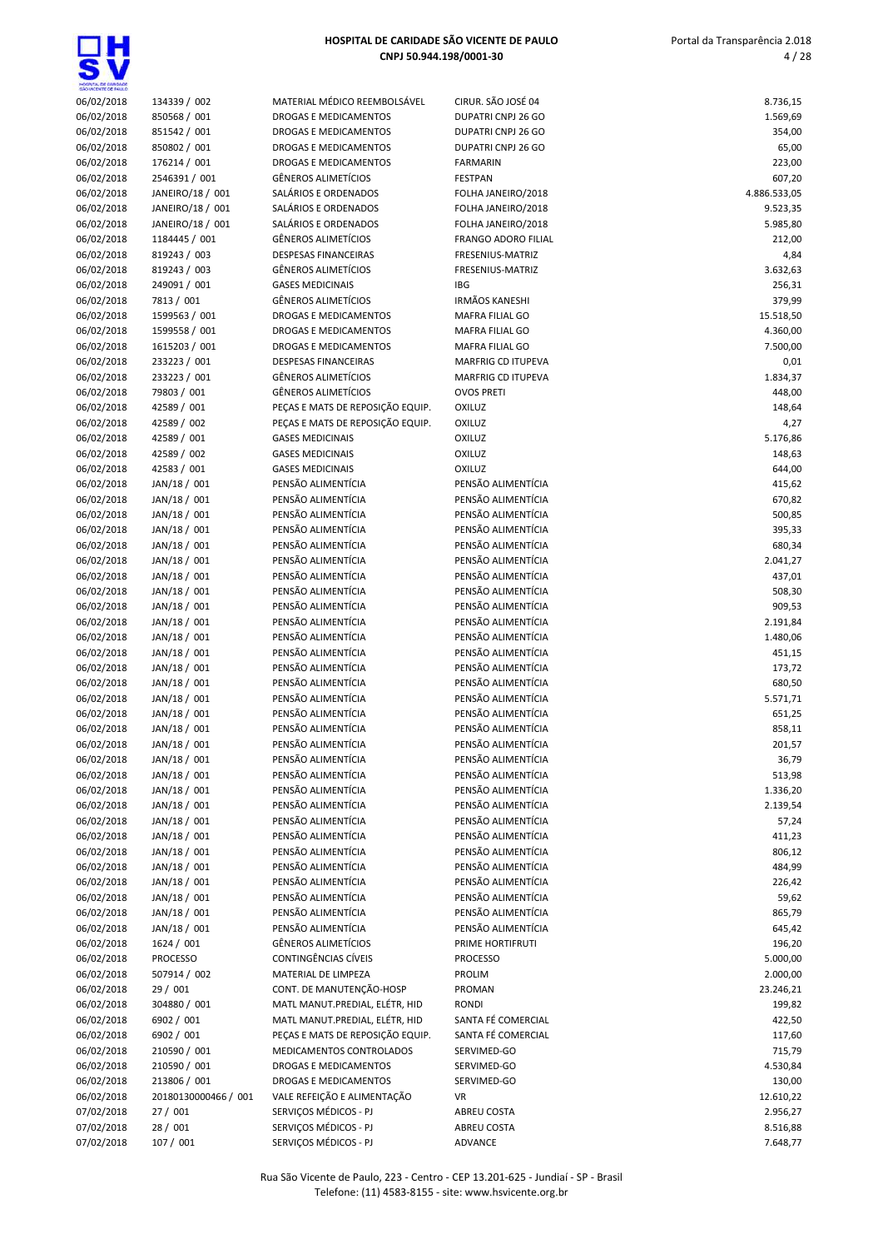| HOSPITA, DE CARDADE<br>SÃO VICENTE DE FAILLO |                              |                            |
|----------------------------------------------|------------------------------|----------------------------|
| 06/02/2018                                   | 134339 / 002<br>850568 / 001 | MATI<br><b>DRO</b>         |
| 06/02/2018<br>06/02/2018                     | 851542 / 001                 | <b>DRO</b>                 |
| 06/02/2018                                   | 850802 / 001                 | <b>DRO</b>                 |
| 06/02/2018                                   | 176214 / 001                 | <b>DRO</b>                 |
| 06/02/2018                                   | 2546391 / 001                | GÊNE                       |
| 06/02/2018                                   | JANEIRO/18 / 001             | SALÁ                       |
| 06/02/2018                                   | JANEIRO/18 / 001             | SALÁ                       |
| 06/02/2018                                   | JANEIRO/18 / 001             | SALÁ                       |
| 06/02/2018                                   | 1184445 / 001                | GÊNE                       |
| 06/02/2018                                   | 819243 / 003                 | <b>DESP</b>                |
| 06/02/2018                                   | 819243 / 003                 | GÊNE                       |
| 06/02/2018                                   | 249091 / 001                 | GASE<br>GÊNE               |
| 06/02/2018<br>06/02/2018                     | 7813 / 001<br>1599563 / 001  | <b>DRO</b>                 |
| 06/02/2018                                   | 1599558 / 001                | <b>DRO</b>                 |
| 06/02/2018                                   | 1615203 / 001                | <b>DRO</b>                 |
| 06/02/2018                                   | 233223 / 001                 | <b>DESP</b>                |
| 06/02/2018                                   | 233223 / 001                 | GÊNE                       |
| 06/02/2018                                   | 79803 / 001                  | GÊNE                       |
| 06/02/2018                                   | 42589 / 001                  | PEÇA                       |
| 06/02/2018                                   | 42589 / 002                  | PEÇA                       |
| 06/02/2018                                   | 42589 / 001                  | GASE                       |
| 06/02/2018                                   | 42589 / 002                  | GASE                       |
| 06/02/2018<br>06/02/2018                     | 42583 / 001<br>JAN/18 / 001  | GASE<br><b>PENS</b>        |
| 06/02/2018                                   | JAN/18 / 001                 | <b>PENS</b>                |
| 06/02/2018                                   | JAN/18 / 001                 | PENS                       |
| 06/02/2018                                   | JAN/18 / 001                 | <b>PENS</b>                |
| 06/02/2018                                   | JAN/18 / 001                 | <b>PENS</b>                |
| 06/02/2018                                   | JAN/18 / 001                 | <b>PENS</b>                |
| 06/02/2018                                   | JAN/18 / 001                 | <b>PENS</b>                |
| 06/02/2018                                   | JAN/18 / 001                 | <b>PENS</b>                |
| 06/02/2018                                   | JAN/18 / 001                 | <b>PENS</b>                |
| 06/02/2018                                   | JAN/18 / 001                 | <b>PENS</b>                |
| 06/02/2018                                   | JAN/18 / 001                 | PENS<br><b>PENS</b>        |
| 06/02/2018<br>06/02/2018                     | JAN/18 / 001<br>JAN/18 / 001 | PENS                       |
| 06/02/2018                                   | JAN/18 / 001                 | <b>PENS</b>                |
| 06/02/2018                                   | JAN/18 / 001                 | <b>PENS</b>                |
| 06/02/2018                                   | JAN/18 / 001                 | PENS                       |
| 06/02/2018                                   | JAN/18 / 001                 | <b>PENS</b>                |
| 06/02/2018                                   | JAN/18 / 001                 | <b>PENS</b>                |
| 06/02/2018                                   | JAN/18 / 001                 | <b>PENS</b>                |
| 06/02/2018                                   | JAN/18 / 001                 | PENS                       |
| 06/02/2018                                   | JAN/18 / 001                 | <b>PENS</b>                |
| 06/02/2018                                   | JAN/18 / 001                 | <b>PENS</b>                |
| 06/02/2018<br>06/02/2018                     | JAN/18 / 001<br>JAN/18 / 001 | <b>PENS</b><br><b>PENS</b> |
| 06/02/2018                                   | JAN/18 / 001                 | PENS                       |
| 06/02/2018                                   | JAN/18 / 001                 | <b>PENS</b>                |
| 06/02/2018                                   | JAN/18 / 001                 | <b>PENS</b>                |
| 06/02/2018                                   | JAN/18 / 001                 | PENS                       |
| 06/02/2018                                   | JAN/18 / 001                 | <b>PENS</b>                |
| 06/02/2018                                   | JAN/18 / 001                 | PENS                       |
| 06/02/2018                                   | 1624 / 001                   | GÊNE                       |
| 06/02/2018                                   | <b>PROCESSO</b>              | CON <sub>1</sub>           |
| 06/02/2018                                   | 507914 / 002                 | MATI                       |
| 06/02/2018<br>06/02/2018                     | 29 / 001<br>304880 / 001     | <b>CON1</b><br>MATI        |
| 06/02/2018                                   | 6902 / 001                   | MATI                       |
| 06/02/2018                                   | 6902 / 001                   | PEÇA                       |
| 06/02/2018                                   | 210590 / 001                 | <b>MED</b>                 |
| 06/02/2018                                   | 210590 / 001                 | <b>DRO</b>                 |
| 06/02/2018                                   | 213806 / 001                 | <b>DRO</b>                 |
| 06/02/2018                                   | 20180130000466 / 001         | VALE                       |
| 07/02/2018                                   | 27 / 001                     | SERV                       |

| 06/02/2018 | 134339 / 002         | MATERIAL MÉDICO REEMBOLSÁVEL     | CIRUR. SÃO JOSÉ 04                       | 8.736,15     |
|------------|----------------------|----------------------------------|------------------------------------------|--------------|
| 06/02/2018 | 850568 / 001         | <b>DROGAS E MEDICAMENTOS</b>     | DUPATRI CNPJ 26 GO                       | 1.569,69     |
| 06/02/2018 | 851542 / 001         | DROGAS E MEDICAMENTOS            | <b>DUPATRI CNPJ 26 GO</b>                | 354,00       |
| 06/02/2018 | 850802 / 001         | DROGAS E MEDICAMENTOS            | DUPATRI CNPJ 26 GO                       | 65,00        |
| 06/02/2018 | 176214 / 001         | DROGAS E MEDICAMENTOS            | <b>FARMARIN</b>                          | 223,00       |
| 06/02/2018 | 2546391 / 001        | <b>GÊNEROS ALIMETÍCIOS</b>       | <b>FESTPAN</b>                           | 607,20       |
| 06/02/2018 | JANEIRO/18 / 001     | SALÁRIOS E ORDENADOS             | FOLHA JANEIRO/2018                       | 4.886.533,05 |
| 06/02/2018 | JANEIRO/18 / 001     | SALÁRIOS E ORDENADOS             | FOLHA JANEIRO/2018                       | 9.523,35     |
| 06/02/2018 | JANEIRO/18 / 001     | SALÁRIOS E ORDENADOS             | FOLHA JANEIRO/2018                       | 5.985,80     |
| 06/02/2018 | 1184445 / 001        | <b>GÊNEROS ALIMETÍCIOS</b>       | <b>FRANGO ADORO FILIAL</b>               | 212,00       |
|            |                      | <b>DESPESAS FINANCEIRAS</b>      |                                          |              |
| 06/02/2018 | 819243 / 003         |                                  | FRESENIUS-MATRIZ                         | 4,84         |
| 06/02/2018 | 819243 / 003         | <b>GÊNEROS ALIMETÍCIOS</b>       | FRESENIUS-MATRIZ                         | 3.632,63     |
| 06/02/2018 | 249091 / 001         | <b>GASES MEDICINAIS</b>          | <b>IBG</b>                               | 256,31       |
| 06/02/2018 | 7813 / 001           | <b>GÊNEROS ALIMETÍCIOS</b>       | <b>IRMÃOS KANESHI</b>                    | 379,99       |
| 06/02/2018 | 1599563 / 001        | DROGAS E MEDICAMENTOS            | MAFRA FILIAL GO                          | 15.518,50    |
| 06/02/2018 | 1599558 / 001        | <b>DROGAS E MEDICAMENTOS</b>     | MAFRA FILIAL GO                          | 4.360,00     |
| 06/02/2018 | 1615203 / 001        | DROGAS E MEDICAMENTOS            | MAFRA FILIAL GO                          | 7.500,00     |
| 06/02/2018 | 233223 / 001         | <b>DESPESAS FINANCEIRAS</b>      | MARFRIG CD ITUPEVA                       | 0,01         |
| 06/02/2018 | 233223 / 001         | GÊNEROS ALIMETÍCIOS              | MARFRIG CD ITUPEVA                       | 1.834,37     |
| 06/02/2018 | 79803 / 001          | <b>GÊNEROS ALIMETÍCIOS</b>       | <b>OVOS PRETI</b>                        | 448,00       |
| 06/02/2018 | 42589 / 001          | PEÇAS E MATS DE REPOSIÇÃO EQUIP. | <b>OXILUZ</b>                            | 148,64       |
| 06/02/2018 | 42589 / 002          | PEÇAS E MATS DE REPOSIÇÃO EQUIP. | <b>OXILUZ</b>                            | 4,27         |
| 06/02/2018 | 42589 / 001          | <b>GASES MEDICINAIS</b>          | <b>OXILUZ</b>                            | 5.176,86     |
| 06/02/2018 | 42589 / 002          | <b>GASES MEDICINAIS</b>          | OXILUZ                                   | 148,63       |
| 06/02/2018 | 42583 / 001          | <b>GASES MEDICINAIS</b>          | <b>OXILUZ</b>                            | 644,00       |
| 06/02/2018 | JAN/18 / 001         | PENSÃO ALIMENTÍCIA               | PENSÃO ALIMENTÍCIA                       | 415,62       |
|            | JAN/18 / 001         | PENSÃO ALIMENTÍCIA               | PENSÃO ALIMENTÍCIA                       |              |
| 06/02/2018 |                      |                                  | PENSÃO ALIMENTÍCIA                       | 670,82       |
| 06/02/2018 | JAN/18 / 001         | PENSÃO ALIMENTÍCIA               |                                          | 500,85       |
| 06/02/2018 | JAN/18 / 001         | PENSÃO ALIMENTÍCIA               | PENSÃO ALIMENTÍCIA                       | 395,33       |
| 06/02/2018 | JAN/18 / 001         | PENSÃO ALIMENTÍCIA               | PENSÃO ALIMENTÍCIA                       | 680,34       |
| 06/02/2018 | JAN/18 / 001         | PENSÃO ALIMENTÍCIA               | PENSÃO ALIMENTÍCIA                       | 2.041,27     |
| 06/02/2018 | JAN/18 / 001         | PENSÃO ALIMENTÍCIA               | PENSÃO ALIMENTÍCIA                       | 437,01       |
| 06/02/2018 | JAN/18 / 001         | PENSÃO ALIMENTÍCIA               | PENSÃO ALIMENTÍCIA                       | 508,30       |
| 06/02/2018 | JAN/18 / 001         | PENSÃO ALIMENTÍCIA               | PENSÃO ALIMENTÍCIA                       | 909,53       |
| 06/02/2018 | JAN/18 / 001         | PENSÃO ALIMENTÍCIA               | PENSÃO ALIMENTÍCIA                       | 2.191,84     |
| 06/02/2018 | JAN/18 / 001         | PENSÃO ALIMENTÍCIA               | PENSÃO ALIMENTÍCIA                       | 1.480,06     |
| 06/02/2018 | JAN/18 / 001         | PENSÃO ALIMENTÍCIA               | PENSÃO ALIMENTÍCIA                       | 451,15       |
| 06/02/2018 | JAN/18 / 001         | PENSÃO ALIMENTÍCIA               | PENSÃO ALIMENTÍCIA                       | 173,72       |
| 06/02/2018 | JAN/18 / 001         | PENSÃO ALIMENTÍCIA               | PENSÃO ALIMENTÍCIA                       | 680,50       |
| 06/02/2018 | JAN/18 / 001         | PENSÃO ALIMENTÍCIA               | PENSÃO ALIMENTÍCIA                       | 5.571,71     |
| 06/02/2018 | JAN/18 / 001         | PENSÃO ALIMENTÍCIA               | PENSÃO ALIMENTÍCIA                       | 651,25       |
| 06/02/2018 | JAN/18 / 001         | PENSÃO ALIMENTÍCIA               | PENSÃO ALIMENTÍCIA                       | 858,11       |
| 06/02/2018 | JAN/18 / 001         | PENSÃO ALIMENTÍCIA               | PENSÃO ALIMENTÍCIA                       | 201,57       |
|            | JAN/18 / 001         |                                  |                                          |              |
| 06/02/2018 |                      | PENSÃO ALIMENTÍCIA               | PENSÃO ALIMENTÍCIA<br>PENSÃO ALIMENTÍCIA | 36,79        |
| 06/02/2018 | JAN/18 / 001         | PENSÃO ALIMENTÍCIA               |                                          | 513,98       |
| 06/02/2018 | JAN/18 / 001         | PENSÃO ALIMENTÍCIA               | PENSÃO ALIMENTÍCIA                       | 1.336,20     |
| 06/02/2018 | JAN/18 / 001         | PENSÃO ALIMENTÍCIA               | PENSÃO ALIMENTÍCIA                       | 2.139,54     |
| 06/02/2018 | JAN/18 / 001         | PENSÃO ALIMENTÍCIA               | PENSÃO ALIMENTÍCIA                       | 57,24        |
| 06/02/2018 | JAN/18 / 001         | PENSÃO ALIMENTÍCIA               | PENSÃO ALIMENTÍCIA                       | 411,23       |
| 06/02/2018 | JAN/18 / 001         | PENSÃO ALIMENTÍCIA               | PENSÃO ALIMENTÍCIA                       | 806,12       |
| 06/02/2018 | JAN/18 / 001         | PENSÃO ALIMENTÍCIA               | PENSÃO ALIMENTÍCIA                       | 484,99       |
| 06/02/2018 | JAN/18 / 001         | PENSÃO ALIMENTÍCIA               | PENSÃO ALIMENTÍCIA                       | 226,42       |
| 06/02/2018 | JAN/18 / 001         | PENSÃO ALIMENTÍCIA               | PENSÃO ALIMENTÍCIA                       | 59,62        |
| 06/02/2018 | JAN/18 / 001         | PENSÃO ALIMENTÍCIA               | PENSÃO ALIMENTÍCIA                       | 865,79       |
| 06/02/2018 | JAN/18 / 001         | PENSÃO ALIMENTÍCIA               | PENSÃO ALIMENTÍCIA                       | 645,42       |
| 06/02/2018 | 1624 / 001           | <b>GÊNEROS ALIMETÍCIOS</b>       | PRIME HORTIFRUTI                         | 196,20       |
| 06/02/2018 | <b>PROCESSO</b>      | CONTINGÊNCIAS CÍVEIS             | <b>PROCESSO</b>                          | 5.000,00     |
| 06/02/2018 | 507914 / 002         | MATERIAL DE LIMPEZA              | <b>PROLIM</b>                            | 2.000,00     |
|            |                      | CONT. DE MANUTENÇÃO-HOSP         | PROMAN                                   |              |
| 06/02/2018 | 29 / 001             |                                  |                                          | 23.246,21    |
| 06/02/2018 | 304880 / 001         | MATL MANUT.PREDIAL, ELÉTR, HID   | <b>RONDI</b>                             | 199,82       |
| 06/02/2018 | 6902 / 001           | MATL MANUT.PREDIAL, ELÉTR, HID   | SANTA FÉ COMERCIAL                       | 422,50       |
| 06/02/2018 | 6902 / 001           | PEÇAS E MATS DE REPOSIÇÃO EQUIP. | SANTA FÉ COMERCIAL                       | 117,60       |
| 06/02/2018 | 210590 / 001         | MEDICAMENTOS CONTROLADOS         | SERVIMED-GO                              | 715,79       |
| 06/02/2018 | 210590 / 001         | DROGAS E MEDICAMENTOS            | SERVIMED-GO                              | 4.530,84     |
| 06/02/2018 | 213806 / 001         | <b>DROGAS E MEDICAMENTOS</b>     | SERVIMED-GO                              | 130,00       |
| 06/02/2018 | 20180130000466 / 001 | VALE REFEIÇÃO E ALIMENTAÇÃO      | VR                                       | 12.610,22    |
| 07/02/2018 | 27 / 001             | SERVIÇOS MÉDICOS - PJ            | ABREU COSTA                              | 2.956,27     |
| 07/02/2018 | 28 / 001             | SERVIÇOS MÉDICOS - PJ            | ABREU COSTA                              | 8.516,88     |
| 07/02/2018 | 107 / 001            | SERVICOS MÉDICOS - PJ            | <b>ADVANCE</b>                           | 7.648.77     |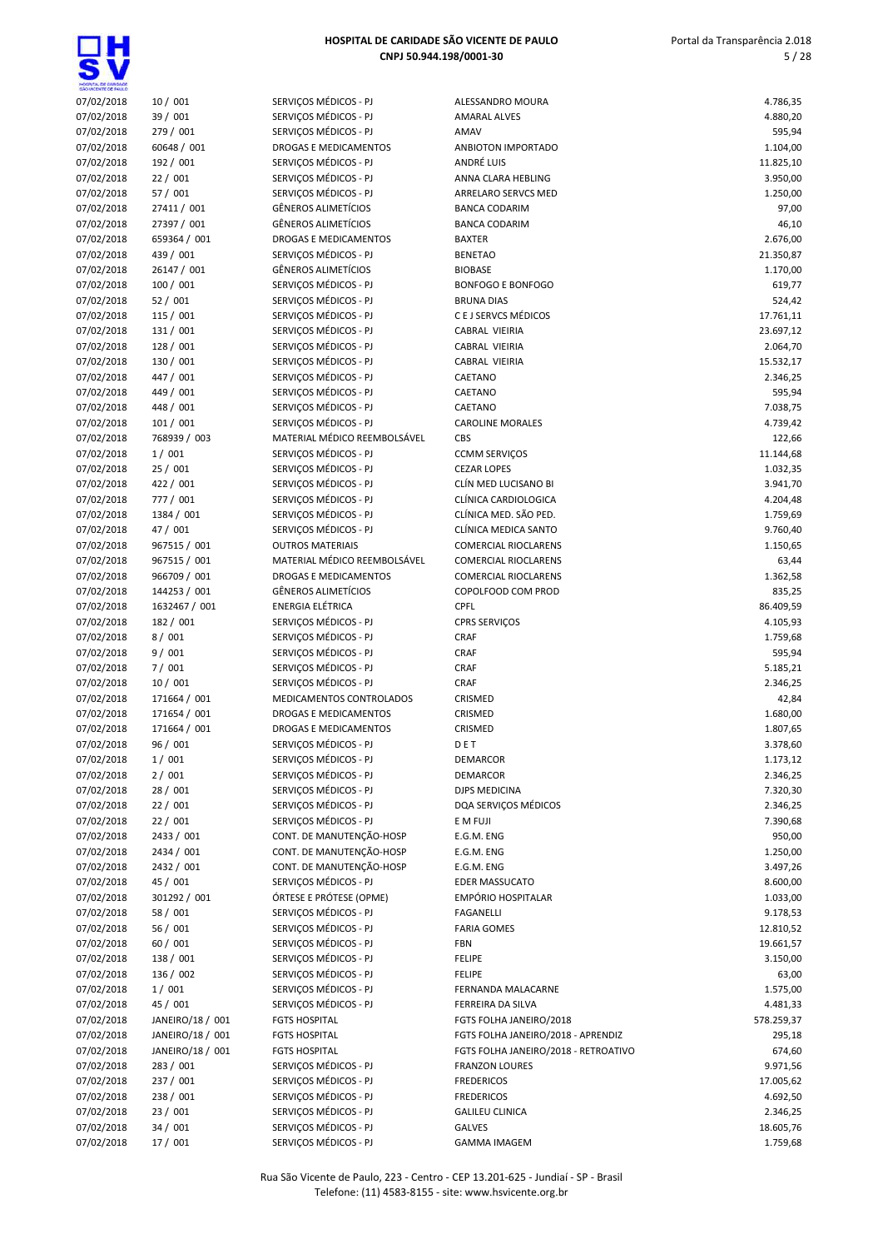<u>Q</u>H

| HOGIYTA, DE GANDADE<br>SÃO VICENTE DE FAILLO |                          |                                                      |                                      |                       |
|----------------------------------------------|--------------------------|------------------------------------------------------|--------------------------------------|-----------------------|
| 07/02/2018                                   | 10/001                   | SERVIÇOS MÉDICOS - PJ                                | ALESSANDRO MOURA                     | 4.786,35              |
| 07/02/2018                                   | 39 / 001                 | SERVIÇOS MÉDICOS - PJ                                | <b>AMARAL ALVES</b>                  | 4.880,20              |
| 07/02/2018                                   | 279 / 001                | SERVIÇOS MÉDICOS - PJ                                | AMAV                                 | 595,94                |
| 07/02/2018                                   | 60648 / 001<br>192 / 001 | DROGAS E MEDICAMENTOS<br>SERVICOS MÉDICOS - PJ       | ANBIOTON IMPORTADO<br>ANDRÉ LUIS     | 1.104,00              |
| 07/02/2018<br>07/02/2018                     | 22/001                   | SERVIÇOS MÉDICOS - PJ                                | ANNA CLARA HEBLING                   | 11.825,10<br>3.950,00 |
| 07/02/2018                                   | 57 / 001                 | SERVIÇOS MÉDICOS - PJ                                | ARRELARO SERVCS MED                  | 1.250,00              |
| 07/02/2018                                   | 27411 / 001              | <b>GÊNEROS ALIMETÍCIOS</b>                           | <b>BANCA CODARIM</b>                 | 97,00                 |
| 07/02/2018                                   | 27397 / 001              | <b>GÊNEROS ALIMETÍCIOS</b>                           | <b>BANCA CODARIM</b>                 | 46,10                 |
| 07/02/2018                                   | 659364 / 001             | DROGAS E MEDICAMENTOS                                | <b>BAXTER</b>                        | 2.676,00              |
| 07/02/2018                                   | 439 / 001                | SERVICOS MÉDICOS - PJ                                | <b>BENETAO</b>                       | 21.350,87             |
| 07/02/2018                                   | 26147 / 001              | <b>GÊNEROS ALIMETÍCIOS</b>                           | <b>BIOBASE</b>                       | 1.170,00              |
| 07/02/2018                                   | 100 / 001                | SERVIÇOS MÉDICOS - PJ                                | <b>BONFOGO E BONFOGO</b>             | 619,77                |
| 07/02/2018                                   | 52/001                   | SERVIÇOS MÉDICOS - PJ                                | <b>BRUNA DIAS</b>                    | 524,42                |
| 07/02/2018                                   | 115 / 001                | SERVIÇOS MÉDICOS - PJ                                | C E J SERVCS MÉDICOS                 | 17.761,11             |
| 07/02/2018                                   | 131 / 001                | SERVIÇOS MÉDICOS - PJ                                | CABRAL VIEIRIA                       | 23.697,12             |
| 07/02/2018                                   | 128 / 001                | SERVIÇOS MÉDICOS - PJ                                | CABRAL VIEIRIA                       | 2.064,70              |
| 07/02/2018                                   | 130 / 001                | SERVIÇOS MÉDICOS - PJ                                | CABRAL VIEIRIA                       | 15.532,17             |
| 07/02/2018                                   | 447 / 001                | SERVICOS MÉDICOS - PJ                                | CAETANO                              | 2.346,25              |
| 07/02/2018                                   | 449 / 001<br>448 / 001   | SERVIÇOS MÉDICOS - PJ<br>SERVIÇOS MÉDICOS - PJ       | CAETANO<br>CAETANO                   | 595,94<br>7.038,75    |
| 07/02/2018<br>07/02/2018                     | 101/001                  | SERVIÇOS MÉDICOS - PJ                                | <b>CAROLINE MORALES</b>              | 4.739,42              |
| 07/02/2018                                   | 768939 / 003             | MATERIAL MÉDICO REEMBOLSÁVEL                         | CBS                                  | 122,66                |
| 07/02/2018                                   | 1/001                    | SERVIÇOS MÉDICOS - PJ                                | <b>CCMM SERVIÇOS</b>                 | 11.144,68             |
| 07/02/2018                                   | 25/001                   | SERVIÇOS MÉDICOS - PJ                                | <b>CEZAR LOPES</b>                   | 1.032,35              |
| 07/02/2018                                   | 422 / 001                | SERVIÇOS MÉDICOS - PJ                                | CLÍN MED LUCISANO BI                 | 3.941,70              |
| 07/02/2018                                   | 777 / 001                | SERVIÇOS MÉDICOS - PJ                                | CLÍNICA CARDIOLOGICA                 | 4.204,48              |
| 07/02/2018                                   | 1384 / 001               | SERVIÇOS MÉDICOS - PJ                                | CLÍNICA MED. SÃO PED.                | 1.759,69              |
| 07/02/2018                                   | 47 / 001                 | SERVIÇOS MÉDICOS - PJ                                | CLÍNICA MEDICA SANTO                 | 9.760,40              |
| 07/02/2018                                   | 967515 / 001             | <b>OUTROS MATERIAIS</b>                              | <b>COMERCIAL RIOCLARENS</b>          | 1.150,65              |
| 07/02/2018                                   | 967515 / 001             | MATERIAL MÉDICO REEMBOLSÁVEL                         | <b>COMERCIAL RIOCLARENS</b>          | 63,44                 |
| 07/02/2018                                   | 966709 / 001             | DROGAS E MEDICAMENTOS                                | <b>COMERCIAL RIOCLARENS</b>          | 1.362,58              |
| 07/02/2018                                   | 144253 / 001             | <b>GÊNEROS ALIMETÍCIOS</b>                           | COPOLFOOD COM PROD                   | 835,25                |
| 07/02/2018                                   | 1632467 / 001            | ENERGIA ELÉTRICA                                     | <b>CPFL</b>                          | 86.409,59             |
| 07/02/2018                                   | 182 / 001                | SERVIÇOS MÉDICOS - PJ                                | <b>CPRS SERVIÇOS</b>                 | 4.105,93              |
| 07/02/2018<br>07/02/2018                     | 8/001<br>9/001           | SERVIÇOS MÉDICOS - PJ<br>SERVIÇOS MÉDICOS - PJ       | CRAF<br>CRAF                         | 1.759,68<br>595,94    |
| 07/02/2018                                   | 7/001                    | SERVIÇOS MÉDICOS - PJ                                | CRAF                                 | 5.185,21              |
| 07/02/2018                                   | 10/001                   | SERVIÇOS MÉDICOS - PJ                                | CRAF                                 | 2.346,25              |
| 07/02/2018                                   | 171664 / 001             | MEDICAMENTOS CONTROLADOS                             | CRISMED                              | 42,84                 |
| 07/02/2018                                   | 171654 / 001             | <b>DROGAS E MEDICAMENTOS</b>                         | CRISMED                              | 1.680,00              |
| 07/02/2018                                   | 171664 / 001             | DROGAS E MEDICAMENTOS                                | CRISMED                              | 1.807,65              |
| 07/02/2018                                   | 96 / 001                 | SERVIÇOS MÉDICOS - PJ                                | DET                                  | 3.378,60              |
| 07/02/2018                                   | 1/001                    | SERVICOS MÉDICOS - PJ                                | DEMARCOR                             | 1.173,12              |
| 07/02/2018                                   | 2/001                    | SERVIÇOS MÉDICOS - PJ                                | <b>DEMARCOR</b>                      | 2.346,25              |
| 07/02/2018                                   | 28 / 001                 | SERVIÇOS MÉDICOS - PJ                                | DJPS MEDICINA                        | 7.320,30              |
| 07/02/2018                                   | 22/001                   | SERVIÇOS MÉDICOS - PJ                                | DQA SERVIÇOS MÉDICOS                 | 2.346,25              |
| 07/02/2018                                   | 22/001                   | SERVIÇOS MÉDICOS - PJ                                | E M FUJI                             | 7.390,68              |
| 07/02/2018                                   | 2433 / 001               | CONT. DE MANUTENÇÃO-HOSP                             | E.G.M. ENG                           | 950,00                |
| 07/02/2018                                   | 2434 / 001               | CONT. DE MANUTENÇÃO-HOSP<br>CONT. DE MANUTENÇÃO-HOSP | E.G.M. ENG                           | 1.250,00              |
| 07/02/2018<br>07/02/2018                     | 2432 / 001<br>45 / 001   | SERVIÇOS MÉDICOS - PJ                                | E.G.M. ENG<br><b>EDER MASSUCATO</b>  | 3.497,26<br>8.600,00  |
| 07/02/2018                                   | 301292 / 001             | ÓRTESE E PRÓTESE (OPME)                              | EMPÓRIO HOSPITALAR                   | 1.033,00              |
| 07/02/2018                                   | 58 / 001                 | SERVIÇOS MÉDICOS - PJ                                | <b>FAGANELLI</b>                     | 9.178,53              |
| 07/02/2018                                   | 56 / 001                 | SERVICOS MÉDICOS - PJ                                | <b>FARIA GOMES</b>                   | 12.810,52             |
| 07/02/2018                                   | 60 / 001                 | SERVIÇOS MÉDICOS - PJ                                | FBN                                  | 19.661,57             |
| 07/02/2018                                   | 138 / 001                | SERVIÇOS MÉDICOS - PJ                                | <b>FELIPE</b>                        | 3.150,00              |
| 07/02/2018                                   | 136 / 002                | SERVIÇOS MÉDICOS - PJ                                | <b>FELIPE</b>                        | 63,00                 |
| 07/02/2018                                   | 1/001                    | SERVIÇOS MÉDICOS - PJ                                | FERNANDA MALACARNE                   | 1.575,00              |
| 07/02/2018                                   | 45 / 001                 | SERVIÇOS MÉDICOS - PJ                                | FERREIRA DA SILVA                    | 4.481,33              |
| 07/02/2018                                   | JANEIRO/18 / 001         | <b>FGTS HOSPITAL</b>                                 | FGTS FOLHA JANEIRO/2018              | 578.259,37            |
| 07/02/2018                                   | JANEIRO/18 / 001         | <b>FGTS HOSPITAL</b>                                 | FGTS FOLHA JANEIRO/2018 - APRENDIZ   | 295,18                |
| 07/02/2018                                   | JANEIRO/18 / 001         | <b>FGTS HOSPITAL</b>                                 | FGTS FOLHA JANEIRO/2018 - RETROATIVO | 674,60                |
| 07/02/2018                                   | 283 / 001                | SERVIÇOS MÉDICOS - PJ                                | <b>FRANZON LOURES</b>                | 9.971,56              |
| 07/02/2018                                   | 237 / 001                | SERVIÇOS MÉDICOS - PJ                                | <b>FREDERICOS</b>                    | 17.005,62             |
| 07/02/2018                                   | 238 / 001                | SERVIÇOS MÉDICOS - PJ                                | <b>FREDERICOS</b>                    | 4.692,50              |
| 07/02/2018                                   | 23/001                   | SERVIÇOS MÉDICOS - PJ<br>SERVIÇOS MÉDICOS - PJ       | <b>GALILEU CLINICA</b><br>GALVES     | 2.346,25              |
| 07/02/2018<br>07/02/2018                     | 34/001<br>17 / 001       | SERVIÇOS MÉDICOS - PJ                                | <b>GAMMA IMAGEM</b>                  | 18.605,76<br>1.759,68 |
|                                              |                          |                                                      |                                      |                       |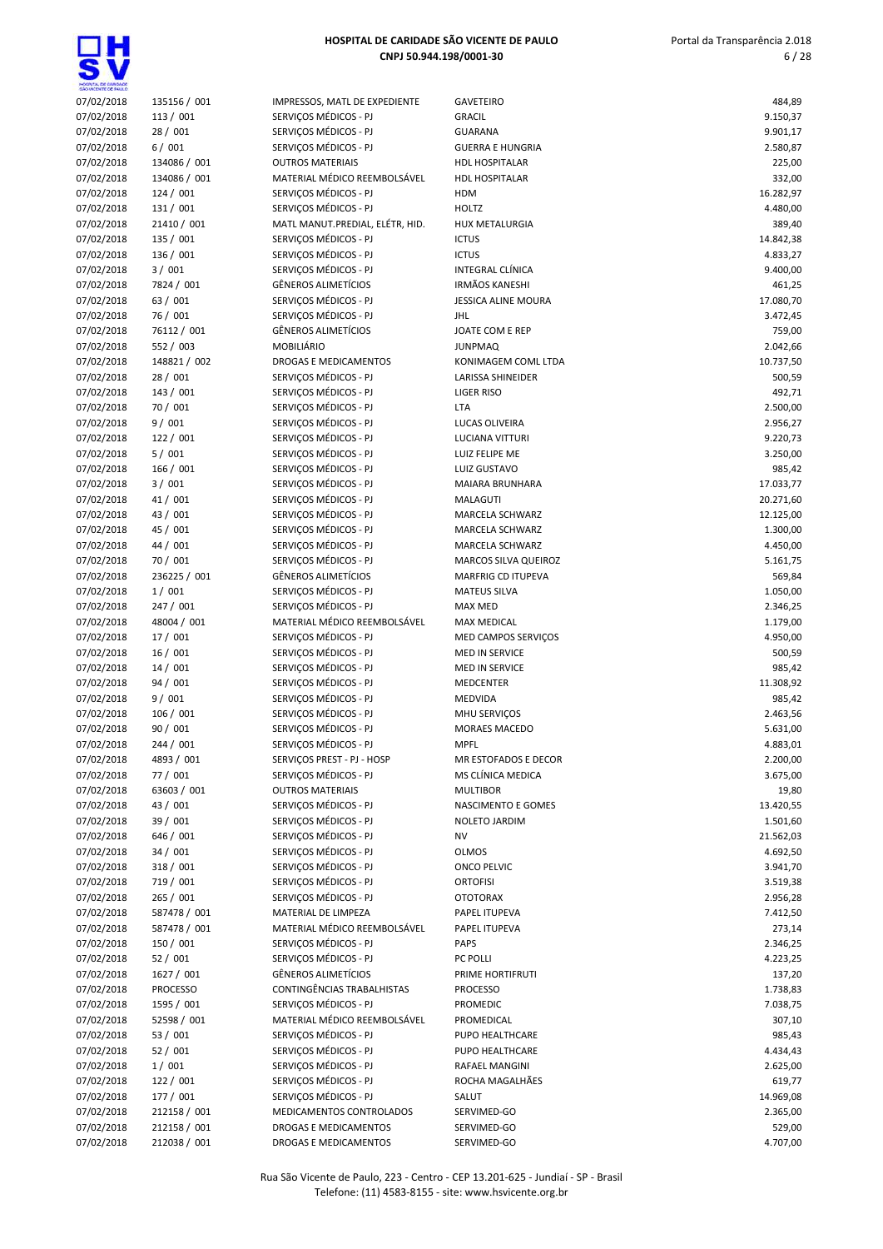ΞH

| HOGPYTAL DE GARIDADE<br>SÃO VICENTE DE FAIX O |                 |                                 |                            |           |
|-----------------------------------------------|-----------------|---------------------------------|----------------------------|-----------|
| 07/02/2018                                    | 135156 / 001    | IMPRESSOS, MATL DE EXPEDIENTE   | <b>GAVETEIRO</b>           | 484,89    |
| 07/02/2018                                    | 113 / 001       | SERVIÇOS MÉDICOS - PJ           | <b>GRACIL</b>              | 9.150,37  |
| 07/02/2018                                    | 28 / 001        | SERVIÇOS MÉDICOS - PJ           | <b>GUARANA</b>             | 9.901,17  |
| 07/02/2018                                    | 6/001           | SERVIÇOS MÉDICOS - PJ           | <b>GUERRA E HUNGRIA</b>    | 2.580,87  |
| 07/02/2018                                    | 134086 / 001    | <b>OUTROS MATERIAIS</b>         | <b>HDL HOSPITALAR</b>      | 225,00    |
| 07/02/2018                                    | 134086 / 001    | MATERIAL MÉDICO REEMBOLSÁVEL    | <b>HDL HOSPITALAR</b>      | 332,00    |
| 07/02/2018                                    | 124/001         | SERVIÇOS MÉDICOS - PJ           | <b>HDM</b>                 | 16.282,97 |
| 07/02/2018                                    | 131 / 001       | SERVIÇOS MÉDICOS - PJ           | <b>HOLTZ</b>               | 4.480,00  |
| 07/02/2018                                    | 21410 / 001     | MATL MANUT.PREDIAL, ELÉTR, HID. | HUX METALURGIA             | 389,40    |
| 07/02/2018                                    | 135 / 001       | SERVIÇOS MÉDICOS - PJ           | <b>ICTUS</b>               | 14.842,38 |
| 07/02/2018                                    | 136 / 001       | SERVIÇOS MÉDICOS - PJ           | <b>ICTUS</b>               | 4.833,27  |
| 07/02/2018                                    | 3/001           | SERVIÇOS MÉDICOS - PJ           | <b>INTEGRAL CLÍNICA</b>    | 9.400,00  |
| 07/02/2018                                    | 7824 / 001      | <b>GÊNEROS ALIMETÍCIOS</b>      | <b>IRMÃOS KANESHI</b>      | 461,25    |
| 07/02/2018                                    | 63 / 001        | SERVIÇOS MÉDICOS - PJ           | <b>JESSICA ALINE MOURA</b> | 17.080,70 |
| 07/02/2018                                    | 76 / 001        | SERVIÇOS MÉDICOS - PJ           | <b>JHL</b>                 | 3.472,45  |
| 07/02/2018                                    | 76112 / 001     | <b>GÊNEROS ALIMETÍCIOS</b>      | JOATE COM E REP            | 759,00    |
| 07/02/2018                                    | 552 / 003       | MOBILIÁRIO                      | <b>JUNPMAQ</b>             | 2.042,66  |
| 07/02/2018                                    | 148821 / 002    | DROGAS E MEDICAMENTOS           | KONIMAGEM COML LTDA        | 10.737,50 |
| 07/02/2018                                    | 28 / 001        | SERVIÇOS MÉDICOS - PJ           | LARISSA SHINEIDER          | 500,59    |
| 07/02/2018                                    | 143 / 001       | SERVIÇOS MÉDICOS - PJ           | <b>LIGER RISO</b>          | 492,71    |
| 07/02/2018                                    | 70 / 001        | SERVIÇOS MÉDICOS - PJ           | LTA                        | 2.500,00  |
| 07/02/2018                                    | 9/001           | SERVICOS MÉDICOS - PJ           | LUCAS OLIVEIRA             | 2.956,27  |
| 07/02/2018                                    | 122 / 001       | SERVIÇOS MÉDICOS - PJ           | <b>LUCIANA VITTURI</b>     | 9.220,73  |
| 07/02/2018                                    | 5/001           | SERVIÇOS MÉDICOS - PJ           | LUIZ FELIPE ME             | 3.250,00  |
| 07/02/2018                                    | 166 / 001       | SERVIÇOS MÉDICOS - PJ           | LUIZ GUSTAVO               | 985,42    |
| 07/02/2018                                    | 3/001           | SERVICOS MÉDICOS - PJ           | MAIARA BRUNHARA            | 17.033,77 |
| 07/02/2018                                    | 41 / 001        | SERVIÇOS MÉDICOS - PJ           | MALAGUTI                   | 20.271,60 |
| 07/02/2018                                    | 43 / 001        | SERVIÇOS MÉDICOS - PJ           | MARCELA SCHWARZ            | 12.125,00 |
| 07/02/2018                                    | 45 / 001        | SERVIÇOS MÉDICOS - PJ           | MARCELA SCHWARZ            | 1.300,00  |
| 07/02/2018                                    | 44 / 001        | SERVIÇOS MÉDICOS - PJ           | MARCELA SCHWARZ            | 4.450,00  |
| 07/02/2018                                    | 70 / 001        | SERVIÇOS MÉDICOS - PJ           | MARCOS SILVA QUEIROZ       | 5.161,75  |
| 07/02/2018                                    | 236225 / 001    | <b>GÊNEROS ALIMETÍCIOS</b>      | MARFRIG CD ITUPEVA         | 569,84    |
| 07/02/2018                                    | 1/001           | SERVIÇOS MÉDICOS - PJ           | <b>MATEUS SILVA</b>        | 1.050,00  |
| 07/02/2018                                    | 247 / 001       | SERVIÇOS MÉDICOS - PJ           | MAX MED                    | 2.346,25  |
| 07/02/2018                                    | 48004 / 001     | MATERIAL MÉDICO REEMBOLSÁVEL    | MAX MEDICAL                | 1.179,00  |
| 07/02/2018                                    | 17 / 001        | SERVIÇOS MÉDICOS - PJ           | MED CAMPOS SERVIÇOS        | 4.950,00  |
| 07/02/2018                                    | 16 / 001        | SERVICOS MÉDICOS - PJ           | <b>MED IN SERVICE</b>      | 500,59    |
| 07/02/2018                                    | 14/001          | SERVICOS MÉDICOS - PJ           | MED IN SERVICE             | 985,42    |
| 07/02/2018                                    | 94 / 001        | SERVIÇOS MÉDICOS - PJ           | <b>MEDCENTER</b>           | 11.308,92 |
| 07/02/2018                                    | 9/001           | SERVIÇOS MÉDICOS - PJ           | <b>MEDVIDA</b>             | 985,42    |
| 07/02/2018                                    | 106 / 001       | SERVIÇOS MÉDICOS - PJ           | MHU SERVIÇOS               | 2.463,56  |
| 07/02/2018                                    | 90 / 001        | SERVIÇOS MÉDICOS - PJ           | MORAES MACEDO              | 5.631,00  |
| 07/02/2018                                    | 244 / 001       | SERVICOS MÉDICOS - PJ           | <b>MPFL</b>                | 4.883,01  |
| 07/02/2018                                    | 4893 / 001      | SERVIÇOS PREST - PJ - HOSP      | MR ESTOFADOS E DECOR       | 2.200,00  |
| 07/02/2018                                    | 77 / 001        | SERVIÇOS MÉDICOS - PJ           | MS CLÍNICA MEDICA          | 3.675,00  |
| 07/02/2018                                    | 63603 / 001     | <b>OUTROS MATERIAIS</b>         | <b>MULTIBOR</b>            | 19,80     |
| 07/02/2018                                    | 43 / 001        | SERVIÇOS MÉDICOS - PJ           | NASCIMENTO E GOMES         | 13.420,55 |
| 07/02/2018                                    | 39 / 001        | SERVIÇOS MÉDICOS - PJ           | NOLETO JARDIM              | 1.501,60  |
| 07/02/2018                                    | 646 / 001       | SERVIÇOS MÉDICOS - PJ           | NV                         | 21.562,03 |
| 07/02/2018                                    | 34 / 001        | SERVIÇOS MÉDICOS - PJ           | <b>OLMOS</b>               | 4.692,50  |
| 07/02/2018                                    | 318 / 001       | SERVIÇOS MÉDICOS - PJ           | ONCO PELVIC                | 3.941,70  |
| 07/02/2018                                    | 719 / 001       | SERVIÇOS MÉDICOS - PJ           | <b>ORTOFISI</b>            | 3.519,38  |
| 07/02/2018                                    | 265 / 001       | SERVIÇOS MÉDICOS - PJ           | <b>OTOTORAX</b>            | 2.956,28  |
| 07/02/2018                                    | 587478 / 001    | MATERIAL DE LIMPEZA             | PAPEL ITUPEVA              | 7.412,50  |
| 07/02/2018                                    | 587478 / 001    | MATERIAL MÉDICO REEMBOLSÁVEL    | PAPEL ITUPEVA              | 273,14    |
| 07/02/2018                                    | 150 / 001       | SERVIÇOS MÉDICOS - PJ           | <b>PAPS</b>                | 2.346,25  |
| 07/02/2018                                    | 52 / 001        | SERVIÇOS MÉDICOS - PJ           | <b>PC POLLI</b>            | 4.223,25  |
| 07/02/2018                                    | 1627 / 001      | GÊNEROS ALIMETÍCIOS             | PRIME HORTIFRUTI           | 137,20    |
| 07/02/2018                                    | <b>PROCESSO</b> | CONTINGÊNCIAS TRABALHISTAS      | <b>PROCESSO</b>            | 1.738,83  |
| 07/02/2018                                    | 1595 / 001      | SERVIÇOS MÉDICOS - PJ           | PROMEDIC                   | 7.038,75  |
| 07/02/2018                                    | 52598 / 001     | MATERIAL MÉDICO REEMBOLSÁVEL    | PROMEDICAL                 | 307,10    |
| 07/02/2018                                    | 53 / 001        | SERVIÇOS MÉDICOS - PJ           | PUPO HEALTHCARE            | 985,43    |
| 07/02/2018                                    | 52 / 001        | SERVIÇOS MÉDICOS - PJ           | PUPO HEALTHCARE            | 4.434,43  |
| 07/02/2018                                    | 1/001           | SERVIÇOS MÉDICOS - PJ           | RAFAEL MANGINI             | 2.625,00  |
| 07/02/2018                                    | 122 / 001       | SERVIÇOS MÉDICOS - PJ           | ROCHA MAGALHÃES            | 619,77    |
| 07/02/2018                                    | 177 / 001       | SERVIÇOS MÉDICOS - PJ           | SALUT                      | 14.969,08 |
| 07/02/2018                                    | 212158 / 001    | MEDICAMENTOS CONTROLADOS        | SERVIMED-GO                | 2.365,00  |
| 07/02/2018                                    | 212158 / 001    | DROGAS E MEDICAMENTOS           | SERVIMED-GO                | 529,00    |
| 07/02/2018                                    | 212038 / 001    | DROGAS E MEDICAMENTOS           | SERVIMED-GO                | 4.707,00  |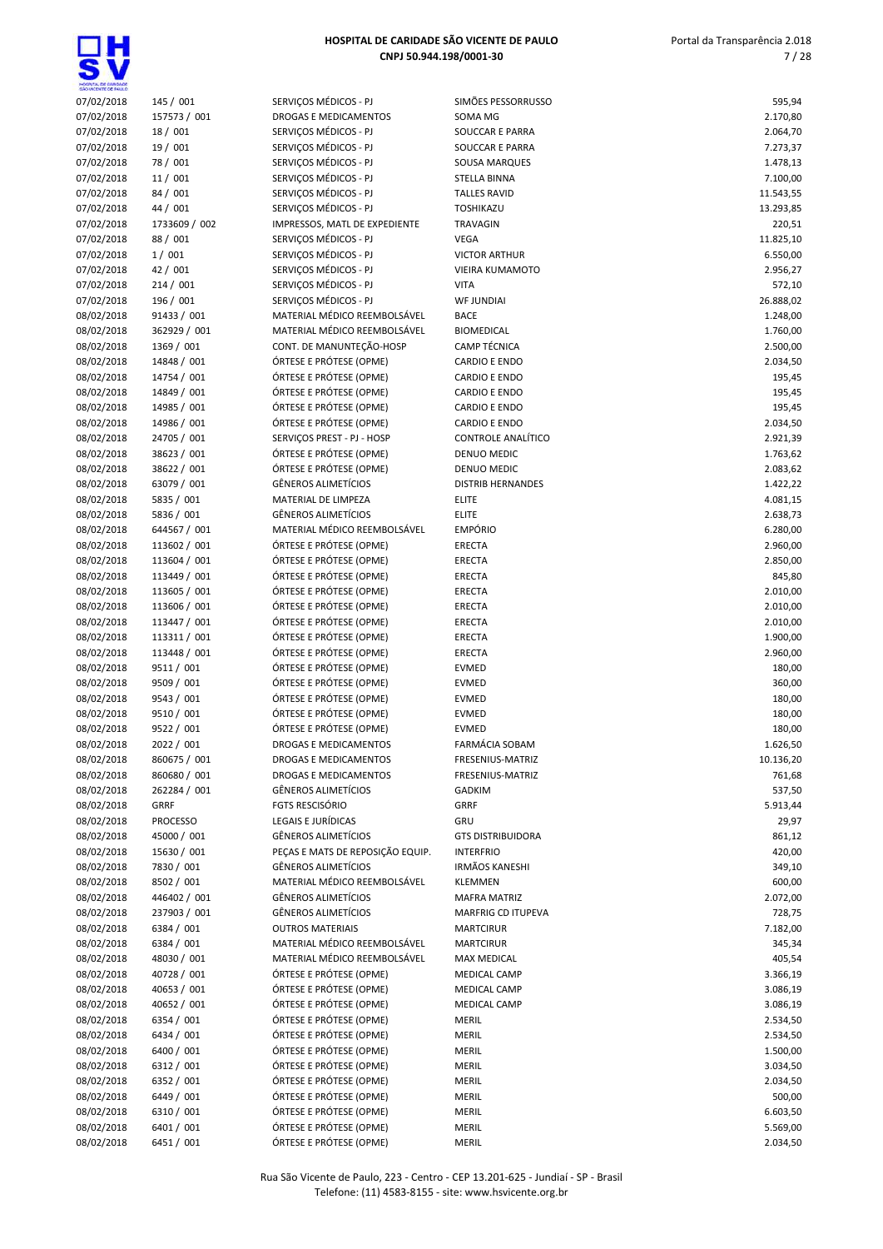| HOSPITAL DE GARDADE<br>SÃO VICENTE DE FAIX O |                   |                                                |                                     |                       |
|----------------------------------------------|-------------------|------------------------------------------------|-------------------------------------|-----------------------|
| 07/02/2018                                   | 145 / 001         | SERVIÇOS MÉDICOS - PJ                          | SIMÕES PESSORRUSSO                  | 595,94                |
| 07/02/2018                                   | 157573 / 001      | <b>DROGAS E MEDICAMENTOS</b>                   | SOMA MG                             | 2.170,80              |
| 07/02/2018                                   | 18 / 001          | SERVIÇOS MÉDICOS - PJ                          | SOUCCAR E PARRA                     | 2.064,70              |
| 07/02/2018                                   | 19 / 001          | SERVIÇOS MÉDICOS - PJ                          | SOUCCAR E PARRA                     | 7.273,37              |
| 07/02/2018                                   | 78 / 001          | SERVIÇOS MÉDICOS - PJ                          | SOUSA MARQUES                       | 1.478,13              |
| 07/02/2018                                   | 11/001            | SERVIÇOS MÉDICOS - PJ                          | STELLA BINNA                        | 7.100,00              |
| 07/02/2018                                   | 84 / 001          | SERVIÇOS MÉDICOS - PJ                          | <b>TALLES RAVID</b>                 | 11.543,55             |
| 07/02/2018                                   | 44 / 001          | SERVIÇOS MÉDICOS - PJ                          | TOSHIKAZU                           | 13.293,85             |
| 07/02/2018                                   | 1733609 / 002     | IMPRESSOS, MATL DE EXPEDIENTE                  | <b>TRAVAGIN</b>                     | 220,51                |
| 07/02/2018                                   | 88 / 001          | SERVIÇOS MÉDICOS - PJ<br>SERVICOS MÉDICOS - PJ | <b>VEGA</b><br><b>VICTOR ARTHUR</b> | 11.825,10<br>6.550,00 |
| 07/02/2018<br>07/02/2018                     | 1/001<br>42 / 001 | SERVICOS MÉDICOS - PJ                          | <b>VIEIRA KUMAMOTO</b>              |                       |
| 07/02/2018                                   | 214/001           | SERVICOS MÉDICOS - PJ                          | <b>VITA</b>                         | 2.956,27<br>572,10    |
| 07/02/2018                                   | 196 / 001         | SERVIÇOS MÉDICOS - PJ                          | <b>WF JUNDIAI</b>                   | 26.888,02             |
| 08/02/2018                                   | 91433 / 001       | MATERIAL MÉDICO REEMBOLSÁVEL                   | <b>BACE</b>                         | 1.248,00              |
| 08/02/2018                                   | 362929 / 001      | MATERIAL MÉDICO REEMBOLSÁVEL                   | <b>BIOMEDICAL</b>                   | 1.760,00              |
| 08/02/2018                                   | 1369 / 001        | CONT. DE MANUNTEÇÃO-HOSP                       | CAMP TÉCNICA                        | 2.500,00              |
| 08/02/2018                                   | 14848 / 001       | ÓRTESE E PRÓTESE (OPME)                        | CARDIO E ENDO                       | 2.034,50              |
| 08/02/2018                                   | 14754 / 001       | ÓRTESE E PRÓTESE (OPME)                        | <b>CARDIO E ENDO</b>                | 195,45                |
| 08/02/2018                                   | 14849 / 001       | ÓRTESE E PRÓTESE (OPME)                        | <b>CARDIO E ENDO</b>                | 195,45                |
| 08/02/2018                                   | 14985 / 001       | ÓRTESE E PRÓTESE (OPME)                        | <b>CARDIO E ENDO</b>                | 195,45                |
| 08/02/2018                                   | 14986 / 001       | ÓRTESE E PRÓTESE (OPME)                        | <b>CARDIO E ENDO</b>                | 2.034,50              |
| 08/02/2018                                   | 24705 / 001       | SERVIÇOS PREST - PJ - HOSP                     | CONTROLE ANALÍTICO                  | 2.921,39              |
| 08/02/2018                                   | 38623 / 001       | ÓRTESE E PRÓTESE (OPME)                        | DENUO MEDIC                         | 1.763,62              |
| 08/02/2018                                   | 38622 / 001       | ÓRTESE E PRÓTESE (OPME)                        | DENUO MEDIC                         | 2.083,62              |
| 08/02/2018                                   | 63079 / 001       | <b>GÊNEROS ALIMETÍCIOS</b>                     | <b>DISTRIB HERNANDES</b>            | 1.422,22              |
| 08/02/2018                                   | 5835 / 001        | MATERIAL DE LIMPEZA                            | <b>ELITE</b>                        | 4.081,15              |
| 08/02/2018                                   | 5836 / 001        | <b>GÊNEROS ALIMETÍCIOS</b>                     | <b>ELITE</b>                        | 2.638,73              |
| 08/02/2018                                   | 644567 / 001      | MATERIAL MÉDICO REEMBOLSÁVEL                   | <b>EMPÓRIO</b>                      | 6.280,00              |
| 08/02/2018                                   | 113602 / 001      | ÓRTESE E PRÓTESE (OPME)                        | ERECTA                              | 2.960,00              |
| 08/02/2018                                   | 113604 / 001      | ÓRTESE E PRÓTESE (OPME)                        | <b>ERECTA</b>                       | 2.850,00              |
| 08/02/2018                                   | 113449 / 001      | ÓRTESE E PRÓTESE (OPME)                        | <b>ERECTA</b>                       | 845,80                |
| 08/02/2018                                   | 113605 / 001      | ÓRTESE E PRÓTESE (OPME)                        | <b>ERECTA</b>                       | 2.010,00              |
| 08/02/2018                                   | 113606 / 001      | ÓRTESE E PRÓTESE (OPME)                        | <b>ERECTA</b>                       | 2.010,00              |
| 08/02/2018                                   | 113447 / 001      | ÓRTESE E PRÓTESE (OPME)                        | <b>ERECTA</b>                       | 2.010,00              |
| 08/02/2018                                   | 113311 / 001      | ÓRTESE E PRÓTESE (OPME)                        | <b>ERECTA</b>                       | 1.900,00              |
| 08/02/2018                                   | 113448 / 001      | ÓRTESE E PRÓTESE (OPME)                        | <b>ERECTA</b>                       | 2.960,00              |
| 08/02/2018                                   | 9511 / 001        | ÓRTESE E PRÓTESE (OPME)                        | <b>EVMED</b>                        | 180,00                |
| 08/02/2018                                   | 9509 / 001        | ÓRTESE E PRÓTESE (OPME)                        | EVMED                               | 360,00                |
| 08/02/2018                                   | 9543 / 001        | ÓRTESE E PRÓTESE (OPME)                        | EVMED                               | 180,00                |
| 08/02/2018                                   | 9510 / 001        | ÓRTESE E PRÓTESE (OPME)                        | <b>EVMED</b>                        | 180,00                |
| 08/02/2018                                   | 9522 / 001        | ÓRTESE E PRÓTESE (OPME)                        | EVMED                               | 180,00                |
| 08/02/2018                                   | 2022 / 001        | DROGAS E MEDICAMENTOS                          | <b>FARMACIA SOBAM</b>               | 1.626,50              |
| 08/02/2018                                   | 860675 / 001      | <b>DROGAS E MEDICAMENTOS</b>                   | FRESENIUS-MATRIZ                    | 10.136,20             |
| 08/02/2018                                   | 860680 / 001      | DROGAS E MEDICAMENTOS                          | FRESENIUS-MATRIZ                    | 761,68                |
| 08/02/2018                                   | 262284 / 001      | <b>GÊNEROS ALIMETÍCIOS</b>                     | <b>GADKIM</b>                       | 537,50                |
| 08/02/2018                                   | <b>GRRF</b>       | <b>FGTS RESCISÓRIO</b>                         | <b>GRRF</b>                         | 5.913,44              |
| 08/02/2018                                   | <b>PROCESSO</b>   | LEGAIS E JURÍDICAS                             | GRU                                 | 29,97                 |
| 08/02/2018                                   | 45000 / 001       | <b>GÊNEROS ALIMETÍCIOS</b>                     | <b>GTS DISTRIBUIDORA</b>            | 861,12                |
| 08/02/2018                                   | 15630 / 001       | PEÇAS E MATS DE REPOSIÇÃO EQUIP.               | <b>INTERFRIO</b>                    | 420,00                |
| 08/02/2018                                   | 7830 / 001        | GÊNEROS ALIMETÍCIOS                            | <b>IRMÃOS KANESHI</b>               | 349,10                |
| 08/02/2018                                   | 8502 / 001        | MATERIAL MÉDICO REEMBOLSÁVEL                   | <b>KLEMMEN</b>                      | 600,00                |
| 08/02/2018                                   | 446402 / 001      | <b>GÊNEROS ALIMETÍCIOS</b>                     | <b>MAFRA MATRIZ</b>                 | 2.072,00              |
| 08/02/2018                                   | 237903 / 001      | GÊNEROS ALIMETÍCIOS                            | <b>MARFRIG CD ITUPEVA</b>           | 728,75                |
| 08/02/2018                                   | 6384 / 001        | <b>OUTROS MATERIAIS</b>                        | <b>MARTCIRUR</b>                    | 7.182,00              |
| 08/02/2018                                   | 6384 / 001        | MATERIAL MÉDICO REEMBOLSÁVEL                   | <b>MARTCIRUR</b>                    | 345,34                |
| 08/02/2018                                   | 48030 / 001       | MATERIAL MÉDICO REEMBOLSÁVEL                   | MAX MEDICAL                         | 405,54                |
| 08/02/2018                                   | 40728 / 001       | ÓRTESE E PRÓTESE (OPME)                        | MEDICAL CAMP                        | 3.366,19              |
| 08/02/2018                                   | 40653 / 001       | ÓRTESE E PRÓTESE (OPME)                        | MEDICAL CAMP                        | 3.086,19              |
| 08/02/2018                                   | 40652 / 001       | ÓRTESE E PRÓTESE (OPME)                        | MEDICAL CAMP                        | 3.086,19              |
| 08/02/2018                                   | 6354 / 001        | ÓRTESE E PRÓTESE (OPME)                        | MERIL                               | 2.534,50              |
| 08/02/2018                                   | 6434 / 001        | ÓRTESE E PRÓTESE (OPME)                        | <b>MERIL</b>                        | 2.534,50              |
| 08/02/2018                                   | 6400 / 001        | ÓRTESE E PRÓTESE (OPME)                        | <b>MERIL</b>                        | 1.500,00              |
| 08/02/2018                                   | 6312 / 001        | ÓRTESE E PRÓTESE (OPME)                        | <b>MERIL</b>                        | 3.034,50              |
| 08/02/2018                                   | 6352 / 001        | ÓRTESE E PRÓTESE (OPME)                        | <b>MERIL</b>                        | 2.034,50              |
| 08/02/2018                                   | 6449 / 001        | ÓRTESE E PRÓTESE (OPME)                        | MERIL                               | 500,00                |
| 08/02/2018                                   | 6310 / 001        | ÓRTESE E PRÓTESE (OPME)                        | <b>MERIL</b>                        | 6.603,50              |
|                                              |                   | ÓRTESE E PRÓTESE (OPME)                        |                                     |                       |
| 08/02/2018                                   | 6401 / 001        | ÓRTESE E PRÓTESE (OPME)                        | MERIL                               | 5.569,00              |
| 08/02/2018                                   | 6451 / 001        |                                                | <b>MERIL</b>                        | 2.034,50              |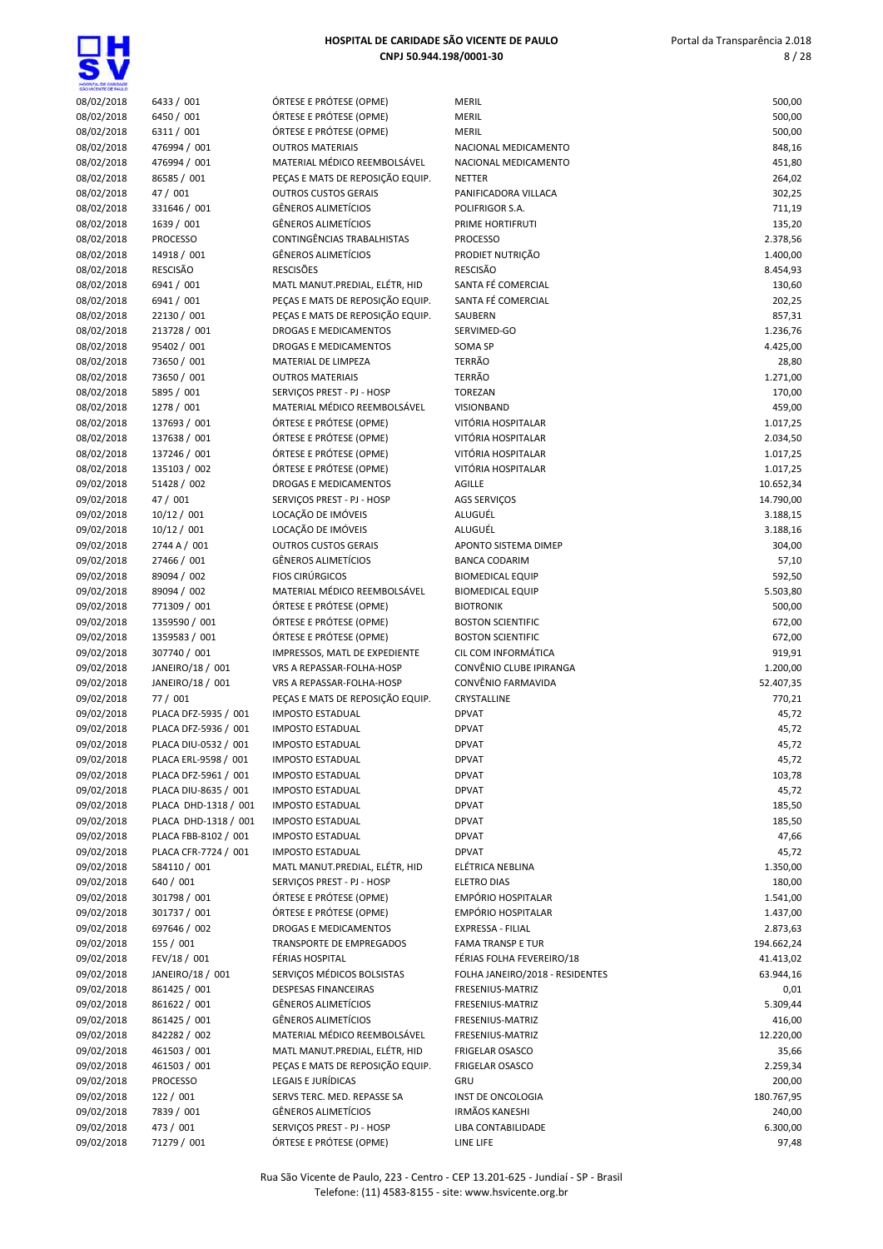$\overline{\mathbf{s}}$ V

| HOSPITAL DE CARDADE<br>SÃO VICENTE DE PAULO |                                      |                                                                 |                                         |                    |
|---------------------------------------------|--------------------------------------|-----------------------------------------------------------------|-----------------------------------------|--------------------|
| 08/02/2018                                  | 6433 / 001                           | ÓRTESE E PRÓTESE (OPME)                                         | <b>MERIL</b>                            | 500,00             |
| 08/02/2018                                  | 6450 / 001                           | ÓRTESE E PRÓTESE (OPME)                                         | <b>MERIL</b>                            | 500,00             |
| 08/02/2018                                  | 6311 / 001                           | ÓRTESE E PRÓTESE (OPME)                                         | <b>MERIL</b>                            | 500,00             |
| 08/02/2018                                  | 476994 / 001                         | <b>OUTROS MATERIAIS</b>                                         | NACIONAL MEDICAMENTO                    | 848,16             |
| 08/02/2018                                  | 476994 / 001                         | MATERIAL MÉDICO REEMBOLSÁVEL                                    | NACIONAL MEDICAMENTO                    | 451,80             |
| 08/02/2018                                  | 86585 / 001                          | PEÇAS E MATS DE REPOSIÇÃO EQUIP.<br><b>OUTROS CUSTOS GERAIS</b> | <b>NETTER</b>                           | 264,02             |
| 08/02/2018<br>08/02/2018                    | 47 / 001<br>331646 / 001             | <b>GÊNEROS ALIMETÍCIOS</b>                                      | PANIFICADORA VILLACA<br>POLIFRIGOR S.A. | 302,25<br>711,19   |
| 08/02/2018                                  | 1639 / 001                           | <b>GÊNEROS ALIMETÍCIOS</b>                                      | PRIME HORTIFRUTI                        | 135,20             |
| 08/02/2018                                  | <b>PROCESSO</b>                      | CONTINGÊNCIAS TRABALHISTAS                                      | <b>PROCESSO</b>                         | 2.378,56           |
| 08/02/2018                                  | 14918 / 001                          | <b>GÊNEROS ALIMETÍCIOS</b>                                      | PRODIET NUTRIÇÃO                        | 1.400,00           |
| 08/02/2018                                  | <b>RESCISÃO</b>                      | <b>RESCISÕES</b>                                                | <b>RESCISÃO</b>                         | 8.454,93           |
| 08/02/2018                                  | 6941 / 001                           | MATL MANUT.PREDIAL, ELÉTR, HID                                  | SANTA FÉ COMERCIAL                      | 130,60             |
| 08/02/2018                                  | 6941 / 001                           | PEÇAS E MATS DE REPOSIÇÃO EQUIP.                                | SANTA FÉ COMERCIAL                      | 202,25             |
| 08/02/2018                                  | 22130 / 001                          | PEÇAS E MATS DE REPOSIÇÃO EQUIP.                                | SAUBERN                                 | 857,31             |
| 08/02/2018                                  | 213728 / 001                         | DROGAS E MEDICAMENTOS                                           | SERVIMED-GO                             | 1.236,76           |
| 08/02/2018                                  | 95402 / 001                          | DROGAS E MEDICAMENTOS                                           | SOMA SP                                 | 4.425,00           |
| 08/02/2018                                  | 73650 / 001                          | MATERIAL DE LIMPEZA                                             | <b>TERRÃO</b>                           | 28,80              |
| 08/02/2018                                  | 73650 / 001                          | <b>OUTROS MATERIAIS</b>                                         | <b>TERRÃO</b>                           | 1.271,00           |
| 08/02/2018                                  | 5895 / 001                           | SERVIÇOS PREST - PJ - HOSP                                      | <b>TOREZAN</b>                          | 170,00             |
| 08/02/2018                                  | 1278 / 001                           | MATERIAL MÉDICO REEMBOLSÁVEL                                    | <b>VISIONBAND</b>                       | 459,00             |
| 08/02/2018                                  | 137693 / 001                         | ÓRTESE E PRÓTESE (OPME)                                         | VITÓRIA HOSPITALAR                      | 1.017,25           |
| 08/02/2018                                  | 137638 / 001                         | ÓRTESE E PRÓTESE (OPME)                                         | VITÓRIA HOSPITALAR                      | 2.034,50           |
| 08/02/2018                                  | 137246 / 001                         | ÓRTESE E PRÓTESE (OPME)                                         | VITÓRIA HOSPITALAR                      | 1.017,25           |
| 08/02/2018                                  | 135103 / 002                         | ÓRTESE E PRÓTESE (OPME)                                         | VITÓRIA HOSPITALAR                      | 1.017,25           |
| 09/02/2018                                  | 51428 / 002                          | <b>DROGAS E MEDICAMENTOS</b>                                    | <b>AGILLE</b>                           | 10.652,34          |
| 09/02/2018                                  | 47 / 001                             | SERVICOS PREST - PJ - HOSP                                      | AGS SERVIÇOS                            | 14.790,00          |
| 09/02/2018                                  | 10/12 / 001                          | LOCAÇÃO DE IMÓVEIS                                              | ALUGUÉL                                 | 3.188,15           |
| 09/02/2018<br>09/02/2018                    | 10/12 / 001<br>2744 A / 001          | LOCAÇÃO DE IMÓVEIS<br><b>OUTROS CUSTOS GERAIS</b>               | ALUGUÉL<br>APONTO SISTEMA DIMEP         | 3.188,16<br>304,00 |
| 09/02/2018                                  | 27466 / 001                          | <b>GÊNEROS ALIMETÍCIOS</b>                                      | <b>BANCA CODARIM</b>                    | 57,10              |
| 09/02/2018                                  | 89094 / 002                          | <b>FIOS CIRÚRGICOS</b>                                          | <b>BIOMEDICAL EQUIP</b>                 | 592,50             |
| 09/02/2018                                  | 89094 / 002                          | MATERIAL MÉDICO REEMBOLSÁVEL                                    | <b>BIOMEDICAL EQUIP</b>                 | 5.503,80           |
| 09/02/2018                                  | 771309 / 001                         | ÓRTESE E PRÓTESE (OPME)                                         | <b>BIOTRONIK</b>                        | 500,00             |
| 09/02/2018                                  | 1359590 / 001                        | ÓRTESE E PRÓTESE (OPME)                                         | <b>BOSTON SCIENTIFIC</b>                | 672,00             |
| 09/02/2018                                  | 1359583 / 001                        | ÓRTESE E PRÓTESE (OPME)                                         | <b>BOSTON SCIENTIFIC</b>                | 672,00             |
| 09/02/2018                                  | 307740 / 001                         | IMPRESSOS, MATL DE EXPEDIENTE                                   | CIL COM INFORMÁTICA                     | 919,91             |
| 09/02/2018                                  | JANEIRO/18 / 001                     | VRS A REPASSAR-FOLHA-HOSP                                       | CONVÊNIO CLUBE IPIRANGA                 | 1.200,00           |
| 09/02/2018                                  | JANEIRO/18 / 001                     | <b>VRS A REPASSAR-FOLHA-HOSP</b>                                | CONVÊNIO FARMAVIDA                      | 52.407,35          |
| 09/02/2018                                  | 77 / 001                             | PEÇAS E MATS DE REPOSIÇÃO EQUIP.                                | CRYSTALLINE                             | 770,21             |
| 09/02/2018                                  | PLACA DFZ-5935 / 001                 | <b>IMPOSTO ESTADUAL</b>                                         | <b>DPVAT</b>                            | 45,72              |
| 09/02/2018                                  | PLACA DFZ-5936 / 001                 | <b>IMPOSTO ESTADUAL</b>                                         | <b>DPVAT</b>                            | 45,72              |
| 09/02/2018                                  | PLACA DIU-0532 / 001                 | <b>IMPOSTO ESTADUAL</b>                                         | <b>DPVAT</b>                            | 45,72              |
| 09/02/2018                                  | PLACA ERL-9598 / 001                 | <b>IMPOSTO ESTADUAL</b>                                         | <b>DPVAT</b>                            | 45,72              |
| 09/02/2018                                  | PLACA DFZ-5961 / 001                 | <b>IMPOSTO ESTADUAL</b>                                         | <b>DPVAT</b>                            | 103,78             |
| 09/02/2018                                  | PLACA DIU-8635 / 001                 | <b>IMPOSTO ESTADUAL</b>                                         | <b>DPVAT</b>                            | 45,72              |
| 09/02/2018                                  | PLACA DHD-1318 / 001                 | <b>IMPOSTO ESTADUAL</b>                                         | <b>DPVAT</b>                            | 185,50             |
| 09/02/2018                                  | PLACA DHD-1318 / 001                 | <b>IMPOSTO ESTADUAL</b>                                         | <b>DPVAT</b>                            | 185,50             |
| 09/02/2018                                  | PLACA FBB-8102 / 001                 | <b>IMPOSTO ESTADUAL</b>                                         | <b>DPVAT</b>                            | 47,66              |
| 09/02/2018<br>09/02/2018                    | PLACA CFR-7724 / 001<br>584110 / 001 | <b>IMPOSTO ESTADUAL</b><br>MATL MANUT.PREDIAL, ELÉTR, HID       | <b>DPVAT</b><br>ELÉTRICA NEBLINA        | 45,72<br>1.350,00  |
| 09/02/2018                                  | 640 / 001                            | SERVIÇOS PREST - PJ - HOSP                                      | <b>ELETRO DIAS</b>                      | 180,00             |
| 09/02/2018                                  | 301798 / 001                         | ÓRTESE E PRÓTESE (OPME)                                         | EMPÓRIO HOSPITALAR                      | 1.541,00           |
| 09/02/2018                                  | 301737 / 001                         | ÓRTESE E PRÓTESE (OPME)                                         | EMPÓRIO HOSPITALAR                      | 1.437,00           |
| 09/02/2018                                  | 697646 / 002                         | DROGAS E MEDICAMENTOS                                           | EXPRESSA - FILIAL                       | 2.873,63           |
| 09/02/2018                                  | 155 / 001                            | TRANSPORTE DE EMPREGADOS                                        | <b>FAMA TRANSP E TUR</b>                | 194.662,24         |
| 09/02/2018                                  | FEV/18 / 001                         | FÉRIAS HOSPITAL                                                 | FÉRIAS FOLHA FEVEREIRO/18               | 41.413,02          |
| 09/02/2018                                  | JANEIRO/18 / 001                     | SERVIÇOS MÉDICOS BOLSISTAS                                      | FOLHA JANEIRO/2018 - RESIDENTES         | 63.944,16          |
| 09/02/2018                                  | 861425 / 001                         | DESPESAS FINANCEIRAS                                            | FRESENIUS-MATRIZ                        | 0,01               |
| 09/02/2018                                  | 861622 / 001                         | <b>GÊNEROS ALIMETÍCIOS</b>                                      | FRESENIUS-MATRIZ                        | 5.309,44           |
| 09/02/2018                                  | 861425 / 001                         | <b>GÊNEROS ALIMETÍCIOS</b>                                      | FRESENIUS-MATRIZ                        | 416,00             |
| 09/02/2018                                  | 842282 / 002                         | MATERIAL MÉDICO REEMBOLSÁVEL                                    | FRESENIUS-MATRIZ                        | 12.220,00          |
| 09/02/2018                                  | 461503 / 001                         | MATL MANUT.PREDIAL, ELÉTR, HID                                  | <b>FRIGELAR OSASCO</b>                  | 35,66              |
| 09/02/2018                                  | 461503 / 001                         | PEÇAS E MATS DE REPOSIÇÃO EQUIP.                                | <b>FRIGELAR OSASCO</b>                  | 2.259,34           |
| 09/02/2018                                  | <b>PROCESSO</b>                      | LEGAIS E JURÍDICAS                                              | GRU                                     | 200,00             |
| 09/02/2018                                  | 122 / 001                            | SERVS TERC. MED. REPASSE SA                                     | INST DE ONCOLOGIA                       | 180.767,95         |
| 09/02/2018                                  | 7839 / 001                           | <b>GÊNEROS ALIMETÍCIOS</b>                                      | <b>IRMÃOS KANESHI</b>                   | 240,00             |
| 09/02/2018                                  | 473 / 001                            | SERVIÇOS PREST - PJ - HOSP                                      | LIBA CONTABILIDADE                      | 6.300,00           |
| 09/02/2018                                  | 71279 / 001                          | ÓRTESE E PRÓTESE (OPME)                                         | LINE LIFE                               | 97,48              |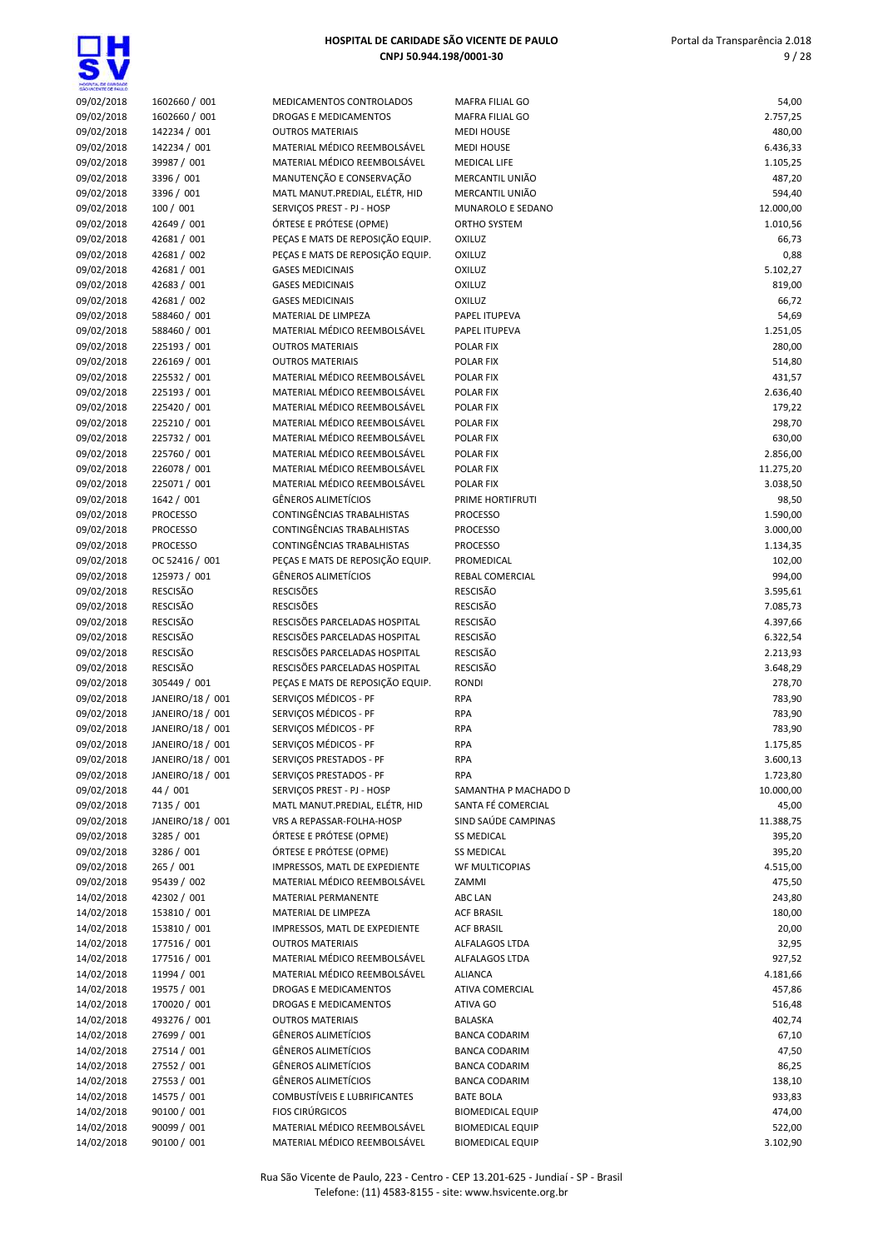ш

| HOSPITA, DE GARDADE      |                              |                                                            |                                                    |                    |
|--------------------------|------------------------------|------------------------------------------------------------|----------------------------------------------------|--------------------|
| 09/02/2018               | 1602660 / 001                | MEDICAMENTOS CONTROLADOS                                   | <b>MAFRA FILIAL GO</b>                             | 54,00              |
| 09/02/2018               | 1602660 / 001                | <b>DROGAS E MEDICAMENTOS</b>                               | <b>MAFRA FILIAL GO</b>                             | 2.757,25           |
| 09/02/2018               | 142234 / 001                 | <b>OUTROS MATERIAIS</b>                                    | <b>MEDI HOUSE</b>                                  | 480,00             |
| 09/02/2018               | 142234 / 001                 | MATERIAL MÉDICO REEMBOLSÁVEL                               | <b>MEDI HOUSE</b>                                  | 6.436,33           |
| 09/02/2018               | 39987 / 001                  | MATERIAL MÉDICO REEMBOLSÁVEL                               | <b>MEDICAL LIFE</b>                                | 1.105,25           |
| 09/02/2018               | 3396 / 001                   | MANUTENÇÃO E CONSERVAÇÃO                                   | MERCANTIL UNIÃO                                    | 487,20             |
| 09/02/2018               | 3396 / 001                   | MATL MANUT.PREDIAL, ELÉTR, HID                             | MERCANTIL UNIÃO                                    | 594,40             |
| 09/02/2018               | 100 / 001                    | SERVIÇOS PREST - PJ - HOSP                                 | MUNAROLO E SEDANO                                  | 12.000,00          |
| 09/02/2018               | 42649 / 001                  | ÓRTESE E PRÓTESE (OPME)                                    | ORTHO SYSTEM                                       | 1.010,56           |
| 09/02/2018               | 42681 / 001                  | PECAS E MATS DE REPOSIÇÃO EQUIP.                           | <b>OXILUZ</b>                                      | 66,73              |
| 09/02/2018               | 42681 / 002                  | PECAS E MATS DE REPOSIÇÃO EQUIP.                           | OXILUZ                                             | 0,88               |
| 09/02/2018               | 42681 / 001                  | <b>GASES MEDICINAIS</b>                                    | OXILUZ                                             | 5.102,27           |
| 09/02/2018               | 42683 / 001                  | <b>GASES MEDICINAIS</b>                                    | OXILUZ                                             | 819,00             |
| 09/02/2018               | 42681 / 002                  | <b>GASES MEDICINAIS</b>                                    | <b>OXILUZ</b>                                      | 66,72              |
| 09/02/2018               | 588460 / 001                 | MATERIAL DE LIMPEZA<br>MATERIAL MÉDICO REEMBOLSÁVEL        | PAPEL ITUPEVA                                      | 54,69              |
| 09/02/2018<br>09/02/2018 | 588460 / 001<br>225193 / 001 | <b>OUTROS MATERIAIS</b>                                    | PAPEL ITUPEVA<br>POLAR FIX                         | 1.251,05<br>280,00 |
| 09/02/2018               | 226169 / 001                 | <b>OUTROS MATERIAIS</b>                                    | POLAR FIX                                          | 514,80             |
| 09/02/2018               | 225532 / 001                 | MATERIAL MÉDICO REEMBOLSÁVEL                               | POLAR FIX                                          | 431,57             |
| 09/02/2018               | 225193 / 001                 | MATERIAL MÉDICO REEMBOLSÁVEL                               | POLAR FIX                                          | 2.636,40           |
| 09/02/2018               | 225420 / 001                 | MATERIAL MÉDICO REEMBOLSÁVEL                               | POLAR FIX                                          | 179,22             |
| 09/02/2018               | 225210 / 001                 | MATERIAL MÉDICO REEMBOLSÁVEL                               | POLAR FIX                                          | 298,70             |
| 09/02/2018               | 225732 / 001                 | MATERIAL MÉDICO REEMBOLSÁVEL                               | POLAR FIX                                          | 630,00             |
| 09/02/2018               | 225760 / 001                 | MATERIAL MÉDICO REEMBOLSÁVEL                               | POLAR FIX                                          | 2.856,00           |
| 09/02/2018               | 226078 / 001                 | MATERIAL MÉDICO REEMBOLSÁVEL                               | POLAR FIX                                          | 11.275,20          |
| 09/02/2018               | 225071 / 001                 | MATERIAL MÉDICO REEMBOLSÁVEL                               | POLAR FIX                                          | 3.038,50           |
| 09/02/2018               | 1642 / 001                   | <b>GÊNEROS ALIMETÍCIOS</b>                                 | PRIME HORTIFRUTI                                   | 98,50              |
| 09/02/2018               | <b>PROCESSO</b>              | CONTINGÊNCIAS TRABALHISTAS                                 | <b>PROCESSO</b>                                    | 1.590,00           |
| 09/02/2018               | <b>PROCESSO</b>              | CONTINGÊNCIAS TRABALHISTAS                                 | <b>PROCESSO</b>                                    | 3.000,00           |
| 09/02/2018               | <b>PROCESSO</b>              | CONTINGÊNCIAS TRABALHISTAS                                 | <b>PROCESSO</b>                                    | 1.134,35           |
| 09/02/2018               | OC 52416 / 001               | PEÇAS E MATS DE REPOSIÇÃO EQUIP.                           | PROMEDICAL                                         | 102,00             |
| 09/02/2018               | 125973 / 001                 | GÊNEROS ALIMETÍCIOS                                        | REBAL COMERCIAL                                    | 994,00             |
| 09/02/2018               | <b>RESCISÃO</b>              | <b>RESCISÕES</b>                                           | <b>RESCISÃO</b>                                    | 3.595,61           |
| 09/02/2018               | <b>RESCISÃO</b>              | <b>RESCISÕES</b>                                           | <b>RESCISÃO</b>                                    | 7.085,73           |
| 09/02/2018               | <b>RESCISÃO</b>              | RESCISÕES PARCELADAS HOSPITAL                              | <b>RESCISÃO</b>                                    | 4.397,66           |
| 09/02/2018               | <b>RESCISÃO</b>              | RESCISÕES PARCELADAS HOSPITAL                              | <b>RESCISÃO</b>                                    | 6.322,54           |
| 09/02/2018               | <b>RESCISÃO</b>              | RESCISÕES PARCELADAS HOSPITAL                              | <b>RESCISÃO</b>                                    | 2.213,93           |
| 09/02/2018               | <b>RESCISÃO</b>              | RESCISÕES PARCELADAS HOSPITAL                              | <b>RESCISÃO</b>                                    | 3.648,29           |
| 09/02/2018               | 305449 / 001                 | PEÇAS E MATS DE REPOSIÇÃO EQUIP.                           | <b>RONDI</b>                                       | 278,70             |
| 09/02/2018               | JANEIRO/18 / 001             | SERVIÇOS MÉDICOS - PF                                      | <b>RPA</b>                                         | 783,90             |
| 09/02/2018               | JANEIRO/18 / 001             | SERVIÇOS MÉDICOS - PF                                      | <b>RPA</b>                                         | 783,90             |
| 09/02/2018               | JANEIRO/18 / 001             | SERVIÇOS MÉDICOS - PF                                      | <b>RPA</b>                                         | 783,90             |
| 09/02/2018               | JANEIRO/18 / 001             | SERVICOS MÉDICOS - PF                                      | <b>RPA</b>                                         | 1.175,85           |
| 09/02/2018               | JANEIRO/18 / 001             | SERVICOS PRESTADOS - PF                                    | <b>RPA</b>                                         | 3.600,13           |
| 09/02/2018               | JANEIRO/18 / 001             | SERVIÇOS PRESTADOS - PF                                    | <b>RPA</b>                                         | 1.723,80           |
| 09/02/2018               | 44 / 001                     | SERVIÇOS PREST - PJ - HOSP                                 | SAMANTHA P MACHADO D                               | 10.000,00          |
| 09/02/2018               | 7135 / 001                   | MATL MANUT.PREDIAL, ELÉTR, HID                             | SANTA FÉ COMERCIAL                                 | 45,00              |
| 09/02/2018               | JANEIRO/18 / 001             | VRS A REPASSAR-FOLHA-HOSP                                  | SIND SAÚDE CAMPINAS                                | 11.388,75          |
| 09/02/2018               | 3285 / 001                   | ÓRTESE E PRÓTESE (OPME)                                    | <b>SS MEDICAL</b>                                  | 395,20             |
| 09/02/2018               | 3286 / 001                   | ÓRTESE E PRÓTESE (OPME)                                    | <b>SS MEDICAL</b>                                  | 395,20             |
| 09/02/2018               | 265 / 001                    | IMPRESSOS, MATL DE EXPEDIENTE                              | <b>WF MULTICOPIAS</b>                              | 4.515,00           |
| 09/02/2018               | 95439 / 002                  | MATERIAL MÉDICO REEMBOLSÁVEL                               | ZAMMI                                              | 475,50             |
| 14/02/2018               | 42302 / 001                  | MATERIAL PERMANENTE                                        | ABC LAN                                            | 243,80             |
| 14/02/2018               | 153810 / 001                 | MATERIAL DE LIMPEZA                                        | <b>ACF BRASIL</b>                                  | 180,00             |
| 14/02/2018               | 153810 / 001                 | IMPRESSOS, MATL DE EXPEDIENTE                              | <b>ACF BRASIL</b>                                  | 20,00              |
| 14/02/2018               | 177516 / 001                 | <b>OUTROS MATERIAIS</b>                                    | ALFALAGOS LTDA                                     | 32,95              |
| 14/02/2018               | 177516 / 001                 | MATERIAL MÉDICO REEMBOLSÁVEL                               | ALFALAGOS LTDA                                     | 927,52             |
| 14/02/2018               | 11994 / 001                  | MATERIAL MÉDICO REEMBOLSÁVEL                               | <b>ALIANCA</b>                                     | 4.181,66           |
| 14/02/2018               | 19575 / 001                  | DROGAS E MEDICAMENTOS                                      | ATIVA COMERCIAL                                    | 457,86             |
| 14/02/2018               | 170020 / 001                 | DROGAS E MEDICAMENTOS                                      | ATIVA GO                                           | 516,48             |
| 14/02/2018               | 493276 / 001<br>27699 / 001  | <b>OUTROS MATERIAIS</b><br><b>GËNEROS ALIMETÍCIOS</b>      | BALASKA                                            | 402,74<br>67,10    |
| 14/02/2018               |                              |                                                            | <b>BANCA CODARIM</b>                               |                    |
| 14/02/2018               | 27514 / 001<br>27552 / 001   | <b>GÊNEROS ALIMETÍCIOS</b><br><b>GÊNEROS ALIMETÍCIOS</b>   | <b>BANCA CODARIM</b>                               | 47,50              |
| 14/02/2018               |                              |                                                            | <b>BANCA CODARIM</b>                               | 86,25              |
| 14/02/2018               | 27553 / 001<br>14575 / 001   | <b>GÊNEROS ALIMETÍCIOS</b><br>COMBUSTÍVEIS E LUBRIFICANTES | <b>BANCA CODARIM</b><br><b>BATE BOLA</b>           | 138,10             |
| 14/02/2018               | 90100 / 001                  | <b>FIOS CIRÚRGICOS</b>                                     |                                                    | 933,83<br>474,00   |
| 14/02/2018<br>14/02/2018 | 90099 / 001                  | MATERIAL MÉDICO REEMBOLSÁVEL                               | <b>BIOMEDICAL EQUIP</b><br><b>BIOMEDICAL EQUIP</b> | 522,00             |
|                          |                              |                                                            |                                                    |                    |

14/02/2018 90100 / 001 MATERIAL MÉDICO REEMBOLSÁVEL BIOMEDICAL EQUIP 3.102,90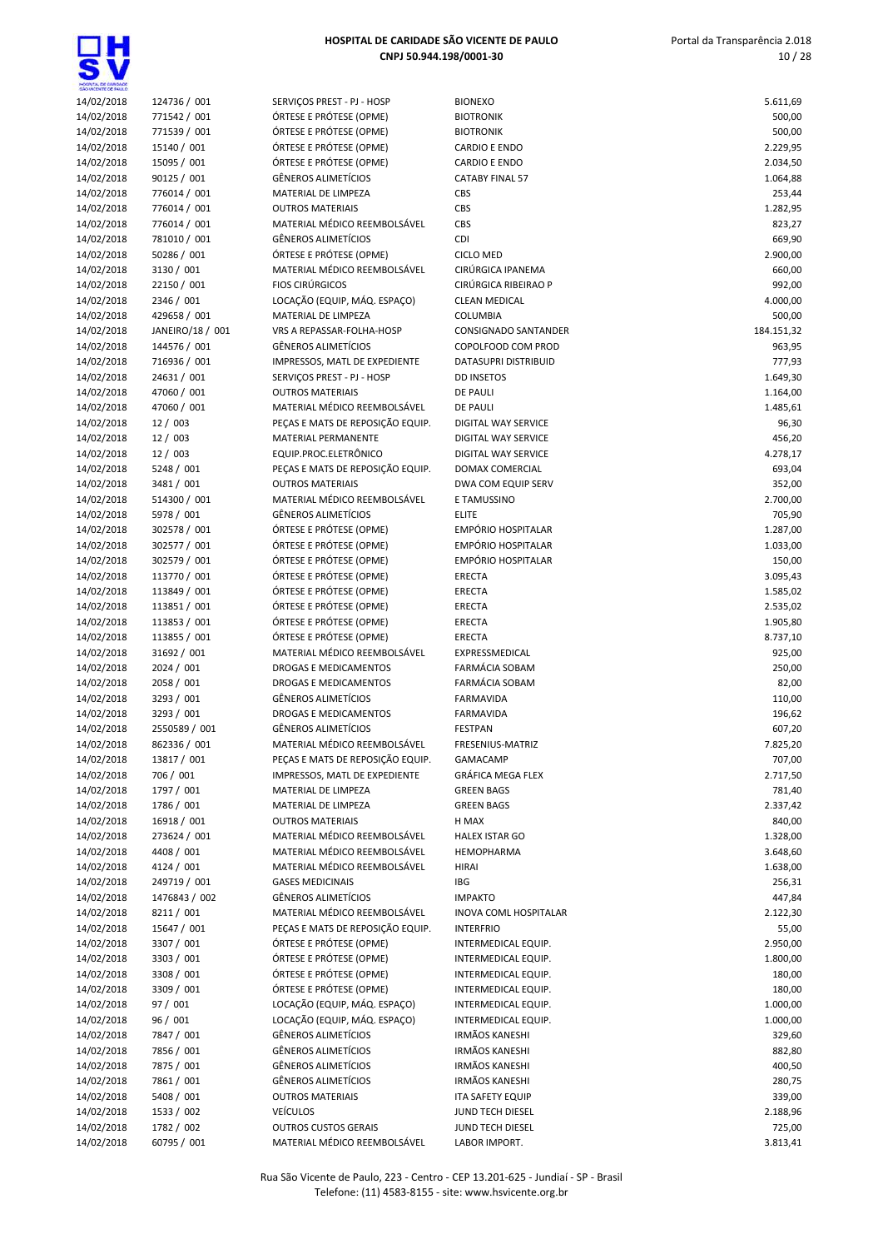**gH** 

| HOSPITAL DE CARDADE<br>SÃO VICENTE DE FAIX O |                             |                                                       |                                |                  |
|----------------------------------------------|-----------------------------|-------------------------------------------------------|--------------------------------|------------------|
| 14/02/2018                                   | 124736 / 001                | SERVICOS PREST - PJ - HOSP                            | <b>BIONEXO</b>                 | 5.611,69         |
| 14/02/2018                                   | 771542 / 001                | ÓRTESE E PRÓTESE (OPME)                               | <b>BIOTRONIK</b>               | 500,00           |
| 14/02/2018                                   | 771539 / 001                | ÓRTESE E PRÓTESE (OPME)                               | <b>BIOTRONIK</b>               | 500,00           |
| 14/02/2018                                   | 15140 / 001                 | ÓRTESE E PRÓTESE (OPME)                               | <b>CARDIO E ENDO</b>           | 2.229,95         |
| 14/02/2018                                   | 15095 / 001                 | ÓRTESE E PRÓTESE (OPME)                               | <b>CARDIO E ENDO</b>           | 2.034,50         |
| 14/02/2018                                   | 90125 / 001                 | <b>GÊNEROS ALIMETÍCIOS</b>                            | <b>CATABY FINAL 57</b>         | 1.064,88         |
| 14/02/2018                                   | 776014 / 001                | MATERIAL DE LIMPEZA                                   | CBS                            | 253,44           |
| 14/02/2018                                   | 776014 / 001                | <b>OUTROS MATERIAIS</b>                               | CBS                            | 1.282,95         |
| 14/02/2018                                   | 776014 / 001                | MATERIAL MÉDICO REEMBOLSÁVEL                          | CBS                            | 823,27           |
| 14/02/2018                                   | 781010 / 001<br>50286 / 001 | <b>GÊNEROS ALIMETÍCIOS</b><br>ÓRTESE E PRÓTESE (OPME) | <b>CDI</b><br><b>CICLO MED</b> | 669,90           |
| 14/02/2018                                   | 3130 / 001                  | MATERIAL MÉDICO REEMBOLSÁVEL                          | CIRÚRGICA IPANEMA              | 2.900,00         |
| 14/02/2018<br>14/02/2018                     | 22150 / 001                 | <b>FIOS CIRÚRGICOS</b>                                | CIRÚRGICA RIBEIRAO P           | 660,00<br>992,00 |
| 14/02/2018                                   | 2346 / 001                  | LOCAÇÃO (EQUIP, MÁQ. ESPAÇO)                          | <b>CLEAN MEDICAL</b>           | 4.000,00         |
| 14/02/2018                                   | 429658 / 001                | MATERIAL DE LIMPEZA                                   | <b>COLUMBIA</b>                | 500,00           |
| 14/02/2018                                   | JANEIRO/18 / 001            | VRS A REPASSAR-FOLHA-HOSP                             | CONSIGNADO SANTANDER           | 184.151,32       |
| 14/02/2018                                   | 144576 / 001                | GÊNEROS ALIMETÍCIOS                                   | COPOLFOOD COM PROD             | 963,95           |
| 14/02/2018                                   | 716936 / 001                | IMPRESSOS, MATL DE EXPEDIENTE                         | DATASUPRI DISTRIBUID           | 777,93           |
| 14/02/2018                                   | 24631 / 001                 | SERVICOS PREST - PJ - HOSP                            | <b>DD INSETOS</b>              | 1.649,30         |
| 14/02/2018                                   | 47060 / 001                 | <b>OUTROS MATERIAIS</b>                               | DE PAULI                       | 1.164,00         |
| 14/02/2018                                   | 47060 / 001                 | MATERIAL MÉDICO REEMBOLSÁVEL                          | <b>DE PAULI</b>                | 1.485,61         |
| 14/02/2018                                   | 12/003                      | PECAS E MATS DE REPOSIÇÃO EQUIP.                      | DIGITAL WAY SERVICE            | 96,30            |
| 14/02/2018                                   | 12 / 003                    | MATERIAL PERMANENTE                                   | <b>DIGITAL WAY SERVICE</b>     | 456,20           |
| 14/02/2018                                   | 12/003                      | EQUIP.PROC.ELETRÔNICO                                 | DIGITAL WAY SERVICE            | 4.278,17         |
| 14/02/2018                                   | 5248 / 001                  | PEÇAS E MATS DE REPOSIÇÃO EQUIP.                      | <b>DOMAX COMERCIAL</b>         | 693,04           |
| 14/02/2018                                   | 3481 / 001                  | <b>OUTROS MATERIAIS</b>                               | DWA COM EQUIP SERV             | 352,00           |
| 14/02/2018                                   | 514300 / 001                | MATERIAL MÉDICO REEMBOLSÁVEL                          | E TAMUSSINO                    | 2.700,00         |
| 14/02/2018                                   | 5978 / 001                  | GÊNEROS ALIMETÍCIOS                                   | <b>ELITE</b>                   | 705,90           |
| 14/02/2018                                   | 302578 / 001                | ÓRTESE E PRÓTESE (OPME)                               | <b>EMPÓRIO HOSPITALAR</b>      | 1.287,00         |
| 14/02/2018                                   | 302577 / 001                | ÓRTESE E PRÓTESE (OPME)                               | <b>EMPÓRIO HOSPITALAR</b>      | 1.033,00         |
| 14/02/2018                                   | 302579 / 001                | ÓRTESE E PRÓTESE (OPME)                               | <b>EMPÓRIO HOSPITALAR</b>      | 150,00           |
| 14/02/2018                                   | 113770 / 001                | ÓRTESE E PRÓTESE (OPME)                               | ERECTA                         | 3.095,43         |
| 14/02/2018                                   | 113849 / 001                | ÓRTESE E PRÓTESE (OPME)                               | <b>ERECTA</b>                  | 1.585,02         |
| 14/02/2018                                   | 113851 / 001                | ÓRTESE E PRÓTESE (OPME)                               | ERECTA                         | 2.535,02         |
| 14/02/2018                                   | 113853 / 001                | ÓRTESE E PRÓTESE (OPME)                               | ERECTA                         | 1.905,80         |
| 14/02/2018                                   | 113855 / 001                | ÓRTESE E PRÓTESE (OPME)                               | <b>ERECTA</b>                  | 8.737,10         |
| 14/02/2018                                   | 31692 / 001                 | MATERIAL MÉDICO REEMBOLSÁVEL                          | EXPRESSMEDICAL                 | 925,00           |
| 14/02/2018                                   | 2024 / 001                  | <b>DROGAS E MEDICAMENTOS</b>                          | <b>FARMÁCIA SOBAM</b>          | 250,00           |
| 14/02/2018                                   | 2058 / 001                  | <b>DROGAS E MEDICAMENTOS</b>                          | <b>FARMÁCIA SOBAM</b>          | 82,00            |
| 14/02/2018                                   | 3293 / 001                  | <b>GÊNEROS ALIMETÍCIOS</b>                            | <b>FARMAVIDA</b>               | 110,00           |
| 14/02/2018                                   | 3293 / 001                  | <b>DROGAS E MEDICAMENTOS</b>                          | <b>FARMAVIDA</b>               | 196,62           |
| 14/02/2018                                   | 2550589 / 001               | <b>GÊNEROS ALIMETÍCIOS</b>                            | <b>FESTPAN</b>                 | 607,20           |
| 14/02/2018                                   | 862336 / 001                | MATERIAL MÉDICO REEMBOLSÁVEL                          | FRESENIUS-MATRIZ               | 7.825,20         |
| 14/02/2018                                   | 13817 / 001                 | PEÇAS E MATS DE REPOSIÇÃO EQUIP.                      | GAMACAMP                       | 707,00           |
| 14/02/2018                                   | 706 / 001                   | IMPRESSOS, MATL DE EXPEDIENTE                         | GRÁFICA MEGA FLEX              | 2.717,50         |
| 14/02/2018                                   | 1797 / 001                  | MATERIAL DE LIMPEZA                                   | <b>GREEN BAGS</b>              | 781,40           |
| 14/02/2018                                   | 1786 / 001                  | MATERIAL DE LIMPEZA                                   | <b>GREEN BAGS</b>              | 2.337,42         |
| 14/02/2018                                   | 16918 / 001                 | <b>OUTROS MATERIAIS</b>                               | H MAX                          | 840,00           |
| 14/02/2018                                   | 273624 / 001                | MATERIAL MÉDICO REEMBOLSÁVEL                          | <b>HALEX ISTAR GO</b>          | 1.328,00         |
| 14/02/2018                                   | 4408 / 001                  | MATERIAL MÉDICO REEMBOLSÁVEL                          | HEMOPHARMA                     | 3.648,60         |
| 14/02/2018                                   | 4124 / 001                  | MATERIAL MÉDICO REEMBOLSÁVEL                          | <b>HIRAI</b>                   | 1.638,00         |
| 14/02/2018                                   | 249719 / 001                | <b>GASES MEDICINAIS</b>                               | IBG                            | 256,31           |
| 14/02/2018                                   | 1476843 / 002               | <b>GÊNEROS ALIMETÍCIOS</b>                            | <b>IMPAKTO</b>                 | 447,84           |
| 14/02/2018                                   | 8211 / 001                  | MATERIAL MÉDICO REEMBOLSÁVEL                          | INOVA COML HOSPITALAR          | 2.122,30         |
| 14/02/2018                                   | 15647 / 001                 | PEÇAS E MATS DE REPOSIÇÃO EQUIP.                      | <b>INTERFRIO</b>               | 55,00            |
| 14/02/2018                                   | 3307 / 001                  | ÓRTESE E PRÓTESE (OPME)                               | INTERMEDICAL EQUIP.            | 2.950,00         |
| 14/02/2018                                   | 3303 / 001                  | ÓRTESE E PRÓTESE (OPME)                               | INTERMEDICAL EQUIP.            | 1.800,00         |
| 14/02/2018                                   | 3308 / 001                  | ÓRTESE E PRÓTESE (OPME)                               | INTERMEDICAL EQUIP.            | 180,00           |
| 14/02/2018                                   | 3309 / 001                  | ÓRTESE E PRÓTESE (OPME)                               | INTERMEDICAL EQUIP.            | 180,00           |
| 14/02/2018                                   | 97 / 001                    | LOCAÇÃO (EQUIP, MÁQ. ESPAÇO)                          | INTERMEDICAL EQUIP.            | 1.000,00         |
| 14/02/2018                                   | 96 / 001                    | LOCAÇÃO (EQUIP, MÁQ. ESPAÇO)                          | INTERMEDICAL EQUIP.            | 1.000,00         |
| 14/02/2018                                   | 7847 / 001                  | GÊNEROS ALIMETÍCIOS                                   | <b>IRMÃOS KANESHI</b>          | 329,60           |
| 14/02/2018                                   | 7856 / 001                  | GÊNEROS ALIMETÍCIOS                                   | <b>IRMÃOS KANESHI</b>          | 882,80           |
| 14/02/2018                                   | 7875 / 001                  | GÊNEROS ALIMETÍCIOS                                   | <b>IRMÃOS KANESHI</b>          | 400,50           |
| 14/02/2018                                   | 7861 / 001                  | GÊNEROS ALIMETÍCIOS                                   | <b>IRMÃOS KANESHI</b>          | 280,75           |
| 14/02/2018                                   | 5408 / 001                  | <b>OUTROS MATERIAIS</b>                               | <b>ITA SAFETY EQUIP</b>        | 339,00           |
| 14/02/2018                                   | 1533 / 002                  | <b>VEÍCULOS</b>                                       | JUND TECH DIESEL               | 2.188,96         |
| 14/02/2018                                   | 1782 / 002                  | <b>OUTROS CUSTOS GERAIS</b>                           | JUND TECH DIESEL               | 725,00           |
| 14/02/2018                                   | 60795 / 001                 | MATERIAL MÉDICO REEMBOLSÁVEL                          | LABOR IMPORT.                  | 3.813,41         |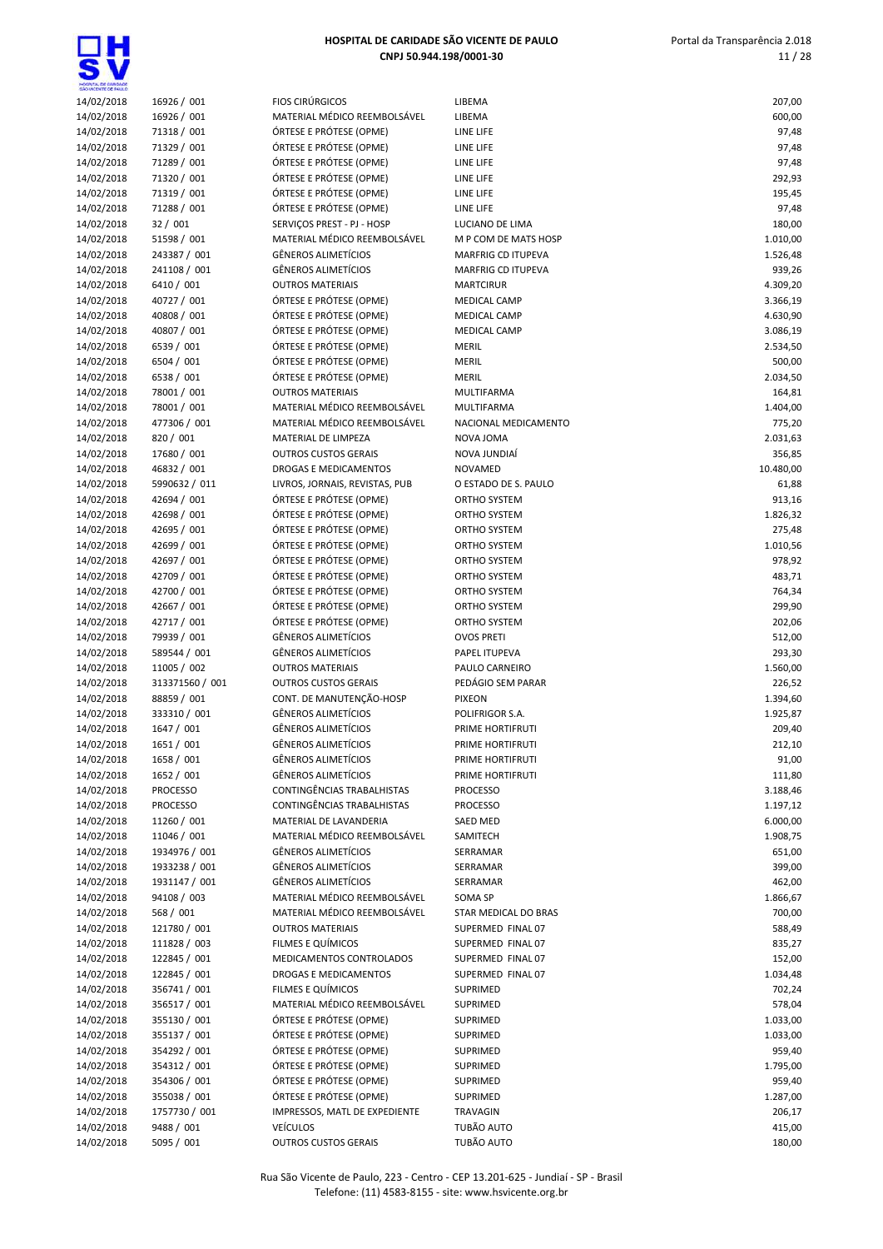

| GAO VICENTE CE PAUL D<br>14/02/2018 | 16926 / 001     | <b>FIOS CIRÚRGICOS</b>         | LIBEMA                    | 207,00    |
|-------------------------------------|-----------------|--------------------------------|---------------------------|-----------|
| 14/02/2018                          | 16926 / 001     | MATERIAL MÉDICO REEMBOLSÁVEL   | LIBEMA                    | 600,00    |
| 14/02/2018                          | 71318 / 001     | ÓRTESE E PRÓTESE (OPME)        | LINE LIFE                 | 97,48     |
| 14/02/2018                          | 71329 / 001     | ÓRTESE E PRÓTESE (OPME)        | LINE LIFE                 | 97,48     |
| 14/02/2018                          | 71289 / 001     | ÓRTESE E PRÓTESE (OPME)        | LINE LIFE                 | 97,48     |
| 14/02/2018                          | 71320 / 001     | ÓRTESE E PRÓTESE (OPME)        | LINE LIFE                 | 292,93    |
| 14/02/2018                          | 71319 / 001     | ÓRTESE E PRÓTESE (OPME)        | LINE LIFE                 | 195,45    |
| 14/02/2018                          | 71288 / 001     | ÓRTESE E PRÓTESE (OPME)        | LINE LIFE                 | 97,48     |
| 14/02/2018                          | 32 / 001        | SERVIÇOS PREST - PJ - HOSP     | LUCIANO DE LIMA           | 180,00    |
| 14/02/2018                          | 51598 / 001     | MATERIAL MÉDICO REEMBOLSÁVEL   | M P COM DE MATS HOSP      | 1.010,00  |
| 14/02/2018                          | 243387 / 001    | <b>GÊNEROS ALIMETÍCIOS</b>     | <b>MARFRIG CD ITUPEVA</b> | 1.526,48  |
| 14/02/2018                          | 241108 / 001    | GÊNEROS ALIMETÍCIOS            | <b>MARFRIG CD ITUPEVA</b> | 939,26    |
| 14/02/2018                          | 6410 / 001      | <b>OUTROS MATERIAIS</b>        | <b>MARTCIRUR</b>          | 4.309,20  |
| 14/02/2018                          | 40727 / 001     | ÓRTESE E PRÓTESE (OPME)        | MEDICAL CAMP              | 3.366,19  |
| 14/02/2018                          | 40808 / 001     | ÓRTESE E PRÓTESE (OPME)        | <b>MEDICAL CAMP</b>       | 4.630,90  |
| 14/02/2018                          | 40807 / 001     | ÓRTESE E PRÓTESE (OPME)        | <b>MEDICAL CAMP</b>       | 3.086,19  |
| 14/02/2018                          | 6539 / 001      | ÓRTESE E PRÓTESE (OPME)        | <b>MERIL</b>              | 2.534,50  |
| 14/02/2018                          | 6504 / 001      | ÓRTESE E PRÓTESE (OPME)        | MERIL                     | 500,00    |
| 14/02/2018                          | 6538 / 001      | ÓRTESE E PRÓTESE (OPME)        | <b>MERIL</b>              | 2.034,50  |
| 14/02/2018                          | 78001 / 001     | <b>OUTROS MATERIAIS</b>        | MULTIFARMA                | 164,81    |
| 14/02/2018                          | 78001 / 001     | MATERIAL MÉDICO REEMBOLSÁVEL   | MULTIFARMA                | 1.404,00  |
| 14/02/2018                          | 477306 / 001    | MATERIAL MÉDICO REEMBOLSÁVEL   | NACIONAL MEDICAMENTO      | 775,20    |
| 14/02/2018                          | 820 / 001       | MATERIAL DE LIMPEZA            | NOVA JOMA                 | 2.031,63  |
| 14/02/2018                          | 17680 / 001     | <b>OUTROS CUSTOS GERAIS</b>    | NOVA JUNDIAÍ              | 356,85    |
| 14/02/2018                          | 46832 / 001     | DROGAS E MEDICAMENTOS          | <b>NOVAMED</b>            | 10.480,00 |
| 14/02/2018                          | 5990632 / 011   | LIVROS, JORNAIS, REVISTAS, PUB | O ESTADO DE S. PAULO      | 61,88     |
| 14/02/2018                          | 42694 / 001     | ÓRTESE E PRÓTESE (OPME)        | ORTHO SYSTEM              | 913,16    |
| 14/02/2018                          | 42698 / 001     | ÓRTESE E PRÓTESE (OPME)        | ORTHO SYSTEM              | 1.826,32  |
| 14/02/2018                          | 42695 / 001     | ÓRTESE E PRÓTESE (OPME)        | ORTHO SYSTEM              | 275,48    |
| 14/02/2018                          | 42699 / 001     | ÓRTESE E PRÓTESE (OPME)        | <b>ORTHO SYSTEM</b>       | 1.010,56  |
| 14/02/2018                          | 42697 / 001     | ÓRTESE E PRÓTESE (OPME)        | ORTHO SYSTEM              | 978,92    |
| 14/02/2018                          | 42709 / 001     | ÓRTESE E PRÓTESE (OPME)        | ORTHO SYSTEM              | 483,71    |
| 14/02/2018                          | 42700 / 001     | ÓRTESE E PRÓTESE (OPME)        | ORTHO SYSTEM              | 764,34    |
| 14/02/2018                          | 42667 / 001     | ÓRTESE E PRÓTESE (OPME)        | ORTHO SYSTEM              | 299,90    |
| 14/02/2018                          | 42717 / 001     | ÓRTESE E PRÓTESE (OPME)        | ORTHO SYSTEM              | 202,06    |
| 14/02/2018                          | 79939 / 001     | <b>GÊNEROS ALIMETÍCIOS</b>     | <b>OVOS PRETI</b>         | 512,00    |
| 14/02/2018                          | 589544 / 001    | GÊNEROS ALIMETÍCIOS            | PAPEL ITUPEVA             | 293,30    |
| 14/02/2018                          | 11005 / 002     | <b>OUTROS MATERIAIS</b>        | PAULO CARNEIRO            | 1.560,00  |
| 14/02/2018                          | 313371560 / 001 | <b>OUTROS CUSTOS GERAIS</b>    | PEDÁGIO SEM PARAR         | 226,52    |
| 14/02/2018                          | 88859 / 001     | CONT. DE MANUTENÇÃO-HOSP       | <b>PIXEON</b>             | 1.394,60  |
| 14/02/2018                          | 333310 / 001    | <b>GÊNEROS ALIMETÍCIOS</b>     | POLIFRIGOR S.A.           | 1.925,87  |
| 14/02/2018                          | 1647 / 001      | <b>GÊNEROS ALIMETÍCIOS</b>     | PRIME HORTIFRUTI          | 209,40    |
| 14/02/2018                          | 1651 / 001      | <b>GÊNEROS ALIMETÍCIOS</b>     | PRIME HORTIFRUTI          | 212,10    |
| 14/02/2018                          | 1658 / 001      | <b>GÊNEROS ALIMETÍCIOS</b>     | PRIME HORTIFRUTI          | 91,00     |
| 14/02/2018                          | 1652 / 001      | <b>GËNEROS ALIMETÍCIOS</b>     | PRIME HORTIFRUTI          | 111,80    |
| 14/02/2018                          | <b>PROCESSO</b> | CONTINGÊNCIAS TRABALHISTAS     | <b>PROCESSO</b>           | 3.188,46  |
| 14/02/2018                          | <b>PROCESSO</b> | CONTINGÊNCIAS TRABALHISTAS     | <b>PROCESSO</b>           | 1.197,12  |
| 14/02/2018                          | 11260 / 001     | MATERIAL DE LAVANDERIA         | SAED MED                  | 6.000,00  |
| 14/02/2018                          | 11046 / 001     | MATERIAL MÉDICO REEMBOLSÁVEL   | SAMITECH                  | 1.908,75  |
| 14/02/2018                          | 1934976 / 001   | <b>GÊNEROS ALIMETÍCIOS</b>     | SERRAMAR                  | 651,00    |
| 14/02/2018                          | 1933238 / 001   | GÊNEROS ALIMETÍCIOS            | SERRAMAR                  | 399,00    |
| 14/02/2018                          | 1931147 / 001   | GÊNEROS ALIMETÍCIOS            | SERRAMAR                  | 462,00    |
| 14/02/2018                          | 94108 / 003     | MATERIAL MÉDICO REEMBOLSÁVEL   | SOMA SP                   | 1.866,67  |
| 14/02/2018                          | 568 / 001       | MATERIAL MÉDICO REEMBOLSÁVEL   | STAR MEDICAL DO BRAS      | 700,00    |
| 14/02/2018                          | 121780 / 001    | <b>OUTROS MATERIAIS</b>        | SUPERMED FINAL 07         | 588,49    |
| 14/02/2018                          | 111828 / 003    | FILMES E QUÍMICOS              | SUPERMED FINAL 07         | 835,27    |
| 14/02/2018                          | 122845 / 001    | MEDICAMENTOS CONTROLADOS       | SUPERMED FINAL 07         | 152,00    |
| 14/02/2018                          | 122845 / 001    | DROGAS E MEDICAMENTOS          | SUPERMED FINAL 07         | 1.034,48  |
| 14/02/2018                          | 356741 / 001    | FILMES E QUÍMICOS              | SUPRIMED                  | 702,24    |
| 14/02/2018                          | 356517 / 001    | MATERIAL MÉDICO REEMBOLSÁVEL   | SUPRIMED                  | 578,04    |
| 14/02/2018                          | 355130 / 001    | ÓRTESE E PRÓTESE (OPME)        | SUPRIMED                  | 1.033,00  |
| 14/02/2018                          | 355137 / 001    | ÓRTESE E PRÓTESE (OPME)        | SUPRIMED                  | 1.033,00  |
| 14/02/2018                          | 354292 / 001    | ÓRTESE E PRÓTESE (OPME)        | SUPRIMED                  | 959,40    |
| 14/02/2018                          | 354312 / 001    | ÓRTESE E PRÓTESE (OPME)        | SUPRIMED                  | 1.795,00  |
| 14/02/2018                          | 354306 / 001    | ÓRTESE E PRÓTESE (OPME)        | SUPRIMED                  | 959,40    |
| 14/02/2018                          | 355038 / 001    | ÓRTESE E PRÓTESE (OPME)        | SUPRIMED                  | 1.287,00  |
| 14/02/2018                          | 1757730 / 001   | IMPRESSOS, MATL DE EXPEDIENTE  | TRAVAGIN                  | 206,17    |
| 14/02/2018                          | 9488 / 001      | <b>VEÍCULOS</b>                | TUBÃO AUTO                | 415,00    |
| 14/02/2018                          | 5095 / 001      | <b>OUTROS CUSTOS GERAIS</b>    | TUBÃO AUTO                | 180,00    |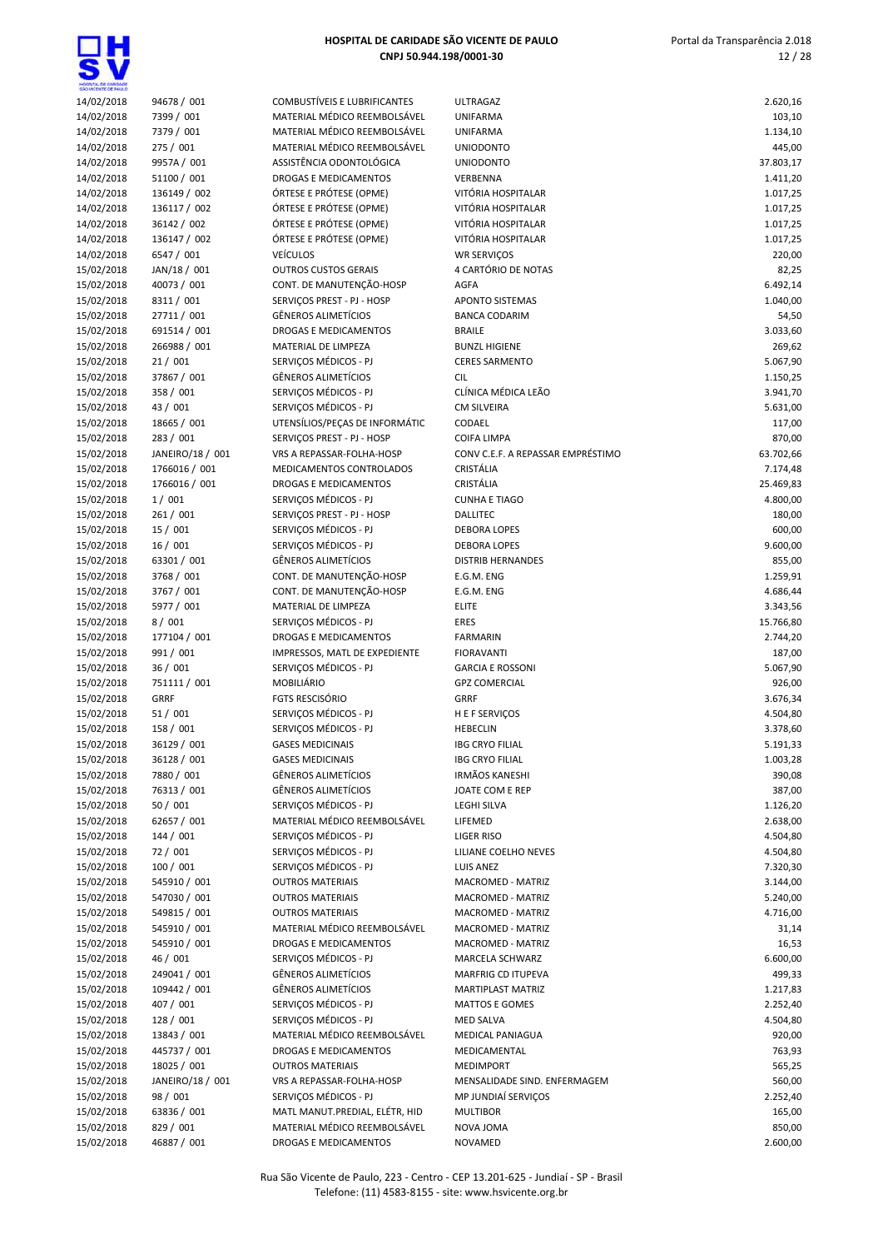| HOSPITAL DE GARDADE      |                              |
|--------------------------|------------------------------|
| 14/02/2018               | 94678 / 001                  |
| 14/02/2018               | 7399 / 001                   |
| 14/02/2018               | 7379 / 001                   |
| 14/02/2018               | 275 / 001                    |
| 14/02/2018               | 9957A / 001                  |
| 14/02/2018               | 51100 / 001                  |
| 14/02/2018               | 136149 / 002                 |
| 14/02/2018               | 136117 / 002                 |
| 14/02/2018               | 36142 / 002                  |
| 14/02/2018               | 136147 / 002                 |
| 14/02/2018               | 6547 / 001                   |
| 15/02/2018               | JAN/18 / 001                 |
| 15/02/2018               | 40073 / 001                  |
| 15/02/2018               | 8311 / 001                   |
| 15/02/2018               | 27711 / 001                  |
| 15/02/2018               | 691514 / 001                 |
| 15/02/2018               | 266988 / 001                 |
| 15/02/2018               | 21/001                       |
| 15/02/2018               | 37867 / 001                  |
| 15/02/2018               | 358 / 001                    |
| 15/02/2018               | 43 / 001                     |
| 15/02/2018               | 18665 / 001                  |
| 15/02/2018               | 283 / 001                    |
| 15/02/2018               | JANEIRO/18 / 001             |
| 15/02/2018               | 1766016 / 001                |
| 15/02/2018               | 1766016 / 001                |
| 15/02/2018               | 1/001                        |
| 15/02/2018               | 261 / 001                    |
| 15/02/2018               | 15 / 001                     |
| 15/02/2018               | 16 / 001                     |
| 15/02/2018               | 63301 / 001                  |
| 15/02/2018               | 3768 / 001                   |
| 15/02/2018               | 3767 / 001                   |
| 15/02/2018               | 5977 / 001                   |
| 15/02/2018               | 8/001                        |
| 15/02/2018               | 177104 / 001                 |
| 15/02/2018               | 991 / 001                    |
| 15/02/2018               | 36 / 001                     |
| 15/02/2018               | 751111 / 001                 |
| 15/02/2018               | <b>GRRF</b>                  |
| 15/02/2018               | 51 / 001                     |
| 15/02/2018               | 158 / 001                    |
| 15/02/2018               | 36129 / 001                  |
| 15/02/2018               | 36128 / 001                  |
| 15/02/2018               | 7880 / 001                   |
| 15/02/2018               | 76313 / 001                  |
| 15/02/2018               | 50 / 001                     |
| 15/02/2018               | 62657 / 001<br>144 / 001     |
| 15/02/2018               |                              |
| 15/02/2018<br>15/02/2018 | 72/001                       |
|                          | 100 / 001                    |
| 15/02/2018<br>15/02/2018 | 545910 / 001<br>547030 / 001 |
|                          | 549815 / 001                 |
| 15/02/2018<br>15/02/2018 | 545910 / 001                 |
| 15/02/2018               | 545910 / 001                 |
| 15/02/2018               | 46 / 001                     |
| 15/02/2018               | 249041 / 001                 |
| 15/02/2018               | 109442 / 001                 |
| 15/02/2018               | 407 / 001                    |
| 15/02/2018               | 128 / 001                    |
| 15/02/2018               | 13843 / 001                  |
| 15/02/2018               | 445737 / 001                 |
| 15/02/2018               | 18025 / 001                  |
| 15/02/2018               | JANEIRO/18 / 001             |
| 15/02/2018               | 98 / 001                     |
| 15/02/2018               | 63836 / 001                  |
| 102120                   | 001                          |

| SHOWCENTE DE BAILLO      |                              |                                                                |                                              |                      |
|--------------------------|------------------------------|----------------------------------------------------------------|----------------------------------------------|----------------------|
| 14/02/2018               | 94678 / 001                  | COMBUSTÍVEIS E LUBRIFICANTES                                   | <b>ULTRAGAZ</b>                              | 2.620,16             |
| 14/02/2018               | 7399 / 001                   | MATERIAL MÉDICO REEMBOLSÁVEL                                   | <b>UNIFARMA</b>                              | 103,10               |
| 14/02/2018               | 7379 / 001                   | MATERIAL MÉDICO REEMBOLSÁVEL                                   | <b>UNIFARMA</b>                              | 1.134,10             |
| 14/02/2018               | 275 / 001                    | MATERIAL MÉDICO REEMBOLSÁVEL                                   | <b>UNIODONTO</b>                             | 445,00               |
| 14/02/2018               | 9957A / 001                  | ASSISTÊNCIA ODONTOLÓGICA                                       | <b>UNIODONTO</b>                             | 37.803,17            |
| 14/02/2018               | 51100 / 001                  | <b>DROGAS E MEDICAMENTOS</b>                                   | VERBENNA                                     | 1.411,20             |
| 14/02/2018               | 136149 / 002                 | ÓRTESE E PRÓTESE (OPME)                                        | VITÓRIA HOSPITALAR                           | 1.017,25             |
| 14/02/2018               | 136117 / 002                 | ÓRTESE E PRÓTESE (OPME)                                        | VITÓRIA HOSPITALAR                           | 1.017,25             |
| 14/02/2018               | 36142 / 002                  | ÓRTESE E PRÓTESE (OPME)                                        | VITÓRIA HOSPITALAR                           | 1.017,25             |
| 14/02/2018               | 136147 / 002                 | ÓRTESE E PRÓTESE (OPME)                                        | VITÓRIA HOSPITALAR                           | 1.017,25             |
| 14/02/2018               | 6547 / 001                   | <b>VEÍCULOS</b>                                                | <b>WR SERVIÇOS</b>                           | 220,00               |
| 15/02/2018               | JAN/18 / 001                 | <b>OUTROS CUSTOS GERAIS</b>                                    | 4 CARTÓRIO DE NOTAS                          | 82,25                |
| 15/02/2018               | 40073 / 001                  | CONT. DE MANUTENÇÃO-HOSP                                       | <b>AGFA</b>                                  | 6.492,14             |
| 15/02/2018               | 8311 / 001                   | SERVIÇOS PREST - PJ - HOSP                                     | <b>APONTO SISTEMAS</b>                       | 1.040,00             |
| 15/02/2018               | 27711 / 001                  | <b>GÊNEROS ALIMETÍCIOS</b>                                     | <b>BANCA CODARIM</b>                         | 54,50                |
| 15/02/2018               | 691514 / 001                 | <b>DROGAS E MEDICAMENTOS</b>                                   | <b>BRAILE</b>                                | 3.033,60             |
| 15/02/2018               | 266988 / 001                 | MATERIAL DE LIMPEZA                                            | <b>BUNZL HIGIENE</b>                         | 269,62               |
| 15/02/2018               | 21/001                       | SERVIÇOS MÉDICOS - PJ                                          | <b>CERES SARMENTO</b>                        | 5.067,90             |
| 15/02/2018               | 37867 / 001                  | <b>GÊNEROS ALIMETÍCIOS</b>                                     | <b>CIL</b>                                   | 1.150,25             |
| 15/02/2018               | 358 / 001                    | SERVICOS MÉDICOS - PJ                                          | CLÍNICA MÉDICA LEÃO                          | 3.941,70             |
| 15/02/2018               | 43 / 001                     | SERVIÇOS MÉDICOS - PJ                                          | <b>CM SILVEIRA</b>                           | 5.631,00             |
| 15/02/2018               | 18665 / 001                  | UTENSÍLIOS/PEÇAS DE INFORMÁTIC                                 | CODAEL                                       | 117,00               |
| 15/02/2018               | 283 / 001                    | SERVIÇOS PREST - PJ - HOSP                                     | <b>COIFA LIMPA</b>                           | 870,00               |
| 15/02/2018               | JANEIRO/18 / 001             | VRS A REPASSAR-FOLHA-HOSP                                      | CONV C.E.F. A REPASSAR EMPRÉSTIMO            | 63.702,66            |
| 15/02/2018               | 1766016 / 001                | MEDICAMENTOS CONTROLADOS                                       | CRISTÁLIA                                    | 7.174,48             |
| 15/02/2018               | 1766016 / 001                | DROGAS E MEDICAMENTOS                                          | CRISTÁLIA                                    | 25.469,83            |
| 15/02/2018               | 1/001                        | SERVICOS MÉDICOS - PJ                                          | <b>CUNHA E TIAGO</b>                         | 4.800,00             |
| 15/02/2018               | 261 / 001                    | SERVIÇOS PREST - PJ - HOSP                                     | <b>DALLITEC</b>                              | 180,00               |
| 15/02/2018               | 15/001                       | SERVIÇOS MÉDICOS - PJ                                          | <b>DEBORA LOPES</b>                          | 600,00               |
| 15/02/2018               | 16/001                       | SERVIÇOS MÉDICOS - PJ<br><b>GÊNEROS ALIMETÍCIOS</b>            | <b>DEBORA LOPES</b>                          | 9.600,00             |
| 15/02/2018               | 63301 / 001                  |                                                                | <b>DISTRIB HERNANDES</b>                     | 855,00               |
| 15/02/2018               | 3768 / 001                   | CONT. DE MANUTENÇÃO-HOSP                                       | E.G.M. ENG                                   | 1.259,91             |
| 15/02/2018               | 3767 / 001                   | CONT. DE MANUTENÇÃO-HOSP                                       | E.G.M. ENG                                   | 4.686,44             |
| 15/02/2018               | 5977 / 001                   | MATERIAL DE LIMPEZA                                            | <b>ELITE</b>                                 | 3.343,56             |
| 15/02/2018               | 8/001                        | SERVIÇOS MÉDICOS - PJ                                          | <b>ERES</b>                                  | 15.766,80            |
| 15/02/2018               | 177104 / 001                 | DROGAS E MEDICAMENTOS                                          | <b>FARMARIN</b>                              | 2.744,20             |
| 15/02/2018               | 991 / 001                    | IMPRESSOS, MATL DE EXPEDIENTE                                  | <b>FIORAVANTI</b><br><b>GARCIA E ROSSONI</b> | 187,00               |
| 15/02/2018               | 36 / 001                     | SERVIÇOS MÉDICOS - PJ<br><b>MOBILIÁRIO</b>                     | <b>GPZ COMERCIAL</b>                         | 5.067,90             |
| 15/02/2018               | 751111 / 001<br>GRRF         | <b>FGTS RESCISÓRIO</b>                                         | <b>GRRF</b>                                  | 926,00               |
| 15/02/2018<br>15/02/2018 | 51/001                       | SERVIÇOS MÉDICOS - PJ                                          |                                              | 3.676,34<br>4.504,80 |
| 15/02/2018               | 158 / 001                    | SERVIÇOS MÉDICOS - PJ                                          | H E F SERVIÇOS<br><b>HEBECLIN</b>            | 3.378,60             |
| 15/02/2018               | 36129 / 001                  | <b>GASES MEDICINAIS</b>                                        | <b>IBG CRYO FILIAL</b>                       | 5.191,33             |
| 15/02/2018               | 36128 / 001                  | <b>GASES MEDICINAIS</b>                                        | <b>IBG CRYO FILIAL</b>                       | 1.003,28             |
| 15/02/2018               | 7880 / 001                   | <b>GËNEROS ALIMETÍCIOS</b>                                     | IRMÃOS KANESHI                               | 390,08               |
| 15/02/2018               | 76313 / 001                  | <b>GÊNEROS ALIMETÍCIOS</b>                                     | JOATE COM E REP                              | 387,00               |
| 15/02/2018               | 50 / 001                     | SERVICOS MÉDICOS - PJ                                          | <b>LEGHI SILVA</b>                           | 1.126,20             |
| 15/02/2018               | 62657 / 001                  | MATERIAL MÉDICO REEMBOLSÁVEL                                   | LIFEMED                                      | 2.638,00             |
| 15/02/2018               | 144 / 001                    | SERVIÇOS MÉDICOS - PJ                                          | LIGER RISO                                   | 4.504,80             |
| 15/02/2018               | 72/001                       | SERVIÇOS MÉDICOS - PJ                                          | LILIANE COELHO NEVES                         |                      |
| 15/02/2018               | 100 / 001                    | SERVIÇOS MÉDICOS - PJ                                          | LUIS ANEZ                                    | 4.504,80<br>7.320,30 |
| 15/02/2018               | 545910 / 001                 | <b>OUTROS MATERIAIS</b>                                        | MACROMED - MATRIZ                            |                      |
| 15/02/2018               | 547030 / 001                 | <b>OUTROS MATERIAIS</b>                                        | MACROMED - MATRIZ                            | 3.144,00<br>5.240,00 |
|                          |                              | <b>OUTROS MATERIAIS</b>                                        | MACROMED - MATRIZ                            |                      |
| 15/02/2018               | 549815 / 001                 |                                                                |                                              | 4.716,00             |
| 15/02/2018<br>15/02/2018 | 545910 / 001<br>545910 / 001 | MATERIAL MÉDICO REEMBOLSÁVEL<br>DROGAS E MEDICAMENTOS          | MACROMED - MATRIZ                            | 31,14                |
| 15/02/2018               | 46 / 001                     | SERVIÇOS MÉDICOS - PJ                                          | MACROMED - MATRIZ<br>MARCELA SCHWARZ         | 16,53                |
| 15/02/2018               | 249041 / 001                 | GÊNEROS ALIMETÍCIOS                                            | MARFRIG CD ITUPEVA                           | 6.600,00<br>499,33   |
|                          |                              |                                                                |                                              |                      |
| 15/02/2018               | 109442 / 001<br>407 / 001    | <b>GÊNEROS ALIMETÍCIOS</b><br>SERVIÇOS MÉDICOS - PJ            | MARTIPLAST MATRIZ                            | 1.217,83             |
| 15/02/2018               |                              |                                                                | <b>MATTOS E GOMES</b>                        | 2.252,40             |
| 15/02/2018               | 128 / 001                    | SERVIÇOS MÉDICOS - PJ                                          | <b>MED SALVA</b>                             | 4.504,80             |
| 15/02/2018               | 13843 / 001                  | MATERIAL MÉDICO REEMBOLSÁVEL                                   | MEDICAL PANIAGUA                             | 920,00               |
| 15/02/2018               | 445737 / 001<br>18025 / 001  | DROGAS E MEDICAMENTOS                                          | MEDICAMENTAL                                 | 763,93               |
| 15/02/2018               |                              | <b>OUTROS MATERIAIS</b>                                        | <b>MEDIMPORT</b>                             | 565,25               |
| 15/02/2018               | JANEIRO/18 / 001             | VRS A REPASSAR-FOLHA-HOSP                                      | MENSALIDADE SIND. ENFERMAGEM                 | 560,00               |
| 15/02/2018               | 98 / 001                     | SERVIÇOS MÉDICOS - PJ                                          | MP JUNDIAÍ SERVIÇOS                          | 2.252,40             |
| 15/02/2018               | 63836 / 001                  | MATL MANUT.PREDIAL, ELÉTR, HID<br>MATERIAL MÉDICO REEMBOLSÁVEL | <b>MULTIBOR</b>                              | 165,00               |
| 15/02/2018<br>15/02/2018 | 829 / 001<br>46887 / 001     | DROGAS E MEDICAMENTOS                                          | NOVA JOMA<br><b>NOVAMED</b>                  | 850,00<br>2.600.00   |
|                          |                              |                                                                |                                              |                      |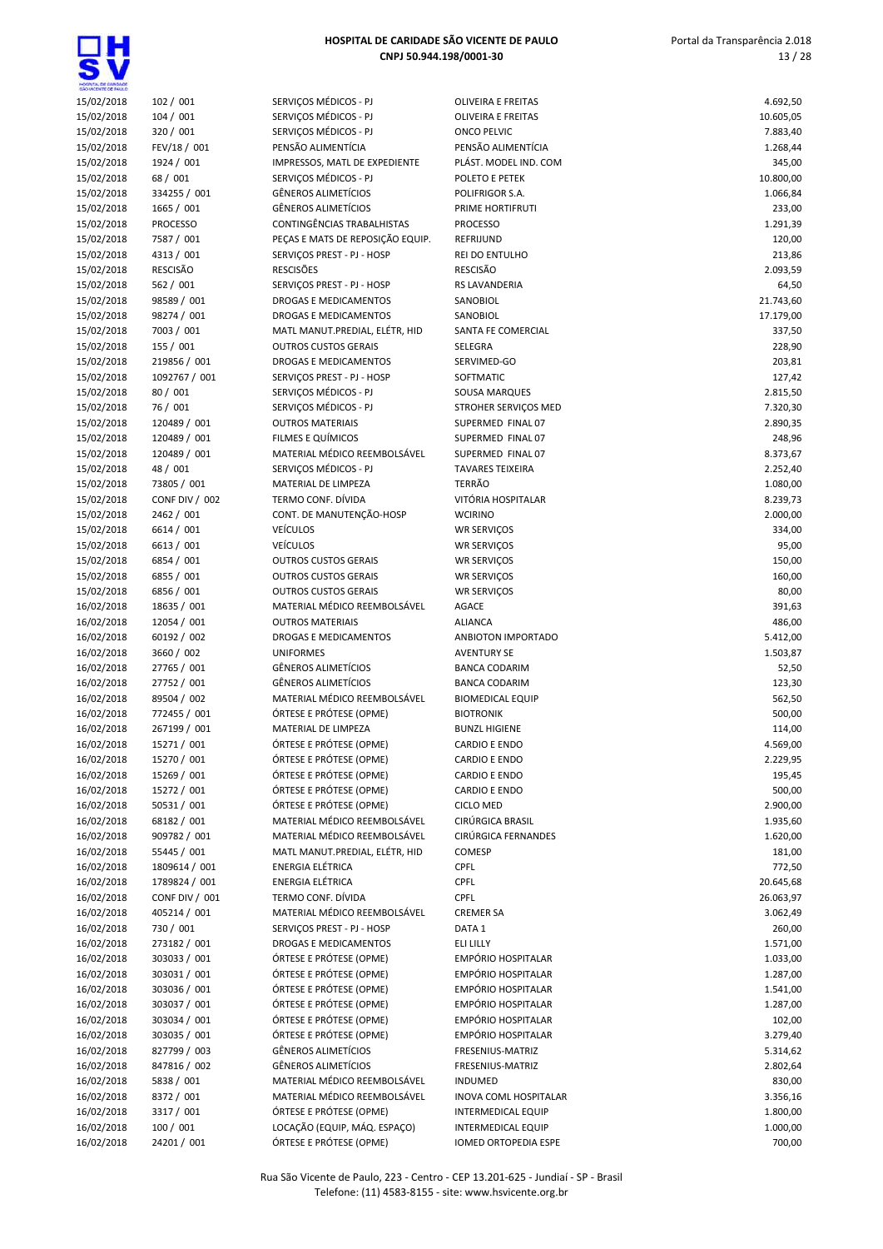| HOSPITAL DE GARDADE<br>SÃO VICENTE DE FAILLO |                       |                              |
|----------------------------------------------|-----------------------|------------------------------|
| 15/02/2018                                   | 102 / 001             | SERVIÇOS MÉDICOS - PJ        |
| 15/02/2018                                   | 104 / 001             | SERVICOS MÉDICOS - PJ        |
| 15/02/2018                                   | 320 / 001             | SERVIÇOS MÉDICOS - PJ        |
| 15/02/2018                                   | FEV/18 / 001          | PENSÃO ALIMENTÍCIA           |
| 15/02/2018                                   | 1924 / 001            | IMPRESSOS, MATL DE EXPEDIE   |
| 15/02/2018                                   | 68 / 001              | SERVIÇOS MÉDICOS - PJ        |
| 15/02/2018                                   | 334255 / 001          | <b>GÊNEROS ALIMETÍCIOS</b>   |
| 15/02/2018                                   | 1665 / 001            | <b>GÊNEROS ALIMETÍCIOS</b>   |
| 15/02/2018                                   | <b>PROCESSO</b>       | CONTINGÊNCIAS TRABALHISTA    |
| 15/02/2018                                   | 7587 / 001            | PEÇAS E MATS DE REPOSIÇÃO    |
| 15/02/2018                                   | 4313 / 001            | SERVIÇOS PREST - PJ - HOSP   |
| 15/02/2018                                   | <b>RESCISÃO</b>       | <b>RESCISÕES</b>             |
| 15/02/2018                                   | 562 / 001             | SERVIÇOS PREST - PJ - HOSP   |
| 15/02/2018                                   | 98589 / 001           | <b>DROGAS E MEDICAMENTOS</b> |
| 15/02/2018                                   | 98274 / 001           | DROGAS E MEDICAMENTOS        |
| 15/02/2018                                   | 7003 / 001            | MATL MANUT.PREDIAL, ELÉTR    |
| 15/02/2018                                   | 155 / 001             | <b>OUTROS CUSTOS GERAIS</b>  |
| 15/02/2018                                   | 219856 / 001          | <b>DROGAS E MEDICAMENTOS</b> |
| 15/02/2018                                   | 1092767 / 001         | SERVIÇOS PREST - PJ - HOSP   |
| 15/02/2018                                   | 80 / 001              | SERVICOS MÉDICOS - PJ        |
| 15/02/2018                                   | 76 / 001              | SERVIÇOS MÉDICOS - PJ        |
| 15/02/2018                                   | 120489 / 001          | <b>OUTROS MATERIAIS</b>      |
| 15/02/2018                                   | 120489 / 001          | FILMES E QUÍMICOS            |
| 15/02/2018                                   | 120489 / 001          | MATERIAL MÉDICO REEMBOLS     |
| 15/02/2018                                   | 48 / 001              | SERVIÇOS MÉDICOS - PJ        |
| 15/02/2018                                   | 73805 / 001           | MATERIAL DE LIMPEZA          |
| 15/02/2018                                   | <b>CONF DIV / 002</b> | TERMO CONF. DÍVIDA           |
| 15/02/2018                                   | 2462 / 001            | CONT. DE MANUTENÇÃO-HOS      |
| 15/02/2018                                   | 6614 / 001            | <b>VEÍCULOS</b>              |
| 15/02/2018                                   | 6613 / 001            | <b>VEÍCULOS</b>              |
| 15/02/2018                                   | 6854 / 001            | <b>OUTROS CUSTOS GERAIS</b>  |
| 15/02/2018                                   | 6855 / 001            | <b>OUTROS CUSTOS GERAIS</b>  |
| 15/02/2018                                   | 6856 / 001            | <b>OUTROS CUSTOS GERAIS</b>  |
| 16/02/2018                                   | 18635 / 001           | MATERIAL MÉDICO REEMBOLS     |
| 16/02/2018                                   | 12054 / 001           | <b>OUTROS MATERIAIS</b>      |
| 16/02/2018                                   | 60192 / 002           | DROGAS E MEDICAMENTOS        |
| 16/02/2018                                   | 3660 / 002            | <b>UNIFORMES</b>             |
| 16/02/2018                                   | 27765 / 001           | <b>GÊNEROS ALIMETÍCIOS</b>   |
| 16/02/2018                                   | 27752 / 001           | <b>GÊNEROS ALIMETÍCIOS</b>   |
| 16/02/2018                                   | 89504 / 002           | MATERIAL MÉDICO REEMBOLS     |
| 16/02/2018                                   | 772455 / 001          | ÓRTESE E PRÓTESE (OPME)      |
| 16/02/2018                                   | 267199 / 001          | MATERIAL DE LIMPEZA          |
| 16/02/2018                                   | 15271 / 001           | ÓRTESE E PRÓTESE (OPME)      |
| 16/02/2018                                   | 15270 / 001           | ÓRTESE E PRÓTESE (OPME)      |
| 16/02/2018                                   | 15269 / 001           | ÓRTESE E PRÓTESE (OPME)      |
| 16/02/2018                                   | 15272 / 001           | ÓRTESE E PRÓTESE (OPME)      |
| 16/02/2018                                   | 50531 / 001           | ÓRTESE E PRÓTESE (OPME)      |
| 16/02/2018                                   | 68182 / 001           | MATERIAL MÉDICO REEMBOLS     |
| 16/02/2018                                   | 909782 / 001          | MATERIAL MÉDICO REEMBOLS     |
| 16/02/2018                                   | 55445 / 001           | MATL MANUT.PREDIAL, ELÉTR    |
| 16/02/2018                                   | 1809614 / 001         | ENERGIA ELÉTRICA             |
| 16/02/2018                                   | 1789824 / 001         | ENERGIA ELÉTRICA             |
| 16/02/2018                                   | <b>CONF DIV / 001</b> | TERMO CONF. DÍVIDA           |
| 16/02/2018                                   | 405214 / 001          | MATERIAL MÉDICO REEMBOLS     |
| 16/02/2018                                   | 730 / 001             | SERVIÇOS PREST - PJ - HOSP   |
| 16/02/2018                                   | 273182 / 001          | DROGAS E MEDICAMENTOS        |
| 16/02/2018                                   | 303033 / 001          | ÓRTESE E PRÓTESE (OPME)      |
| 16/02/2018                                   | 303031/001            | ÓRTESE E PRÓTESE (OPME)      |
| 16/02/2018                                   | 303036 / 001          | ÓRTESE E PRÓTESE (OPME)      |
| 16/02/2018                                   | 303037 / 001          | ÓRTESE E PRÓTESE (OPME)      |
| 16/02/2018                                   | 303034 / 001          | ÓRTESE E PRÓTESE (OPME)      |
| 16/02/2018                                   | 303035 / 001          | ÓRTESE E PRÓTESE (OPME)      |
| 16/02/2018                                   | 827799 / 003          | <b>GÊNEROS ALIMETÍCIOS</b>   |
| 16/02/2018                                   | 847816 / 002          | <b>GÊNEROS ALIMETÍCIOS</b>   |
| 16/02/2018                                   | 5838 / 001            | MATERIAL MÉDICO REEMBOLS     |
| 16/02/2018                                   | 8372 / 001            | MATERIAL MÉDICO REEMBOLS     |
| 16/02/2018                                   | 3317 / 001            | ÓRTESE E PRÓTESE (OPME)      |
| 16/02/2018                                   | 100 / 001             | LOCAÇÃO (EQUIP, MÁQ. ESPA    |
|                                              |                       |                              |

1Н

| HOSPITAL DE GARDADE<br>SÃO VICENTE DE FAILLO |                              |                                                               |                                              |                    |
|----------------------------------------------|------------------------------|---------------------------------------------------------------|----------------------------------------------|--------------------|
| 15/02/2018                                   | 102 / 001                    | SERVIÇOS MÉDICOS - PJ                                         | OLIVEIRA E FREITAS                           | 4.692,50           |
| 15/02/2018                                   | 104/001                      | SERVIÇOS MÉDICOS - PJ                                         | <b>OLIVEIRA E FREITAS</b>                    | 10.605,05          |
| 15/02/2018                                   | 320 / 001                    | SERVIÇOS MÉDICOS - PJ                                         | <b>ONCO PELVIC</b>                           | 7.883,40           |
| 15/02/2018<br>15/02/2018                     | FEV/18 / 001<br>1924 / 001   | PENSÃO ALIMENTÍCIA<br>IMPRESSOS, MATL DE EXPEDIENTE           | PENSÃO ALIMENTÍCIA<br>PLÁST. MODEL IND. COM  | 1.268,44<br>345,00 |
| 15/02/2018                                   | 68 / 001                     | SERVIÇOS MÉDICOS - PJ                                         | POLETO E PETEK                               | 10.800,00          |
| 15/02/2018                                   | 334255 / 001                 | <b>GÊNEROS ALIMETÍCIOS</b>                                    | POLIFRIGOR S.A.                              | 1.066,84           |
| 15/02/2018                                   | 1665 / 001                   | <b>GÊNEROS ALIMETÍCIOS</b>                                    | PRIME HORTIFRUTI                             | 233,00             |
| 15/02/2018                                   | <b>PROCESSO</b>              | CONTINGÊNCIAS TRABALHISTAS                                    | <b>PROCESSO</b>                              | 1.291,39           |
| 15/02/2018                                   | 7587 / 001                   | PEÇAS E MATS DE REPOSIÇÃO EQUIP.                              | REFRIJUND                                    | 120,00             |
| 15/02/2018                                   | 4313 / 001                   | SERVIÇOS PREST - PJ - HOSP                                    | REI DO ENTULHO                               | 213,86             |
| 15/02/2018                                   | <b>RESCISÃO</b>              | <b>RESCISÕES</b>                                              | <b>RESCISÃO</b>                              | 2.093,59           |
| 15/02/2018                                   | 562 / 001                    | SERVIÇOS PREST - PJ - HOSP                                    | RS LAVANDERIA                                | 64,50              |
| 15/02/2018                                   | 98589 / 001                  | DROGAS E MEDICAMENTOS                                         | SANOBIOL                                     | 21.743,60          |
| 15/02/2018                                   | 98274 / 001                  | DROGAS E MEDICAMENTOS                                         | SANOBIOL                                     | 17.179,00          |
| 15/02/2018<br>15/02/2018                     | 7003 / 001<br>155 / 001      | MATL MANUT.PREDIAL, ELÉTR, HID<br><b>OUTROS CUSTOS GERAIS</b> | SANTA FE COMERCIAL<br>SELEGRA                | 337,50<br>228,90   |
| 15/02/2018                                   | 219856 / 001                 | DROGAS E MEDICAMENTOS                                         | SERVIMED-GO                                  | 203,81             |
| 15/02/2018                                   | 1092767 / 001                | SERVICOS PREST - PJ - HOSP                                    | SOFTMATIC                                    | 127,42             |
| 15/02/2018                                   | 80 / 001                     | SERVIÇOS MÉDICOS - PJ                                         | SOUSA MARQUES                                | 2.815,50           |
| 15/02/2018                                   | 76 / 001                     | SERVIÇOS MÉDICOS - PJ                                         | STROHER SERVIÇOS MED                         | 7.320,30           |
| 15/02/2018                                   | 120489 / 001                 | <b>OUTROS MATERIAIS</b>                                       | SUPERMED FINAL 07                            | 2.890,35           |
| 15/02/2018                                   | 120489 / 001                 | FILMES E QUÍMICOS                                             | SUPERMED FINAL 07                            | 248,96             |
| 15/02/2018                                   | 120489 / 001                 | MATERIAL MÉDICO REEMBOLSÁVEL                                  | SUPERMED FINAL 07                            | 8.373,67           |
| 15/02/2018                                   | 48 / 001                     | SERVIÇOS MÉDICOS - PJ                                         | <b>TAVARES TEIXEIRA</b>                      | 2.252,40           |
| 15/02/2018                                   | 73805 / 001                  | MATERIAL DE LIMPEZA                                           | TERRÃO                                       | 1.080,00           |
| 15/02/2018                                   | CONF DIV / 002               | TERMO CONF. DÍVIDA                                            | VITÓRIA HOSPITALAR                           | 8.239,73           |
| 15/02/2018                                   | 2462 / 001                   | CONT. DE MANUTENÇÃO-HOSP                                      | <b>WCIRINO</b>                               | 2.000,00           |
| 15/02/2018                                   | 6614 / 001                   | <b>VEÍCULOS</b>                                               | <b>WR SERVIÇOS</b>                           | 334,00             |
| 15/02/2018                                   | 6613 / 001                   | <b>VEÍCULOS</b>                                               | <b>WR SERVIÇOS</b>                           | 95,00              |
| 15/02/2018                                   | 6854 / 001<br>6855 / 001     | <b>OUTROS CUSTOS GERAIS</b><br><b>OUTROS CUSTOS GERAIS</b>    | <b>WR SERVIÇOS</b><br>WR SERVIÇOS            | 150,00<br>160,00   |
| 15/02/2018<br>15/02/2018                     | 6856 / 001                   | <b>OUTROS CUSTOS GERAIS</b>                                   | <b>WR SERVIÇOS</b>                           | 80,00              |
| 16/02/2018                                   | 18635 / 001                  | MATERIAL MÉDICO REEMBOLSÁVEL                                  | <b>AGACE</b>                                 | 391,63             |
| 16/02/2018                                   | 12054 / 001                  | <b>OUTROS MATERIAIS</b>                                       | <b>ALIANCA</b>                               | 486,00             |
| 16/02/2018                                   | 60192 / 002                  | DROGAS E MEDICAMENTOS                                         | ANBIOTON IMPORTADO                           | 5.412,00           |
| 16/02/2018                                   | 3660 / 002                   | <b>UNIFORMES</b>                                              | <b>AVENTURY SE</b>                           | 1.503,87           |
| 16/02/2018                                   | 27765 / 001                  | <b>GÊNEROS ALIMETÍCIOS</b>                                    | <b>BANCA CODARIM</b>                         | 52,50              |
| 16/02/2018                                   | 27752 / 001                  | <b>GÊNEROS ALIMETÍCIOS</b>                                    | <b>BANCA CODARIM</b>                         | 123,30             |
| 16/02/2018                                   | 89504 / 002                  | MATERIAL MÉDICO REEMBOLSÁVEL                                  | <b>BIOMEDICAL EQUIP</b>                      | 562,50             |
| 16/02/2018                                   | 772455 / 001                 | ÓRTESE E PRÓTESE (OPME)                                       | <b>BIOTRONIK</b>                             | 500,00             |
| 16/02/2018                                   | 267199 / 001                 | MATERIAL DE LIMPEZA                                           | <b>BUNZL HIGIENE</b>                         | 114,00             |
| 16/02/2018                                   | 15271 / 001                  | ÓRTESE E PRÓTESE (OPME)                                       | <b>CARDIO E ENDO</b>                         | 4.569,00           |
| 16/02/2018                                   | 15270 / 001                  | ÓRTESE E PRÓTESE (OPME)                                       | CARDIO E ENDO                                | 2.229,95           |
| 16/02/2018<br>16/02/2018                     | 15269 / 001                  | ÓRTESE E PRÓTESE (OPME)<br>ÓRTESE E PRÓTESE (OPME)            | <b>CARDIO E ENDO</b><br><b>CARDIO E ENDO</b> | 195,45<br>500,00   |
| 16/02/2018                                   | 15272 / 001<br>50531 / 001   | ÓRTESE E PRÓTESE (OPME)                                       | <b>CICLO MED</b>                             | 2.900,00           |
| 16/02/2018                                   | 68182 / 001                  | MATERIAL MÉDICO REEMBOLSÁVEL                                  | CIRÚRGICA BRASIL                             | 1.935,60           |
| 16/02/2018                                   | 909782 / 001                 | MATERIAL MÉDICO REEMBOLSÁVEL                                  | CIRÚRGICA FERNANDES                          | 1.620,00           |
| 16/02/2018                                   | 55445 / 001                  | MATL MANUT.PREDIAL, ELÉTR, HID                                | COMESP                                       | 181,00             |
| 16/02/2018                                   | 1809614 / 001                | ENERGIA ELÉTRICA                                              | <b>CPFL</b>                                  | 772,50             |
| 16/02/2018                                   | 1789824 / 001                | <b>ENERGIA ELÉTRICA</b>                                       | <b>CPFL</b>                                  | 20.645,68          |
| 16/02/2018                                   | CONF DIV / 001               | TERMO CONF. DÍVIDA                                            | <b>CPFL</b>                                  | 26.063,97          |
| 16/02/2018                                   | 405214 / 001                 | MATERIAL MÉDICO REEMBOLSÁVEL                                  | <b>CREMER SA</b>                             | 3.062,49           |
| 16/02/2018                                   | 730 / 001                    | SERVIÇOS PREST - PJ - HOSP                                    | DATA 1                                       | 260,00             |
| 16/02/2018                                   | 273182 / 001                 | DROGAS E MEDICAMENTOS                                         | <b>ELI LILLY</b>                             | 1.571,00           |
| 16/02/2018                                   | 303033 / 001                 | ÓRTESE E PRÓTESE (OPME)                                       | EMPÓRIO HOSPITALAR                           | 1.033,00           |
| 16/02/2018                                   | 303031/001                   | ÓRTESE E PRÓTESE (OPME)                                       | EMPÓRIO HOSPITALAR                           | 1.287,00           |
| 16/02/2018                                   | 303036 / 001                 | ÓRTESE E PRÓTESE (OPME)                                       | EMPÓRIO HOSPITALAR<br>EMPÓRIO HOSPITALAR     | 1.541,00           |
| 16/02/2018<br>16/02/2018                     | 303037 / 001<br>303034 / 001 | ÓRTESE E PRÓTESE (OPME)<br>ÓRTESE E PRÓTESE (OPME)            | EMPÓRIO HOSPITALAR                           | 1.287,00<br>102,00 |
| 16/02/2018                                   | 303035 / 001                 | ÓRTESE E PRÓTESE (OPME)                                       | EMPÓRIO HOSPITALAR                           | 3.279,40           |
| 16/02/2018                                   | 827799 / 003                 | <b>GÊNEROS ALIMETÍCIOS</b>                                    | FRESENIUS-MATRIZ                             | 5.314,62           |
| 16/02/2018                                   | 847816 / 002                 | GÊNEROS ALIMETÍCIOS                                           | FRESENIUS-MATRIZ                             | 2.802,64           |
| 16/02/2018                                   | 5838 / 001                   | MATERIAL MÉDICO REEMBOLSÁVEL                                  | <b>INDUMED</b>                               | 830,00             |
| 16/02/2018                                   | 8372 / 001                   | MATERIAL MÉDICO REEMBOLSÁVEL                                  | INOVA COML HOSPITALAR                        | 3.356,16           |
| 16/02/2018                                   | 3317 / 001                   | ÓRTESE E PRÓTESE (OPME)                                       | <b>INTERMEDICAL EQUIP</b>                    | 1.800,00           |
| 16/02/2018                                   | 100 / 001                    | LOCAÇÃO (EQUIP, MÁQ. ESPAÇO)                                  | <b>INTERMEDICAL EQUIP</b>                    | 1.000,00           |
| 16/02/2018                                   | 24201 / 001                  | ÓRTESE E PRÓTESE (OPME)                                       | IOMED ORTOPEDIA ESPE                         | 700,00             |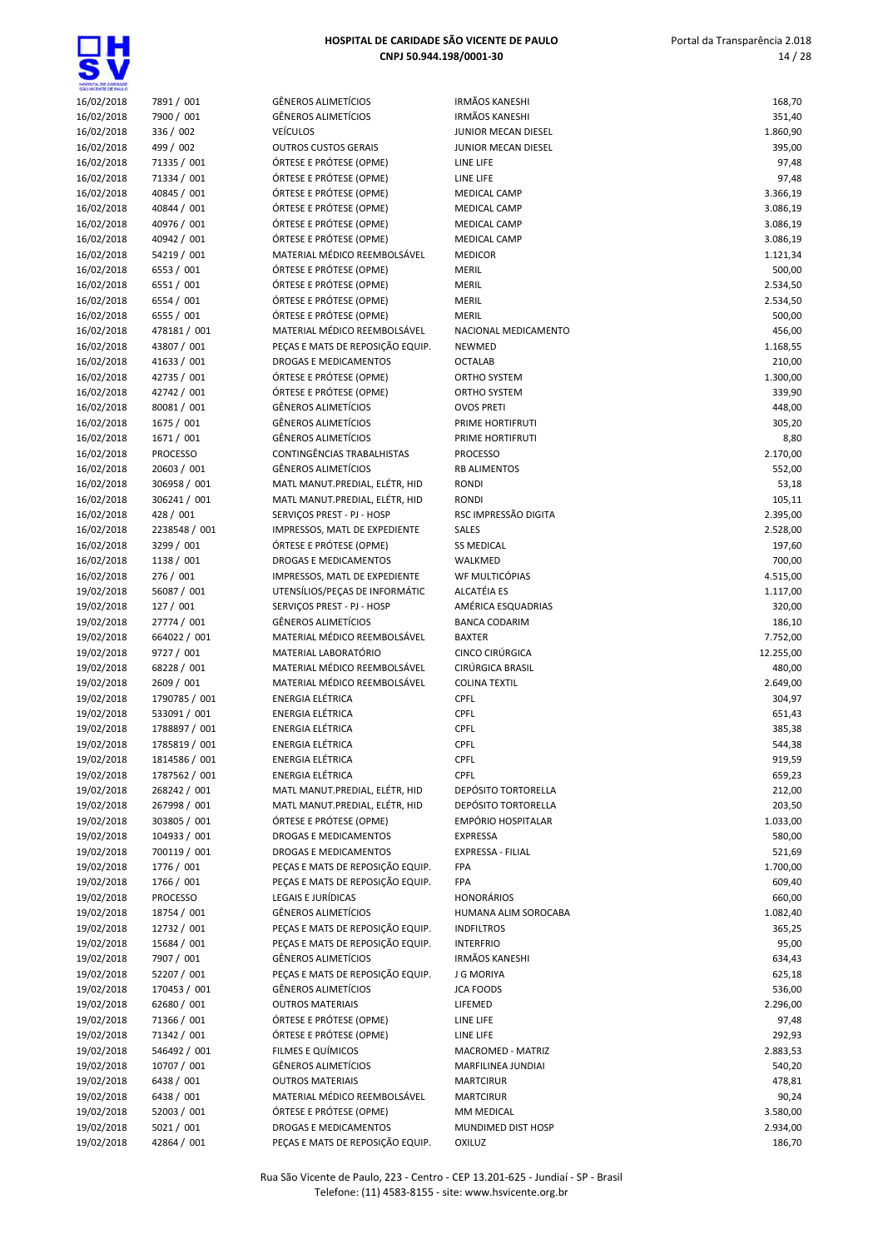| HOSPITAL DE CARDADE      |                            |
|--------------------------|----------------------------|
| 16/02/2018               | 7891 / 001                 |
| 16/02/2018               | 7900 / 001                 |
| 16/02/2018               | 336 / 002                  |
| 16/02/2018               | 499 / 002                  |
| 16/02/2018               | 71335 / 001                |
| 16/02/2018               | 71334 / 001                |
| 16/02/2018               | 40845 / 001                |
| 16/02/2018               | 40844 / 001                |
| 16/02/2018               | 40976 / 001                |
| 16/02/2018               | 40942 / 001                |
| 16/02/2018               | 54219 / 001                |
| 16/02/2018               | 6553 / 001                 |
| 16/02/2018               | 6551 / 001                 |
| 16/02/2018               | 6554 / 001                 |
| 16/02/2018               | 6555 / 001                 |
| 16/02/2018               | 478181 / 001               |
| 16/02/2018               | 43807 / 001                |
| 16/02/2018               | 41633 / 001                |
| 16/02/2018               | 42735 / 001                |
| 16/02/2018               | 42742 / 001                |
| 16/02/2018               | 80081 / 001                |
| 16/02/2018               | 1675 / 001                 |
| 16/02/2018               | 1671 / 001                 |
| 16/02/2018               | <b>PROCESSO</b>            |
| 16/02/2018               | 20603 / 001                |
| 16/02/2018               | 306958 / 001               |
| 16/02/2018               | 306241 / 001               |
| 16/02/2018               | 428 / 001                  |
| 16/02/2018               | 2238548 / 001              |
| 16/02/2018               | 3299 / 001                 |
| 16/02/2018               | 1138 / 001                 |
| 16/02/2018               | 276 / 001                  |
| 19/02/2018               | 56087 / 001                |
| 19/02/2018               | 127 / 001                  |
| 19/02/2018               | 27774 / 001                |
| 19/02/2018<br>19/02/2018 | 664022 / 001<br>9727 / 001 |
| 19/02/2018               | 68228 / 001                |
| 19/02/2018               | 2609 / 001                 |
| 19/02/2018               | 1790785 / 001              |
| 19/02/2018               | 533091/001                 |
| 19/02/2018               | 1788897 / 001              |
| 19/02/2018               | 1785819 / 001              |
| 19/02/2018               | 1814586 / 001              |
| 19/02/2018               | 1787562 / 001              |
| 19/02/2018               | 268242 / 001               |
| 19/02/2018               | 267998 / 001               |
| 19/02/2018               | 303805 / 001               |
| 19/02/2018               | 104933 / 001               |
| 19/02/2018               | 700119 / 001               |
| 19/02/2018               | 1776 / 001                 |
| 19/02/2018               | 1766 / 001                 |
| 19/02/2018               | <b>PROCESSO</b>            |
| 19/02/2018               | 18754 / 001                |
| 19/02/2018               | 12732 / 001                |
| 19/02/2018               | 15684 / 001                |
| 19/02/2018               | 7907 / 001                 |
| 19/02/2018               | 52207 / 001                |
| 19/02/2018               | 170453 / 001               |
| 19/02/2018               | 62680 / 001                |
| 19/02/2018               | 71366 / 001                |
|                          |                            |
| 19/02/2018               | 71342 / 001                |
| 19/02/2018               | 546492 / 001               |
| 19/02/2018               | 10707 / 001                |
| 19/02/2018<br>19/02/2018 | 6438 / 001<br>6438 / 001   |

| 16/02/2018               | 7891 / 001                    | <b>GÊNEROS ALIMETÍCIOS</b>                                           | Ħ      |
|--------------------------|-------------------------------|----------------------------------------------------------------------|--------|
| 16/02/2018               | 7900 / 001                    | <b>GÊNEROS ALIMETÍCIOS</b>                                           | Ħ      |
| 16/02/2018               | 336 / 002                     | <b>VEÍCULOS</b>                                                      | JI     |
| 16/02/2018               | 499 / 002                     | <b>OUTROS CUSTOS GERAIS</b>                                          | JI     |
| 16/02/2018               | 71335 / 001                   | ÓRTESE E PRÓTESE (OPME)                                              | L      |
| 16/02/2018               | 71334 / 001                   | ÓRTESE E PRÓTESE (OPME)                                              | L      |
| 16/02/2018               | 40845 / 001                   | ÓRTESE E PRÓTESE (OPME)                                              | Λ      |
| 16/02/2018               | 40844 / 001                   | ÓRTESE E PRÓTESE (OPME)                                              | Ν      |
| 16/02/2018               | 40976 / 001                   | ÓRTESE E PRÓTESE (OPME)                                              | Ν      |
| 16/02/2018               | 40942 / 001                   | ÓRTESE E PRÓTESE (OPME)                                              | Ν      |
| 16/02/2018               | 54219 / 001                   | MATERIAL MÉDICO REEMBOLSÁVEL<br>ÓRTESE E PRÓTESE (OPME)              | Λ      |
| 16/02/2018<br>16/02/2018 | 6553 / 001<br>6551 / 001      | ÓRTESE E PRÓTESE (OPME)                                              | Ν      |
| 16/02/2018               | 6554 / 001                    | ÓRTESE E PRÓTESE (OPME)                                              | Λ<br>Λ |
| 16/02/2018               | 6555 / 001                    | ÓRTESE E PRÓTESE (OPME)                                              | Ν      |
| 16/02/2018               | 478181 / 001                  | MATERIAL MÉDICO REEMBOLSÁVEL                                         | Ν      |
| 16/02/2018               | 43807 / 001                   | PEÇAS E MATS DE REPOSIÇÃO EQUIP.                                     | Ν      |
| 16/02/2018               | 41633 / 001                   | <b>DROGAS E MEDICAMENTOS</b>                                         | C      |
| 16/02/2018               | 42735 / 001                   | ÓRTESE E PRÓTESE (OPME)                                              | C      |
| 16/02/2018               | 42742 / 001                   | ÓRTESE E PRÓTESE (OPME)                                              | C      |
| 16/02/2018               | 80081 / 001                   | <b>GÊNEROS ALIMETÍCIOS</b>                                           | C      |
| 16/02/2018               | 1675 / 001                    | <b>GÊNEROS ALIMETÍCIOS</b>                                           | P      |
| 16/02/2018               | 1671 / 001                    | <b>GÊNEROS ALIMETÍCIOS</b>                                           | P      |
| 16/02/2018               | <b>PROCESSO</b>               | CONTINGÊNCIAS TRABALHISTAS                                           | P      |
| 16/02/2018               | 20603 / 001                   | <b>GÊNEROS ALIMETÍCIOS</b>                                           | R      |
| 16/02/2018               | 306958 / 001                  | MATL MANUT.PREDIAL, ELÉTR, HID                                       | R      |
| 16/02/2018               | 306241 / 001                  | MATL MANUT.PREDIAL, ELÉTR, HID                                       | R      |
| 16/02/2018               | 428 / 001                     | SERVIÇOS PREST - PJ - HOSP                                           | R      |
| 16/02/2018               | 2238548 / 001                 | IMPRESSOS, MATL DE EXPEDIENTE                                        | S      |
| 16/02/2018               | 3299 / 001                    | ÓRTESE E PRÓTESE (OPME)                                              | S      |
| 16/02/2018               | 1138 / 001                    | <b>DROGAS E MEDICAMENTOS</b>                                         | ٧      |
| 16/02/2018               | 276 / 001                     | IMPRESSOS, MATL DE EXPEDIENTE                                        | ٧      |
| 19/02/2018<br>19/02/2018 | 56087 / 001<br>127 / 001      | UTENSÍLIOS/PEÇAS DE INFORMÁTIC<br>SERVIÇOS PREST - PJ - HOSP         | Α<br>Α |
| 19/02/2018               | 27774 / 001                   | <b>GÊNEROS ALIMETÍCIOS</b>                                           | B      |
| 19/02/2018               | 664022 / 001                  | MATERIAL MÉDICO REEMBOLSÁVEL                                         | B      |
| 19/02/2018               | 9727 / 001                    | MATERIAL LABORATÓRIO                                                 | C      |
| 19/02/2018               | 68228 / 001                   | MATERIAL MÉDICO REEMBOLSÁVEL                                         | C      |
| 19/02/2018               | 2609 / 001                    | MATERIAL MÉDICO REEMBOLSÁVEL                                         | C      |
| 19/02/2018               | 1790785 / 001                 | <b>ENERGIA ELÉTRICA</b>                                              | C      |
| 19/02/2018               | 533091 / 001                  | <b>ENERGIA ELÉTRICA</b>                                              | C      |
| 19/02/2018               | 1788897 / 001                 | ENERGIA ELÉTRICA                                                     | C      |
| 19/02/2018               | 1785819 / 001                 | <b>ENERGIA ELÉTRICA</b>                                              | C      |
| 19/02/2018               | 1814586 / 001                 | ENERGIA ELÉTRICA                                                     | C      |
| 19/02/2018               | 1787562 / 001                 | <b>ENERGIA ELÉTRICA</b>                                              | C      |
| 19/02/2018               | 268242 / 001                  | MATL MANUT.PREDIAL, ELÉTR, HID                                       | D      |
| 19/02/2018               | 267998 / 001                  | MATL MANUT.PREDIAL, ELÉTR, HID                                       | D      |
| 19/02/2018               | 303805 / 001                  | ÓRTESE E PRÓTESE (OPME)                                              | E      |
| 19/02/2018               | 104933 / 001                  | DROGAS E MEDICAMENTOS                                                | E      |
| 19/02/2018               | 700119 / 001                  | DROGAS E MEDICAMENTOS                                                | E      |
| 19/02/2018<br>19/02/2018 | 1776 / 001                    | PEÇAS E MATS DE REPOSIÇÃO EQUIP.<br>PECAS E MATS DE REPOSIÇÃO EQUIP. | F<br>F |
| 19/02/2018               | 1766 / 001<br><b>PROCESSO</b> | <b>LEGAIS E JURÍDICAS</b>                                            | Н      |
| 19/02/2018               | 18754 / 001                   | <b>GÊNEROS ALIMETÍCIOS</b>                                           | Н      |
| 19/02/2018               | 12732 / 001                   | PEÇAS E MATS DE REPOSIÇÃO EQUIP.                                     | Ħ      |
| 19/02/2018               | 15684 / 001                   | PEÇAS E MATS DE REPOSIÇÃO EQUIP.                                     | Ш      |
| 19/02/2018               | 7907 / 001                    | <b>GÊNEROS ALIMETÍCIOS</b>                                           | Ħ      |
| 19/02/2018               | 52207 / 001                   | PEÇAS E MATS DE REPOSIÇÃO EQUIP.                                     | J      |
| 19/02/2018               | 170453 / 001                  | GÊNEROS ALIMETÍCIOS                                                  | J(     |
| 19/02/2018               | 62680 / 001                   | <b>OUTROS MATERIAIS</b>                                              | L      |
| 19/02/2018               | 71366 / 001                   | ÓRTESE E PRÓTESE (OPME)                                              | L      |
| 19/02/2018               | 71342 / 001                   | ÓRTESE E PRÓTESE (OPME)                                              | L      |
| 19/02/2018               | 546492 / 001                  | FILMES E QUÍMICOS                                                    | Ν      |
| 19/02/2018               | 10707 / 001                   | <b>GÊNEROS ALIMETÍCIOS</b>                                           | Λ      |
| 19/02/2018               | 6438 / 001                    | <b>OUTROS MATERIAIS</b>                                              | Λ      |
| 19/02/2018               | 6438 / 001                    | MATERIAL MÉDICO REEMBOLSÁVEL                                         | Ν      |
| 19/02/2018               | 52003 / 001                   | ÓRTESE E PRÓTESE (OPME)                                              | Λ      |
| 19/02/2018               | 5021 / 001                    | DROGAS E MEDICAMENTOS                                                | Ν      |
| 19/02/2018               | 42864 / 001                   | PEÇAS E MATS DE REPOSIÇÃO EQUIP.                                     | C      |

| HOSPITA, DE GANDADE<br>SÃO VICENTE DE FAILLO |                                |                                                                      |                                            |                    |
|----------------------------------------------|--------------------------------|----------------------------------------------------------------------|--------------------------------------------|--------------------|
| 16/02/2018                                   | 7891 / 001                     | GÊNEROS ALIMETÍCIOS                                                  | <b>IRMÃOS KANESHI</b>                      | 168,70             |
| 16/02/2018                                   | 7900 / 001                     | <b>GÊNEROS ALIMETÍCIOS</b>                                           | <b>IRMÃOS KANESHI</b>                      | 351,40             |
| 16/02/2018<br>16/02/2018                     | 336 / 002<br>499 / 002         | <b>VEÍCULOS</b><br><b>OUTROS CUSTOS GERAIS</b>                       | JUNIOR MECAN DIESEL<br>JUNIOR MECAN DIESEL | 1.860,90<br>395,00 |
| 16/02/2018                                   | 71335 / 001                    | ÓRTESE E PRÓTESE (OPME)                                              | LINE LIFE                                  | 97,48              |
| 16/02/2018                                   | 71334 / 001                    | ÓRTESE E PRÓTESE (OPME)                                              | LINE LIFE                                  | 97,48              |
| 16/02/2018                                   | 40845 / 001                    | ÓRTESE E PRÓTESE (OPME)                                              | <b>MEDICAL CAMP</b>                        | 3.366,19           |
| 16/02/2018                                   | 40844 / 001                    | ÓRTESE E PRÓTESE (OPME)                                              | <b>MEDICAL CAMP</b>                        | 3.086,19           |
| 16/02/2018                                   | 40976 / 001                    | ÓRTESE E PRÓTESE (OPME)                                              | <b>MEDICAL CAMP</b>                        | 3.086,19           |
| 16/02/2018                                   | 40942 / 001                    | ÓRTESE E PRÓTESE (OPME)                                              | <b>MEDICAL CAMP</b>                        | 3.086,19           |
| 16/02/2018                                   | 54219 / 001                    | MATERIAL MÉDICO REEMBOLSÁVEL                                         | <b>MEDICOR</b>                             | 1.121,34           |
| 16/02/2018                                   | 6553 / 001                     | ÓRTESE E PRÓTESE (OPME)                                              | <b>MERIL</b>                               | 500,00             |
| 16/02/2018                                   | 6551 / 001                     | ÓRTESE E PRÓTESE (OPME)                                              | <b>MERIL</b>                               | 2.534,50           |
| 16/02/2018                                   | 6554 / 001                     | ÓRTESE E PRÓTESE (OPME)                                              | <b>MERIL</b>                               | 2.534,50           |
| 16/02/2018<br>16/02/2018                     | 6555 / 001<br>478181 / 001     | ÓRTESE E PRÓTESE (OPME)<br>MATERIAL MÉDICO REEMBOLSÁVEL              | <b>MERIL</b><br>NACIONAL MEDICAMENTO       | 500,00<br>456,00   |
| 16/02/2018                                   | 43807 / 001                    | PEÇAS E MATS DE REPOSIÇÃO EQUIP.                                     | <b>NEWMED</b>                              | 1.168,55           |
| 16/02/2018                                   | 41633 / 001                    | DROGAS E MEDICAMENTOS                                                | <b>OCTALAB</b>                             | 210,00             |
| 16/02/2018                                   | 42735 / 001                    | ÓRTESE E PRÓTESE (OPME)                                              | ORTHO SYSTEM                               | 1.300,00           |
| 16/02/2018                                   | 42742 / 001                    | ÓRTESE E PRÓTESE (OPME)                                              | <b>ORTHO SYSTEM</b>                        | 339,90             |
| 16/02/2018                                   | 80081 / 001                    | GÊNEROS ALIMETÍCIOS                                                  | <b>OVOS PRETI</b>                          | 448,00             |
| 16/02/2018                                   | 1675 / 001                     | <b>GÊNEROS ALIMETÍCIOS</b>                                           | PRIME HORTIFRUTI                           | 305,20             |
| 16/02/2018                                   | 1671 / 001                     | <b>GÊNEROS ALIMETÍCIOS</b>                                           | PRIME HORTIFRUTI                           | 8,80               |
| 16/02/2018                                   | <b>PROCESSO</b>                | CONTINGÊNCIAS TRABALHISTAS                                           | <b>PROCESSO</b>                            | 2.170,00           |
| 16/02/2018                                   | 20603 / 001                    | <b>GÊNEROS ALIMETÍCIOS</b>                                           | <b>RB ALIMENTOS</b>                        | 552,00             |
| 16/02/2018                                   | 306958 / 001                   | MATL MANUT.PREDIAL, ELÉTR, HID                                       | <b>RONDI</b>                               | 53,18              |
| 16/02/2018                                   | 306241 / 001                   | MATL MANUT.PREDIAL, ELÉTR, HID                                       | <b>RONDI</b>                               | 105,11             |
| 16/02/2018                                   | 428 / 001                      | SERVIÇOS PREST - PJ - HOSP                                           | RSC IMPRESSÃO DIGITA                       | 2.395,00           |
| 16/02/2018                                   | 2238548 / 001<br>3299 / 001    | IMPRESSOS, MATL DE EXPEDIENTE<br>ÓRTESE E PRÓTESE (OPME)             | <b>SALES</b>                               | 2.528,00           |
| 16/02/2018<br>16/02/2018                     | 1138 / 001                     | <b>DROGAS E MEDICAMENTOS</b>                                         | <b>SS MEDICAL</b><br>WALKMED               | 197,60<br>700,00   |
| 16/02/2018                                   | 276 / 001                      | IMPRESSOS, MATL DE EXPEDIENTE                                        | WF MULTICÓPIAS                             | 4.515,00           |
| 19/02/2018                                   | 56087 / 001                    | UTENSÍLIOS/PEÇAS DE INFORMÁTIC                                       | <b>ALCATÉIA ES</b>                         | 1.117,00           |
| 19/02/2018                                   | 127 / 001                      | SERVIÇOS PREST - PJ - HOSP                                           | AMÉRICA ESQUADRIAS                         | 320,00             |
| 19/02/2018                                   | 27774 / 001                    | GÊNEROS ALIMETÍCIOS                                                  | <b>BANCA CODARIM</b>                       | 186,10             |
| 19/02/2018                                   | 664022 / 001                   | MATERIAL MÉDICO REEMBOLSÁVEL                                         | <b>BAXTER</b>                              | 7.752,00           |
| 19/02/2018                                   | 9727 / 001                     | MATERIAL LABORATÓRIO                                                 | CINCO CIRÚRGICA                            | 12.255,00          |
| 19/02/2018                                   | 68228 / 001                    | MATERIAL MÉDICO REEMBOLSÁVEL                                         | CIRÚRGICA BRASIL                           | 480,00             |
| 19/02/2018                                   | 2609 / 001                     | MATERIAL MÉDICO REEMBOLSÁVEL                                         | <b>COLINA TEXTIL</b>                       | 2.649,00           |
| 19/02/2018                                   | 1790785 / 001                  | <b>ENERGIA ELÉTRICA</b>                                              | CPFL                                       | 304,97             |
| 19/02/2018                                   | 533091 / 001                   | ENERGIA ELÉTRICA                                                     | CPFL                                       | 651,43             |
| 19/02/2018                                   | 1788897 / 001                  | ENERGIA ELÉTRICA                                                     | CPFL                                       | 385,38             |
| 19/02/2018                                   | 1785819 / 001                  | <b>ENERGIA ELÉTRICA</b><br>ENERGIA ELÉTRICA                          | <b>CPFL</b><br><b>CPFL</b>                 | 544,38             |
| 19/02/2018<br>19/02/2018                     | 1814586 / 001<br>1787562 / 001 | ENERGIA ELÉTRICA                                                     | CPFL                                       | 919,59<br>659,23   |
| 19/02/2018                                   | 268242 / 001                   | MATL MANUT.PREDIAL, ELÉTR, HID                                       | DEPÓSITO TORTORELLA                        | 212,00             |
| 19/02/2018                                   | 267998 / 001                   | MATL MANUT.PREDIAL, ELÉTR, HID                                       | DEPÓSITO TORTORELLA                        | 203,50             |
| 19/02/2018                                   | 303805 / 001                   | ÓRTESE E PRÓTESE (OPME)                                              | EMPÓRIO HOSPITALAR                         | 1.033,00           |
| 19/02/2018                                   | 104933 / 001                   | DROGAS E MEDICAMENTOS                                                | <b>EXPRESSA</b>                            | 580,00             |
| 19/02/2018                                   | 700119 / 001                   | <b>DROGAS E MEDICAMENTOS</b>                                         | EXPRESSA - FILIAL                          | 521,69             |
| 19/02/2018                                   | 1776 / 001                     | PEÇAS E MATS DE REPOSIÇÃO EQUIP.                                     | FPA                                        | 1.700,00           |
| 19/02/2018                                   | 1766 / 001                     | PECAS E MATS DE REPOSIÇÃO EQUIP.                                     | <b>FPA</b>                                 | 609,40             |
| 19/02/2018                                   | <b>PROCESSO</b>                | LEGAIS E JURÍDICAS                                                   | <b>HONORÁRIOS</b>                          | 660,00             |
| 19/02/2018                                   | 18754 / 001                    | GÊNEROS ALIMETÍCIOS                                                  | HUMANA ALIM SOROCABA                       | 1.082,40           |
| 19/02/2018<br>19/02/2018                     | 12732 / 001<br>15684 / 001     | PEÇAS E MATS DE REPOSIÇÃO EQUIP.<br>PEÇAS E MATS DE REPOSIÇÃO EQUIP. | <b>INDFILTROS</b><br><b>INTERFRIO</b>      | 365,25             |
| 19/02/2018                                   | 7907 / 001                     | GÊNEROS ALIMETÍCIOS                                                  | <b>IRMÃOS KANESHI</b>                      | 95,00<br>634,43    |
| 19/02/2018                                   | 52207 / 001                    | PEÇAS E MATS DE REPOSIÇÃO EQUIP.                                     | J G MORIYA                                 | 625,18             |
| 19/02/2018                                   | 170453 / 001                   | GÊNEROS ALIMETÍCIOS                                                  | <b>JCA FOODS</b>                           | 536,00             |
| 19/02/2018                                   | 62680 / 001                    | <b>OUTROS MATERIAIS</b>                                              | LIFEMED                                    | 2.296,00           |
| 19/02/2018                                   | 71366 / 001                    | ÓRTESE E PRÓTESE (OPME)                                              | LINE LIFE                                  | 97,48              |
| 19/02/2018                                   | 71342 / 001                    | ÓRTESE E PRÓTESE (OPME)                                              | LINE LIFE                                  | 292,93             |
| 19/02/2018                                   | 546492 / 001                   | FILMES E QUÍMICOS                                                    | MACROMED - MATRIZ                          | 2.883,53           |
| 19/02/2018                                   | 10707 / 001                    | GÊNEROS ALIMETÍCIOS                                                  | MARFILINEA JUNDIAI                         | 540,20             |
| 19/02/2018                                   | 6438 / 001                     | <b>OUTROS MATERIAIS</b>                                              | <b>MARTCIRUR</b>                           | 478,81             |
| 19/02/2018                                   | 6438 / 001                     | MATERIAL MÉDICO REEMBOLSÁVEL                                         | <b>MARTCIRUR</b>                           | 90,24              |
| 19/02/2018                                   | 52003 / 001                    | ÓRTESE E PRÓTESE (OPME)                                              | MM MEDICAL                                 | 3.580,00           |
| 19/02/2018                                   | 5021 / 001                     | DROGAS E MEDICAMENTOS                                                | MUNDIMED DIST HOSP                         | 2.934,00           |
| 19/02/2018                                   | 42864 / 001                    | PEÇAS E MATS DE REPOSIÇÃO EQUIP.                                     | <b>OXILUZ</b>                              | 186,70             |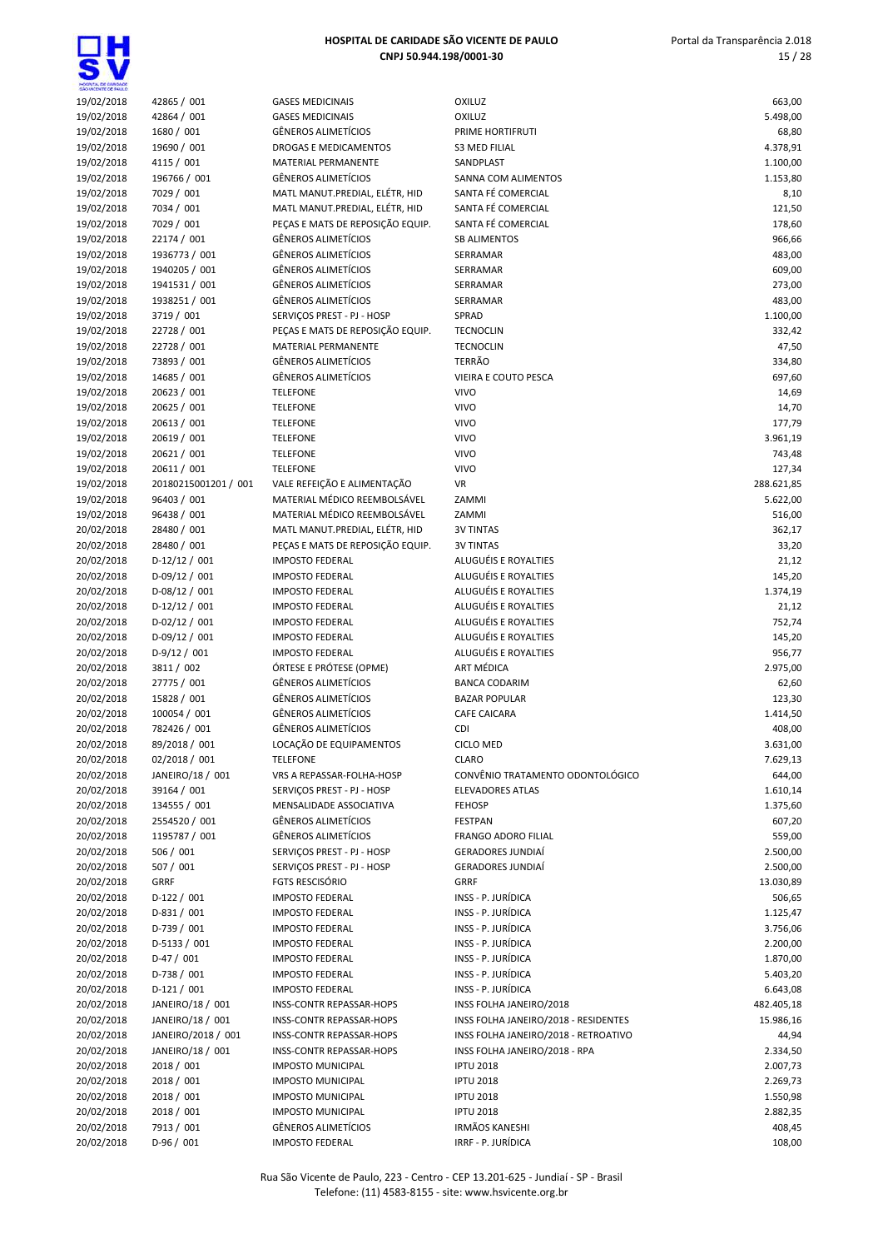| HOSPITAL DE GARDADE<br>SÃO VICENTE DE FAIX O |                               |                                                              |                                                        |                      |
|----------------------------------------------|-------------------------------|--------------------------------------------------------------|--------------------------------------------------------|----------------------|
| 19/02/2018                                   | 42865 / 001                   | <b>GASES MEDICINAIS</b>                                      | <b>OXILUZ</b>                                          | 663,00               |
| 19/02/2018                                   | 42864 / 001                   | <b>GASES MEDICINAIS</b>                                      | <b>OXILUZ</b>                                          | 5.498,00             |
| 19/02/2018                                   | 1680 / 001                    | <b>GÊNEROS ALIMETÍCIOS</b>                                   | PRIME HORTIFRUTI                                       | 68,80                |
| 19/02/2018                                   | 19690 / 001                   | DROGAS E MEDICAMENTOS                                        | <b>S3 MED FILIAL</b>                                   | 4.378,91             |
| 19/02/2018                                   | 4115 / 001                    | MATERIAL PERMANENTE                                          | SANDPLAST                                              | 1.100,00             |
| 19/02/2018<br>19/02/2018                     | 196766 / 001<br>7029 / 001    | <b>GÊNEROS ALIMETÍCIOS</b><br>MATL MANUT.PREDIAL, ELÉTR, HID | SANNA COM ALIMENTOS<br>SANTA FÉ COMERCIAL              | 1.153,80<br>8,10     |
| 19/02/2018                                   | 7034 / 001                    | MATL MANUT.PREDIAL, ELÉTR, HID                               | SANTA FÉ COMERCIAL                                     | 121,50               |
| 19/02/2018                                   | 7029 / 001                    | PEÇAS E MATS DE REPOSIÇÃO EQUIP.                             | SANTA FÉ COMERCIAL                                     | 178,60               |
| 19/02/2018                                   | 22174 / 001                   | <b>GÊNEROS ALIMETÍCIOS</b>                                   | <b>SB ALIMENTOS</b>                                    | 966,66               |
| 19/02/2018                                   | 1936773 / 001                 | <b>GÊNEROS ALIMETÍCIOS</b>                                   | SERRAMAR                                               | 483,00               |
| 19/02/2018                                   | 1940205 / 001                 | <b>GÊNEROS ALIMETÍCIOS</b>                                   | SERRAMAR                                               | 609,00               |
| 19/02/2018                                   | 1941531 / 001                 | <b>GÊNEROS ALIMETÍCIOS</b>                                   | SERRAMAR                                               | 273,00               |
| 19/02/2018                                   | 1938251 / 001                 | <b>GÊNEROS ALIMETÍCIOS</b>                                   | SERRAMAR                                               | 483,00               |
| 19/02/2018                                   | 3719 / 001                    | SERVIÇOS PREST - PJ - HOSP                                   | SPRAD                                                  | 1.100,00             |
| 19/02/2018                                   | 22728 / 001                   | PEÇAS E MATS DE REPOSIÇÃO EQUIP.                             | <b>TECNOCLIN</b>                                       | 332,42               |
| 19/02/2018                                   | 22728 / 001                   | MATERIAL PERMANENTE                                          | <b>TECNOCLIN</b>                                       | 47,50                |
| 19/02/2018                                   | 73893 / 001                   | <b>GÊNEROS ALIMETÍCIOS</b>                                   | TERRÃO                                                 | 334,80               |
| 19/02/2018                                   | 14685 / 001                   | <b>GÊNEROS ALIMETÍCIOS</b>                                   | <b>VIEIRA E COUTO PESCA</b>                            | 697,60               |
| 19/02/2018                                   | 20623 / 001<br>20625 / 001    | <b>TELEFONE</b>                                              | <b>VIVO</b><br><b>VIVO</b>                             | 14,69                |
| 19/02/2018<br>19/02/2018                     | 20613 / 001                   | <b>TELEFONE</b><br><b>TELEFONE</b>                           | <b>VIVO</b>                                            | 14,70<br>177,79      |
| 19/02/2018                                   | 20619 / 001                   | <b>TELEFONE</b>                                              | <b>VIVO</b>                                            | 3.961,19             |
| 19/02/2018                                   | 20621 / 001                   | <b>TELEFONE</b>                                              | <b>VIVO</b>                                            | 743,48               |
| 19/02/2018                                   | 20611 / 001                   | <b>TELEFONE</b>                                              | <b>VIVO</b>                                            | 127,34               |
| 19/02/2018                                   | 20180215001201 / 001          | VALE REFEIÇÃO E ALIMENTAÇÃO                                  | <b>VR</b>                                              | 288.621,85           |
| 19/02/2018                                   | 96403 / 001                   | MATERIAL MÉDICO REEMBOLSÁVEL                                 | ZAMMI                                                  | 5.622,00             |
| 19/02/2018                                   | 96438 / 001                   | MATERIAL MÉDICO REEMBOLSÁVEL                                 | ZAMMI                                                  | 516,00               |
| 20/02/2018                                   | 28480 / 001                   | MATL MANUT.PREDIAL, ELÉTR, HID                               | <b>3V TINTAS</b>                                       | 362,17               |
| 20/02/2018                                   | 28480 / 001                   | PEÇAS E MATS DE REPOSIÇÃO EQUIP.                             | <b>3V TINTAS</b>                                       | 33,20                |
| 20/02/2018                                   | $D-12/12/001$                 | <b>IMPOSTO FEDERAL</b>                                       | ALUGUÉIS E ROYALTIES                                   | 21,12                |
| 20/02/2018                                   | $D-09/12 / 001$               | <b>IMPOSTO FEDERAL</b>                                       | ALUGUÉIS E ROYALTIES                                   | 145,20               |
| 20/02/2018                                   | $D-08/12/001$                 | <b>IMPOSTO FEDERAL</b>                                       | ALUGUÉIS E ROYALTIES                                   | 1.374,19             |
| 20/02/2018                                   | $D-12/12/001$                 | <b>IMPOSTO FEDERAL</b>                                       | ALUGUÉIS E ROYALTIES                                   | 21,12                |
| 20/02/2018                                   | $D-02/12/001$                 | <b>IMPOSTO FEDERAL</b>                                       | ALUGUÉIS E ROYALTIES<br>ALUGUÉIS E ROYALTIES           | 752,74               |
| 20/02/2018<br>20/02/2018                     | $D-09/12/001$<br>$D-9/12/001$ | <b>IMPOSTO FEDERAL</b><br><b>IMPOSTO FEDERAL</b>             | ALUGUÉIS E ROYALTIES                                   | 145,20<br>956,77     |
| 20/02/2018                                   | 3811 / 002                    | ÓRTESE E PRÓTESE (OPME)                                      | ART MÉDICA                                             | 2.975,00             |
| 20/02/2018                                   | 27775 / 001                   | <b>GÊNEROS ALIMETÍCIOS</b>                                   | <b>BANCA CODARIM</b>                                   | 62,60                |
| 20/02/2018                                   | 15828 / 001                   | <b>GÊNEROS ALIMETÍCIOS</b>                                   | <b>BAZAR POPULAR</b>                                   | 123,30               |
| 20/02/2018                                   | 100054 / 001                  | <b>GÊNEROS ALIMETÍCIOS</b>                                   | <b>CAFE CAICARA</b>                                    | 1.414,50             |
| 20/02/2018                                   | 782426 / 001                  | <b>GÊNEROS ALIMETÍCIOS</b>                                   | <b>CDI</b>                                             | 408,00               |
| 20/02/2018                                   | 89/2018 / 001                 | LOCAÇÃO DE EQUIPAMENTOS                                      | CICLO MED                                              | 3.631,00             |
| 20/02/2018                                   | 02/2018 / 001                 | <b>TELEFONE</b>                                              | <b>CLARO</b>                                           | 7.629,13             |
| 20/02/2018                                   | JANEIRO/18 / 001              | VRS A REPASSAR-FOLHA-HOSP                                    | CONVÊNIO TRATAMENTO ODONTOLÓGICO                       | 644,00               |
| 20/02/2018                                   | 39164 / 001                   | SERVICOS PREST - PJ - HOSP                                   | <b>ELEVADORES ATLAS</b>                                | 1.610,14             |
| 20/02/2018                                   | 134555 / 001                  | MENSALIDADE ASSOCIATIVA                                      | <b>FEHOSP</b>                                          | 1.375,60             |
| 20/02/2018                                   | 2554520 / 001                 | <b>GÊNEROS ALIMETÍCIOS</b>                                   | <b>FESTPAN</b>                                         | 607,20               |
| 20/02/2018                                   | 1195787 / 001<br>506 / 001    | <b>GÊNEROS ALIMETÍCIOS</b><br>SERVICOS PREST - PJ - HOSP     | <b>FRANGO ADORO FILIAL</b><br><b>GERADORES JUNDIAÍ</b> | 559,00               |
| 20/02/2018<br>20/02/2018                     | 507 / 001                     | SERVIÇOS PREST - PJ - HOSP                                   | <b>GERADORES JUNDIAI</b>                               | 2.500,00<br>2.500,00 |
| 20/02/2018                                   | <b>GRRF</b>                   | <b>FGTS RESCISÓRIO</b>                                       | <b>GRRF</b>                                            | 13.030,89            |
| 20/02/2018                                   | $D-122 / 001$                 | <b>IMPOSTO FEDERAL</b>                                       | INSS - P. JURÍDICA                                     | 506,65               |
| 20/02/2018                                   | $D-831/001$                   | <b>IMPOSTO FEDERAL</b>                                       | INSS - P. JURÍDICA                                     | 1.125,47             |
| 20/02/2018                                   | D-739 / 001                   | <b>IMPOSTO FEDERAL</b>                                       | INSS - P. JURÍDICA                                     | 3.756,06             |
| 20/02/2018                                   | $D-5133 / 001$                | <b>IMPOSTO FEDERAL</b>                                       | INSS - P. JURÍDICA                                     | 2.200,00             |
| 20/02/2018                                   | $D-47/001$                    | <b>IMPOSTO FEDERAL</b>                                       | INSS - P. JURÍDICA                                     | 1.870,00             |
| 20/02/2018                                   | $D-738/001$                   | <b>IMPOSTO FEDERAL</b>                                       | INSS - P. JURÍDICA                                     | 5.403,20             |
| 20/02/2018                                   | $D-121/001$                   | <b>IMPOSTO FEDERAL</b>                                       | INSS - P. JURÍDICA                                     | 6.643,08             |
| 20/02/2018                                   | JANEIRO/18 / 001              | INSS-CONTR REPASSAR-HOPS                                     | INSS FOLHA JANEIRO/2018                                | 482.405,18           |
| 20/02/2018                                   | JANEIRO/18 / 001              | INSS-CONTR REPASSAR-HOPS                                     | INSS FOLHA JANEIRO/2018 - RESIDENTES                   | 15.986,16            |
| 20/02/2018                                   | JANEIRO/2018 / 001            | INSS-CONTR REPASSAR-HOPS                                     | INSS FOLHA JANEIRO/2018 - RETROATIVO                   | 44,94                |
| 20/02/2018                                   | JANEIRO/18 / 001              | INSS-CONTR REPASSAR-HOPS                                     | INSS FOLHA JANEIRO/2018 - RPA                          | 2.334,50             |
| 20/02/2018                                   | 2018 / 001                    | <b>IMPOSTO MUNICIPAL</b>                                     | <b>IPTU 2018</b>                                       | 2.007,73             |
| 20/02/2018<br>20/02/2018                     | 2018 / 001<br>2018 / 001      | <b>IMPOSTO MUNICIPAL</b><br><b>IMPOSTO MUNICIPAL</b>         | <b>IPTU 2018</b><br><b>IPTU 2018</b>                   | 2.269,73<br>1.550,98 |
| 20/02/2018                                   | 2018 / 001                    | <b>IMPOSTO MUNICIPAL</b>                                     | <b>IPTU 2018</b>                                       | 2.882,35             |
| 20/02/2018                                   | 7913 / 001                    | <b>GÊNEROS ALIMETÍCIOS</b>                                   | <b>IRMÃOS KANESHI</b>                                  | 408,45               |
| 20/02/2018                                   | $D-96/001$                    | <b>IMPOSTO FEDERAL</b>                                       | IRRF - P. JURÍDICA                                     | 108,00               |
|                                              |                               |                                                              |                                                        |                      |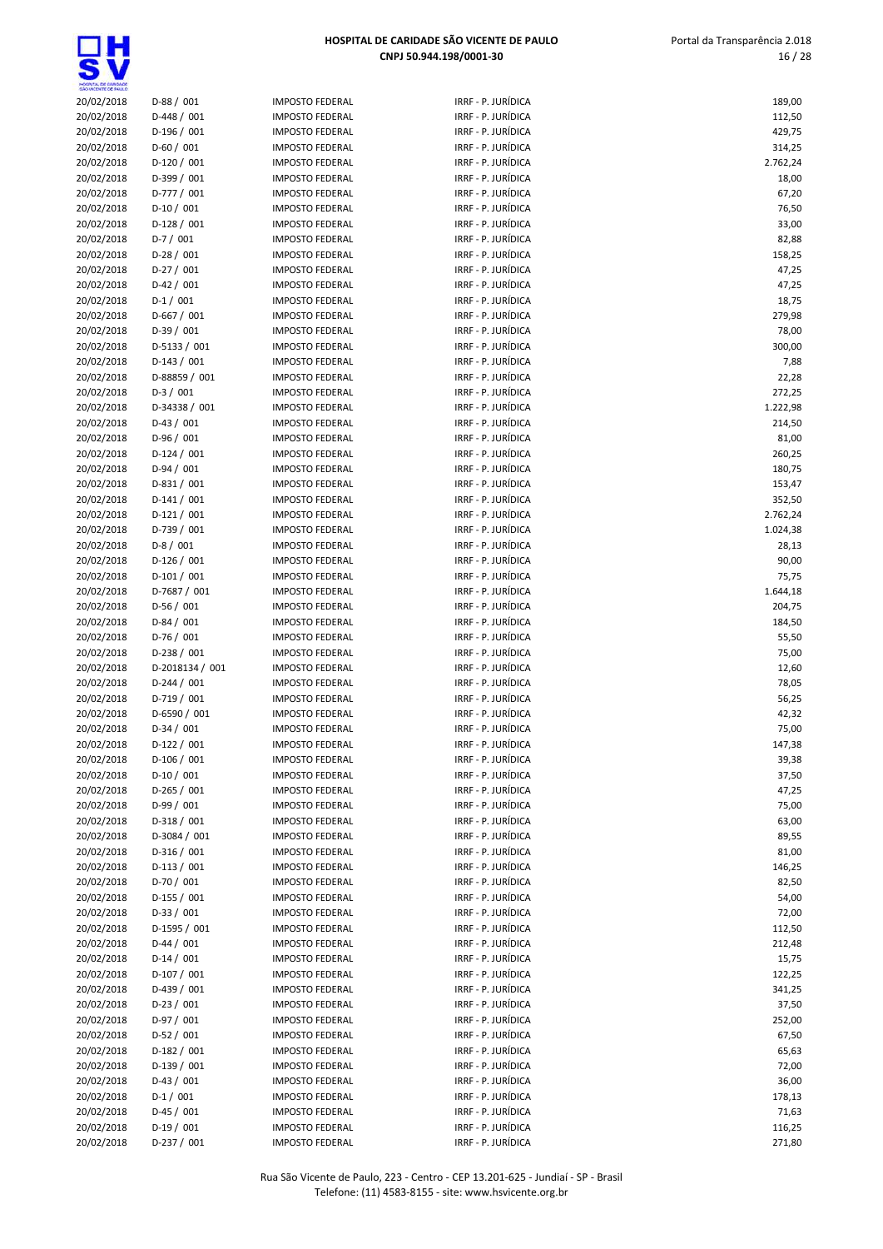$\overline{\mathbf{s}}$ 

| SHO WOENTE DE PAULO      |                              |                                                  |                                          |                  |
|--------------------------|------------------------------|--------------------------------------------------|------------------------------------------|------------------|
| 20/02/2018               | $D-88/001$                   | <b>IMPOSTO FEDERAL</b>                           | IRRF - P. JURÍDICA                       | 189,00           |
| 20/02/2018               | $D-448/001$                  | <b>IMPOSTO FEDERAL</b>                           | IRRF - P. JURÍDICA                       | 112,50           |
| 20/02/2018               | D-196 / 001                  | <b>IMPOSTO FEDERAL</b>                           | IRRF - P. JURÍDICA                       | 429,75           |
| 20/02/2018               | $D-60/001$                   | <b>IMPOSTO FEDERAL</b>                           | IRRF - P. JURÍDICA                       | 314,25           |
| 20/02/2018               | $D-120/001$                  | <b>IMPOSTO FEDERAL</b>                           | IRRF - P. JURÍDICA                       | 2.762,24         |
| 20/02/2018               | D-399 / 001                  | <b>IMPOSTO FEDERAL</b>                           | IRRF - P. JURÍDICA                       | 18,00            |
| 20/02/2018               | D-777 / 001                  | <b>IMPOSTO FEDERAL</b>                           | IRRF - P. JURÍDICA                       | 67,20            |
| 20/02/2018               | $D-10/001$                   | <b>IMPOSTO FEDERAL</b>                           | IRRF - P. JURÍDICA                       | 76,50            |
| 20/02/2018               | $D-128/001$                  | <b>IMPOSTO FEDERAL</b>                           | IRRF - P. JURÍDICA                       | 33,00            |
| 20/02/2018               | $D-7/001$                    | <b>IMPOSTO FEDERAL</b>                           | IRRF - P. JURÍDICA                       | 82,88            |
| 20/02/2018               | $D-28/001$                   | <b>IMPOSTO FEDERAL</b>                           | IRRF - P. JURÍDICA                       | 158,25           |
| 20/02/2018               | $D-27/001$                   | <b>IMPOSTO FEDERAL</b>                           | IRRF - P. JURÍDICA                       | 47,25            |
| 20/02/2018               | $D-42 / 001$                 | <b>IMPOSTO FEDERAL</b>                           | IRRF - P. JURÍDICA                       | 47,25            |
| 20/02/2018               | $D-1/001$                    | <b>IMPOSTO FEDERAL</b>                           | IRRF - P. JURÍDICA                       | 18,75            |
| 20/02/2018               | $D-667/001$                  | <b>IMPOSTO FEDERAL</b>                           | IRRF - P. JURÍDICA                       | 279,98           |
| 20/02/2018               | $D-39/001$                   | <b>IMPOSTO FEDERAL</b>                           | IRRF - P. JURÍDICA                       | 78,00            |
| 20/02/2018               | $D-5133 / 001$               | <b>IMPOSTO FEDERAL</b>                           | IRRF - P. JURÍDICA                       | 300,00           |
| 20/02/2018               | $D-143 / 001$                | <b>IMPOSTO FEDERAL</b>                           | IRRF - P. JURÍDICA                       | 7,88             |
| 20/02/2018               | D-88859 / 001                | <b>IMPOSTO FEDERAL</b>                           | IRRF - P. JURÍDICA                       | 22,28            |
| 20/02/2018               | $D-3/001$                    | <b>IMPOSTO FEDERAL</b>                           | IRRF - P. JURÍDICA                       | 272,25           |
| 20/02/2018               | D-34338 / 001                | <b>IMPOSTO FEDERAL</b>                           | IRRF - P. JURÍDICA                       | 1.222,98         |
| 20/02/2018               | $D-43 / 001$                 | <b>IMPOSTO FEDERAL</b>                           | IRRF - P. JURÍDICA                       | 214,50           |
| 20/02/2018               | $D-96/001$                   | <b>IMPOSTO FEDERAL</b>                           | IRRF - P. JURÍDICA                       | 81,00            |
| 20/02/2018               | $D-124/001$                  | <b>IMPOSTO FEDERAL</b>                           | IRRF - P. JURÍDICA                       | 260,25           |
| 20/02/2018               | $D-94/001$                   | <b>IMPOSTO FEDERAL</b>                           | IRRF - P. JURÍDICA                       | 180,75           |
| 20/02/2018               | $D-831/001$                  | <b>IMPOSTO FEDERAL</b>                           | IRRF - P. JURÍDICA                       | 153,47           |
| 20/02/2018               | $D-141/001$                  | <b>IMPOSTO FEDERAL</b>                           | IRRF - P. JURÍDICA                       | 352,50           |
| 20/02/2018               | $D-121/001$                  | <b>IMPOSTO FEDERAL</b>                           | IRRF - P. JURÍDICA                       | 2.762,24         |
| 20/02/2018               | D-739 / 001                  | <b>IMPOSTO FEDERAL</b>                           | IRRF - P. JURÍDICA                       | 1.024,38         |
| 20/02/2018               | $D-8/001$                    | <b>IMPOSTO FEDERAL</b>                           | IRRF - P. JURÍDICA                       | 28,13            |
| 20/02/2018               | $D-126/001$                  | <b>IMPOSTO FEDERAL</b>                           | IRRF - P. JURÍDICA                       | 90,00            |
| 20/02/2018               | $D-101/001$                  | <b>IMPOSTO FEDERAL</b>                           | IRRF - P. JURÍDICA                       | 75,75            |
| 20/02/2018               | D-7687 / 001                 | <b>IMPOSTO FEDERAL</b>                           | IRRF - P. JURÍDICA                       | 1.644,18         |
| 20/02/2018               | $D-56/001$                   | <b>IMPOSTO FEDERAL</b>                           | IRRF - P. JURÍDICA                       | 204,75           |
| 20/02/2018               | $D-84/001$                   | <b>IMPOSTO FEDERAL</b>                           | IRRF - P. JURÍDICA                       | 184,50           |
| 20/02/2018               | $D-76/001$                   | <b>IMPOSTO FEDERAL</b>                           | IRRF - P. JURÍDICA                       | 55,50            |
| 20/02/2018               | $D-238/001$                  | <b>IMPOSTO FEDERAL</b>                           | IRRF - P. JURÍDICA                       | 75,00            |
| 20/02/2018               | D-2018134 / 001              | <b>IMPOSTO FEDERAL</b>                           | IRRF - P. JURÍDICA                       | 12,60            |
| 20/02/2018               | $D-244 / 001$                | <b>IMPOSTO FEDERAL</b>                           | IRRF - P. JURÍDICA                       | 78,05            |
| 20/02/2018               | $D-719/001$                  | <b>IMPOSTO FEDERAL</b>                           | IRRF - P. JURÍDICA                       | 56,25            |
| 20/02/2018               | D-6590 / 001                 | <b>IMPOSTO FEDERAL</b>                           | IRRF - P. JURÍDICA                       | 42,32            |
| 20/02/2018               | $D-34/001$                   | <b>IMPOSTO FEDERAL</b>                           | IRRF - P. JURÍDICA                       | 75,00            |
| 20/02/2018               | $D-122 / 001$                | <b>IMPOSTO FEDERAL</b>                           | IRRF - P. JURÍDICA                       | 147,38           |
| 20/02/2018               | $D-106/001$                  | <b>IMPOSTO FEDERAL</b>                           | IRRF - P. JURÍDICA                       | 39,38            |
| 20/02/2018               | $D-10/001$                   | <b>IMPOSTO FEDERAL</b>                           | IRRF - P. JURÍDICA                       | 37,50            |
| 20/02/2018               | $D-265/001$                  | <b>IMPOSTO FEDERAL</b>                           | IRRF - P. JURÍDICA                       | 47,25            |
| 20/02/2018               | $D-99/001$                   | <b>IMPOSTO FEDERAL</b>                           | IRRF - P. JURÍDICA                       | 75,00            |
| 20/02/2018<br>20/02/2018 | $D-318/001$                  | <b>IMPOSTO FEDERAL</b>                           | IRRF - P. JURÍDICA                       | 63,00            |
|                          | D-3084 / 001<br>$D-316/001$  | <b>IMPOSTO FEDERAL</b>                           | IRRF - P. JURÍDICA                       | 89,55            |
| 20/02/2018<br>20/02/2018 | $D-113/001$                  | <b>IMPOSTO FEDERAL</b><br><b>IMPOSTO FEDERAL</b> | IRRF - P. JURÍDICA<br>IRRF - P. JURÍDICA | 81,00            |
|                          | $D-70/001$                   | <b>IMPOSTO FEDERAL</b>                           | IRRF - P. JURÍDICA                       | 146,25           |
| 20/02/2018               |                              | <b>IMPOSTO FEDERAL</b>                           | IRRF - P. JURÍDICA                       | 82,50            |
| 20/02/2018               | $D-155 / 001$                | <b>IMPOSTO FEDERAL</b>                           | IRRF - P. JURÍDICA                       | 54,00            |
| 20/02/2018               | $D-33 / 001$<br>D-1595 / 001 |                                                  | IRRF - P. JURÍDICA                       | 72,00            |
| 20/02/2018<br>20/02/2018 | $D-44 / 001$                 | <b>IMPOSTO FEDERAL</b><br><b>IMPOSTO FEDERAL</b> | IRRF - P. JURÍDICA                       | 112,50<br>212,48 |
|                          | $D-14/001$                   |                                                  | IRRF - P. JURÍDICA                       |                  |
| 20/02/2018               | $D-107/001$                  | <b>IMPOSTO FEDERAL</b><br><b>IMPOSTO FEDERAL</b> | IRRF - P. JURÍDICA                       | 15,75            |
| 20/02/2018               | D-439 / 001                  |                                                  | IRRF - P. JURÍDICA                       | 122,25           |
| 20/02/2018<br>20/02/2018 | $D-23/001$                   | <b>IMPOSTO FEDERAL</b><br><b>IMPOSTO FEDERAL</b> | IRRF - P. JURÍDICA                       | 341,25<br>37,50  |
|                          | $D-97/001$                   | <b>IMPOSTO FEDERAL</b>                           | IRRF - P. JURÍDICA                       |                  |
| 20/02/2018<br>20/02/2018 | $D-52 / 001$                 | <b>IMPOSTO FEDERAL</b>                           | IRRF - P. JURÍDICA                       | 252,00<br>67,50  |
| 20/02/2018               | $D-182 / 001$                | <b>IMPOSTO FEDERAL</b>                           | IRRF - P. JURÍDICA                       | 65,63            |
| 20/02/2018               | $D-139/001$                  | <b>IMPOSTO FEDERAL</b>                           | IRRF - P. JURÍDICA                       | 72,00            |
| 20/02/2018               | $D-43 / 001$                 | <b>IMPOSTO FEDERAL</b>                           | IRRF - P. JURÍDICA                       |                  |
| 20/02/2018               | $D-1/001$                    | <b>IMPOSTO FEDERAL</b>                           | IRRF - P. JURÍDICA                       | 36,00<br>178,13  |
| 20/02/2018               | $D-45/001$                   | <b>IMPOSTO FEDERAL</b>                           | IRRF - P. JURÍDICA                       | 71,63            |
| 20/02/2018               | $D-19/001$                   | <b>IMPOSTO FEDERAL</b>                           | IRRF - P. JURÍDICA                       | 116,25           |
| 20/02/2018               | $D-237/001$                  | <b>IMPOSTO FEDERAL</b>                           | IRRF - P. JURÍDICA                       | 271,80           |
|                          |                              |                                                  |                                          |                  |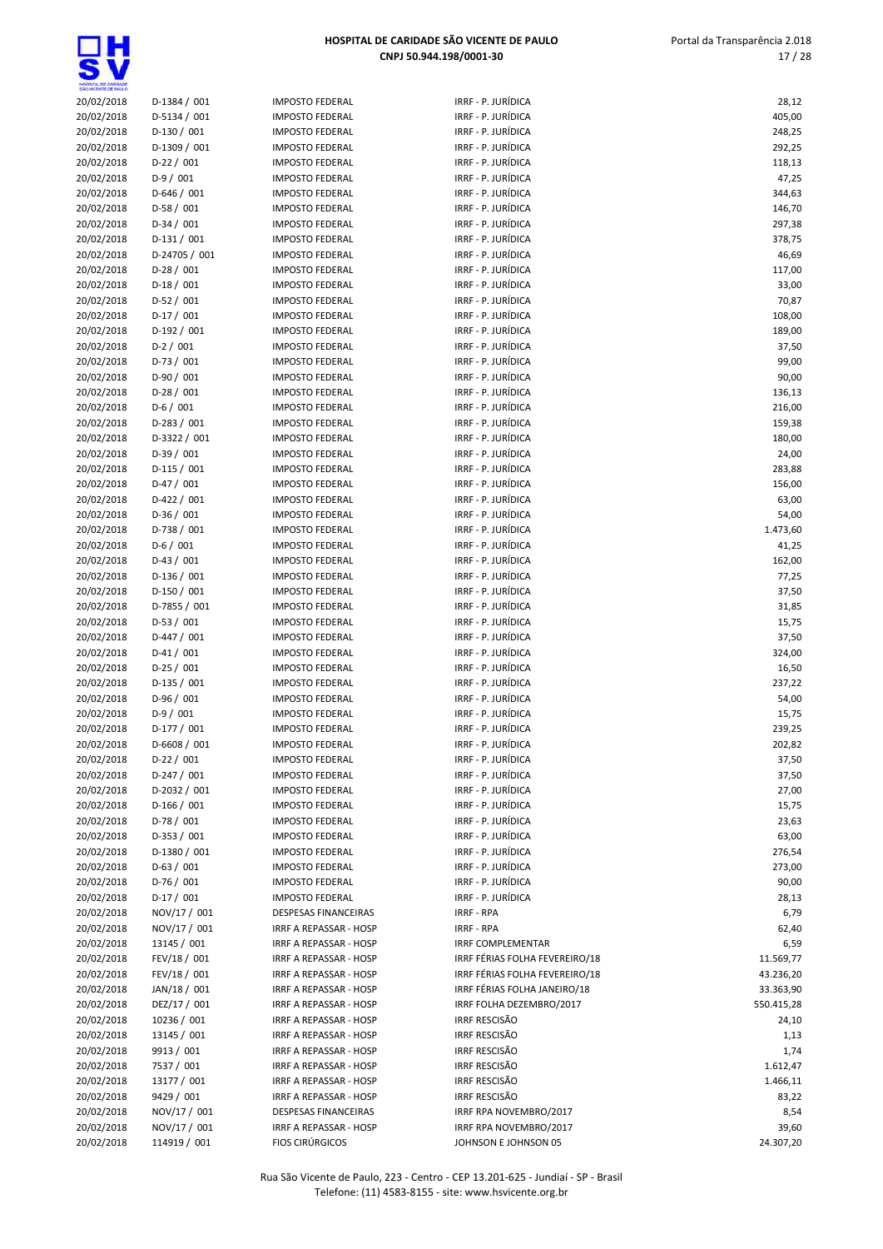|                          | HOSPITAL DE CARIDADE SÃO VICENTE DE PAULO |                                                  |                                          | Portal da Transparência 2.0: |  |
|--------------------------|-------------------------------------------|--------------------------------------------------|------------------------------------------|------------------------------|--|
|                          |                                           |                                                  | CNPJ 50.944.198/0001-30                  | 17/3                         |  |
|                          |                                           |                                                  |                                          |                              |  |
| O VICENTE CE PAULO       |                                           |                                                  |                                          |                              |  |
| 20/02/2018               | $D-1384 / 001$                            | <b>IMPOSTO FEDERAL</b>                           | IRRF - P. JURÍDICA                       | 28,12                        |  |
| 20/02/2018               | D-5134 / 001                              | <b>IMPOSTO FEDERAL</b>                           | IRRF - P. JURÍDICA                       | 405,00                       |  |
| 20/02/2018               | $D-130/001$                               | <b>IMPOSTO FEDERAL</b>                           | IRRF - P. JURÍDICA                       | 248,25                       |  |
| 20/02/2018<br>20/02/2018 | D-1309 / 001<br>$D-22 / 001$              | <b>IMPOSTO FEDERAL</b><br><b>IMPOSTO FEDERAL</b> | IRRF - P. JURÍDICA<br>IRRF - P. JURÍDICA | 292,25<br>118,13             |  |
| 20/02/2018               | $D-9/001$                                 | <b>IMPOSTO FEDERAL</b>                           | IRRF - P. JURÍDICA                       | 47,25                        |  |
| 20/02/2018               | $D-646/001$                               | <b>IMPOSTO FEDERAL</b>                           | IRRF - P. JURÍDICA                       | 344,63                       |  |
| 20/02/2018               | $D-58/001$                                | <b>IMPOSTO FEDERAL</b>                           | IRRF - P. JURÍDICA                       | 146,70                       |  |
| 20/02/2018               | $D-34/001$                                | <b>IMPOSTO FEDERAL</b>                           | IRRF - P. JURÍDICA                       | 297,38                       |  |
| 20/02/2018               | $D-131/001$                               | <b>IMPOSTO FEDERAL</b>                           | IRRF - P. JURÍDICA                       | 378,75                       |  |
| 20/02/2018               | D-24705 / 001                             | <b>IMPOSTO FEDERAL</b>                           | IRRF - P. JURÍDICA                       | 46,69                        |  |
| 20/02/2018               | $D-28/001$                                | <b>IMPOSTO FEDERAL</b>                           | IRRF - P. JURÍDICA                       | 117,00                       |  |
| 20/02/2018               | $D-18/001$                                | <b>IMPOSTO FEDERAL</b>                           | IRRF - P. JURÍDICA                       | 33,00                        |  |
| 20/02/2018               | $D-52/001$                                | <b>IMPOSTO FEDERAL</b>                           | IRRF - P. JURÍDICA                       | 70,87                        |  |
| 20/02/2018               | $D-17/001$                                | <b>IMPOSTO FEDERAL</b>                           | IRRF - P. JURÍDICA                       | 108,00                       |  |
| 20/02/2018               | $D-192/001$                               | <b>IMPOSTO FEDERAL</b>                           | IRRF - P. JURÍDICA                       | 189,00                       |  |
| 20/02/2018               | $D-2 / 001$                               | <b>IMPOSTO FEDERAL</b>                           | IRRF - P. JURÍDICA                       | 37,50                        |  |
| 20/02/2018               | $D-73/001$                                | <b>IMPOSTO FEDERAL</b>                           | IRRF - P. JURÍDICA                       | 99,00                        |  |
| 20/02/2018               | $D-90/001$                                | <b>IMPOSTO FEDERAL</b>                           | IRRF - P. JURÍDICA                       | 90,00                        |  |
| 20/02/2018               | $D-28/001$                                | <b>IMPOSTO FEDERAL</b>                           | IRRF - P. JURÍDICA                       | 136,13                       |  |
| 20/02/2018               | $D-6/001$                                 | <b>IMPOSTO FEDERAL</b>                           | IRRF - P. JURÍDICA                       | 216,00                       |  |
| 20/02/2018               | $D-283 / 001$                             | <b>IMPOSTO FEDERAL</b>                           | IRRF - P. JURÍDICA                       | 159,38                       |  |
| 20/02/2018               | D-3322 / 001                              | <b>IMPOSTO FEDERAL</b>                           | IRRF - P. JURÍDICA                       | 180,00                       |  |
| 20/02/2018               | $D-39/001$                                | <b>IMPOSTO FEDERAL</b>                           | IRRF - P. JURÍDICA                       | 24,00                        |  |
| 20/02/2018               | $D-115/001$<br>$D-47/001$                 | <b>IMPOSTO FEDERAL</b>                           | IRRF - P. JURÍDICA<br>IRRF - P. JURÍDICA | 283,88                       |  |
| 20/02/2018<br>20/02/2018 | $D-422 / 001$                             | <b>IMPOSTO FEDERAL</b><br><b>IMPOSTO FEDERAL</b> | IRRF - P. JURÍDICA                       | 156,00<br>63,00              |  |
| 20/02/2018               | $D-36/001$                                | <b>IMPOSTO FEDERAL</b>                           | IRRF - P. JURÍDICA                       | 54,00                        |  |
| 20/02/2018               | $D-738/001$                               | <b>IMPOSTO FEDERAL</b>                           | IRRF - P. JURÍDICA                       | 1.473,60                     |  |
| 20/02/2018               | $D-6/001$                                 | <b>IMPOSTO FEDERAL</b>                           | IRRF - P. JURÍDICA                       | 41,25                        |  |
| 20/02/2018               | $D-43 / 001$                              | <b>IMPOSTO FEDERAL</b>                           | IRRF - P. JURÍDICA                       | 162,00                       |  |
| 20/02/2018               | $D-136/001$                               | <b>IMPOSTO FEDERAL</b>                           | IRRF - P. JURÍDICA                       | 77,25                        |  |
| 20/02/2018               | $D-150/001$                               | <b>IMPOSTO FEDERAL</b>                           | IRRF - P. JURÍDICA                       | 37,50                        |  |
| 20/02/2018               | D-7855 / 001                              | <b>IMPOSTO FEDERAL</b>                           | IRRF - P. JURÍDICA                       | 31,85                        |  |
| 20/02/2018               | $D-53/001$                                | <b>IMPOSTO FEDERAL</b>                           | IRRF - P. JURÍDICA                       | 15,75                        |  |
| 20/02/2018               | $D-447/001$                               | <b>IMPOSTO FEDERAL</b>                           | IRRF - P. JURÍDICA                       | 37,50                        |  |
| 20/02/2018               | $D-41/001$                                | <b>IMPOSTO FEDERAL</b>                           | IRRF - P. JURÍDICA                       | 324,00                       |  |
| 20/02/2018               | $D-25/001$                                | <b>IMPOSTO FEDERAL</b>                           | IRRF - P. JURÍDICA                       | 16,50                        |  |
| 20/02/2018               | $D-135 / 001$                             | <b>IMPOSTO FEDERAL</b>                           | IRRF - P. JURÍDICA                       | 237,22                       |  |
| 20/02/2018               | $D-96/001$                                | <b>IMPOSTO FEDERAL</b>                           | IRRF - P. JURÍDICA                       | 54,00                        |  |
| 20/02/2018               | $D-9/001$                                 | <b>IMPOSTO FEDERAL</b>                           | IRRF - P. JURÍDICA                       | 15,75                        |  |
| 20/02/2018               | D-177 / 001                               | <b>IMPOSTO FEDERAL</b>                           | IRRF - P. JURÍDICA                       | 239,25                       |  |
| 20/02/2018               | D-6608 / 001                              | <b>IMPOSTO FEDERAL</b>                           | IRRF - P. JURÍDICA                       | 202,82                       |  |
| 20/02/2018               | $D-22 / 001$                              | <b>IMPOSTO FEDERAL</b>                           | IRRF - P. JURÍDICA                       | 37,50                        |  |
| 20/02/2018               | $D-247/001$                               | <b>IMPOSTO FEDERAL</b>                           | IRRF - P. JURÍDICA                       | 37,50                        |  |
| 20/02/2018               | D-2032 / 001<br>$D-166/001$               | <b>IMPOSTO FEDERAL</b>                           | IRRF - P. JURÍDICA<br>IRRF - P. JURÍDICA | 27,00                        |  |
| 20/02/2018<br>20/02/2018 | $D-78/001$                                | <b>IMPOSTO FEDERAL</b><br><b>IMPOSTO FEDERAL</b> | IRRF - P. JURÍDICA                       | 15,75<br>23,63               |  |
| 20/02/2018               | D-353 / 001                               | <b>IMPOSTO FEDERAL</b>                           | IRRF - P. JURÍDICA                       | 63,00                        |  |
| 20/02/2018               | D-1380 / 001                              | <b>IMPOSTO FEDERAL</b>                           | IRRF - P. JURÍDICA                       | 276,54                       |  |
| 20/02/2018               | $D-63/001$                                | <b>IMPOSTO FEDERAL</b>                           | IRRF - P. JURÍDICA                       | 273,00                       |  |
| 20/02/2018               | $D-76/001$                                | <b>IMPOSTO FEDERAL</b>                           | IRRF - P. JURÍDICA                       | 90,00                        |  |
| 20/02/2018               | $D-17/001$                                | <b>IMPOSTO FEDERAL</b>                           | IRRF - P. JURÍDICA                       | 28,13                        |  |
| 20/02/2018               | NOV/17 / 001                              | DESPESAS FINANCEIRAS                             | <b>IRRF - RPA</b>                        | 6,79                         |  |
| 20/02/2018               | NOV/17 / 001                              | IRRF A REPASSAR - HOSP                           | IRRF - RPA                               | 62,40                        |  |
| 20/02/2018               | 13145 / 001                               | IRRF A REPASSAR - HOSP                           | <b>IRRF COMPLEMENTAR</b>                 | 6,59                         |  |
| 20/02/2018               | FEV/18 / 001                              | IRRF A REPASSAR - HOSP                           | IRRF FÉRIAS FOLHA FEVEREIRO/18           | 11.569,77                    |  |
| 20/02/2018               | FEV/18 / 001                              | IRRF A REPASSAR - HOSP                           | IRRF FÉRIAS FOLHA FEVEREIRO/18           | 43.236,20                    |  |
| 20/02/2018               | JAN/18 / 001                              | IRRF A REPASSAR - HOSP                           | IRRF FÉRIAS FOLHA JANEIRO/18             | 33.363,90                    |  |
| 20/02/2018               | DEZ/17 / 001                              | IRRF A REPASSAR - HOSP                           | IRRF FOLHA DEZEMBRO/2017                 | 550.415,28                   |  |
| 20/02/2018               | 10236 / 001                               | IRRF A REPASSAR - HOSP                           | <b>IRRF RESCISÃO</b>                     | 24,10                        |  |
| 20/02/2018               | 13145 / 001                               | IRRF A REPASSAR - HOSP                           | <b>IRRF RESCISÃO</b>                     | 1,13                         |  |
| 20/02/2018               | 9913 / 001                                | IRRF A REPASSAR - HOSP                           | <b>IRRF RESCISÃO</b>                     | 1,74                         |  |
| 20/02/2018               | 7537 / 001                                | IRRF A REPASSAR - HOSP                           | <b>IRRF RESCISÃO</b>                     | 1.612,47                     |  |
| 20/02/2018               | 13177 / 001                               | IRRF A REPASSAR - HOSP                           | <b>IRRF RESCISÃO</b>                     | 1.466,11                     |  |
| 20/02/2018               | 9429 / 001                                | IRRF A REPASSAR - HOSP                           | <b>IRRF RESCISÃO</b>                     | 83,22                        |  |
| 20/02/2018               | NOV/17 / 001                              | DESPESAS FINANCEIRAS                             | IRRF RPA NOVEMBRO/2017                   | 8,54                         |  |
| 20/02/2018               | NOV/17 / 001<br>114919 / 001              | IRRF A REPASSAR - HOSP<br><b>FIOS CIRÚRGICOS</b> | IRRF RPA NOVEMBRO/2017                   | 39,60                        |  |
| 20/02/2018               |                                           |                                                  | JOHNSON E JOHNSON 05                     | 24.307,20                    |  |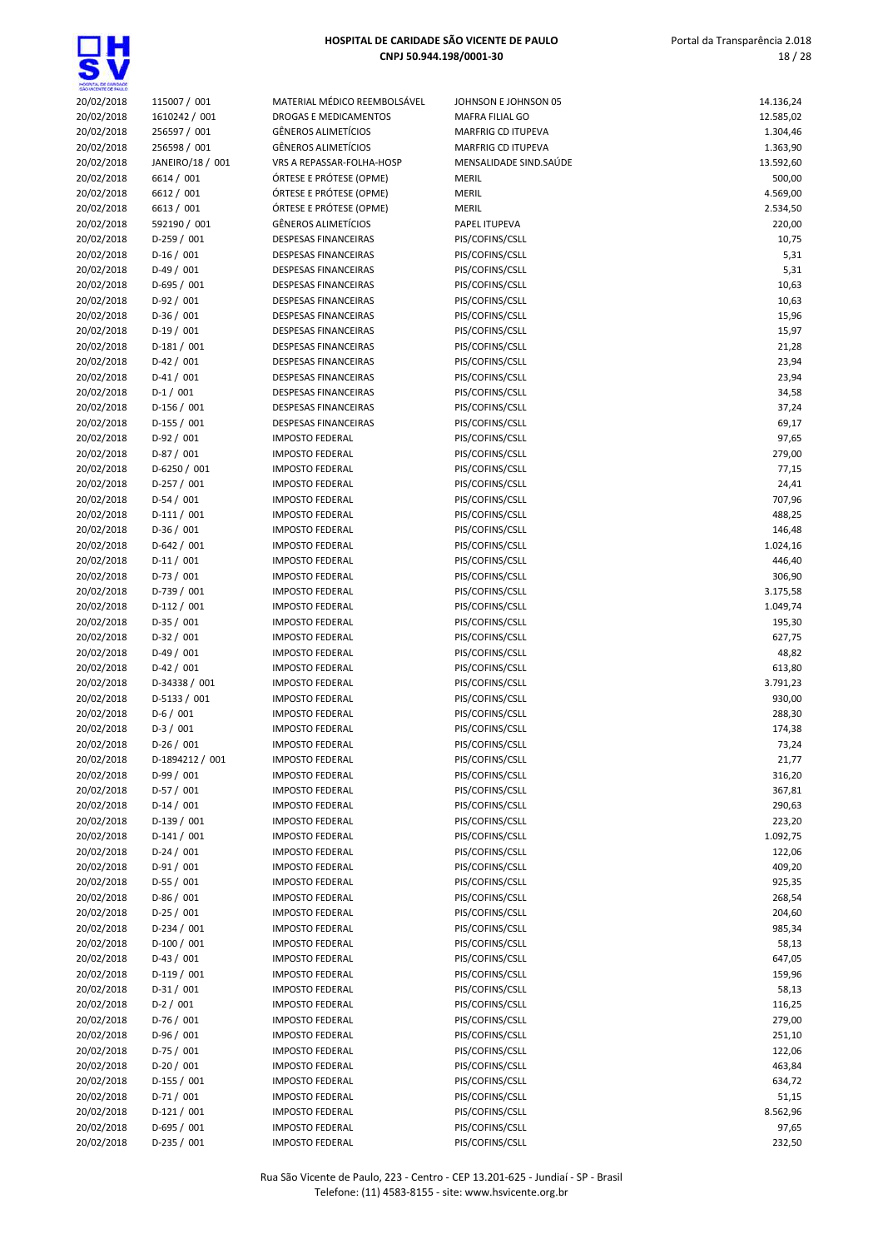| 20/02/2018               | 115007 / 001               | MATERIAL MÉDICO REEMBOLSÁVEL                     | JOHNSON E JOHNSON 05               | 14.136,24        |
|--------------------------|----------------------------|--------------------------------------------------|------------------------------------|------------------|
| 20/02/2018               | 1610242 / 001              | DROGAS E MEDICAMENTOS                            | MAFRA FILIAL GO                    | 12.585,02        |
| 20/02/2018               | 256597 / 001               | <b>GÊNEROS ALIMETÍCIOS</b>                       | MARFRIG CD ITUPEVA                 | 1.304,46         |
| 20/02/2018               | 256598 / 001               | <b>GÊNEROS ALIMETÍCIOS</b>                       | MARFRIG CD ITUPEVA                 | 1.363,90         |
| 20/02/2018               | JANEIRO/18 / 001           | VRS A REPASSAR-FOLHA-HOSP                        | MENSALIDADE SIND.SAÚDE             | 13.592,60        |
| 20/02/2018               | 6614 / 001                 | ÓRTESE E PRÓTESE (OPME)                          | <b>MERIL</b>                       | 500,00           |
| 20/02/2018               | 6612 / 001                 | ÓRTESE E PRÓTESE (OPME)                          | MERIL                              | 4.569,00         |
| 20/02/2018               | 6613 / 001                 | ÓRTESE E PRÓTESE (OPME)                          | MERIL                              | 2.534,50         |
| 20/02/2018               | 592190 / 001               | <b>GÊNEROS ALIMETÍCIOS</b>                       | PAPEL ITUPEVA                      | 220,00           |
| 20/02/2018               | $D-259/001$                | <b>DESPESAS FINANCEIRAS</b>                      | PIS/COFINS/CSLL                    | 10,75            |
| 20/02/2018<br>20/02/2018 | $D-16/001$<br>$D-49/001$   | <b>DESPESAS FINANCEIRAS</b>                      | PIS/COFINS/CSLL<br>PIS/COFINS/CSLL | 5,31             |
| 20/02/2018               | $D-695/001$                | DESPESAS FINANCEIRAS<br>DESPESAS FINANCEIRAS     | PIS/COFINS/CSLL                    | 5,31<br>10,63    |
| 20/02/2018               | $D-92/001$                 | DESPESAS FINANCEIRAS                             | PIS/COFINS/CSLL                    | 10,63            |
| 20/02/2018               | $D-36/001$                 | DESPESAS FINANCEIRAS                             | PIS/COFINS/CSLL                    | 15,96            |
| 20/02/2018               | $D-19/001$                 | DESPESAS FINANCEIRAS                             | PIS/COFINS/CSLL                    | 15,97            |
| 20/02/2018               | $D-181/001$                | DESPESAS FINANCEIRAS                             | PIS/COFINS/CSLL                    | 21,28            |
| 20/02/2018               | $D-42/001$                 | DESPESAS FINANCEIRAS                             | PIS/COFINS/CSLL                    | 23,94            |
| 20/02/2018               | $D-41/001$                 | DESPESAS FINANCEIRAS                             | PIS/COFINS/CSLL                    | 23,94            |
| 20/02/2018               | $D-1/001$                  | DESPESAS FINANCEIRAS                             | PIS/COFINS/CSLL                    | 34,58            |
| 20/02/2018               | $D-156/001$                | DESPESAS FINANCEIRAS                             | PIS/COFINS/CSLL                    | 37,24            |
| 20/02/2018               | $D-155 / 001$              | DESPESAS FINANCEIRAS                             | PIS/COFINS/CSLL                    | 69,17            |
| 20/02/2018               | $D-92/001$                 | <b>IMPOSTO FEDERAL</b>                           | PIS/COFINS/CSLL                    | 97,65            |
| 20/02/2018               | $D-87/001$                 | <b>IMPOSTO FEDERAL</b>                           | PIS/COFINS/CSLL                    | 279,00           |
| 20/02/2018               | D-6250 / 001               | <b>IMPOSTO FEDERAL</b>                           | PIS/COFINS/CSLL                    | 77,15            |
| 20/02/2018               | $D-257/001$                | <b>IMPOSTO FEDERAL</b>                           | PIS/COFINS/CSLL                    | 24,41            |
| 20/02/2018               | $D-54/001$                 | <b>IMPOSTO FEDERAL</b>                           | PIS/COFINS/CSLL                    | 707,96           |
| 20/02/2018               | $D-111/001$                | <b>IMPOSTO FEDERAL</b>                           | PIS/COFINS/CSLL                    | 488,25           |
| 20/02/2018               | $D-36/001$                 | <b>IMPOSTO FEDERAL</b>                           | PIS/COFINS/CSLL                    | 146,48           |
| 20/02/2018               | $D-642 / 001$              | <b>IMPOSTO FEDERAL</b>                           | PIS/COFINS/CSLL                    | 1.024,16         |
| 20/02/2018               | $D-11/001$                 | <b>IMPOSTO FEDERAL</b>                           | PIS/COFINS/CSLL                    | 446,40           |
| 20/02/2018               | $D-73/001$                 | <b>IMPOSTO FEDERAL</b>                           | PIS/COFINS/CSLL                    | 306,90           |
| 20/02/2018               | D-739 / 001                | <b>IMPOSTO FEDERAL</b>                           | PIS/COFINS/CSLL                    | 3.175,58         |
| 20/02/2018               | $D-112/001$                | <b>IMPOSTO FEDERAL</b>                           | PIS/COFINS/CSLL                    | 1.049,74         |
| 20/02/2018               | $D-35/001$<br>$D-32 / 001$ | <b>IMPOSTO FEDERAL</b><br><b>IMPOSTO FEDERAL</b> | PIS/COFINS/CSLL                    | 195,30           |
| 20/02/2018<br>20/02/2018 | $D-49/001$                 | <b>IMPOSTO FEDERAL</b>                           | PIS/COFINS/CSLL<br>PIS/COFINS/CSLL | 627,75<br>48,82  |
| 20/02/2018               | $D-42/001$                 | <b>IMPOSTO FEDERAL</b>                           | PIS/COFINS/CSLL                    | 613,80           |
| 20/02/2018               | D-34338 / 001              | <b>IMPOSTO FEDERAL</b>                           | PIS/COFINS/CSLL                    | 3.791,23         |
| 20/02/2018               | D-5133 / 001               | <b>IMPOSTO FEDERAL</b>                           | PIS/COFINS/CSLL                    | 930,00           |
| 20/02/2018               | $D-6/001$                  | <b>IMPOSTO FEDERAL</b>                           | PIS/COFINS/CSLL                    | 288,30           |
| 20/02/2018               | $D-3/001$                  | <b>IMPOSTO FEDERAL</b>                           | PIS/COFINS/CSLL                    | 174,38           |
| 20/02/2018               | $D-26/001$                 | <b>IMPOSTO FEDERAL</b>                           | PIS/COFINS/CSLL                    | 73,24            |
| 20/02/2018               | D-1894212 / 001            | <b>IMPOSTO FEDERAL</b>                           | PIS/COFINS/CSLL                    | 21,77            |
| 20/02/2018               | $D-99/001$                 | <b>IMPOSTO FEDERAL</b>                           | PIS/COFINS/CSLL                    | 316,20           |
| 20/02/2018               | $D-57/001$                 | <b>IMPOSTO FEDERAL</b>                           | PIS/COFINS/CSLL                    | 367,81           |
| 20/02/2018               | $D-14/001$                 | <b>IMPOSTO FEDERAL</b>                           | PIS/COFINS/CSLL                    | 290,63           |
| 20/02/2018               | $D-139/001$                | <b>IMPOSTO FEDERAL</b>                           | PIS/COFINS/CSLL                    | 223,20           |
| 20/02/2018               | $D-141/001$                | <b>IMPOSTO FEDERAL</b>                           | PIS/COFINS/CSLL                    | 1.092,75         |
| 20/02/2018               | $D-24/001$                 | <b>IMPOSTO FEDERAL</b>                           | PIS/COFINS/CSLL                    | 122,06           |
| 20/02/2018               | $D-91/001$                 | <b>IMPOSTO FEDERAL</b>                           | PIS/COFINS/CSLL                    | 409,20           |
| 20/02/2018               | $D-55/001$                 | <b>IMPOSTO FEDERAL</b>                           | PIS/COFINS/CSLL                    | 925,35           |
| 20/02/2018               | $D-86/001$                 | <b>IMPOSTO FEDERAL</b>                           | PIS/COFINS/CSLL                    | 268,54           |
| 20/02/2018               | $D-25/001$                 | <b>IMPOSTO FEDERAL</b>                           | PIS/COFINS/CSLL                    | 204,60           |
| 20/02/2018               | $D-234/001$                | <b>IMPOSTO FEDERAL</b>                           | PIS/COFINS/CSLL                    | 985,34           |
| 20/02/2018               | $D-100/001$                | <b>IMPOSTO FEDERAL</b>                           | PIS/COFINS/CSLL                    | 58,13            |
| 20/02/2018               | $D-43 / 001$               | <b>IMPOSTO FEDERAL</b>                           | PIS/COFINS/CSLL                    | 647,05           |
| 20/02/2018               | $D-119/001$                | <b>IMPOSTO FEDERAL</b>                           | PIS/COFINS/CSLL                    | 159,96           |
| 20/02/2018               | $D-31/001$                 | <b>IMPOSTO FEDERAL</b>                           | PIS/COFINS/CSLL                    | 58,13            |
| 20/02/2018<br>20/02/2018 | $D-2 / 001$<br>$D-76/001$  | <b>IMPOSTO FEDERAL</b><br><b>IMPOSTO FEDERAL</b> | PIS/COFINS/CSLL<br>PIS/COFINS/CSLL | 116,25<br>279,00 |
| 20/02/2018               | $D-96/001$                 | <b>IMPOSTO FEDERAL</b>                           | PIS/COFINS/CSLL                    | 251,10           |
| 20/02/2018               | $D-75/001$                 | <b>IMPOSTO FEDERAL</b>                           | PIS/COFINS/CSLL                    | 122,06           |
| 20/02/2018               | $D-20/001$                 | <b>IMPOSTO FEDERAL</b>                           | PIS/COFINS/CSLL                    | 463,84           |
| 20/02/2018               | $D-155 / 001$              | <b>IMPOSTO FEDERAL</b>                           | PIS/COFINS/CSLL                    | 634,72           |
| 20/02/2018               | $D-71/001$                 | <b>IMPOSTO FEDERAL</b>                           | PIS/COFINS/CSLL                    | 51,15            |
| 20/02/2018               | $D-121/001$                | <b>IMPOSTO FEDERAL</b>                           | PIS/COFINS/CSLL                    | 8.562,96         |
| 20/02/2018               | $D-695/001$                | <b>IMPOSTO FEDERAL</b>                           | PIS/COFINS/CSLL                    | 97,65            |
| 20/02/2018               | $D-235 / 001$              | <b>IMPOSTO FEDERAL</b>                           | PIS/COFINS/CSLL                    | 232,50           |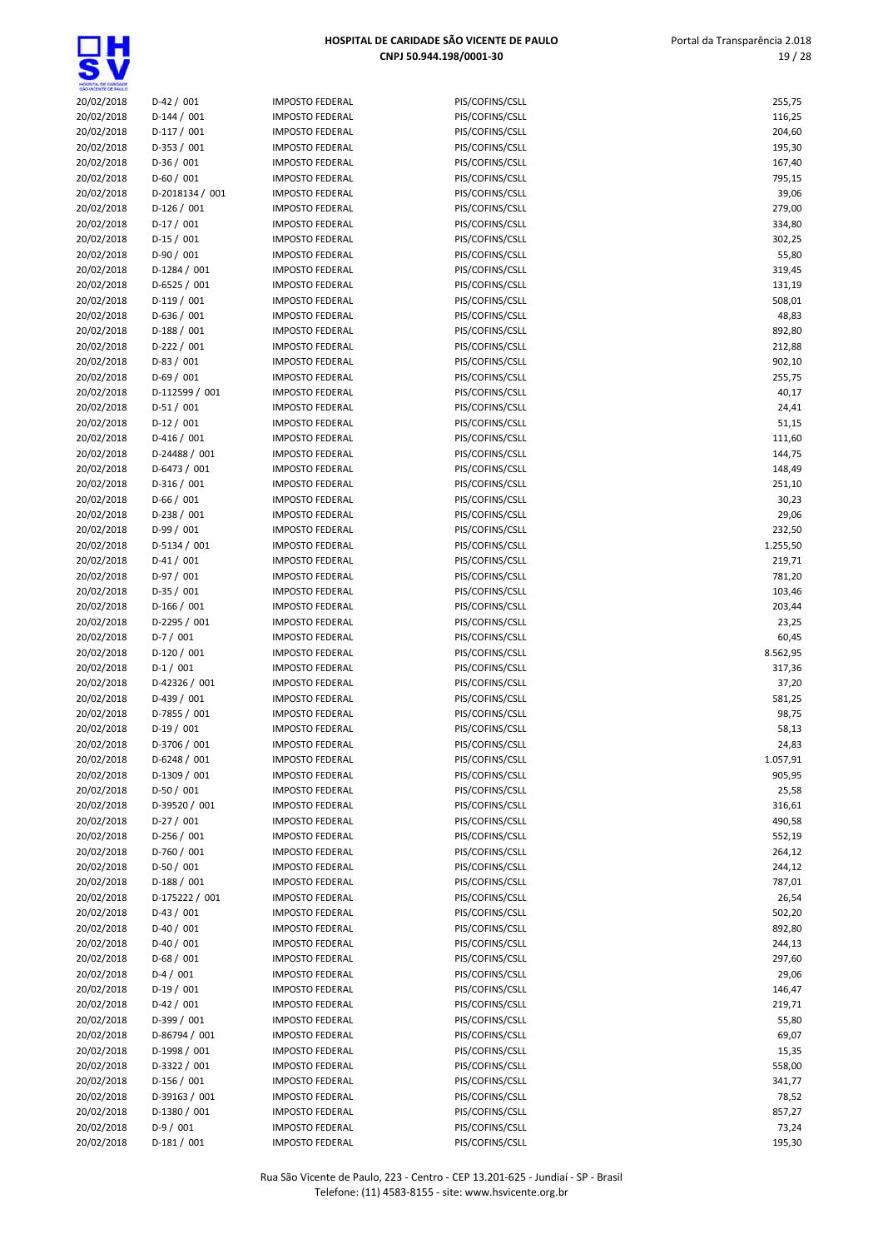댌

| HOSPITAL DE GARDADE<br>SÃO VICENTE DE FAILLO |                              |                                                  |                                    |                    |
|----------------------------------------------|------------------------------|--------------------------------------------------|------------------------------------|--------------------|
| 20/02/2018                                   | $D-42/001$                   | <b>IMPOSTO FEDERAL</b>                           | PIS/COFINS/CSLL                    | 255,75             |
| 20/02/2018                                   | $D-144 / 001$                | <b>IMPOSTO FEDERAL</b>                           | PIS/COFINS/CSLL                    | 116,25             |
| 20/02/2018                                   | $D-117/001$<br>$D-353 / 001$ | <b>IMPOSTO FEDERAL</b><br><b>IMPOSTO FEDERAL</b> | PIS/COFINS/CSLL                    | 204,60<br>195,30   |
| 20/02/2018<br>20/02/2018                     | $D-36/001$                   | <b>IMPOSTO FEDERAL</b>                           | PIS/COFINS/CSLL<br>PIS/COFINS/CSLL | 167,40             |
| 20/02/2018                                   | $D-60/001$                   | <b>IMPOSTO FEDERAL</b>                           | PIS/COFINS/CSLL                    | 795,15             |
| 20/02/2018                                   | D-2018134 / 001              | <b>IMPOSTO FEDERAL</b>                           | PIS/COFINS/CSLL                    | 39,06              |
| 20/02/2018                                   | $D-126/001$                  | <b>IMPOSTO FEDERAL</b>                           | PIS/COFINS/CSLL                    | 279,00             |
| 20/02/2018                                   | $D-17/001$                   | <b>IMPOSTO FEDERAL</b>                           | PIS/COFINS/CSLL                    | 334,80             |
| 20/02/2018                                   | $D-15/001$                   | <b>IMPOSTO FEDERAL</b>                           | PIS/COFINS/CSLL                    | 302,25             |
| 20/02/2018                                   | $D-90/001$                   | <b>IMPOSTO FEDERAL</b>                           | PIS/COFINS/CSLL                    | 55,80              |
| 20/02/2018                                   | $D-1284 / 001$               | <b>IMPOSTO FEDERAL</b>                           | PIS/COFINS/CSLL                    | 319,45             |
| 20/02/2018                                   | $D-6525 / 001$               | <b>IMPOSTO FEDERAL</b>                           | PIS/COFINS/CSLL                    | 131,19             |
| 20/02/2018                                   | $D-119/001$<br>$D-636 / 001$ | <b>IMPOSTO FEDERAL</b>                           | PIS/COFINS/CSLL                    | 508,01             |
| 20/02/2018<br>20/02/2018                     | $D-188/001$                  | <b>IMPOSTO FEDERAL</b><br><b>IMPOSTO FEDERAL</b> | PIS/COFINS/CSLL<br>PIS/COFINS/CSLL | 48,83<br>892,80    |
| 20/02/2018                                   | $D-222 / 001$                | <b>IMPOSTO FEDERAL</b>                           | PIS/COFINS/CSLL                    | 212,88             |
| 20/02/2018                                   | $D-83 / 001$                 | <b>IMPOSTO FEDERAL</b>                           | PIS/COFINS/CSLL                    | 902,10             |
| 20/02/2018                                   | $D-69/001$                   | <b>IMPOSTO FEDERAL</b>                           | PIS/COFINS/CSLL                    | 255,75             |
| 20/02/2018                                   | D-112599 / 001               | <b>IMPOSTO FEDERAL</b>                           | PIS/COFINS/CSLL                    | 40,17              |
| 20/02/2018                                   | $D-51/001$                   | <b>IMPOSTO FEDERAL</b>                           | PIS/COFINS/CSLL                    | 24,41              |
| 20/02/2018                                   | $D-12/001$                   | <b>IMPOSTO FEDERAL</b>                           | PIS/COFINS/CSLL                    | 51,15              |
| 20/02/2018                                   | $D-416/001$                  | <b>IMPOSTO FEDERAL</b>                           | PIS/COFINS/CSLL                    | 111,60             |
| 20/02/2018                                   | D-24488 / 001                | <b>IMPOSTO FEDERAL</b>                           | PIS/COFINS/CSLL                    | 144,75             |
| 20/02/2018                                   | D-6473 / 001                 | <b>IMPOSTO FEDERAL</b>                           | PIS/COFINS/CSLL                    | 148,49             |
| 20/02/2018                                   | D-316 / 001                  | <b>IMPOSTO FEDERAL</b>                           | PIS/COFINS/CSLL                    | 251,10             |
| 20/02/2018                                   | $D-66/001$                   | <b>IMPOSTO FEDERAL</b>                           | PIS/COFINS/CSLL                    | 30,23              |
| 20/02/2018                                   | $D-238/001$                  | <b>IMPOSTO FEDERAL</b>                           | PIS/COFINS/CSLL                    | 29,06              |
| 20/02/2018                                   | $D-99/001$                   | <b>IMPOSTO FEDERAL</b><br><b>IMPOSTO FEDERAL</b> | PIS/COFINS/CSLL                    | 232,50<br>1.255,50 |
| 20/02/2018<br>20/02/2018                     | D-5134 / 001<br>$D-41/001$   | <b>IMPOSTO FEDERAL</b>                           | PIS/COFINS/CSLL<br>PIS/COFINS/CSLL | 219,71             |
| 20/02/2018                                   | $D-97/001$                   | <b>IMPOSTO FEDERAL</b>                           | PIS/COFINS/CSLL                    | 781,20             |
| 20/02/2018                                   | $D-35/001$                   | <b>IMPOSTO FEDERAL</b>                           | PIS/COFINS/CSLL                    | 103,46             |
| 20/02/2018                                   | $D-166/001$                  | <b>IMPOSTO FEDERAL</b>                           | PIS/COFINS/CSLL                    | 203,44             |
| 20/02/2018                                   | D-2295 / 001                 | <b>IMPOSTO FEDERAL</b>                           | PIS/COFINS/CSLL                    | 23,25              |
| 20/02/2018                                   | $D-7/001$                    | <b>IMPOSTO FEDERAL</b>                           | PIS/COFINS/CSLL                    | 60,45              |
| 20/02/2018                                   | $D-120/001$                  | <b>IMPOSTO FEDERAL</b>                           | PIS/COFINS/CSLL                    | 8.562,95           |
| 20/02/2018                                   | $D-1/001$                    | <b>IMPOSTO FEDERAL</b>                           | PIS/COFINS/CSLL                    | 317,36             |
| 20/02/2018                                   | D-42326 / 001                | <b>IMPOSTO FEDERAL</b>                           | PIS/COFINS/CSLL                    | 37,20              |
| 20/02/2018                                   | $D-439/001$                  | <b>IMPOSTO FEDERAL</b>                           | PIS/COFINS/CSLL                    | 581,25             |
| 20/02/2018                                   | D-7855 / 001                 | <b>IMPOSTO FEDERAL</b>                           | PIS/COFINS/CSLL                    | 98,75              |
| 20/02/2018<br>20/02/2018                     | $D-19/001$<br>D-3706 / 001   | <b>IMPOSTO FEDERAL</b><br><b>IMPOSTO FEDERAL</b> | PIS/COFINS/CSLL<br>PIS/COFINS/CSLL | 58,13<br>24,83     |
| 20/02/2018                                   | D-6248 / 001                 | <b>IMPOSTO FEDERAL</b>                           | PIS/COFINS/CSLL                    | 1.057,91           |
| 20/02/2018                                   | D-1309 / 001                 | <b>IMPOSTO FEDERAL</b>                           | PIS/COFINS/CSLL                    | 905,95             |
| 20/02/2018                                   | $D-50/001$                   | <b>IMPOSTO FEDERAL</b>                           | PIS/COFINS/CSLL                    | 25,58              |
| 20/02/2018                                   | D-39520 / 001                | <b>IMPOSTO FEDERAL</b>                           | PIS/COFINS/CSLL                    | 316,61             |
| 20/02/2018                                   | $D-27/001$                   | <b>IMPOSTO FEDERAL</b>                           | PIS/COFINS/CSLL                    | 490,58             |
| 20/02/2018                                   | $D-256/001$                  | <b>IMPOSTO FEDERAL</b>                           | PIS/COFINS/CSLL                    | 552,19             |
| 20/02/2018                                   | $D-760 / 001$                | <b>IMPOSTO FEDERAL</b>                           | PIS/COFINS/CSLL                    | 264,12             |
| 20/02/2018                                   | $D-50/001$                   | <b>IMPOSTO FEDERAL</b>                           | PIS/COFINS/CSLL                    | 244,12             |
| 20/02/2018                                   | $D-188/001$                  | <b>IMPOSTO FEDERAL</b>                           | PIS/COFINS/CSLL                    | 787,01             |
| 20/02/2018                                   | D-175222 / 001               | <b>IMPOSTO FEDERAL</b>                           | PIS/COFINS/CSLL                    | 26,54              |
| 20/02/2018                                   | $D-43 / 001$                 | <b>IMPOSTO FEDERAL</b>                           | PIS/COFINS/CSLL                    | 502,20             |
| 20/02/2018                                   | $D-40/001$                   | <b>IMPOSTO FEDERAL</b>                           | PIS/COFINS/CSLL                    | 892,80             |
| 20/02/2018<br>20/02/2018                     | $D-40/001$<br>$D-68/001$     | <b>IMPOSTO FEDERAL</b><br><b>IMPOSTO FEDERAL</b> | PIS/COFINS/CSLL<br>PIS/COFINS/CSLL | 244,13<br>297,60   |
| 20/02/2018                                   | $D-4/001$                    | <b>IMPOSTO FEDERAL</b>                           | PIS/COFINS/CSLL                    | 29,06              |
| 20/02/2018                                   | $D-19/001$                   | <b>IMPOSTO FEDERAL</b>                           | PIS/COFINS/CSLL                    | 146,47             |
| 20/02/2018                                   | $D-42 / 001$                 | <b>IMPOSTO FEDERAL</b>                           | PIS/COFINS/CSLL                    | 219,71             |
| 20/02/2018                                   | D-399 / 001                  | <b>IMPOSTO FEDERAL</b>                           | PIS/COFINS/CSLL                    | 55,80              |
| 20/02/2018                                   | D-86794 / 001                | <b>IMPOSTO FEDERAL</b>                           | PIS/COFINS/CSLL                    | 69,07              |
| 20/02/2018                                   | D-1998 / 001                 | <b>IMPOSTO FEDERAL</b>                           | PIS/COFINS/CSLL                    | 15,35              |
| 20/02/2018                                   | D-3322 / 001                 | <b>IMPOSTO FEDERAL</b>                           | PIS/COFINS/CSLL                    | 558,00             |
| 20/02/2018                                   | $D-156/001$                  | <b>IMPOSTO FEDERAL</b>                           | PIS/COFINS/CSLL                    | 341,77             |
| 20/02/2018                                   | D-39163 / 001                | <b>IMPOSTO FEDERAL</b>                           | PIS/COFINS/CSLL                    | 78,52              |
| 20/02/2018                                   | D-1380 / 001                 | <b>IMPOSTO FEDERAL</b>                           | PIS/COFINS/CSLL                    | 857,27             |
| 20/02/2018                                   | $D-9/001$                    | <b>IMPOSTO FEDERAL</b>                           | PIS/COFINS/CSLL                    | 73,24              |
| 20/02/2018                                   | $D-181/001$                  | <b>IMPOSTO FEDERAL</b>                           | PIS/COFINS/CSLL                    | 195,30             |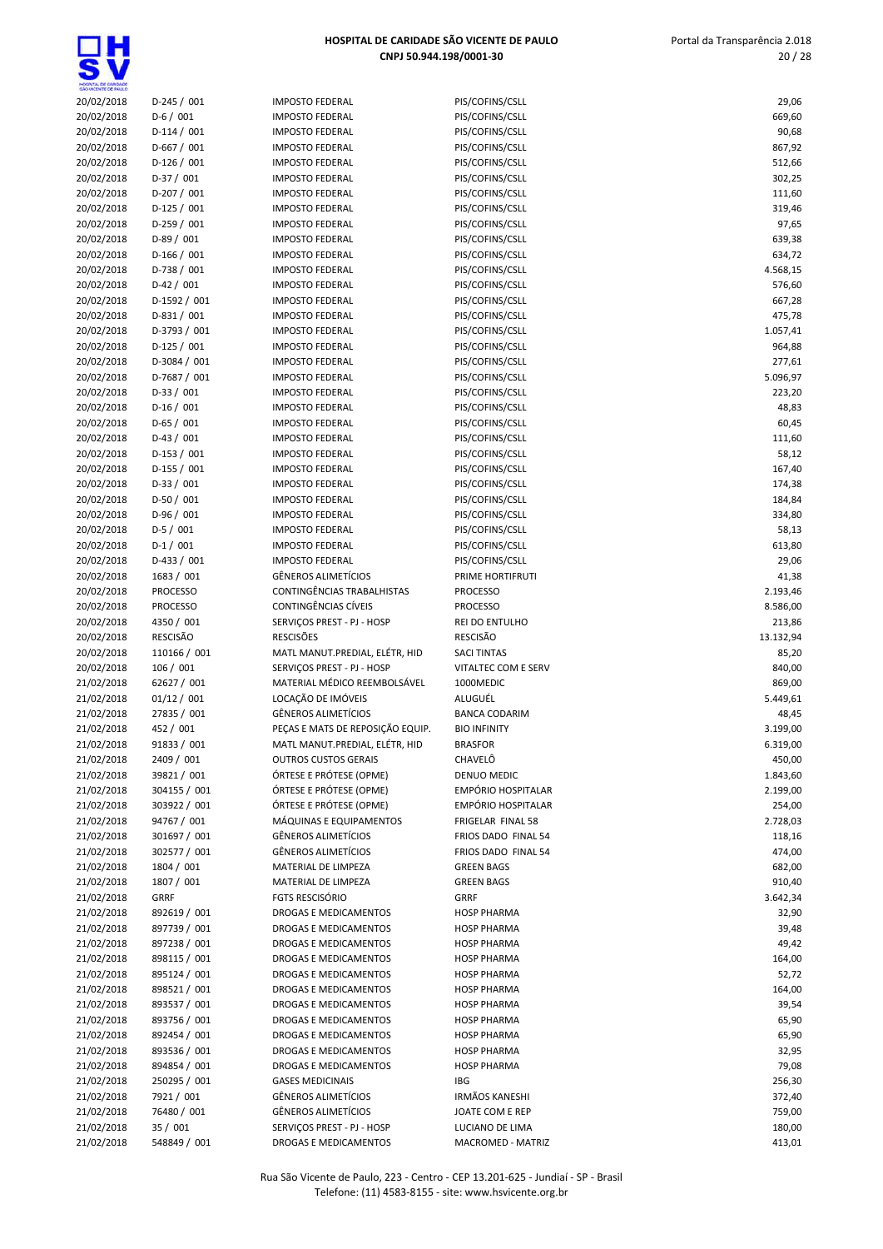<u>ក្ត</u>

| 20/02/2018<br>$D-245/001$<br><b>IMPOSTO FEDERAL</b><br>PIS/COFINS/CSLL<br>20/02/2018<br>$D-6/001$<br><b>IMPOSTO FEDERAL</b><br>PIS/COFINS/CSLL<br>20/02/2018<br>$D-114/001$<br><b>IMPOSTO FEDERAL</b><br>PIS/COFINS/CSLL<br>20/02/2018<br>$D-667/001$<br><b>IMPOSTO FEDERAL</b><br>PIS/COFINS/CSLL<br>867,92<br>20/02/2018<br>$D-126/001$<br><b>IMPOSTO FEDERAL</b><br>PIS/COFINS/CSLL<br>512,66<br>20/02/2018<br>$D-37/001$<br><b>IMPOSTO FEDERAL</b><br>PIS/COFINS/CSLL<br>302,25<br>20/02/2018<br>$D-207/001$<br><b>IMPOSTO FEDERAL</b><br>PIS/COFINS/CSLL<br>111,60<br>$D-125/001$<br>20/02/2018<br><b>IMPOSTO FEDERAL</b><br>PIS/COFINS/CSLL<br>319,46<br>20/02/2018<br>$D-259/001$<br><b>IMPOSTO FEDERAL</b><br>PIS/COFINS/CSLL<br>20/02/2018<br>$D-89/001$<br>PIS/COFINS/CSLL<br><b>IMPOSTO FEDERAL</b><br>20/02/2018<br>$D-166/001$<br><b>IMPOSTO FEDERAL</b><br>PIS/COFINS/CSLL<br>20/02/2018<br>D-738 / 001<br><b>IMPOSTO FEDERAL</b><br>PIS/COFINS/CSLL<br>$D-42/001$<br>20/02/2018<br><b>IMPOSTO FEDERAL</b><br>PIS/COFINS/CSLL<br>20/02/2018<br>D-1592 / 001<br><b>IMPOSTO FEDERAL</b><br>PIS/COFINS/CSLL<br>20/02/2018<br>$D-831/001$<br><b>IMPOSTO FEDERAL</b><br>PIS/COFINS/CSLL<br>20/02/2018<br>D-3793 / 001<br><b>IMPOSTO FEDERAL</b><br>PIS/COFINS/CSLL<br>20/02/2018<br>$D-125/001$<br><b>IMPOSTO FEDERAL</b><br>PIS/COFINS/CSLL<br>20/02/2018<br>D-3084 / 001<br><b>IMPOSTO FEDERAL</b><br>PIS/COFINS/CSLL<br>20/02/2018<br>D-7687 / 001<br><b>IMPOSTO FEDERAL</b><br>PIS/COFINS/CSLL<br>20/02/2018<br>$D-33 / 001$<br><b>IMPOSTO FEDERAL</b><br>PIS/COFINS/CSLL<br>$D-16/001$<br>20/02/2018<br><b>IMPOSTO FEDERAL</b><br>PIS/COFINS/CSLL<br>$D-65/001$<br>20/02/2018<br><b>IMPOSTO FEDERAL</b><br>PIS/COFINS/CSLL<br>60,45<br>$D-43/001$<br>20/02/2018<br><b>IMPOSTO FEDERAL</b><br>PIS/COFINS/CSLL<br>111,60<br>20/02/2018<br>$D-153 / 001$<br><b>IMPOSTO FEDERAL</b><br>PIS/COFINS/CSLL<br>58,12<br>20/02/2018<br>$D-155 / 001$<br>167,40<br><b>IMPOSTO FEDERAL</b><br>PIS/COFINS/CSLL<br>$D-33 / 001$<br>20/02/2018<br><b>IMPOSTO FEDERAL</b><br>PIS/COFINS/CSLL<br>174,38<br>20/02/2018<br>$D-50/001$<br><b>IMPOSTO FEDERAL</b><br>PIS/COFINS/CSLL<br>184,84<br>20/02/2018<br>$D-96/001$<br>334,80<br><b>IMPOSTO FEDERAL</b><br>PIS/COFINS/CSLL<br>$D-5/001$<br>20/02/2018<br><b>IMPOSTO FEDERAL</b><br>PIS/COFINS/CSLL<br>58,13<br>20/02/2018<br>$D-1/001$<br><b>IMPOSTO FEDERAL</b><br>PIS/COFINS/CSLL<br>20/02/2018<br>$D-433 / 001$<br><b>IMPOSTO FEDERAL</b><br>PIS/COFINS/CSLL<br>20/02/2018<br><b>GÊNEROS ALIMETÍCIOS</b><br>1683 / 001<br>PRIME HORTIFRUTI<br>CONTINGÊNCIAS TRABALHISTAS<br>20/02/2018<br><b>PROCESSO</b><br><b>PROCESSO</b><br>20/02/2018<br><b>PROCESSO</b><br>CONTINGÊNCIAS CÍVEIS<br><b>PROCESSO</b><br>20/02/2018<br>4350 / 001<br>SERVIÇOS PREST - PJ - HOSP<br>REI DO ENTULHO<br><b>RESCISÃO</b><br><b>RESCISÕES</b><br>RESCISÃO<br>20/02/2018<br>20/02/2018<br>110166 / 001<br>MATL MANUT.PREDIAL, ELÉTR, HID<br><b>SACI TINTAS</b><br>20/02/2018<br>106 / 001<br>SERVIÇOS PREST - PJ - HOSP<br>VITALTEC COM E SERV<br>21/02/2018<br>62627 / 001<br>MATERIAL MÉDICO REEMBOLSÁVEL<br>1000MEDIC<br>LOCAÇÃO DE IMÓVEIS<br>01/12 / 001<br>21/02/2018<br>ALUGUÉL<br>21/02/2018<br>27835 / 001<br><b>GÊNEROS ALIMETÍCIOS</b><br><b>BANCA CODARIM</b><br>21/02/2018<br>452 / 001<br>PECAS E MATS DE REPOSIÇÃO EQUIP.<br><b>BIO INFINITY</b><br>3.199,00<br>91833 / 001<br>MATL MANUT.PREDIAL, ELÉTR, HID<br>6.319,00<br>21/02/2018<br><b>BRASFOR</b><br>2409 / 001<br>CHAVELÔ<br>21/02/2018<br><b>OUTROS CUSTOS GERAIS</b><br>450,00<br>21/02/2018<br>39821 / 001<br>ÓRTESE E PRÓTESE (OPME)<br>DENUO MEDIC<br>1.843,60<br>21/02/2018<br>304155 / 001<br>ÓRTESE E PRÓTESE (OPME)<br>EMPÓRIO HOSPITALAR<br>2.199,00<br>ÓRTESE E PRÓTESE (OPME)<br>21/02/2018<br>303922 / 001<br><b>EMPÓRIO HOSPITALAR</b><br>94767 / 001<br>21/02/2018<br>MÁQUINAS E EQUIPAMENTOS<br>FRIGELAR FINAL 58<br>21/02/2018<br><b>GÊNEROS ALIMETÍCIOS</b><br>301697 / 001<br>FRIOS DADO FINAL 54<br>21/02/2018<br>302577 / 001<br>GÊNEROS ALIMETÍCIOS<br>FRIOS DADO FINAL 54<br>1804 / 001<br>21/02/2018<br>MATERIAL DE LIMPEZA<br><b>GREEN BAGS</b><br>21/02/2018<br>1807 / 001<br>MATERIAL DE LIMPEZA<br><b>GREEN BAGS</b><br><b>FGTS RESCISÓRIO</b><br>21/02/2018<br><b>GRRF</b><br>GRRF<br>21/02/2018<br>892619 / 001<br>DROGAS E MEDICAMENTOS<br><b>HOSP PHARMA</b><br>897739 / 001<br>21/02/2018<br>DROGAS E MEDICAMENTOS<br><b>HOSP PHARMA</b><br>21/02/2018<br>897238 / 001<br>DROGAS E MEDICAMENTOS<br><b>HOSP PHARMA</b><br>898115 / 001<br>21/02/2018<br>DROGAS E MEDICAMENTOS<br><b>HOSP PHARMA</b><br>21/02/2018<br>895124 / 001<br>DROGAS E MEDICAMENTOS<br><b>HOSP PHARMA</b><br>21/02/2018<br>898521 / 001<br>DROGAS E MEDICAMENTOS<br><b>HOSP PHARMA</b><br>21/02/2018<br>893537 / 001<br><b>HOSP PHARMA</b><br>DROGAS E MEDICAMENTOS<br>21/02/2018<br>893756 / 001<br>DROGAS E MEDICAMENTOS<br><b>HOSP PHARMA</b><br>892454 / 001<br>21/02/2018<br>DROGAS E MEDICAMENTOS<br>65,90<br><b>HOSP PHARMA</b><br>21/02/2018<br>893536 / 001<br>DROGAS E MEDICAMENTOS<br><b>HOSP PHARMA</b><br>32,95<br>21/02/2018<br>894854 / 001<br>DROGAS E MEDICAMENTOS<br><b>HOSP PHARMA</b><br>79,08<br>250295 / 001<br>21/02/2018<br><b>GASES MEDICINAIS</b><br>IBG<br>256,30<br><b>IRMÃOS KANESHI</b><br>21/02/2018<br>7921 / 001<br><b>GËNEROS ALIMETÍCIOS</b><br>372,40<br>21/02/2018<br>76480 / 001<br><b>GÊNEROS ALIMETÍCIOS</b><br>JOATE COM E REP<br>21/02/2018<br>35/001<br>SERVIÇOS PREST - PJ - HOSP<br>LUCIANO DE LIMA | Mospita, de Gardade<br>São Vicente de Failló |              |                       |                   |           |
|-----------------------------------------------------------------------------------------------------------------------------------------------------------------------------------------------------------------------------------------------------------------------------------------------------------------------------------------------------------------------------------------------------------------------------------------------------------------------------------------------------------------------------------------------------------------------------------------------------------------------------------------------------------------------------------------------------------------------------------------------------------------------------------------------------------------------------------------------------------------------------------------------------------------------------------------------------------------------------------------------------------------------------------------------------------------------------------------------------------------------------------------------------------------------------------------------------------------------------------------------------------------------------------------------------------------------------------------------------------------------------------------------------------------------------------------------------------------------------------------------------------------------------------------------------------------------------------------------------------------------------------------------------------------------------------------------------------------------------------------------------------------------------------------------------------------------------------------------------------------------------------------------------------------------------------------------------------------------------------------------------------------------------------------------------------------------------------------------------------------------------------------------------------------------------------------------------------------------------------------------------------------------------------------------------------------------------------------------------------------------------------------------------------------------------------------------------------------------------------------------------------------------------------------------------------------------------------------------------------------------------------------------------------------------------------------------------------------------------------------------------------------------------------------------------------------------------------------------------------------------------------------------------------------------------------------------------------------------------------------------------------------------------------------------------------------------------------------------------------------------------------------------------------------------------------------------------------------------------------------------------------------------------------------------------------------------------------------------------------------------------------------------------------------------------------------------------------------------------------------------------------------------------------------------------------------------------------------------------------------------------------------------------------------------------------------------------------------------------------------------------------------------------------------------------------------------------------------------------------------------------------------------------------------------------------------------------------------------------------------------------------------------------------------------------------------------------------------------------------------------------------------------------------------------------------------------------------------------------------------------------------------------------------------------------------------------------------------------------------------------------------------------------------------------------------------------------------------------------------------------------------------------------------------------------------------------------------------------------------------------------------------------------------------------------------------------------------------------------------------------------------------------------------------------------------------------------------------------------------------------------------------------------------------------------------------------------------------------------------------------------------------------------------------------------------------------------------------------------------------------------------------------------------------------------------------------------------------------------------------------------------------------------------------------------------------------------------------------------------------------------------------------------------------------------------------------------------------------------------------------------------------------------------------------------------------|----------------------------------------------|--------------|-----------------------|-------------------|-----------|
|                                                                                                                                                                                                                                                                                                                                                                                                                                                                                                                                                                                                                                                                                                                                                                                                                                                                                                                                                                                                                                                                                                                                                                                                                                                                                                                                                                                                                                                                                                                                                                                                                                                                                                                                                                                                                                                                                                                                                                                                                                                                                                                                                                                                                                                                                                                                                                                                                                                                                                                                                                                                                                                                                                                                                                                                                                                                                                                                                                                                                                                                                                                                                                                                                                                                                                                                                                                                                                                                                                                                                                                                                                                                                                                                                                                                                                                                                                                                                                                                                                                                                                                                                                                                                                                                                                                                                                                                                                                                                                                                                                                                                                                                                                                                                                                                                                                                                                                                                                                                                                                                                                                                                                                                                                                                                                                                                                                                                                                                                                                                                                 |                                              |              |                       |                   | 29,06     |
|                                                                                                                                                                                                                                                                                                                                                                                                                                                                                                                                                                                                                                                                                                                                                                                                                                                                                                                                                                                                                                                                                                                                                                                                                                                                                                                                                                                                                                                                                                                                                                                                                                                                                                                                                                                                                                                                                                                                                                                                                                                                                                                                                                                                                                                                                                                                                                                                                                                                                                                                                                                                                                                                                                                                                                                                                                                                                                                                                                                                                                                                                                                                                                                                                                                                                                                                                                                                                                                                                                                                                                                                                                                                                                                                                                                                                                                                                                                                                                                                                                                                                                                                                                                                                                                                                                                                                                                                                                                                                                                                                                                                                                                                                                                                                                                                                                                                                                                                                                                                                                                                                                                                                                                                                                                                                                                                                                                                                                                                                                                                                                 |                                              |              |                       |                   | 669,60    |
|                                                                                                                                                                                                                                                                                                                                                                                                                                                                                                                                                                                                                                                                                                                                                                                                                                                                                                                                                                                                                                                                                                                                                                                                                                                                                                                                                                                                                                                                                                                                                                                                                                                                                                                                                                                                                                                                                                                                                                                                                                                                                                                                                                                                                                                                                                                                                                                                                                                                                                                                                                                                                                                                                                                                                                                                                                                                                                                                                                                                                                                                                                                                                                                                                                                                                                                                                                                                                                                                                                                                                                                                                                                                                                                                                                                                                                                                                                                                                                                                                                                                                                                                                                                                                                                                                                                                                                                                                                                                                                                                                                                                                                                                                                                                                                                                                                                                                                                                                                                                                                                                                                                                                                                                                                                                                                                                                                                                                                                                                                                                                                 |                                              |              |                       |                   | 90,68     |
|                                                                                                                                                                                                                                                                                                                                                                                                                                                                                                                                                                                                                                                                                                                                                                                                                                                                                                                                                                                                                                                                                                                                                                                                                                                                                                                                                                                                                                                                                                                                                                                                                                                                                                                                                                                                                                                                                                                                                                                                                                                                                                                                                                                                                                                                                                                                                                                                                                                                                                                                                                                                                                                                                                                                                                                                                                                                                                                                                                                                                                                                                                                                                                                                                                                                                                                                                                                                                                                                                                                                                                                                                                                                                                                                                                                                                                                                                                                                                                                                                                                                                                                                                                                                                                                                                                                                                                                                                                                                                                                                                                                                                                                                                                                                                                                                                                                                                                                                                                                                                                                                                                                                                                                                                                                                                                                                                                                                                                                                                                                                                                 |                                              |              |                       |                   |           |
|                                                                                                                                                                                                                                                                                                                                                                                                                                                                                                                                                                                                                                                                                                                                                                                                                                                                                                                                                                                                                                                                                                                                                                                                                                                                                                                                                                                                                                                                                                                                                                                                                                                                                                                                                                                                                                                                                                                                                                                                                                                                                                                                                                                                                                                                                                                                                                                                                                                                                                                                                                                                                                                                                                                                                                                                                                                                                                                                                                                                                                                                                                                                                                                                                                                                                                                                                                                                                                                                                                                                                                                                                                                                                                                                                                                                                                                                                                                                                                                                                                                                                                                                                                                                                                                                                                                                                                                                                                                                                                                                                                                                                                                                                                                                                                                                                                                                                                                                                                                                                                                                                                                                                                                                                                                                                                                                                                                                                                                                                                                                                                 |                                              |              |                       |                   |           |
|                                                                                                                                                                                                                                                                                                                                                                                                                                                                                                                                                                                                                                                                                                                                                                                                                                                                                                                                                                                                                                                                                                                                                                                                                                                                                                                                                                                                                                                                                                                                                                                                                                                                                                                                                                                                                                                                                                                                                                                                                                                                                                                                                                                                                                                                                                                                                                                                                                                                                                                                                                                                                                                                                                                                                                                                                                                                                                                                                                                                                                                                                                                                                                                                                                                                                                                                                                                                                                                                                                                                                                                                                                                                                                                                                                                                                                                                                                                                                                                                                                                                                                                                                                                                                                                                                                                                                                                                                                                                                                                                                                                                                                                                                                                                                                                                                                                                                                                                                                                                                                                                                                                                                                                                                                                                                                                                                                                                                                                                                                                                                                 |                                              |              |                       |                   |           |
|                                                                                                                                                                                                                                                                                                                                                                                                                                                                                                                                                                                                                                                                                                                                                                                                                                                                                                                                                                                                                                                                                                                                                                                                                                                                                                                                                                                                                                                                                                                                                                                                                                                                                                                                                                                                                                                                                                                                                                                                                                                                                                                                                                                                                                                                                                                                                                                                                                                                                                                                                                                                                                                                                                                                                                                                                                                                                                                                                                                                                                                                                                                                                                                                                                                                                                                                                                                                                                                                                                                                                                                                                                                                                                                                                                                                                                                                                                                                                                                                                                                                                                                                                                                                                                                                                                                                                                                                                                                                                                                                                                                                                                                                                                                                                                                                                                                                                                                                                                                                                                                                                                                                                                                                                                                                                                                                                                                                                                                                                                                                                                 |                                              |              |                       |                   |           |
|                                                                                                                                                                                                                                                                                                                                                                                                                                                                                                                                                                                                                                                                                                                                                                                                                                                                                                                                                                                                                                                                                                                                                                                                                                                                                                                                                                                                                                                                                                                                                                                                                                                                                                                                                                                                                                                                                                                                                                                                                                                                                                                                                                                                                                                                                                                                                                                                                                                                                                                                                                                                                                                                                                                                                                                                                                                                                                                                                                                                                                                                                                                                                                                                                                                                                                                                                                                                                                                                                                                                                                                                                                                                                                                                                                                                                                                                                                                                                                                                                                                                                                                                                                                                                                                                                                                                                                                                                                                                                                                                                                                                                                                                                                                                                                                                                                                                                                                                                                                                                                                                                                                                                                                                                                                                                                                                                                                                                                                                                                                                                                 |                                              |              |                       |                   | 97,65     |
|                                                                                                                                                                                                                                                                                                                                                                                                                                                                                                                                                                                                                                                                                                                                                                                                                                                                                                                                                                                                                                                                                                                                                                                                                                                                                                                                                                                                                                                                                                                                                                                                                                                                                                                                                                                                                                                                                                                                                                                                                                                                                                                                                                                                                                                                                                                                                                                                                                                                                                                                                                                                                                                                                                                                                                                                                                                                                                                                                                                                                                                                                                                                                                                                                                                                                                                                                                                                                                                                                                                                                                                                                                                                                                                                                                                                                                                                                                                                                                                                                                                                                                                                                                                                                                                                                                                                                                                                                                                                                                                                                                                                                                                                                                                                                                                                                                                                                                                                                                                                                                                                                                                                                                                                                                                                                                                                                                                                                                                                                                                                                                 |                                              |              |                       |                   | 639,38    |
|                                                                                                                                                                                                                                                                                                                                                                                                                                                                                                                                                                                                                                                                                                                                                                                                                                                                                                                                                                                                                                                                                                                                                                                                                                                                                                                                                                                                                                                                                                                                                                                                                                                                                                                                                                                                                                                                                                                                                                                                                                                                                                                                                                                                                                                                                                                                                                                                                                                                                                                                                                                                                                                                                                                                                                                                                                                                                                                                                                                                                                                                                                                                                                                                                                                                                                                                                                                                                                                                                                                                                                                                                                                                                                                                                                                                                                                                                                                                                                                                                                                                                                                                                                                                                                                                                                                                                                                                                                                                                                                                                                                                                                                                                                                                                                                                                                                                                                                                                                                                                                                                                                                                                                                                                                                                                                                                                                                                                                                                                                                                                                 |                                              |              |                       |                   | 634,72    |
|                                                                                                                                                                                                                                                                                                                                                                                                                                                                                                                                                                                                                                                                                                                                                                                                                                                                                                                                                                                                                                                                                                                                                                                                                                                                                                                                                                                                                                                                                                                                                                                                                                                                                                                                                                                                                                                                                                                                                                                                                                                                                                                                                                                                                                                                                                                                                                                                                                                                                                                                                                                                                                                                                                                                                                                                                                                                                                                                                                                                                                                                                                                                                                                                                                                                                                                                                                                                                                                                                                                                                                                                                                                                                                                                                                                                                                                                                                                                                                                                                                                                                                                                                                                                                                                                                                                                                                                                                                                                                                                                                                                                                                                                                                                                                                                                                                                                                                                                                                                                                                                                                                                                                                                                                                                                                                                                                                                                                                                                                                                                                                 |                                              |              |                       |                   | 4.568,15  |
|                                                                                                                                                                                                                                                                                                                                                                                                                                                                                                                                                                                                                                                                                                                                                                                                                                                                                                                                                                                                                                                                                                                                                                                                                                                                                                                                                                                                                                                                                                                                                                                                                                                                                                                                                                                                                                                                                                                                                                                                                                                                                                                                                                                                                                                                                                                                                                                                                                                                                                                                                                                                                                                                                                                                                                                                                                                                                                                                                                                                                                                                                                                                                                                                                                                                                                                                                                                                                                                                                                                                                                                                                                                                                                                                                                                                                                                                                                                                                                                                                                                                                                                                                                                                                                                                                                                                                                                                                                                                                                                                                                                                                                                                                                                                                                                                                                                                                                                                                                                                                                                                                                                                                                                                                                                                                                                                                                                                                                                                                                                                                                 |                                              |              |                       |                   | 576,60    |
|                                                                                                                                                                                                                                                                                                                                                                                                                                                                                                                                                                                                                                                                                                                                                                                                                                                                                                                                                                                                                                                                                                                                                                                                                                                                                                                                                                                                                                                                                                                                                                                                                                                                                                                                                                                                                                                                                                                                                                                                                                                                                                                                                                                                                                                                                                                                                                                                                                                                                                                                                                                                                                                                                                                                                                                                                                                                                                                                                                                                                                                                                                                                                                                                                                                                                                                                                                                                                                                                                                                                                                                                                                                                                                                                                                                                                                                                                                                                                                                                                                                                                                                                                                                                                                                                                                                                                                                                                                                                                                                                                                                                                                                                                                                                                                                                                                                                                                                                                                                                                                                                                                                                                                                                                                                                                                                                                                                                                                                                                                                                                                 |                                              |              |                       |                   | 667,28    |
|                                                                                                                                                                                                                                                                                                                                                                                                                                                                                                                                                                                                                                                                                                                                                                                                                                                                                                                                                                                                                                                                                                                                                                                                                                                                                                                                                                                                                                                                                                                                                                                                                                                                                                                                                                                                                                                                                                                                                                                                                                                                                                                                                                                                                                                                                                                                                                                                                                                                                                                                                                                                                                                                                                                                                                                                                                                                                                                                                                                                                                                                                                                                                                                                                                                                                                                                                                                                                                                                                                                                                                                                                                                                                                                                                                                                                                                                                                                                                                                                                                                                                                                                                                                                                                                                                                                                                                                                                                                                                                                                                                                                                                                                                                                                                                                                                                                                                                                                                                                                                                                                                                                                                                                                                                                                                                                                                                                                                                                                                                                                                                 |                                              |              |                       |                   | 475,78    |
|                                                                                                                                                                                                                                                                                                                                                                                                                                                                                                                                                                                                                                                                                                                                                                                                                                                                                                                                                                                                                                                                                                                                                                                                                                                                                                                                                                                                                                                                                                                                                                                                                                                                                                                                                                                                                                                                                                                                                                                                                                                                                                                                                                                                                                                                                                                                                                                                                                                                                                                                                                                                                                                                                                                                                                                                                                                                                                                                                                                                                                                                                                                                                                                                                                                                                                                                                                                                                                                                                                                                                                                                                                                                                                                                                                                                                                                                                                                                                                                                                                                                                                                                                                                                                                                                                                                                                                                                                                                                                                                                                                                                                                                                                                                                                                                                                                                                                                                                                                                                                                                                                                                                                                                                                                                                                                                                                                                                                                                                                                                                                                 |                                              |              |                       |                   | 1.057,41  |
|                                                                                                                                                                                                                                                                                                                                                                                                                                                                                                                                                                                                                                                                                                                                                                                                                                                                                                                                                                                                                                                                                                                                                                                                                                                                                                                                                                                                                                                                                                                                                                                                                                                                                                                                                                                                                                                                                                                                                                                                                                                                                                                                                                                                                                                                                                                                                                                                                                                                                                                                                                                                                                                                                                                                                                                                                                                                                                                                                                                                                                                                                                                                                                                                                                                                                                                                                                                                                                                                                                                                                                                                                                                                                                                                                                                                                                                                                                                                                                                                                                                                                                                                                                                                                                                                                                                                                                                                                                                                                                                                                                                                                                                                                                                                                                                                                                                                                                                                                                                                                                                                                                                                                                                                                                                                                                                                                                                                                                                                                                                                                                 |                                              |              |                       |                   | 964,88    |
|                                                                                                                                                                                                                                                                                                                                                                                                                                                                                                                                                                                                                                                                                                                                                                                                                                                                                                                                                                                                                                                                                                                                                                                                                                                                                                                                                                                                                                                                                                                                                                                                                                                                                                                                                                                                                                                                                                                                                                                                                                                                                                                                                                                                                                                                                                                                                                                                                                                                                                                                                                                                                                                                                                                                                                                                                                                                                                                                                                                                                                                                                                                                                                                                                                                                                                                                                                                                                                                                                                                                                                                                                                                                                                                                                                                                                                                                                                                                                                                                                                                                                                                                                                                                                                                                                                                                                                                                                                                                                                                                                                                                                                                                                                                                                                                                                                                                                                                                                                                                                                                                                                                                                                                                                                                                                                                                                                                                                                                                                                                                                                 |                                              |              |                       |                   | 277,61    |
|                                                                                                                                                                                                                                                                                                                                                                                                                                                                                                                                                                                                                                                                                                                                                                                                                                                                                                                                                                                                                                                                                                                                                                                                                                                                                                                                                                                                                                                                                                                                                                                                                                                                                                                                                                                                                                                                                                                                                                                                                                                                                                                                                                                                                                                                                                                                                                                                                                                                                                                                                                                                                                                                                                                                                                                                                                                                                                                                                                                                                                                                                                                                                                                                                                                                                                                                                                                                                                                                                                                                                                                                                                                                                                                                                                                                                                                                                                                                                                                                                                                                                                                                                                                                                                                                                                                                                                                                                                                                                                                                                                                                                                                                                                                                                                                                                                                                                                                                                                                                                                                                                                                                                                                                                                                                                                                                                                                                                                                                                                                                                                 |                                              |              |                       |                   | 5.096,97  |
|                                                                                                                                                                                                                                                                                                                                                                                                                                                                                                                                                                                                                                                                                                                                                                                                                                                                                                                                                                                                                                                                                                                                                                                                                                                                                                                                                                                                                                                                                                                                                                                                                                                                                                                                                                                                                                                                                                                                                                                                                                                                                                                                                                                                                                                                                                                                                                                                                                                                                                                                                                                                                                                                                                                                                                                                                                                                                                                                                                                                                                                                                                                                                                                                                                                                                                                                                                                                                                                                                                                                                                                                                                                                                                                                                                                                                                                                                                                                                                                                                                                                                                                                                                                                                                                                                                                                                                                                                                                                                                                                                                                                                                                                                                                                                                                                                                                                                                                                                                                                                                                                                                                                                                                                                                                                                                                                                                                                                                                                                                                                                                 |                                              |              |                       |                   | 223,20    |
|                                                                                                                                                                                                                                                                                                                                                                                                                                                                                                                                                                                                                                                                                                                                                                                                                                                                                                                                                                                                                                                                                                                                                                                                                                                                                                                                                                                                                                                                                                                                                                                                                                                                                                                                                                                                                                                                                                                                                                                                                                                                                                                                                                                                                                                                                                                                                                                                                                                                                                                                                                                                                                                                                                                                                                                                                                                                                                                                                                                                                                                                                                                                                                                                                                                                                                                                                                                                                                                                                                                                                                                                                                                                                                                                                                                                                                                                                                                                                                                                                                                                                                                                                                                                                                                                                                                                                                                                                                                                                                                                                                                                                                                                                                                                                                                                                                                                                                                                                                                                                                                                                                                                                                                                                                                                                                                                                                                                                                                                                                                                                                 |                                              |              |                       |                   | 48,83     |
|                                                                                                                                                                                                                                                                                                                                                                                                                                                                                                                                                                                                                                                                                                                                                                                                                                                                                                                                                                                                                                                                                                                                                                                                                                                                                                                                                                                                                                                                                                                                                                                                                                                                                                                                                                                                                                                                                                                                                                                                                                                                                                                                                                                                                                                                                                                                                                                                                                                                                                                                                                                                                                                                                                                                                                                                                                                                                                                                                                                                                                                                                                                                                                                                                                                                                                                                                                                                                                                                                                                                                                                                                                                                                                                                                                                                                                                                                                                                                                                                                                                                                                                                                                                                                                                                                                                                                                                                                                                                                                                                                                                                                                                                                                                                                                                                                                                                                                                                                                                                                                                                                                                                                                                                                                                                                                                                                                                                                                                                                                                                                                 |                                              |              |                       |                   |           |
|                                                                                                                                                                                                                                                                                                                                                                                                                                                                                                                                                                                                                                                                                                                                                                                                                                                                                                                                                                                                                                                                                                                                                                                                                                                                                                                                                                                                                                                                                                                                                                                                                                                                                                                                                                                                                                                                                                                                                                                                                                                                                                                                                                                                                                                                                                                                                                                                                                                                                                                                                                                                                                                                                                                                                                                                                                                                                                                                                                                                                                                                                                                                                                                                                                                                                                                                                                                                                                                                                                                                                                                                                                                                                                                                                                                                                                                                                                                                                                                                                                                                                                                                                                                                                                                                                                                                                                                                                                                                                                                                                                                                                                                                                                                                                                                                                                                                                                                                                                                                                                                                                                                                                                                                                                                                                                                                                                                                                                                                                                                                                                 |                                              |              |                       |                   |           |
|                                                                                                                                                                                                                                                                                                                                                                                                                                                                                                                                                                                                                                                                                                                                                                                                                                                                                                                                                                                                                                                                                                                                                                                                                                                                                                                                                                                                                                                                                                                                                                                                                                                                                                                                                                                                                                                                                                                                                                                                                                                                                                                                                                                                                                                                                                                                                                                                                                                                                                                                                                                                                                                                                                                                                                                                                                                                                                                                                                                                                                                                                                                                                                                                                                                                                                                                                                                                                                                                                                                                                                                                                                                                                                                                                                                                                                                                                                                                                                                                                                                                                                                                                                                                                                                                                                                                                                                                                                                                                                                                                                                                                                                                                                                                                                                                                                                                                                                                                                                                                                                                                                                                                                                                                                                                                                                                                                                                                                                                                                                                                                 |                                              |              |                       |                   |           |
|                                                                                                                                                                                                                                                                                                                                                                                                                                                                                                                                                                                                                                                                                                                                                                                                                                                                                                                                                                                                                                                                                                                                                                                                                                                                                                                                                                                                                                                                                                                                                                                                                                                                                                                                                                                                                                                                                                                                                                                                                                                                                                                                                                                                                                                                                                                                                                                                                                                                                                                                                                                                                                                                                                                                                                                                                                                                                                                                                                                                                                                                                                                                                                                                                                                                                                                                                                                                                                                                                                                                                                                                                                                                                                                                                                                                                                                                                                                                                                                                                                                                                                                                                                                                                                                                                                                                                                                                                                                                                                                                                                                                                                                                                                                                                                                                                                                                                                                                                                                                                                                                                                                                                                                                                                                                                                                                                                                                                                                                                                                                                                 |                                              |              |                       |                   |           |
|                                                                                                                                                                                                                                                                                                                                                                                                                                                                                                                                                                                                                                                                                                                                                                                                                                                                                                                                                                                                                                                                                                                                                                                                                                                                                                                                                                                                                                                                                                                                                                                                                                                                                                                                                                                                                                                                                                                                                                                                                                                                                                                                                                                                                                                                                                                                                                                                                                                                                                                                                                                                                                                                                                                                                                                                                                                                                                                                                                                                                                                                                                                                                                                                                                                                                                                                                                                                                                                                                                                                                                                                                                                                                                                                                                                                                                                                                                                                                                                                                                                                                                                                                                                                                                                                                                                                                                                                                                                                                                                                                                                                                                                                                                                                                                                                                                                                                                                                                                                                                                                                                                                                                                                                                                                                                                                                                                                                                                                                                                                                                                 |                                              |              |                       |                   |           |
|                                                                                                                                                                                                                                                                                                                                                                                                                                                                                                                                                                                                                                                                                                                                                                                                                                                                                                                                                                                                                                                                                                                                                                                                                                                                                                                                                                                                                                                                                                                                                                                                                                                                                                                                                                                                                                                                                                                                                                                                                                                                                                                                                                                                                                                                                                                                                                                                                                                                                                                                                                                                                                                                                                                                                                                                                                                                                                                                                                                                                                                                                                                                                                                                                                                                                                                                                                                                                                                                                                                                                                                                                                                                                                                                                                                                                                                                                                                                                                                                                                                                                                                                                                                                                                                                                                                                                                                                                                                                                                                                                                                                                                                                                                                                                                                                                                                                                                                                                                                                                                                                                                                                                                                                                                                                                                                                                                                                                                                                                                                                                                 |                                              |              |                       |                   |           |
|                                                                                                                                                                                                                                                                                                                                                                                                                                                                                                                                                                                                                                                                                                                                                                                                                                                                                                                                                                                                                                                                                                                                                                                                                                                                                                                                                                                                                                                                                                                                                                                                                                                                                                                                                                                                                                                                                                                                                                                                                                                                                                                                                                                                                                                                                                                                                                                                                                                                                                                                                                                                                                                                                                                                                                                                                                                                                                                                                                                                                                                                                                                                                                                                                                                                                                                                                                                                                                                                                                                                                                                                                                                                                                                                                                                                                                                                                                                                                                                                                                                                                                                                                                                                                                                                                                                                                                                                                                                                                                                                                                                                                                                                                                                                                                                                                                                                                                                                                                                                                                                                                                                                                                                                                                                                                                                                                                                                                                                                                                                                                                 |                                              |              |                       |                   |           |
|                                                                                                                                                                                                                                                                                                                                                                                                                                                                                                                                                                                                                                                                                                                                                                                                                                                                                                                                                                                                                                                                                                                                                                                                                                                                                                                                                                                                                                                                                                                                                                                                                                                                                                                                                                                                                                                                                                                                                                                                                                                                                                                                                                                                                                                                                                                                                                                                                                                                                                                                                                                                                                                                                                                                                                                                                                                                                                                                                                                                                                                                                                                                                                                                                                                                                                                                                                                                                                                                                                                                                                                                                                                                                                                                                                                                                                                                                                                                                                                                                                                                                                                                                                                                                                                                                                                                                                                                                                                                                                                                                                                                                                                                                                                                                                                                                                                                                                                                                                                                                                                                                                                                                                                                                                                                                                                                                                                                                                                                                                                                                                 |                                              |              |                       |                   | 613,80    |
|                                                                                                                                                                                                                                                                                                                                                                                                                                                                                                                                                                                                                                                                                                                                                                                                                                                                                                                                                                                                                                                                                                                                                                                                                                                                                                                                                                                                                                                                                                                                                                                                                                                                                                                                                                                                                                                                                                                                                                                                                                                                                                                                                                                                                                                                                                                                                                                                                                                                                                                                                                                                                                                                                                                                                                                                                                                                                                                                                                                                                                                                                                                                                                                                                                                                                                                                                                                                                                                                                                                                                                                                                                                                                                                                                                                                                                                                                                                                                                                                                                                                                                                                                                                                                                                                                                                                                                                                                                                                                                                                                                                                                                                                                                                                                                                                                                                                                                                                                                                                                                                                                                                                                                                                                                                                                                                                                                                                                                                                                                                                                                 |                                              |              |                       |                   | 29,06     |
|                                                                                                                                                                                                                                                                                                                                                                                                                                                                                                                                                                                                                                                                                                                                                                                                                                                                                                                                                                                                                                                                                                                                                                                                                                                                                                                                                                                                                                                                                                                                                                                                                                                                                                                                                                                                                                                                                                                                                                                                                                                                                                                                                                                                                                                                                                                                                                                                                                                                                                                                                                                                                                                                                                                                                                                                                                                                                                                                                                                                                                                                                                                                                                                                                                                                                                                                                                                                                                                                                                                                                                                                                                                                                                                                                                                                                                                                                                                                                                                                                                                                                                                                                                                                                                                                                                                                                                                                                                                                                                                                                                                                                                                                                                                                                                                                                                                                                                                                                                                                                                                                                                                                                                                                                                                                                                                                                                                                                                                                                                                                                                 |                                              |              |                       |                   | 41,38     |
|                                                                                                                                                                                                                                                                                                                                                                                                                                                                                                                                                                                                                                                                                                                                                                                                                                                                                                                                                                                                                                                                                                                                                                                                                                                                                                                                                                                                                                                                                                                                                                                                                                                                                                                                                                                                                                                                                                                                                                                                                                                                                                                                                                                                                                                                                                                                                                                                                                                                                                                                                                                                                                                                                                                                                                                                                                                                                                                                                                                                                                                                                                                                                                                                                                                                                                                                                                                                                                                                                                                                                                                                                                                                                                                                                                                                                                                                                                                                                                                                                                                                                                                                                                                                                                                                                                                                                                                                                                                                                                                                                                                                                                                                                                                                                                                                                                                                                                                                                                                                                                                                                                                                                                                                                                                                                                                                                                                                                                                                                                                                                                 |                                              |              |                       |                   | 2.193,46  |
|                                                                                                                                                                                                                                                                                                                                                                                                                                                                                                                                                                                                                                                                                                                                                                                                                                                                                                                                                                                                                                                                                                                                                                                                                                                                                                                                                                                                                                                                                                                                                                                                                                                                                                                                                                                                                                                                                                                                                                                                                                                                                                                                                                                                                                                                                                                                                                                                                                                                                                                                                                                                                                                                                                                                                                                                                                                                                                                                                                                                                                                                                                                                                                                                                                                                                                                                                                                                                                                                                                                                                                                                                                                                                                                                                                                                                                                                                                                                                                                                                                                                                                                                                                                                                                                                                                                                                                                                                                                                                                                                                                                                                                                                                                                                                                                                                                                                                                                                                                                                                                                                                                                                                                                                                                                                                                                                                                                                                                                                                                                                                                 |                                              |              |                       |                   | 8.586,00  |
|                                                                                                                                                                                                                                                                                                                                                                                                                                                                                                                                                                                                                                                                                                                                                                                                                                                                                                                                                                                                                                                                                                                                                                                                                                                                                                                                                                                                                                                                                                                                                                                                                                                                                                                                                                                                                                                                                                                                                                                                                                                                                                                                                                                                                                                                                                                                                                                                                                                                                                                                                                                                                                                                                                                                                                                                                                                                                                                                                                                                                                                                                                                                                                                                                                                                                                                                                                                                                                                                                                                                                                                                                                                                                                                                                                                                                                                                                                                                                                                                                                                                                                                                                                                                                                                                                                                                                                                                                                                                                                                                                                                                                                                                                                                                                                                                                                                                                                                                                                                                                                                                                                                                                                                                                                                                                                                                                                                                                                                                                                                                                                 |                                              |              |                       |                   | 213,86    |
|                                                                                                                                                                                                                                                                                                                                                                                                                                                                                                                                                                                                                                                                                                                                                                                                                                                                                                                                                                                                                                                                                                                                                                                                                                                                                                                                                                                                                                                                                                                                                                                                                                                                                                                                                                                                                                                                                                                                                                                                                                                                                                                                                                                                                                                                                                                                                                                                                                                                                                                                                                                                                                                                                                                                                                                                                                                                                                                                                                                                                                                                                                                                                                                                                                                                                                                                                                                                                                                                                                                                                                                                                                                                                                                                                                                                                                                                                                                                                                                                                                                                                                                                                                                                                                                                                                                                                                                                                                                                                                                                                                                                                                                                                                                                                                                                                                                                                                                                                                                                                                                                                                                                                                                                                                                                                                                                                                                                                                                                                                                                                                 |                                              |              |                       |                   | 13.132,94 |
|                                                                                                                                                                                                                                                                                                                                                                                                                                                                                                                                                                                                                                                                                                                                                                                                                                                                                                                                                                                                                                                                                                                                                                                                                                                                                                                                                                                                                                                                                                                                                                                                                                                                                                                                                                                                                                                                                                                                                                                                                                                                                                                                                                                                                                                                                                                                                                                                                                                                                                                                                                                                                                                                                                                                                                                                                                                                                                                                                                                                                                                                                                                                                                                                                                                                                                                                                                                                                                                                                                                                                                                                                                                                                                                                                                                                                                                                                                                                                                                                                                                                                                                                                                                                                                                                                                                                                                                                                                                                                                                                                                                                                                                                                                                                                                                                                                                                                                                                                                                                                                                                                                                                                                                                                                                                                                                                                                                                                                                                                                                                                                 |                                              |              |                       |                   | 85,20     |
|                                                                                                                                                                                                                                                                                                                                                                                                                                                                                                                                                                                                                                                                                                                                                                                                                                                                                                                                                                                                                                                                                                                                                                                                                                                                                                                                                                                                                                                                                                                                                                                                                                                                                                                                                                                                                                                                                                                                                                                                                                                                                                                                                                                                                                                                                                                                                                                                                                                                                                                                                                                                                                                                                                                                                                                                                                                                                                                                                                                                                                                                                                                                                                                                                                                                                                                                                                                                                                                                                                                                                                                                                                                                                                                                                                                                                                                                                                                                                                                                                                                                                                                                                                                                                                                                                                                                                                                                                                                                                                                                                                                                                                                                                                                                                                                                                                                                                                                                                                                                                                                                                                                                                                                                                                                                                                                                                                                                                                                                                                                                                                 |                                              |              |                       |                   | 840,00    |
|                                                                                                                                                                                                                                                                                                                                                                                                                                                                                                                                                                                                                                                                                                                                                                                                                                                                                                                                                                                                                                                                                                                                                                                                                                                                                                                                                                                                                                                                                                                                                                                                                                                                                                                                                                                                                                                                                                                                                                                                                                                                                                                                                                                                                                                                                                                                                                                                                                                                                                                                                                                                                                                                                                                                                                                                                                                                                                                                                                                                                                                                                                                                                                                                                                                                                                                                                                                                                                                                                                                                                                                                                                                                                                                                                                                                                                                                                                                                                                                                                                                                                                                                                                                                                                                                                                                                                                                                                                                                                                                                                                                                                                                                                                                                                                                                                                                                                                                                                                                                                                                                                                                                                                                                                                                                                                                                                                                                                                                                                                                                                                 |                                              |              |                       |                   | 869,00    |
|                                                                                                                                                                                                                                                                                                                                                                                                                                                                                                                                                                                                                                                                                                                                                                                                                                                                                                                                                                                                                                                                                                                                                                                                                                                                                                                                                                                                                                                                                                                                                                                                                                                                                                                                                                                                                                                                                                                                                                                                                                                                                                                                                                                                                                                                                                                                                                                                                                                                                                                                                                                                                                                                                                                                                                                                                                                                                                                                                                                                                                                                                                                                                                                                                                                                                                                                                                                                                                                                                                                                                                                                                                                                                                                                                                                                                                                                                                                                                                                                                                                                                                                                                                                                                                                                                                                                                                                                                                                                                                                                                                                                                                                                                                                                                                                                                                                                                                                                                                                                                                                                                                                                                                                                                                                                                                                                                                                                                                                                                                                                                                 |                                              |              |                       |                   | 5.449,61  |
|                                                                                                                                                                                                                                                                                                                                                                                                                                                                                                                                                                                                                                                                                                                                                                                                                                                                                                                                                                                                                                                                                                                                                                                                                                                                                                                                                                                                                                                                                                                                                                                                                                                                                                                                                                                                                                                                                                                                                                                                                                                                                                                                                                                                                                                                                                                                                                                                                                                                                                                                                                                                                                                                                                                                                                                                                                                                                                                                                                                                                                                                                                                                                                                                                                                                                                                                                                                                                                                                                                                                                                                                                                                                                                                                                                                                                                                                                                                                                                                                                                                                                                                                                                                                                                                                                                                                                                                                                                                                                                                                                                                                                                                                                                                                                                                                                                                                                                                                                                                                                                                                                                                                                                                                                                                                                                                                                                                                                                                                                                                                                                 |                                              |              |                       |                   | 48,45     |
|                                                                                                                                                                                                                                                                                                                                                                                                                                                                                                                                                                                                                                                                                                                                                                                                                                                                                                                                                                                                                                                                                                                                                                                                                                                                                                                                                                                                                                                                                                                                                                                                                                                                                                                                                                                                                                                                                                                                                                                                                                                                                                                                                                                                                                                                                                                                                                                                                                                                                                                                                                                                                                                                                                                                                                                                                                                                                                                                                                                                                                                                                                                                                                                                                                                                                                                                                                                                                                                                                                                                                                                                                                                                                                                                                                                                                                                                                                                                                                                                                                                                                                                                                                                                                                                                                                                                                                                                                                                                                                                                                                                                                                                                                                                                                                                                                                                                                                                                                                                                                                                                                                                                                                                                                                                                                                                                                                                                                                                                                                                                                                 |                                              |              |                       |                   |           |
|                                                                                                                                                                                                                                                                                                                                                                                                                                                                                                                                                                                                                                                                                                                                                                                                                                                                                                                                                                                                                                                                                                                                                                                                                                                                                                                                                                                                                                                                                                                                                                                                                                                                                                                                                                                                                                                                                                                                                                                                                                                                                                                                                                                                                                                                                                                                                                                                                                                                                                                                                                                                                                                                                                                                                                                                                                                                                                                                                                                                                                                                                                                                                                                                                                                                                                                                                                                                                                                                                                                                                                                                                                                                                                                                                                                                                                                                                                                                                                                                                                                                                                                                                                                                                                                                                                                                                                                                                                                                                                                                                                                                                                                                                                                                                                                                                                                                                                                                                                                                                                                                                                                                                                                                                                                                                                                                                                                                                                                                                                                                                                 |                                              |              |                       |                   |           |
|                                                                                                                                                                                                                                                                                                                                                                                                                                                                                                                                                                                                                                                                                                                                                                                                                                                                                                                                                                                                                                                                                                                                                                                                                                                                                                                                                                                                                                                                                                                                                                                                                                                                                                                                                                                                                                                                                                                                                                                                                                                                                                                                                                                                                                                                                                                                                                                                                                                                                                                                                                                                                                                                                                                                                                                                                                                                                                                                                                                                                                                                                                                                                                                                                                                                                                                                                                                                                                                                                                                                                                                                                                                                                                                                                                                                                                                                                                                                                                                                                                                                                                                                                                                                                                                                                                                                                                                                                                                                                                                                                                                                                                                                                                                                                                                                                                                                                                                                                                                                                                                                                                                                                                                                                                                                                                                                                                                                                                                                                                                                                                 |                                              |              |                       |                   |           |
|                                                                                                                                                                                                                                                                                                                                                                                                                                                                                                                                                                                                                                                                                                                                                                                                                                                                                                                                                                                                                                                                                                                                                                                                                                                                                                                                                                                                                                                                                                                                                                                                                                                                                                                                                                                                                                                                                                                                                                                                                                                                                                                                                                                                                                                                                                                                                                                                                                                                                                                                                                                                                                                                                                                                                                                                                                                                                                                                                                                                                                                                                                                                                                                                                                                                                                                                                                                                                                                                                                                                                                                                                                                                                                                                                                                                                                                                                                                                                                                                                                                                                                                                                                                                                                                                                                                                                                                                                                                                                                                                                                                                                                                                                                                                                                                                                                                                                                                                                                                                                                                                                                                                                                                                                                                                                                                                                                                                                                                                                                                                                                 |                                              |              |                       |                   |           |
|                                                                                                                                                                                                                                                                                                                                                                                                                                                                                                                                                                                                                                                                                                                                                                                                                                                                                                                                                                                                                                                                                                                                                                                                                                                                                                                                                                                                                                                                                                                                                                                                                                                                                                                                                                                                                                                                                                                                                                                                                                                                                                                                                                                                                                                                                                                                                                                                                                                                                                                                                                                                                                                                                                                                                                                                                                                                                                                                                                                                                                                                                                                                                                                                                                                                                                                                                                                                                                                                                                                                                                                                                                                                                                                                                                                                                                                                                                                                                                                                                                                                                                                                                                                                                                                                                                                                                                                                                                                                                                                                                                                                                                                                                                                                                                                                                                                                                                                                                                                                                                                                                                                                                                                                                                                                                                                                                                                                                                                                                                                                                                 |                                              |              |                       |                   | 254,00    |
|                                                                                                                                                                                                                                                                                                                                                                                                                                                                                                                                                                                                                                                                                                                                                                                                                                                                                                                                                                                                                                                                                                                                                                                                                                                                                                                                                                                                                                                                                                                                                                                                                                                                                                                                                                                                                                                                                                                                                                                                                                                                                                                                                                                                                                                                                                                                                                                                                                                                                                                                                                                                                                                                                                                                                                                                                                                                                                                                                                                                                                                                                                                                                                                                                                                                                                                                                                                                                                                                                                                                                                                                                                                                                                                                                                                                                                                                                                                                                                                                                                                                                                                                                                                                                                                                                                                                                                                                                                                                                                                                                                                                                                                                                                                                                                                                                                                                                                                                                                                                                                                                                                                                                                                                                                                                                                                                                                                                                                                                                                                                                                 |                                              |              |                       |                   | 2.728,03  |
|                                                                                                                                                                                                                                                                                                                                                                                                                                                                                                                                                                                                                                                                                                                                                                                                                                                                                                                                                                                                                                                                                                                                                                                                                                                                                                                                                                                                                                                                                                                                                                                                                                                                                                                                                                                                                                                                                                                                                                                                                                                                                                                                                                                                                                                                                                                                                                                                                                                                                                                                                                                                                                                                                                                                                                                                                                                                                                                                                                                                                                                                                                                                                                                                                                                                                                                                                                                                                                                                                                                                                                                                                                                                                                                                                                                                                                                                                                                                                                                                                                                                                                                                                                                                                                                                                                                                                                                                                                                                                                                                                                                                                                                                                                                                                                                                                                                                                                                                                                                                                                                                                                                                                                                                                                                                                                                                                                                                                                                                                                                                                                 |                                              |              |                       |                   | 118,16    |
|                                                                                                                                                                                                                                                                                                                                                                                                                                                                                                                                                                                                                                                                                                                                                                                                                                                                                                                                                                                                                                                                                                                                                                                                                                                                                                                                                                                                                                                                                                                                                                                                                                                                                                                                                                                                                                                                                                                                                                                                                                                                                                                                                                                                                                                                                                                                                                                                                                                                                                                                                                                                                                                                                                                                                                                                                                                                                                                                                                                                                                                                                                                                                                                                                                                                                                                                                                                                                                                                                                                                                                                                                                                                                                                                                                                                                                                                                                                                                                                                                                                                                                                                                                                                                                                                                                                                                                                                                                                                                                                                                                                                                                                                                                                                                                                                                                                                                                                                                                                                                                                                                                                                                                                                                                                                                                                                                                                                                                                                                                                                                                 |                                              |              |                       |                   | 474,00    |
|                                                                                                                                                                                                                                                                                                                                                                                                                                                                                                                                                                                                                                                                                                                                                                                                                                                                                                                                                                                                                                                                                                                                                                                                                                                                                                                                                                                                                                                                                                                                                                                                                                                                                                                                                                                                                                                                                                                                                                                                                                                                                                                                                                                                                                                                                                                                                                                                                                                                                                                                                                                                                                                                                                                                                                                                                                                                                                                                                                                                                                                                                                                                                                                                                                                                                                                                                                                                                                                                                                                                                                                                                                                                                                                                                                                                                                                                                                                                                                                                                                                                                                                                                                                                                                                                                                                                                                                                                                                                                                                                                                                                                                                                                                                                                                                                                                                                                                                                                                                                                                                                                                                                                                                                                                                                                                                                                                                                                                                                                                                                                                 |                                              |              |                       |                   | 682,00    |
|                                                                                                                                                                                                                                                                                                                                                                                                                                                                                                                                                                                                                                                                                                                                                                                                                                                                                                                                                                                                                                                                                                                                                                                                                                                                                                                                                                                                                                                                                                                                                                                                                                                                                                                                                                                                                                                                                                                                                                                                                                                                                                                                                                                                                                                                                                                                                                                                                                                                                                                                                                                                                                                                                                                                                                                                                                                                                                                                                                                                                                                                                                                                                                                                                                                                                                                                                                                                                                                                                                                                                                                                                                                                                                                                                                                                                                                                                                                                                                                                                                                                                                                                                                                                                                                                                                                                                                                                                                                                                                                                                                                                                                                                                                                                                                                                                                                                                                                                                                                                                                                                                                                                                                                                                                                                                                                                                                                                                                                                                                                                                                 |                                              |              |                       |                   | 910,40    |
|                                                                                                                                                                                                                                                                                                                                                                                                                                                                                                                                                                                                                                                                                                                                                                                                                                                                                                                                                                                                                                                                                                                                                                                                                                                                                                                                                                                                                                                                                                                                                                                                                                                                                                                                                                                                                                                                                                                                                                                                                                                                                                                                                                                                                                                                                                                                                                                                                                                                                                                                                                                                                                                                                                                                                                                                                                                                                                                                                                                                                                                                                                                                                                                                                                                                                                                                                                                                                                                                                                                                                                                                                                                                                                                                                                                                                                                                                                                                                                                                                                                                                                                                                                                                                                                                                                                                                                                                                                                                                                                                                                                                                                                                                                                                                                                                                                                                                                                                                                                                                                                                                                                                                                                                                                                                                                                                                                                                                                                                                                                                                                 |                                              |              |                       |                   | 3.642,34  |
|                                                                                                                                                                                                                                                                                                                                                                                                                                                                                                                                                                                                                                                                                                                                                                                                                                                                                                                                                                                                                                                                                                                                                                                                                                                                                                                                                                                                                                                                                                                                                                                                                                                                                                                                                                                                                                                                                                                                                                                                                                                                                                                                                                                                                                                                                                                                                                                                                                                                                                                                                                                                                                                                                                                                                                                                                                                                                                                                                                                                                                                                                                                                                                                                                                                                                                                                                                                                                                                                                                                                                                                                                                                                                                                                                                                                                                                                                                                                                                                                                                                                                                                                                                                                                                                                                                                                                                                                                                                                                                                                                                                                                                                                                                                                                                                                                                                                                                                                                                                                                                                                                                                                                                                                                                                                                                                                                                                                                                                                                                                                                                 |                                              |              |                       |                   | 32,90     |
|                                                                                                                                                                                                                                                                                                                                                                                                                                                                                                                                                                                                                                                                                                                                                                                                                                                                                                                                                                                                                                                                                                                                                                                                                                                                                                                                                                                                                                                                                                                                                                                                                                                                                                                                                                                                                                                                                                                                                                                                                                                                                                                                                                                                                                                                                                                                                                                                                                                                                                                                                                                                                                                                                                                                                                                                                                                                                                                                                                                                                                                                                                                                                                                                                                                                                                                                                                                                                                                                                                                                                                                                                                                                                                                                                                                                                                                                                                                                                                                                                                                                                                                                                                                                                                                                                                                                                                                                                                                                                                                                                                                                                                                                                                                                                                                                                                                                                                                                                                                                                                                                                                                                                                                                                                                                                                                                                                                                                                                                                                                                                                 |                                              |              |                       |                   | 39,48     |
|                                                                                                                                                                                                                                                                                                                                                                                                                                                                                                                                                                                                                                                                                                                                                                                                                                                                                                                                                                                                                                                                                                                                                                                                                                                                                                                                                                                                                                                                                                                                                                                                                                                                                                                                                                                                                                                                                                                                                                                                                                                                                                                                                                                                                                                                                                                                                                                                                                                                                                                                                                                                                                                                                                                                                                                                                                                                                                                                                                                                                                                                                                                                                                                                                                                                                                                                                                                                                                                                                                                                                                                                                                                                                                                                                                                                                                                                                                                                                                                                                                                                                                                                                                                                                                                                                                                                                                                                                                                                                                                                                                                                                                                                                                                                                                                                                                                                                                                                                                                                                                                                                                                                                                                                                                                                                                                                                                                                                                                                                                                                                                 |                                              |              |                       |                   | 49,42     |
|                                                                                                                                                                                                                                                                                                                                                                                                                                                                                                                                                                                                                                                                                                                                                                                                                                                                                                                                                                                                                                                                                                                                                                                                                                                                                                                                                                                                                                                                                                                                                                                                                                                                                                                                                                                                                                                                                                                                                                                                                                                                                                                                                                                                                                                                                                                                                                                                                                                                                                                                                                                                                                                                                                                                                                                                                                                                                                                                                                                                                                                                                                                                                                                                                                                                                                                                                                                                                                                                                                                                                                                                                                                                                                                                                                                                                                                                                                                                                                                                                                                                                                                                                                                                                                                                                                                                                                                                                                                                                                                                                                                                                                                                                                                                                                                                                                                                                                                                                                                                                                                                                                                                                                                                                                                                                                                                                                                                                                                                                                                                                                 |                                              |              |                       |                   | 164,00    |
|                                                                                                                                                                                                                                                                                                                                                                                                                                                                                                                                                                                                                                                                                                                                                                                                                                                                                                                                                                                                                                                                                                                                                                                                                                                                                                                                                                                                                                                                                                                                                                                                                                                                                                                                                                                                                                                                                                                                                                                                                                                                                                                                                                                                                                                                                                                                                                                                                                                                                                                                                                                                                                                                                                                                                                                                                                                                                                                                                                                                                                                                                                                                                                                                                                                                                                                                                                                                                                                                                                                                                                                                                                                                                                                                                                                                                                                                                                                                                                                                                                                                                                                                                                                                                                                                                                                                                                                                                                                                                                                                                                                                                                                                                                                                                                                                                                                                                                                                                                                                                                                                                                                                                                                                                                                                                                                                                                                                                                                                                                                                                                 |                                              |              |                       |                   | 52,72     |
|                                                                                                                                                                                                                                                                                                                                                                                                                                                                                                                                                                                                                                                                                                                                                                                                                                                                                                                                                                                                                                                                                                                                                                                                                                                                                                                                                                                                                                                                                                                                                                                                                                                                                                                                                                                                                                                                                                                                                                                                                                                                                                                                                                                                                                                                                                                                                                                                                                                                                                                                                                                                                                                                                                                                                                                                                                                                                                                                                                                                                                                                                                                                                                                                                                                                                                                                                                                                                                                                                                                                                                                                                                                                                                                                                                                                                                                                                                                                                                                                                                                                                                                                                                                                                                                                                                                                                                                                                                                                                                                                                                                                                                                                                                                                                                                                                                                                                                                                                                                                                                                                                                                                                                                                                                                                                                                                                                                                                                                                                                                                                                 |                                              |              |                       |                   | 164,00    |
|                                                                                                                                                                                                                                                                                                                                                                                                                                                                                                                                                                                                                                                                                                                                                                                                                                                                                                                                                                                                                                                                                                                                                                                                                                                                                                                                                                                                                                                                                                                                                                                                                                                                                                                                                                                                                                                                                                                                                                                                                                                                                                                                                                                                                                                                                                                                                                                                                                                                                                                                                                                                                                                                                                                                                                                                                                                                                                                                                                                                                                                                                                                                                                                                                                                                                                                                                                                                                                                                                                                                                                                                                                                                                                                                                                                                                                                                                                                                                                                                                                                                                                                                                                                                                                                                                                                                                                                                                                                                                                                                                                                                                                                                                                                                                                                                                                                                                                                                                                                                                                                                                                                                                                                                                                                                                                                                                                                                                                                                                                                                                                 |                                              |              |                       |                   | 39,54     |
|                                                                                                                                                                                                                                                                                                                                                                                                                                                                                                                                                                                                                                                                                                                                                                                                                                                                                                                                                                                                                                                                                                                                                                                                                                                                                                                                                                                                                                                                                                                                                                                                                                                                                                                                                                                                                                                                                                                                                                                                                                                                                                                                                                                                                                                                                                                                                                                                                                                                                                                                                                                                                                                                                                                                                                                                                                                                                                                                                                                                                                                                                                                                                                                                                                                                                                                                                                                                                                                                                                                                                                                                                                                                                                                                                                                                                                                                                                                                                                                                                                                                                                                                                                                                                                                                                                                                                                                                                                                                                                                                                                                                                                                                                                                                                                                                                                                                                                                                                                                                                                                                                                                                                                                                                                                                                                                                                                                                                                                                                                                                                                 |                                              |              |                       |                   | 65,90     |
|                                                                                                                                                                                                                                                                                                                                                                                                                                                                                                                                                                                                                                                                                                                                                                                                                                                                                                                                                                                                                                                                                                                                                                                                                                                                                                                                                                                                                                                                                                                                                                                                                                                                                                                                                                                                                                                                                                                                                                                                                                                                                                                                                                                                                                                                                                                                                                                                                                                                                                                                                                                                                                                                                                                                                                                                                                                                                                                                                                                                                                                                                                                                                                                                                                                                                                                                                                                                                                                                                                                                                                                                                                                                                                                                                                                                                                                                                                                                                                                                                                                                                                                                                                                                                                                                                                                                                                                                                                                                                                                                                                                                                                                                                                                                                                                                                                                                                                                                                                                                                                                                                                                                                                                                                                                                                                                                                                                                                                                                                                                                                                 |                                              |              |                       |                   |           |
|                                                                                                                                                                                                                                                                                                                                                                                                                                                                                                                                                                                                                                                                                                                                                                                                                                                                                                                                                                                                                                                                                                                                                                                                                                                                                                                                                                                                                                                                                                                                                                                                                                                                                                                                                                                                                                                                                                                                                                                                                                                                                                                                                                                                                                                                                                                                                                                                                                                                                                                                                                                                                                                                                                                                                                                                                                                                                                                                                                                                                                                                                                                                                                                                                                                                                                                                                                                                                                                                                                                                                                                                                                                                                                                                                                                                                                                                                                                                                                                                                                                                                                                                                                                                                                                                                                                                                                                                                                                                                                                                                                                                                                                                                                                                                                                                                                                                                                                                                                                                                                                                                                                                                                                                                                                                                                                                                                                                                                                                                                                                                                 |                                              |              |                       |                   |           |
|                                                                                                                                                                                                                                                                                                                                                                                                                                                                                                                                                                                                                                                                                                                                                                                                                                                                                                                                                                                                                                                                                                                                                                                                                                                                                                                                                                                                                                                                                                                                                                                                                                                                                                                                                                                                                                                                                                                                                                                                                                                                                                                                                                                                                                                                                                                                                                                                                                                                                                                                                                                                                                                                                                                                                                                                                                                                                                                                                                                                                                                                                                                                                                                                                                                                                                                                                                                                                                                                                                                                                                                                                                                                                                                                                                                                                                                                                                                                                                                                                                                                                                                                                                                                                                                                                                                                                                                                                                                                                                                                                                                                                                                                                                                                                                                                                                                                                                                                                                                                                                                                                                                                                                                                                                                                                                                                                                                                                                                                                                                                                                 |                                              |              |                       |                   |           |
|                                                                                                                                                                                                                                                                                                                                                                                                                                                                                                                                                                                                                                                                                                                                                                                                                                                                                                                                                                                                                                                                                                                                                                                                                                                                                                                                                                                                                                                                                                                                                                                                                                                                                                                                                                                                                                                                                                                                                                                                                                                                                                                                                                                                                                                                                                                                                                                                                                                                                                                                                                                                                                                                                                                                                                                                                                                                                                                                                                                                                                                                                                                                                                                                                                                                                                                                                                                                                                                                                                                                                                                                                                                                                                                                                                                                                                                                                                                                                                                                                                                                                                                                                                                                                                                                                                                                                                                                                                                                                                                                                                                                                                                                                                                                                                                                                                                                                                                                                                                                                                                                                                                                                                                                                                                                                                                                                                                                                                                                                                                                                                 |                                              |              |                       |                   |           |
|                                                                                                                                                                                                                                                                                                                                                                                                                                                                                                                                                                                                                                                                                                                                                                                                                                                                                                                                                                                                                                                                                                                                                                                                                                                                                                                                                                                                                                                                                                                                                                                                                                                                                                                                                                                                                                                                                                                                                                                                                                                                                                                                                                                                                                                                                                                                                                                                                                                                                                                                                                                                                                                                                                                                                                                                                                                                                                                                                                                                                                                                                                                                                                                                                                                                                                                                                                                                                                                                                                                                                                                                                                                                                                                                                                                                                                                                                                                                                                                                                                                                                                                                                                                                                                                                                                                                                                                                                                                                                                                                                                                                                                                                                                                                                                                                                                                                                                                                                                                                                                                                                                                                                                                                                                                                                                                                                                                                                                                                                                                                                                 |                                              |              |                       |                   | 759,00    |
|                                                                                                                                                                                                                                                                                                                                                                                                                                                                                                                                                                                                                                                                                                                                                                                                                                                                                                                                                                                                                                                                                                                                                                                                                                                                                                                                                                                                                                                                                                                                                                                                                                                                                                                                                                                                                                                                                                                                                                                                                                                                                                                                                                                                                                                                                                                                                                                                                                                                                                                                                                                                                                                                                                                                                                                                                                                                                                                                                                                                                                                                                                                                                                                                                                                                                                                                                                                                                                                                                                                                                                                                                                                                                                                                                                                                                                                                                                                                                                                                                                                                                                                                                                                                                                                                                                                                                                                                                                                                                                                                                                                                                                                                                                                                                                                                                                                                                                                                                                                                                                                                                                                                                                                                                                                                                                                                                                                                                                                                                                                                                                 |                                              |              |                       |                   | 180,00    |
|                                                                                                                                                                                                                                                                                                                                                                                                                                                                                                                                                                                                                                                                                                                                                                                                                                                                                                                                                                                                                                                                                                                                                                                                                                                                                                                                                                                                                                                                                                                                                                                                                                                                                                                                                                                                                                                                                                                                                                                                                                                                                                                                                                                                                                                                                                                                                                                                                                                                                                                                                                                                                                                                                                                                                                                                                                                                                                                                                                                                                                                                                                                                                                                                                                                                                                                                                                                                                                                                                                                                                                                                                                                                                                                                                                                                                                                                                                                                                                                                                                                                                                                                                                                                                                                                                                                                                                                                                                                                                                                                                                                                                                                                                                                                                                                                                                                                                                                                                                                                                                                                                                                                                                                                                                                                                                                                                                                                                                                                                                                                                                 | 21/02/2018                                   | 548849 / 001 | DROGAS E MEDICAMENTOS | MACROMED - MATRIZ | 413,01    |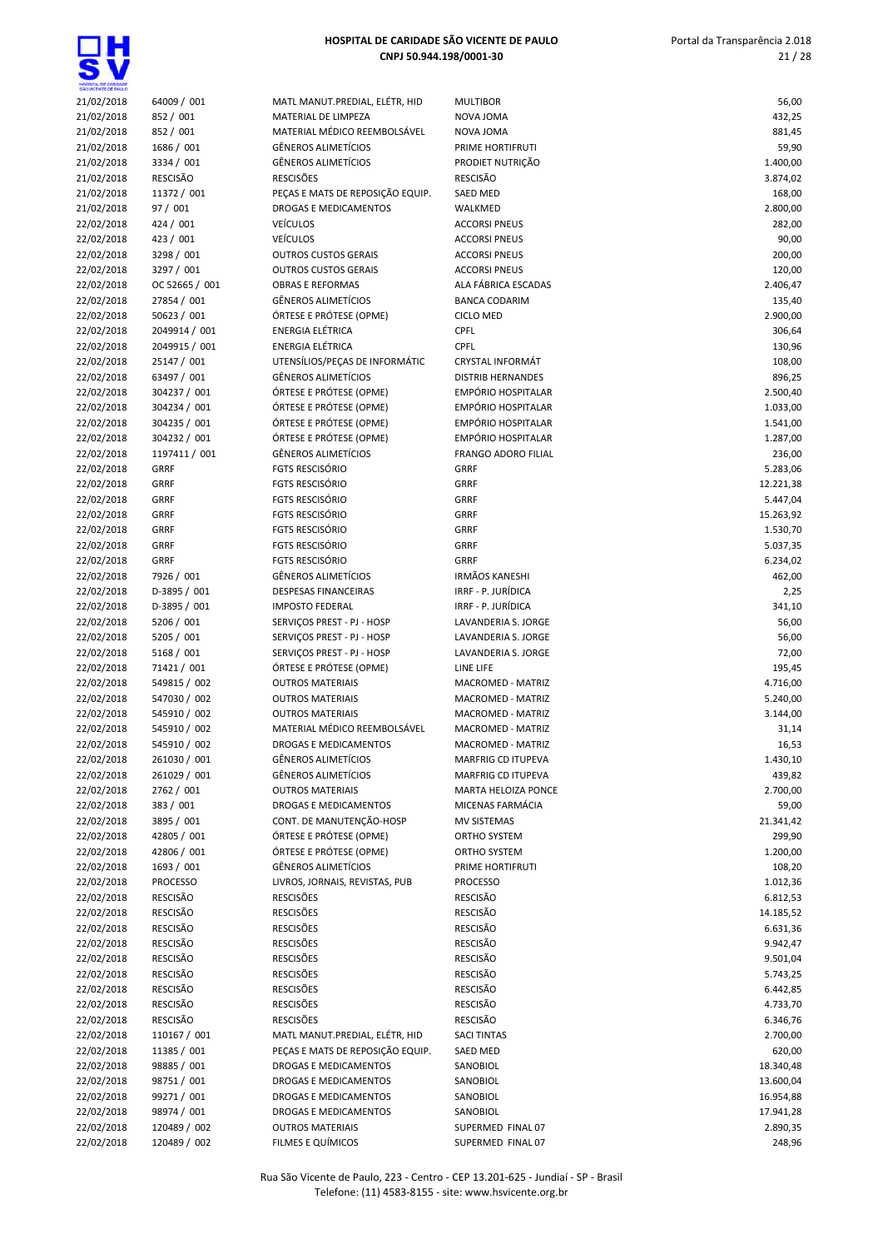| HOSPITAL DE CARDADE      |                             |                                                              |                                                       |                       |
|--------------------------|-----------------------------|--------------------------------------------------------------|-------------------------------------------------------|-----------------------|
| 21/02/2018               | 64009 / 001                 | MATL MANUT.PREDIAL, ELÉTR, HID                               | <b>MULTIBOR</b>                                       | 56,00                 |
| 21/02/2018               | 852 / 001                   | MATERIAL DE LIMPEZA                                          | NOVA JOMA                                             | 432,25                |
| 21/02/2018               | 852 / 001<br>1686 / 001     | MATERIAL MÉDICO REEMBOLSÁVEL<br><b>GÊNEROS ALIMETÍCIOS</b>   | NOVA JOMA<br>PRIME HORTIFRUTI                         | 881,45<br>59,90       |
| 21/02/2018<br>21/02/2018 | 3334 / 001                  | <b>GÊNEROS ALIMETÍCIOS</b>                                   | PRODIET NUTRIÇÃO                                      | 1.400,00              |
| 21/02/2018               | <b>RESCISÃO</b>             | <b>RESCISÕES</b>                                             | RESCISÃO                                              | 3.874,02              |
| 21/02/2018               | 11372 / 001                 | PEÇAS E MATS DE REPOSIÇÃO EQUIP.                             | <b>SAED MED</b>                                       | 168,00                |
| 21/02/2018               | 97 / 001                    | <b>DROGAS E MEDICAMENTOS</b>                                 | WALKMED                                               | 2.800,00              |
| 22/02/2018               | 424 / 001                   | <b>VEÍCULOS</b>                                              | <b>ACCORSI PNEUS</b>                                  | 282,00                |
| 22/02/2018               | 423 / 001                   | <b>VEÍCULOS</b>                                              | <b>ACCORSI PNEUS</b>                                  | 90,00                 |
| 22/02/2018               | 3298 / 001                  | <b>OUTROS CUSTOS GERAIS</b>                                  | <b>ACCORSI PNEUS</b>                                  | 200,00                |
| 22/02/2018               | 3297 / 001                  | <b>OUTROS CUSTOS GERAIS</b>                                  | <b>ACCORSI PNEUS</b>                                  | 120,00                |
| 22/02/2018               | OC 52665 / 001              | <b>OBRAS E REFORMAS</b>                                      | ALA FÁBRICA ESCADAS                                   | 2.406,47              |
| 22/02/2018               | 27854 / 001                 | <b>GÊNEROS ALIMETÍCIOS</b>                                   | <b>BANCA CODARIM</b>                                  | 135,40                |
| 22/02/2018               | 50623 / 001                 | ÓRTESE E PRÓTESE (OPME)                                      | <b>CICLO MED</b>                                      | 2.900,00              |
| 22/02/2018               | 2049914 / 001               | <b>ENERGIA ELÉTRICA</b>                                      | CPFL                                                  | 306,64                |
| 22/02/2018               | 2049915 / 001               | <b>ENERGIA ELÉTRICA</b>                                      | <b>CPFL</b>                                           | 130,96                |
| 22/02/2018               | 25147 / 001                 | UTENSÍLIOS/PEÇAS DE INFORMÁTIC<br><b>GÊNEROS ALIMETÍCIOS</b> | <b>CRYSTAL INFORMÁT</b>                               | 108,00                |
| 22/02/2018               | 63497 / 001<br>304237 / 001 | ÓRTESE E PRÓTESE (OPME)                                      | <b>DISTRIB HERNANDES</b><br><b>EMPÓRIO HOSPITALAR</b> | 896,25                |
| 22/02/2018<br>22/02/2018 | 304234 / 001                | ÓRTESE E PRÓTESE (OPME)                                      | EMPÓRIO HOSPITALAR                                    | 2.500,40<br>1.033,00  |
| 22/02/2018               | 304235 / 001                | ÓRTESE E PRÓTESE (OPME)                                      | <b>EMPÓRIO HOSPITALAR</b>                             | 1.541,00              |
| 22/02/2018               | 304232 / 001                | ÓRTESE E PRÓTESE (OPME)                                      | <b>EMPÓRIO HOSPITALAR</b>                             | 1.287,00              |
| 22/02/2018               | 1197411 / 001               | <b>GÊNEROS ALIMETÍCIOS</b>                                   | <b>FRANGO ADORO FILIAL</b>                            | 236,00                |
| 22/02/2018               | <b>GRRF</b>                 | <b>FGTS RESCISÓRIO</b>                                       | <b>GRRF</b>                                           | 5.283,06              |
| 22/02/2018               | <b>GRRF</b>                 | <b>FGTS RESCISÓRIO</b>                                       | <b>GRRF</b>                                           | 12.221,38             |
| 22/02/2018               | <b>GRRF</b>                 | <b>FGTS RESCISÓRIO</b>                                       | <b>GRRF</b>                                           | 5.447,04              |
| 22/02/2018               | <b>GRRF</b>                 | <b>FGTS RESCISÓRIO</b>                                       | <b>GRRF</b>                                           | 15.263,92             |
| 22/02/2018               | <b>GRRF</b>                 | <b>FGTS RESCISÓRIO</b>                                       | <b>GRRF</b>                                           | 1.530,70              |
| 22/02/2018               | <b>GRRF</b>                 | <b>FGTS RESCISÓRIO</b>                                       | <b>GRRF</b>                                           | 5.037,35              |
| 22/02/2018               | <b>GRRF</b>                 | <b>FGTS RESCISÓRIO</b>                                       | <b>GRRF</b>                                           | 6.234,02              |
| 22/02/2018               | 7926 / 001                  | <b>GÊNEROS ALIMETÍCIOS</b>                                   | <b>IRMÃOS KANESHI</b>                                 | 462,00                |
| 22/02/2018               | D-3895 / 001                | <b>DESPESAS FINANCEIRAS</b>                                  | IRRF - P. JURÍDICA                                    | 2,25                  |
| 22/02/2018               | D-3895 / 001                | <b>IMPOSTO FEDERAL</b>                                       | IRRF - P. JURÍDICA                                    | 341,10                |
| 22/02/2018               | 5206 / 001                  | SERVIÇOS PREST - PJ - HOSP                                   | LAVANDERIA S. JORGE                                   | 56,00                 |
| 22/02/2018               | 5205 / 001<br>5168 / 001    | SERVIÇOS PREST - PJ - HOSP<br>SERVIÇOS PREST - PJ - HOSP     | LAVANDERIA S. JORGE                                   | 56,00                 |
| 22/02/2018<br>22/02/2018 | 71421 / 001                 | ÓRTESE E PRÓTESE (OPME)                                      | LAVANDERIA S. JORGE<br>LINE LIFE                      | 72,00<br>195,45       |
| 22/02/2018               | 549815 / 002                | <b>OUTROS MATERIAIS</b>                                      | MACROMED - MATRIZ                                     | 4.716,00              |
| 22/02/2018               | 547030 / 002                | <b>OUTROS MATERIAIS</b>                                      | MACROMED - MATRIZ                                     | 5.240,00              |
| 22/02/2018               | 545910 / 002                | <b>OUTROS MATERIAIS</b>                                      | MACROMED - MATRIZ                                     | 3.144,00              |
| 22/02/2018               | 545910 / 002                | MATERIAL MÉDICO REEMBOLSÁVEL                                 | <b>MACROMED - MATRIZ</b>                              | 31,14                 |
| 22/02/2018               | 545910 / 002                | DROGAS E MEDICAMENTOS                                        | MACROMED - MATRIZ                                     | 16,53                 |
| 22/02/2018               | 261030 / 001                | GÊNEROS ALIMETÍCIOS                                          | MARFRIG CD ITUPEVA                                    | 1.430,10              |
| 22/02/2018               | 261029 / 001                | GÊNEROS ALIMETÍCIOS                                          | MARFRIG CD ITUPEVA                                    | 439,82                |
| 22/02/2018               | 2762 / 001                  | <b>OUTROS MATERIAIS</b>                                      | MARTA HELOIZA PONCE                                   | 2.700,00              |
| 22/02/2018               | 383 / 001                   | DROGAS E MEDICAMENTOS                                        | MICENAS FARMÁCIA                                      | 59,00                 |
| 22/02/2018               | 3895 / 001                  | CONT. DE MANUTENÇÃO-HOSP                                     | MV SISTEMAS                                           | 21.341,42             |
| 22/02/2018               | 42805 / 001                 | ÓRTESE E PRÓTESE (OPME)                                      | ORTHO SYSTEM                                          | 299,90                |
| 22/02/2018               | 42806 / 001                 | ÓRTESE E PRÓTESE (OPME)                                      | ORTHO SYSTEM                                          | 1.200,00              |
| 22/02/2018               | 1693 / 001                  | <b>GÊNEROS ALIMETÍCIOS</b>                                   | PRIME HORTIFRUTI                                      | 108,20                |
| 22/02/2018               | <b>PROCESSO</b>             | LIVROS, JORNAIS, REVISTAS, PUB                               | <b>PROCESSO</b>                                       | 1.012,36              |
| 22/02/2018               | RESCISÃO<br><b>RESCISÃO</b> | <b>RESCISÕES</b><br><b>RESCISÕES</b>                         | <b>RESCISÃO</b><br><b>RESCISÃO</b>                    | 6.812,53              |
| 22/02/2018<br>22/02/2018 | <b>RESCISÃO</b>             | <b>RESCISÕES</b>                                             | <b>RESCISÃO</b>                                       | 14.185,52<br>6.631,36 |
| 22/02/2018               | RESCISÃO                    | <b>RESCISÕES</b>                                             | <b>RESCISÃO</b>                                       | 9.942,47              |
| 22/02/2018               | <b>RESCISÃO</b>             | <b>RESCISÕES</b>                                             | RESCISÃO                                              | 9.501,04              |
| 22/02/2018               | <b>RESCISÃO</b>             | <b>RESCISÕES</b>                                             | RESCISÃO                                              | 5.743,25              |
| 22/02/2018               | RESCISÃO                    | <b>RESCISÕES</b>                                             | <b>RESCISÃO</b>                                       | 6.442,85              |
| 22/02/2018               | <b>RESCISÃO</b>             | <b>RESCISÕES</b>                                             | RESCISÃO                                              | 4.733,70              |
| 22/02/2018               | RESCISÃO                    | <b>RESCISÕES</b>                                             | RESCISÃO                                              | 6.346,76              |
| 22/02/2018               | 110167 / 001                | MATL MANUT.PREDIAL, ELÉTR, HID                               | <b>SACI TINTAS</b>                                    | 2.700,00              |
| 22/02/2018               | 11385 / 001                 | PEÇAS E MATS DE REPOSIÇÃO EQUIP.                             | SAED MED                                              | 620,00                |
| 22/02/2018               | 98885 / 001                 | DROGAS E MEDICAMENTOS                                        | SANOBIOL                                              | 18.340,48             |
| 22/02/2018               | 98751 / 001                 | DROGAS E MEDICAMENTOS                                        | SANOBIOL                                              | 13.600,04             |
| 22/02/2018               | 99271 / 001                 | DROGAS E MEDICAMENTOS                                        | SANOBIOL                                              | 16.954,88             |
| 22/02/2018               | 98974 / 001                 | DROGAS E MEDICAMENTOS                                        | SANOBIOL                                              | 17.941,28             |
| 22/02/2018               | 120489 / 002                | <b>OUTROS MATERIAIS</b>                                      | SUPERMED FINAL 07                                     | 2.890,35              |
| 22/02/2018               | 120489 / 002                | FILMES E QUÍMICOS                                            | SUPERMED FINAL 07                                     | 248,96                |

| 56,00     |
|-----------|
| 432,25    |
| 881,45    |
| 59,90     |
| 1.400,00  |
| 3.874,02  |
|           |
| 168,00    |
| 2.800,00  |
| 282,00    |
| 90,00     |
| 200,00    |
| 120,00    |
|           |
| 2.406,47  |
| 135,40    |
| 2.900,00  |
| 306,64    |
| 130,96    |
| 108,00    |
|           |
| 896,25    |
| 2.500,40  |
| 1.033,00  |
| 1.541,00  |
| 1.287,00  |
|           |
| 236,00    |
| 5.283,06  |
| 12.221,38 |
| 5.447,04  |
| 15.263,92 |
| 1.530,70  |
|           |
| 5.037,35  |
| 6.234,02  |
| 462,00    |
| 2,25      |
| 341,10    |
| 56,00     |
|           |
| 56,00     |
| 72,00     |
| 195,45    |
| 4.716,00  |
| 5.240,00  |
| 3.144,00  |
|           |
| 31,14     |
| 16,53     |
| 1.430,10  |
| 439,82    |
| 2.700,00  |
| 59,00     |
|           |
| 21.341,42 |
| 299,90    |
| 1.200,00  |
| 108,20    |
| 1.012,36  |
| 6.812,53  |
|           |
| 14.185,52 |
| 6.631,36  |
| 9.942,47  |
| 9.501,04  |
| 5.743,25  |
|           |
| 6.442,85  |
| 4.733,70  |
| 6.346,76  |
| 2.700,00  |
| 620,00    |
| 18.340,48 |
|           |
| 13.600,04 |
| 16.954,88 |
| 17.941,28 |
| 2.890,35  |
|           |
| 248,96    |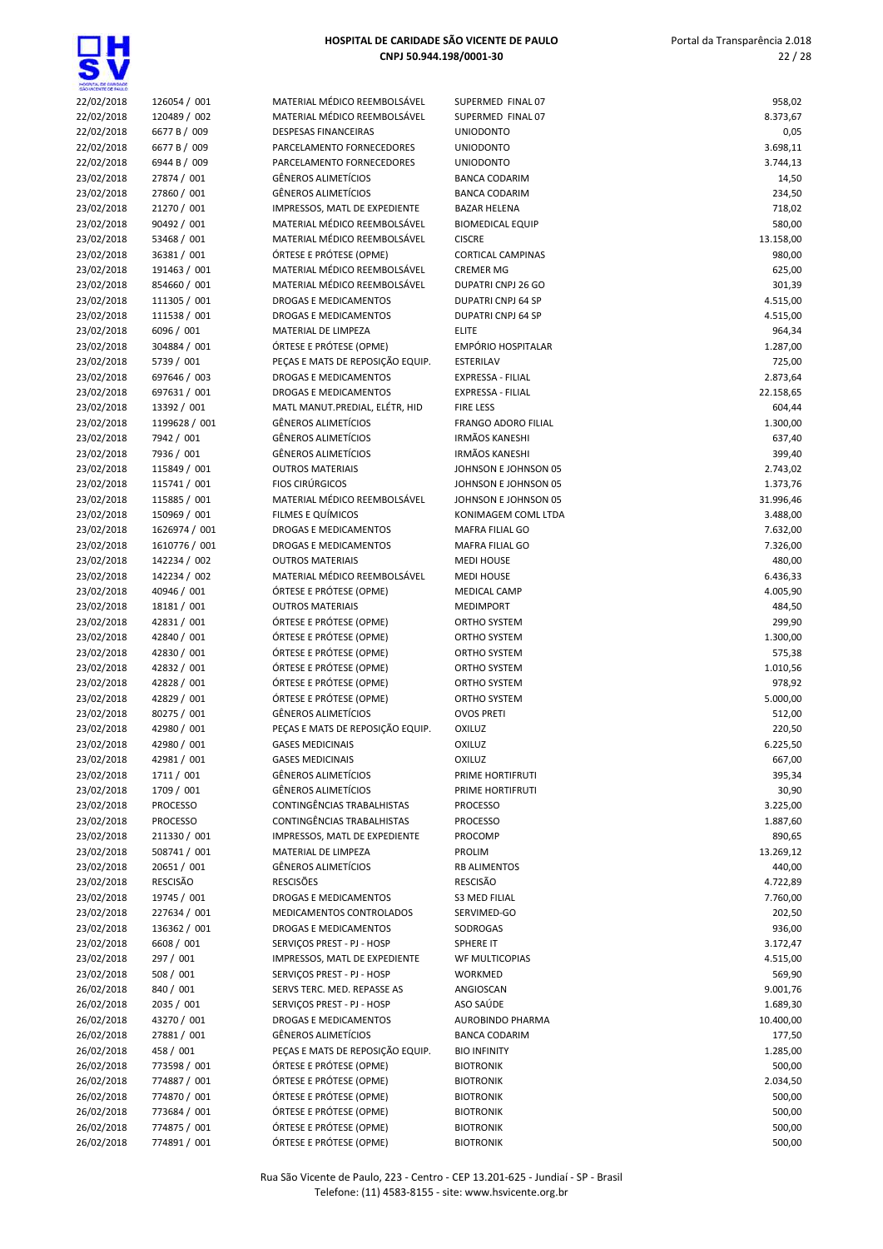| LOE CANDADE |              |
|-------------|--------------|
| 22/02/2018  | 12605        |
| 22/02/2018  | 12048        |
| 22/02/2018  | 6677 E       |
| 22/02/2018  | 6677 E       |
| 22/02/2018  | 6944 E       |
| 23/02/2018  | 27874        |
| 23/02/2018  | 27860        |
| 23/02/2018  | 21270        |
| 23/02/2018  | 90492        |
| 23/02/2018  | 53468        |
| 23/02/2018  | 36381        |
| 23/02/2018  | 19146        |
| 23/02/2018  | 85466        |
| 23/02/2018  | 11130        |
| 23/02/2018  | 11153        |
| 23/02/2018  | 6096/        |
| 23/02/2018  | 30488        |
| 23/02/2018  | 5739 /       |
| 23/02/2018  | 69764        |
| 23/02/2018  | 69763        |
| 23/02/2018  | 13392        |
| 23/02/2018  | 11996        |
| 23/02/2018  | 7942/        |
| 23/02/2018  | 7936 /       |
| 23/02/2018  | 11584        |
| 23/02/2018  | 11574        |
| 23/02/2018  | 11588        |
| 23/02/2018  | 15096        |
| 23/02/2018  | 16269        |
| 23/02/2018  | 16107        |
| 23/02/2018  | 14223        |
| 23/02/2018  | 14223        |
| 23/02/2018  | 40946        |
| 23/02/2018  | 18181        |
| 23/02/2018  | 42831        |
| 23/02/2018  | 42840        |
| 23/02/2018  | 42830        |
| 23/02/2018  | 42832        |
| 23/02/2018  | 42828        |
| 23/02/2018  | 42829        |
| 23/02/2018  | 80275        |
| 23/02/2018  | 42980        |
| 23/02/2018  | 42980        |
| 23/02/2018  | 42981        |
| 23/02/2018  | 1711/        |
| 23/02/2018  | 1709 /       |
| 23/02/2018  | PROCE        |
| 23/02/2018  | <b>PROCE</b> |
| 23/02/2018  | 21133        |

 $\sim$ 

| SHO VICENTE DE PAUL D |                 |                                  |                            |           |
|-----------------------|-----------------|----------------------------------|----------------------------|-----------|
| 22/02/2018            | 126054 / 001    | MATERIAL MÉDICO REEMBOLSÁVEL     | SUPERMED FINAL 07          | 958,02    |
| 22/02/2018            | 120489 / 002    | MATERIAL MÉDICO REEMBOLSÁVEL     | SUPERMED FINAL 07          | 8.373,67  |
| 22/02/2018            | 6677 B / 009    | <b>DESPESAS FINANCEIRAS</b>      | <b>UNIODONTO</b>           | 0,05      |
| 22/02/2018            | 6677 B / 009    | PARCELAMENTO FORNECEDORES        | <b>UNIODONTO</b>           | 3.698,11  |
| 22/02/2018            | 6944 B / 009    | PARCELAMENTO FORNECEDORES        | <b>UNIODONTO</b>           | 3.744,13  |
| 23/02/2018            | 27874 / 001     | <b>GÊNEROS ALIMETÍCIOS</b>       | <b>BANCA CODARIM</b>       | 14,50     |
| 23/02/2018            | 27860 / 001     | <b>GÊNEROS ALIMETÍCIOS</b>       | <b>BANCA CODARIM</b>       | 234,50    |
| 23/02/2018            | 21270 / 001     | IMPRESSOS, MATL DE EXPEDIENTE    | <b>BAZAR HELENA</b>        | 718,02    |
| 23/02/2018            | 90492 / 001     | MATERIAL MÉDICO REEMBOLSÁVEL     | <b>BIOMEDICAL EQUIP</b>    | 580,00    |
| 23/02/2018            | 53468 / 001     | MATERIAL MÉDICO REEMBOLSÁVEL     | <b>CISCRE</b>              | 13.158,00 |
| 23/02/2018            | 36381 / 001     | ÓRTESE E PRÓTESE (OPME)          | <b>CORTICAL CAMPINAS</b>   | 980,00    |
| 23/02/2018            | 191463 / 001    | MATERIAL MÉDICO REEMBOLSÁVEL     | <b>CREMER MG</b>           | 625,00    |
| 23/02/2018            | 854660 / 001    | MATERIAL MÉDICO REEMBOLSÁVEL     | DUPATRI CNPJ 26 GO         | 301,39    |
| 23/02/2018            | 111305 / 001    | DROGAS E MEDICAMENTOS            | DUPATRI CNPJ 64 SP         | 4.515,00  |
| 23/02/2018            | 111538 / 001    | DROGAS E MEDICAMENTOS            | DUPATRI CNPJ 64 SP         | 4.515,00  |
| 23/02/2018            | 6096 / 001      | MATERIAL DE LIMPEZA              | <b>ELITE</b>               | 964,34    |
| 23/02/2018            | 304884 / 001    | ÓRTESE E PRÓTESE (OPME)          | EMPÓRIO HOSPITALAR         | 1.287,00  |
| 23/02/2018            | 5739 / 001      | PEÇAS E MATS DE REPOSIÇÃO EQUIP. | <b>ESTERILAV</b>           | 725,00    |
| 23/02/2018            | 697646 / 003    | <b>DROGAS E MEDICAMENTOS</b>     | EXPRESSA - FILIAL          | 2.873,64  |
| 23/02/2018            | 697631 / 001    | DROGAS E MEDICAMENTOS            | EXPRESSA - FILIAL          | 22.158,65 |
| 23/02/2018            | 13392 / 001     | MATL MANUT.PREDIAL, ELÉTR, HID   | <b>FIRE LESS</b>           | 604,44    |
| 23/02/2018            | 1199628 / 001   | <b>GÊNEROS ALIMETÍCIOS</b>       | <b>FRANGO ADORO FILIAL</b> | 1.300,00  |
| 23/02/2018            | 7942 / 001      | <b>GÊNEROS ALIMETÍCIOS</b>       | <b>IRMÃOS KANESHI</b>      | 637,40    |
| 23/02/2018            | 7936 / 001      | <b>GÊNEROS ALIMETÍCIOS</b>       | <b>IRMÃOS KANESHI</b>      | 399,40    |
| 23/02/2018            | 115849 / 001    | <b>OUTROS MATERIAIS</b>          | JOHNSON E JOHNSON 05       | 2.743,02  |
| 23/02/2018            | 115741 / 001    | <b>FIOS CIRÚRGICOS</b>           | JOHNSON E JOHNSON 05       | 1.373,76  |
| 23/02/2018            | 115885 / 001    | MATERIAL MÉDICO REEMBOLSÁVEL     | JOHNSON E JOHNSON 05       | 31.996,46 |
| 23/02/2018            | 150969 / 001    | FILMES E QUÍMICOS                | KONIMAGEM COML LTDA        | 3.488,00  |
| 23/02/2018            | 1626974 / 001   | DROGAS E MEDICAMENTOS            | MAFRA FILIAL GO            | 7.632,00  |
| 23/02/2018            | 1610776 / 001   | DROGAS E MEDICAMENTOS            | MAFRA FILIAL GO            | 7.326,00  |
| 23/02/2018            | 142234 / 002    | <b>OUTROS MATERIAIS</b>          | <b>MEDI HOUSE</b>          | 480,00    |
| 23/02/2018            | 142234 / 002    | MATERIAL MÉDICO REEMBOLSÁVEL     | <b>MEDI HOUSE</b>          | 6.436,33  |
| 23/02/2018            | 40946 / 001     | ÓRTESE E PRÓTESE (OPME)          | MEDICAL CAMP               | 4.005,90  |
| 23/02/2018            | 18181 / 001     | <b>OUTROS MATERIAIS</b>          | <b>MEDIMPORT</b>           | 484,50    |
| 23/02/2018            | 42831 / 001     | ÓRTESE E PRÓTESE (OPME)          | ORTHO SYSTEM               | 299,90    |
| 23/02/2018            | 42840 / 001     | ÓRTESE E PRÓTESE (OPME)          | ORTHO SYSTEM               | 1.300,00  |
| 23/02/2018            | 42830 / 001     | ÓRTESE E PRÓTESE (OPME)          | ORTHO SYSTEM               | 575,38    |
| 23/02/2018            | 42832 / 001     | ÓRTESE E PRÓTESE (OPME)          | ORTHO SYSTEM               | 1.010,56  |
| 23/02/2018            | 42828 / 001     | ÓRTESE E PRÓTESE (OPME)          | ORTHO SYSTEM               | 978,92    |
| 23/02/2018            | 42829 / 001     | ÓRTESE E PRÓTESE (OPME)          | ORTHO SYSTEM               | 5.000,00  |
| 23/02/2018            | 80275 / 001     | <b>GÊNEROS ALIMETÍCIOS</b>       | <b>OVOS PRETI</b>          | 512,00    |
| 23/02/2018            | 42980 / 001     | PEÇAS E MATS DE REPOSIÇÃO EQUIP. | <b>OXILUZ</b>              | 220,50    |
| 23/02/2018            | 42980 / 001     | <b>GASES MEDICINAIS</b>          | <b>OXILUZ</b>              | 6.225,50  |
| 23/02/2018            | 42981 / 001     | <b>GASES MEDICINAIS</b>          | <b>OXILUZ</b>              | 667,00    |
| 23/02/2018            | 1711 / 001      | <b>GÊNEROS ALIMETÍCIOS</b>       | PRIME HORTIFRUTI           | 395,34    |
| 23/02/2018            | 1709 / 001      | <b>GÊNEROS ALIMETÍCIOS</b>       | PRIME HORTIFRUTI           | 30,90     |
| 23/02/2018            | <b>PROCESSO</b> | CONTINGÊNCIAS TRABALHISTAS       | <b>PROCESSO</b>            | 3.225,00  |
| 23/02/2018            | <b>PROCESSO</b> | CONTINGÊNCIAS TRABALHISTAS       | <b>PROCESSO</b>            | 1.887,60  |
| 23/02/2018            | 211330 / 001    | IMPRESSOS, MATL DE EXPEDIENTE    | PROCOMP                    | 890,65    |
| 23/02/2018            | 508741 / 001    | MATERIAL DE LIMPEZA              | PROLIM                     | 13.269,12 |
| 23/02/2018            | 20651 / 001     | <b>GËNEROS ALIMETÍCIOS</b>       | <b>RB ALIMENTOS</b>        | 440,00    |
| 23/02/2018            | <b>RESCISÃO</b> | <b>RESCISÕES</b>                 | <b>RESCISÃO</b>            | 4.722,89  |
| 23/02/2018            | 19745 / 001     | DROGAS E MEDICAMENTOS            | S3 MED FILIAL              | 7.760,00  |
| 23/02/2018            | 227634 / 001    | MEDICAMENTOS CONTROLADOS         | SERVIMED-GO                | 202,50    |
| 23/02/2018            | 136362 / 001    | DROGAS E MEDICAMENTOS            | SODROGAS                   | 936,00    |
| 23/02/2018            | 6608 / 001      | SERVICOS PREST - PJ - HOSP       | SPHERE IT                  | 3.172,47  |
| 23/02/2018            | 297 / 001       | IMPRESSOS, MATL DE EXPEDIENTE    | WF MULTICOPIAS             | 4.515,00  |
| 23/02/2018            | 508 / 001       | SERVIÇOS PREST - PJ - HOSP       | WORKMED                    | 569,90    |
| 26/02/2018            | 840 / 001       | SERVS TERC. MED. REPASSE AS      | ANGIOSCAN                  | 9.001,76  |
| 26/02/2018            | 2035 / 001      | SERVIÇOS PREST - PJ - HOSP       | ASO SAÚDE                  | 1.689,30  |
| 26/02/2018            | 43270 / 001     | DROGAS E MEDICAMENTOS            | AUROBINDO PHARMA           | 10.400,00 |
| 26/02/2018            | 27881 / 001     | <b>GÊNEROS ALIMETÍCIOS</b>       | <b>BANCA CODARIM</b>       | 177,50    |
| 26/02/2018            | 458 / 001       | PEÇAS E MATS DE REPOSIÇÃO EQUIP. | <b>BIO INFINITY</b>        | 1.285,00  |
| 26/02/2018            | 773598 / 001    | ÓRTESE E PRÓTESE (OPME)          | <b>BIOTRONIK</b>           | 500,00    |
| 26/02/2018            | 774887 / 001    | ÓRTESE E PRÓTESE (OPME)          | <b>BIOTRONIK</b>           | 2.034,50  |
| 26/02/2018            | 774870 / 001    | ÓRTESE E PRÓTESE (OPME)          | <b>BIOTRONIK</b>           | 500,00    |
| 26/02/2018            | 773684 / 001    | ÓRTESE E PRÓTESE (OPME)          | <b>BIOTRONIK</b>           | 500,00    |
| 26/02/2018            | 774875 / 001    | ÓRTESE E PRÓTESE (OPME)          | <b>BIOTRONIK</b>           | 500,00    |
| 26/02/2018            | 774891 / 001    | ÓRTESE E PRÓTESE (OPME)          | <b>BIOTRONIK</b>           | 500,00    |
|                       |                 |                                  |                            |           |

| <b>GRO WORNTE OF PAIL D</b> |                 |                                  |                            |           |
|-----------------------------|-----------------|----------------------------------|----------------------------|-----------|
| 22/02/2018                  | 126054 / 001    | MATERIAL MÉDICO REEMBOLSÁVEL     | SUPERMED FINAL 07          | 958,02    |
| 22/02/2018                  | 120489 / 002    | MATERIAL MÉDICO REEMBOLSÁVEL     | SUPERMED FINAL 07          | 8.373,67  |
| 22/02/2018                  | 6677 B / 009    | <b>DESPESAS FINANCEIRAS</b>      | <b>UNIODONTO</b>           | 0,05      |
| 22/02/2018                  | 6677 B / 009    | PARCELAMENTO FORNECEDORES        | <b>UNIODONTO</b>           | 3.698,11  |
| 22/02/2018                  | 6944 B / 009    | PARCELAMENTO FORNECEDORES        | <b>UNIODONTO</b>           | 3.744,13  |
| 23/02/2018                  | 27874 / 001     | <b>GÊNEROS ALIMETÍCIOS</b>       | <b>BANCA CODARIM</b>       | 14,50     |
| 23/02/2018                  | 27860 / 001     | <b>GÊNEROS ALIMETÍCIOS</b>       | <b>BANCA CODARIM</b>       | 234,50    |
| 23/02/2018                  | 21270 / 001     | IMPRESSOS, MATL DE EXPEDIENTE    | <b>BAZAR HELENA</b>        | 718,02    |
| 23/02/2018                  | 90492 / 001     | MATERIAL MÉDICO REEMBOLSÁVEL     | <b>BIOMEDICAL EQUIP</b>    | 580,00    |
| 23/02/2018                  | 53468 / 001     | MATERIAL MÉDICO REEMBOLSÁVEL     | <b>CISCRE</b>              | 13.158,00 |
| 23/02/2018                  | 36381 / 001     | ÓRTESE E PRÓTESE (OPME)          | <b>CORTICAL CAMPINAS</b>   | 980,00    |
| 23/02/2018                  | 191463 / 001    | MATERIAL MÉDICO REEMBOLSÁVEL     | <b>CREMER MG</b>           | 625,00    |
| 23/02/2018                  | 854660 / 001    | MATERIAL MÉDICO REEMBOLSÁVEL     | DUPATRI CNPJ 26 GO         | 301,39    |
| 23/02/2018                  | 111305 / 001    | DROGAS E MEDICAMENTOS            | <b>DUPATRI CNPJ 64 SP</b>  | 4.515,00  |
| 23/02/2018                  | 111538 / 001    | DROGAS E MEDICAMENTOS            | DUPATRI CNPJ 64 SP         | 4.515,00  |
| 23/02/2018                  | 6096 / 001      | MATERIAL DE LIMPEZA              | <b>ELITE</b>               | 964,34    |
| 23/02/2018                  | 304884 / 001    | ÓRTESE E PRÓTESE (OPME)          | EMPÓRIO HOSPITALAR         | 1.287,00  |
| 23/02/2018                  | 5739 / 001      | PEÇAS E MATS DE REPOSIÇÃO EQUIP. | ESTERILAV                  | 725,00    |
| 23/02/2018                  | 697646 / 003    | DROGAS E MEDICAMENTOS            | EXPRESSA - FILIAL          | 2.873,64  |
| 23/02/2018                  | 697631 / 001    | DROGAS E MEDICAMENTOS            | EXPRESSA - FILIAL          | 22.158,65 |
| 23/02/2018                  | 13392 / 001     | MATL MANUT.PREDIAL, ELÉTR, HID   | <b>FIRE LESS</b>           | 604,44    |
| 23/02/2018                  | 1199628 / 001   | <b>GÊNEROS ALIMETÍCIOS</b>       | <b>FRANGO ADORO FILIAL</b> | 1.300,00  |
| 23/02/2018                  | 7942 / 001      | <b>GÊNEROS ALIMETÍCIOS</b>       | <b>IRMÃOS KANESHI</b>      | 637,40    |
| 23/02/2018                  | 7936 / 001      | <b>GÊNEROS ALIMETÍCIOS</b>       | <b>IRMÃOS KANESHI</b>      | 399,40    |
| 23/02/2018                  | 115849 / 001    | <b>OUTROS MATERIAIS</b>          | JOHNSON E JOHNSON 05       | 2.743,02  |
| 23/02/2018                  | 115741 / 001    | <b>FIOS CIRÚRGICOS</b>           | JOHNSON E JOHNSON 05       | 1.373,76  |
| 23/02/2018                  | 115885 / 001    | MATERIAL MÉDICO REEMBOLSÁVEL     | JOHNSON E JOHNSON 05       | 31.996,46 |
| 23/02/2018                  | 150969 / 001    | FILMES E QUÍMICOS                | KONIMAGEM COML LTDA        | 3.488,00  |
| 23/02/2018                  | 1626974 / 001   | DROGAS E MEDICAMENTOS            | MAFRA FILIAL GO            | 7.632,00  |
| 23/02/2018                  | 1610776 / 001   | DROGAS E MEDICAMENTOS            | MAFRA FILIAL GO            | 7.326,00  |
| 23/02/2018                  | 142234 / 002    | <b>OUTROS MATERIAIS</b>          | <b>MEDI HOUSE</b>          | 480,00    |
| 23/02/2018                  | 142234 / 002    | MATERIAL MÉDICO REEMBOLSÁVEL     | <b>MEDI HOUSE</b>          | 6.436,33  |
| 23/02/2018                  | 40946 / 001     | ÓRTESE E PRÓTESE (OPME)          | <b>MEDICAL CAMP</b>        | 4.005,90  |
| 23/02/2018                  | 18181 / 001     | <b>OUTROS MATERIAIS</b>          | <b>MEDIMPORT</b>           | 484,50    |
| 23/02/2018                  | 42831 / 001     | ÓRTESE E PRÓTESE (OPME)          | ORTHO SYSTEM               | 299,90    |
| 23/02/2018                  | 42840 / 001     | ÓRTESE E PRÓTESE (OPME)          | ORTHO SYSTEM               | 1.300,00  |
| 23/02/2018                  | 42830 / 001     | ÓRTESE E PRÓTESE (OPME)          | ORTHO SYSTEM               | 575,38    |
| 23/02/2018                  | 42832 / 001     | ÓRTESE E PRÓTESE (OPME)          | ORTHO SYSTEM               | 1.010,56  |
| 23/02/2018                  | 42828 / 001     | ÓRTESE E PRÓTESE (OPME)          | ORTHO SYSTEM               | 978,92    |
| 23/02/2018                  | 42829 / 001     | ÓRTESE E PRÓTESE (OPME)          | ORTHO SYSTEM               | 5.000,00  |
| 23/02/2018                  | 80275 / 001     | <b>GÊNEROS ALIMETÍCIOS</b>       | <b>OVOS PRETI</b>          | 512,00    |
| 23/02/2018                  | 42980 / 001     | PEÇAS E MATS DE REPOSIÇÃO EQUIP. | <b>OXILUZ</b>              | 220,50    |
| 23/02/2018                  | 42980 / 001     | <b>GASES MEDICINAIS</b>          | <b>OXILUZ</b>              | 6.225,50  |
| 23/02/2018                  | 42981 / 001     | <b>GASES MEDICINAIS</b>          | <b>OXILUZ</b>              | 667,00    |
| 23/02/2018                  | 1711 / 001      | <b>GÊNEROS ALIMETÍCIOS</b>       | PRIME HORTIFRUTI           | 395,34    |
| 23/02/2018                  | 1709 / 001      | <b>GÊNEROS ALIMETÍCIOS</b>       | PRIME HORTIFRUTI           | 30,90     |
| 23/02/2018                  | <b>PROCESSO</b> | CONTINGÊNCIAS TRABALHISTAS       | <b>PROCESSO</b>            | 3.225,00  |
| 23/02/2018                  | <b>PROCESSO</b> | CONTINGÊNCIAS TRABALHISTAS       | <b>PROCESSO</b>            | 1.887,60  |
| 23/02/2018                  | 211330 / 001    | IMPRESSOS, MATL DE EXPEDIENTE    | <b>PROCOMP</b>             | 890,65    |
| 23/02/2018                  | 508741 / 001    | MATERIAL DE LIMPEZA              | PROLIM                     | 13.269,12 |
| 23/02/2018                  | 20651 / 001     | <b>GÊNEROS ALIMETÍCIOS</b>       | <b>RB ALIMENTOS</b>        | 440,00    |
| 23/02/2018                  | <b>RESCISÃO</b> | <b>RESCISÕES</b>                 | RESCISÃO                   | 4.722,89  |
| 23/02/2018                  | 19745 / 001     | DROGAS E MEDICAMENTOS            | <b>S3 MED FILIAL</b>       | 7.760,00  |
| 23/02/2018                  | 227634 / 001    | MEDICAMENTOS CONTROLADOS         | SERVIMED-GO                | 202,50    |
| 23/02/2018                  | 136362 / 001    | DROGAS E MEDICAMENTOS            | SODROGAS                   | 936,00    |
| 23/02/2018                  | 6608 / 001      | SERVICOS PREST - PJ - HOSP       | SPHERE IT                  | 3.172,47  |
| 23/02/2018                  | 297 / 001       | IMPRESSOS, MATL DE EXPEDIENTE    | WF MULTICOPIAS             | 4.515,00  |
| 23/02/2018                  | 508 / 001       | SERVIÇOS PREST - PJ - HOSP       | WORKMED                    | 569,90    |
| 26/02/2018                  | 840 / 001       | SERVS TERC. MED. REPASSE AS      | ANGIOSCAN                  | 9.001,76  |
| 26/02/2018                  | 2035 / 001      | SERVIÇOS PREST - PJ - HOSP       | ASO SAÚDE                  | 1.689,30  |
| 26/02/2018                  | 43270 / 001     | DROGAS E MEDICAMENTOS            | AUROBINDO PHARMA           | 10.400,00 |
| 26/02/2018                  | 27881 / 001     | <b>GËNEROS ALIMETÍCIOS</b>       | <b>BANCA CODARIM</b>       | 177,50    |
| 26/02/2018                  | 458 / 001       | PEÇAS E MATS DE REPOSIÇÃO EQUIP. | <b>BIO INFINITY</b>        | 1.285,00  |
| 26/02/2018                  | 773598 / 001    | ÓRTESE E PRÓTESE (OPME)          | <b>BIOTRONIK</b>           | 500,00    |
| 26/02/2018                  | 774887 / 001    | ÓRTESE E PRÓTESE (OPME)          | <b>BIOTRONIK</b>           | 2.034,50  |
| 26/02/2018                  | 774870 / 001    | ÓRTESE E PRÓTESE (OPME)          | <b>BIOTRONIK</b>           | 500,00    |
| 26/02/2018                  | 773684 / 001    | ÓRTESE E PRÓTESE (OPME)          | <b>BIOTRONIK</b>           | 500,00    |
| 26/02/2018                  | 774875 / 001    | ÓRTESE E PRÓTESE (OPME)          | <b>BIOTRONIK</b>           | 500,00    |
|                             |                 |                                  |                            |           |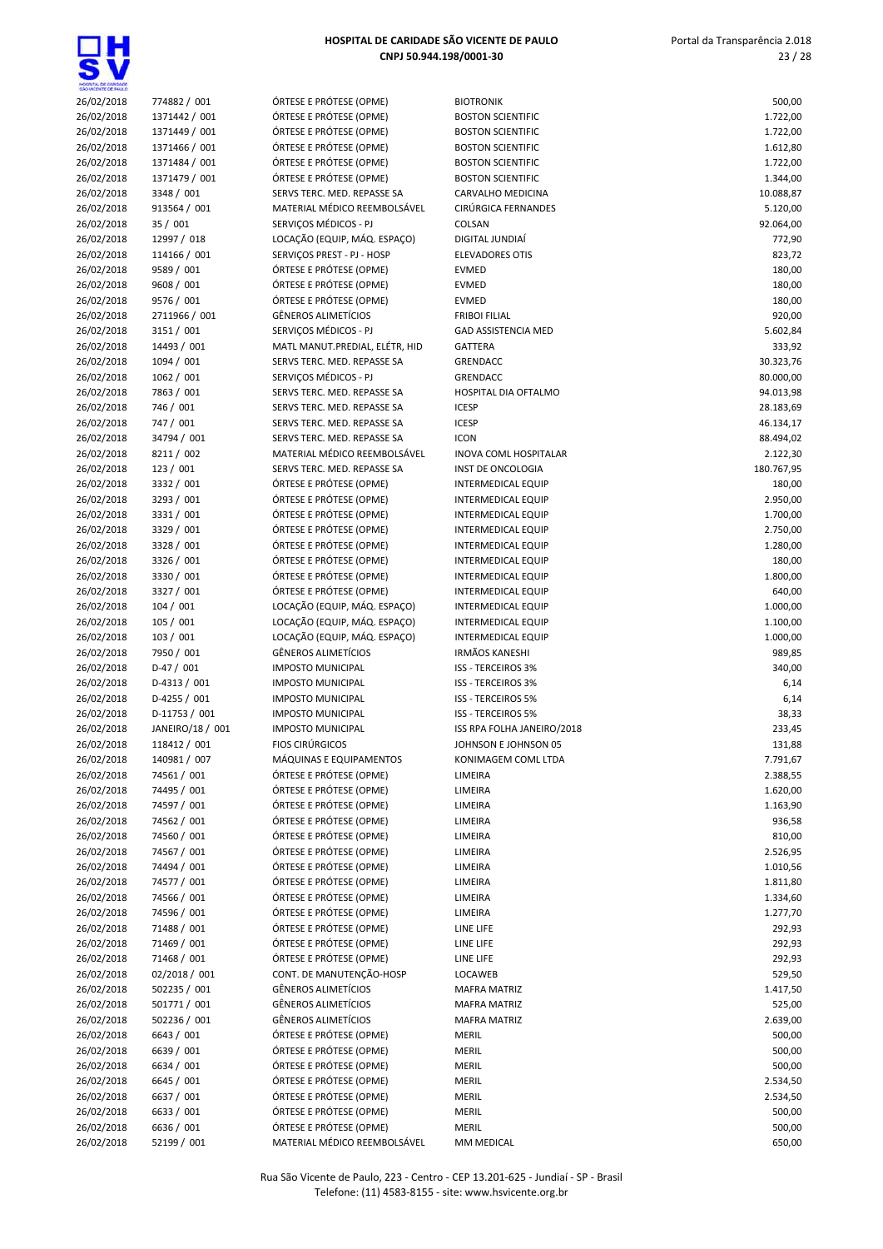| HOSPITAL DE CARDADE      |                                |                                                       |                                                        |                      |
|--------------------------|--------------------------------|-------------------------------------------------------|--------------------------------------------------------|----------------------|
| 26/02/2018               | 774882 / 001                   | ÓRTESE E PRÓTESE (OPME)                               | <b>BIOTRONIK</b>                                       | 500,00               |
| 26/02/2018               | 1371442 / 001                  | ÓRTESE E PRÓTESE (OPME)                               | <b>BOSTON SCIENTIFIC</b>                               | 1.722,00             |
| 26/02/2018<br>26/02/2018 | 1371449 / 001<br>1371466 / 001 | ÓRTESE E PRÓTESE (OPME)<br>ÓRTESE E PRÓTESE (OPME)    | <b>BOSTON SCIENTIFIC</b><br><b>BOSTON SCIENTIFIC</b>   | 1.722,00<br>1.612,80 |
| 26/02/2018               | 1371484 / 001                  | ÓRTESE E PRÓTESE (OPME)                               | <b>BOSTON SCIENTIFIC</b>                               | 1.722,00             |
| 26/02/2018               | 1371479 / 001                  | ÓRTESE E PRÓTESE (OPME)                               | <b>BOSTON SCIENTIFIC</b>                               | 1.344,00             |
| 26/02/2018               | 3348 / 001                     | SERVS TERC. MED. REPASSE SA                           | CARVALHO MEDICINA                                      | 10.088,87            |
| 26/02/2018               | 913564 / 001                   | MATERIAL MÉDICO REEMBOLSÁVEL                          | CIRÚRGICA FERNANDES                                    | 5.120,00             |
| 26/02/2018               | 35 / 001                       | SERVIÇOS MÉDICOS - PJ                                 | COLSAN                                                 | 92.064,00            |
| 26/02/2018               | 12997 / 018                    | LOCAÇÃO (EQUIP, MÁQ. ESPAÇO)                          | DIGITAL JUNDIAÍ                                        | 772,90               |
| 26/02/2018               | 114166 / 001                   | SERVIÇOS PREST - PJ - HOSP                            | <b>ELEVADORES OTIS</b>                                 | 823,72               |
| 26/02/2018               | 9589 / 001                     | ÓRTESE E PRÓTESE (OPME)                               | <b>EVMED</b>                                           | 180,00               |
| 26/02/2018               | 9608 / 001                     | ÓRTESE E PRÓTESE (OPME)                               | <b>EVMED</b>                                           | 180,00               |
| 26/02/2018<br>26/02/2018 | 9576 / 001<br>2711966 / 001    | ÓRTESE E PRÓTESE (OPME)<br><b>GÊNEROS ALIMETÍCIOS</b> | <b>EVMED</b><br><b>FRIBOI FILIAL</b>                   | 180,00<br>920,00     |
| 26/02/2018               | 3151 / 001                     | SERVIÇOS MÉDICOS - PJ                                 | <b>GAD ASSISTENCIA MED</b>                             | 5.602,84             |
| 26/02/2018               | 14493 / 001                    | MATL MANUT.PREDIAL, ELÉTR, HID                        | GATTERA                                                | 333,92               |
| 26/02/2018               | 1094 / 001                     | SERVS TERC. MED. REPASSE SA                           | <b>GRENDACC</b>                                        | 30.323,76            |
| 26/02/2018               | 1062 / 001                     | SERVIÇOS MÉDICOS - PJ                                 | <b>GRENDACC</b>                                        | 80.000,00            |
| 26/02/2018               | 7863 / 001                     | SERVS TERC. MED. REPASSE SA                           | HOSPITAL DIA OFTALMO                                   | 94.013,98            |
| 26/02/2018               | 746 / 001                      | SERVS TERC. MED. REPASSE SA                           | <b>ICESP</b>                                           | 28.183,69            |
| 26/02/2018               | 747 / 001                      | SERVS TERC. MED. REPASSE SA                           | <b>ICESP</b>                                           | 46.134,17            |
| 26/02/2018               | 34794 / 001                    | SERVS TERC. MED. REPASSE SA                           | <b>ICON</b>                                            | 88.494,02            |
| 26/02/2018               | 8211 / 002                     | MATERIAL MÉDICO REEMBOLSÁVEL                          | <b>INOVA COML HOSPITALAR</b>                           | 2.122,30             |
| 26/02/2018               | 123 / 001                      | SERVS TERC. MED. REPASSE SA                           | INST DE ONCOLOGIA                                      | 180.767,95           |
| 26/02/2018               | 3332 / 001                     | ÓRTESE E PRÓTESE (OPME)                               | <b>INTERMEDICAL EQUIP</b>                              | 180,00               |
| 26/02/2018               | 3293 / 001<br>3331 / 001       | ÓRTESE E PRÓTESE (OPME)<br>ÓRTESE E PRÓTESE (OPME)    | INTERMEDICAL EQUIP<br>INTERMEDICAL EQUIP               | 2.950,00             |
| 26/02/2018<br>26/02/2018 | 3329 / 001                     | ÓRTESE E PRÓTESE (OPME)                               | <b>INTERMEDICAL EQUIP</b>                              | 1.700,00<br>2.750,00 |
| 26/02/2018               | 3328 / 001                     | ÓRTESE E PRÓTESE (OPME)                               | INTERMEDICAL EQUIP                                     | 1.280,00             |
| 26/02/2018               | 3326 / 001                     | ÓRTESE E PRÓTESE (OPME)                               | INTERMEDICAL EQUIP                                     | 180,00               |
| 26/02/2018               | 3330 / 001                     | ÓRTESE E PRÓTESE (OPME)                               | INTERMEDICAL EQUIP                                     | 1.800,00             |
| 26/02/2018               | 3327 / 001                     | ÓRTESE E PRÓTESE (OPME)                               | <b>INTERMEDICAL EQUIP</b>                              | 640,00               |
| 26/02/2018               | 104/001                        | LOCAÇÃO (EQUIP, MÁQ. ESPAÇO)                          | INTERMEDICAL EQUIP                                     | 1.000,00             |
| 26/02/2018               | 105 / 001                      | LOCAÇÃO (EQUIP, MÁQ. ESPAÇO)                          | INTERMEDICAL EQUIP                                     | 1.100,00             |
| 26/02/2018               | 103 / 001                      | LOCAÇÃO (EQUIP, MÁQ. ESPAÇO)                          | <b>INTERMEDICAL EQUIP</b>                              | 1.000,00             |
| 26/02/2018               | 7950 / 001                     | <b>GÊNEROS ALIMETÍCIOS</b>                            | <b>IRMÃOS KANESHI</b>                                  | 989,85               |
| 26/02/2018               | $D-47/001$                     | <b>IMPOSTO MUNICIPAL</b>                              | ISS - TERCEIROS 3%                                     | 340,00               |
| 26/02/2018               | $D-4313 / 001$                 | <b>IMPOSTO MUNICIPAL</b>                              | <b>ISS - TERCEIROS 3%</b>                              | 6,14                 |
| 26/02/2018<br>26/02/2018 | D-4255 / 001<br>D-11753 / 001  | <b>IMPOSTO MUNICIPAL</b><br><b>IMPOSTO MUNICIPAL</b>  | <b>ISS - TERCEIROS 5%</b><br><b>ISS - TERCEIROS 5%</b> | 6,14                 |
| 26/02/2018               | JANEIRO/18 / 001               | <b>IMPOSTO MUNICIPAL</b>                              | ISS RPA FOLHA JANEIRO/2018                             | 38,33<br>233,45      |
| 26/02/2018               | 118412 / 001                   | <b>FIOS CIRÚRGICOS</b>                                | JOHNSON E JOHNSON 05                                   | 131,88               |
| 26/02/2018               | 140981 / 007                   | MÁQUINAS E EQUIPAMENTOS                               | KONIMAGEM COML LTDA                                    | 7.791,67             |
| 26/02/2018               | 74561 / 001                    | ÓRTESE E PRÓTESE (OPME)                               | LIMEIRA                                                | 2.388,55             |
| 26/02/2018               | 74495 / 001                    | ÓRTESE E PRÓTESE (OPME)                               | LIMEIRA                                                | 1.620,00             |
| 26/02/2018               | 74597 / 001                    | ÓRTESE E PRÓTESE (OPME)                               | LIMEIRA                                                | 1.163,90             |
| 26/02/2018               | 74562 / 001                    | ÓRTESE E PRÓTESE (OPME)                               | LIMEIRA                                                | 936,58               |
| 26/02/2018               | 74560 / 001                    | ÓRTESE E PRÓTESE (OPME)                               | LIMEIRA                                                | 810,00               |
| 26/02/2018               | 74567 / 001                    | ÓRTESE E PRÓTESE (OPME)                               | LIMEIRA                                                | 2.526,95             |
| 26/02/2018               | 74494 / 001                    | ÓRTESE E PRÓTESE (OPME)                               | LIMEIRA                                                | 1.010,56             |
| 26/02/2018               | 74577 / 001                    | ÓRTESE E PRÓTESE (OPME)                               | LIMEIRA                                                | 1.811,80             |
| 26/02/2018               | 74566 / 001<br>74596 / 001     | ÓRTESE E PRÓTESE (OPME)<br>ÓRTESE E PRÓTESE (OPME)    | LIMEIRA                                                | 1.334,60             |
| 26/02/2018<br>26/02/2018 | 71488 / 001                    | ÓRTESE E PRÓTESE (OPME)                               | LIMEIRA<br>LINE LIFE                                   | 1.277,70<br>292,93   |
| 26/02/2018               | 71469 / 001                    | ÓRTESE E PRÓTESE (OPME)                               | LINE LIFE                                              | 292,93               |
| 26/02/2018               | 71468 / 001                    | ÓRTESE E PRÓTESE (OPME)                               | LINE LIFE                                              | 292,93               |
| 26/02/2018               | 02/2018 / 001                  | CONT. DE MANUTENÇÃO-HOSP                              | LOCAWEB                                                | 529,50               |
| 26/02/2018               | 502235 / 001                   | GÊNEROS ALIMETÍCIOS                                   | <b>MAFRA MATRIZ</b>                                    | 1.417,50             |
| 26/02/2018               | 501771 / 001                   | GÊNEROS ALIMETÍCIOS                                   | <b>MAFRA MATRIZ</b>                                    | 525,00               |
| 26/02/2018               | 502236 / 001                   | GÊNEROS ALIMETÍCIOS                                   | <b>MAFRA MATRIZ</b>                                    | 2.639,00             |
| 26/02/2018               | 6643 / 001                     | ÓRTESE E PRÓTESE (OPME)                               | <b>MERIL</b>                                           | 500,00               |
| 26/02/2018               | 6639 / 001                     | ÓRTESE E PRÓTESE (OPME)                               | <b>MERIL</b>                                           | 500,00               |
| 26/02/2018               | 6634 / 001                     | ÓRTESE E PRÓTESE (OPME)                               | MERIL                                                  | 500,00               |
| 26/02/2018               | 6645 / 001                     | ÓRTESE E PRÓTESE (OPME)                               | MERIL                                                  | 2.534,50             |
| 26/02/2018               | 6637 / 001                     | ÓRTESE E PRÓTESE (OPME)                               | MERIL                                                  | 2.534,50             |
| 26/02/2018<br>26/02/2018 | 6633 / 001<br>6636 / 001       | ÓRTESE E PRÓTESE (OPME)<br>ÓRTESE E PRÓTESE (OPME)    | MERIL<br>MERIL                                         | 500,00<br>500,00     |
| 26/02/2018               | 52199 / 001                    | MATERIAL MÉDICO REEMBOLSÁVEL                          | MM MEDICAL                                             | 650,00               |
|                          |                                |                                                       |                                                        |                      |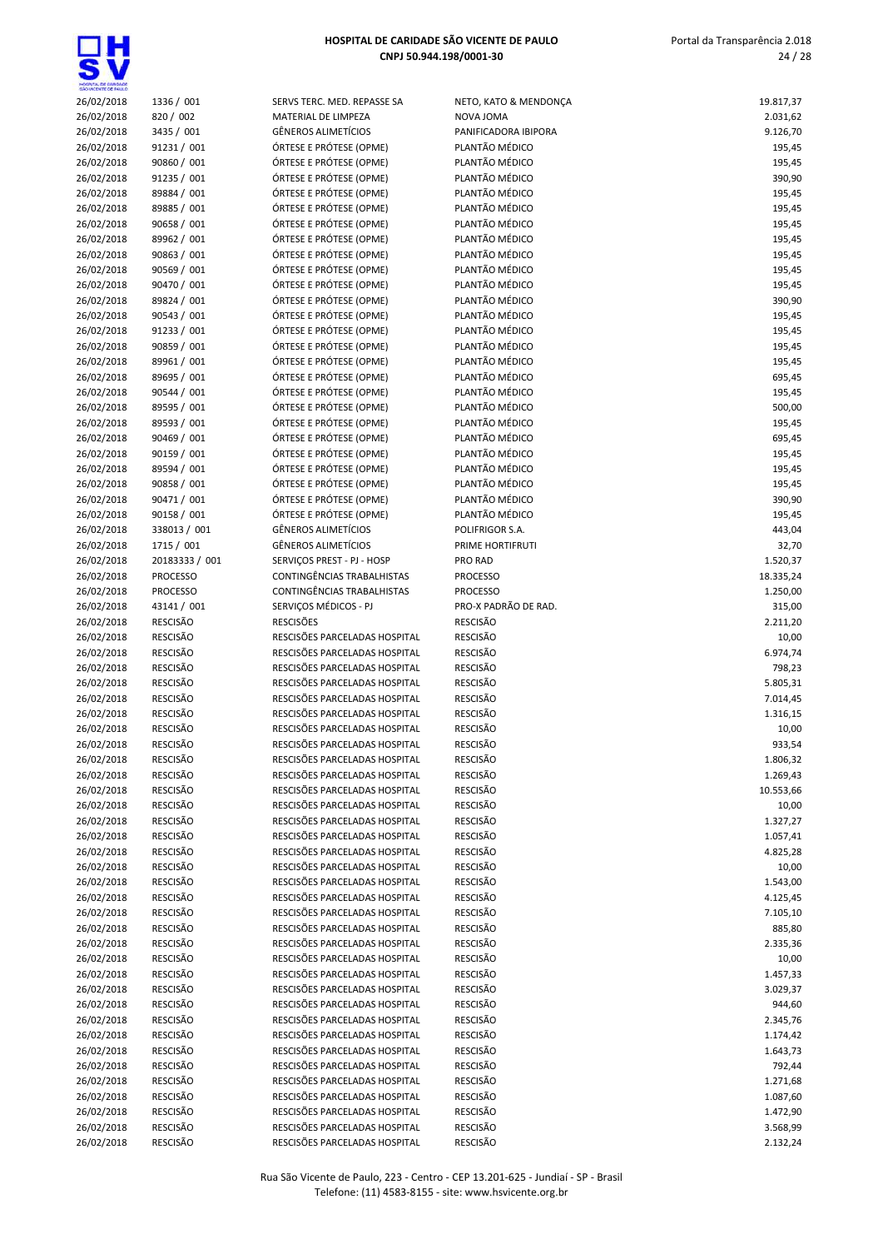

| <b>ECES</b> |                                  |
|-------------|----------------------------------|
| 26/02/2018  | 1336 / 001                       |
| 26/02/2018  | 820 / 002                        |
|             |                                  |
| 26/02/2018  | 3435 / 001                       |
| 26/02/2018  | 91231 / 001                      |
| 26/02/2018  | 90860 / 001                      |
| 26/02/2018  | 91235 / 001                      |
| 26/02/2018  | 89884 / 001                      |
|             |                                  |
| 26/02/2018  | 89885 / 001                      |
| 26/02/2018  | 90658 / 001                      |
| 26/02/2018  | 89962 / 001                      |
| 26/02/2018  | 90863 / 001                      |
|             | 90569 / 001                      |
| 26/02/2018  |                                  |
| 26/02/2018  | 90470 / 001                      |
| 26/02/2018  | 89824 / 001                      |
| 26/02/2018  | 90543 / 001                      |
| 26/02/2018  | 91233 / 001                      |
|             |                                  |
| 26/02/2018  | 90859 / 001                      |
| 26/02/2018  | 89961 / 001                      |
| 26/02/2018  | 89695 / 001                      |
| 26/02/2018  | 90544 / 001                      |
| 26/02/2018  | 89595 / 001                      |
|             |                                  |
| 26/02/2018  | 89593 / 001                      |
| 26/02/2018  | 90469 / 001                      |
| 26/02/2018  | 90159 / 001                      |
| 26/02/2018  | 89594 / 001                      |
| 26/02/2018  | 90858 / 001                      |
|             |                                  |
| 26/02/2018  | 90471 / 001                      |
| 26/02/2018  | 90158 / 001                      |
| 26/02/2018  | 338013 / 001                     |
| 26/02/2018  | 1715 / 001                       |
| 26/02/2018  | 20183333 / 001                   |
|             |                                  |
| 26/02/2018  | PROCESSO                         |
| 26/02/2018  | <b>PROCESSO</b>                  |
| 26/02/2018  | 43141 / 001                      |
| 26/02/2018  | RESCISÃO                         |
| 26/02/2018  | RESCISÃO                         |
|             |                                  |
| 26/02/2018  | RESCISÃO                         |
| 26/02/2018  | RESCISÃO                         |
| 26/02/2018  | RESCISÃO                         |
| 26/02/2018  | RESCISÃO                         |
| 26/02/2018  | RESCISÃO                         |
|             |                                  |
| 26/02/2018  | RESCISÃO                         |
| 26/02/2018  | RESCISÃO                         |
| 26/02/2018  | RESCISÃO                         |
| 26/02/2018  | RESCISÃO                         |
| 26/02/2018  | <b>RESCISÃO</b>                  |
|             |                                  |
| 26/02/2018  | RESCISÃO                         |
| 26/02/2018  | RESCISÃO                         |
| 26/02/2018  | RESCISÃO                         |
| 26/02/2018  | <b>RESCISÃO</b>                  |
| 26/02/2018  | RESCISÃO                         |
|             |                                  |
| 26/02/2018  | RESCISÃO                         |
| 26/02/2018  | RESCISÃO                         |
| 26/02/2018  | RESCISÃO                         |
| 26/02/2018  | <b>RESCISÃO</b>                  |
| 26/02/2018  | RESCISÃO                         |
|             |                                  |
| 26/02/2018  | RESCISÃO                         |
| 26/02/2018  | RESCISÃO                         |
| 26/02/2018  | <b>RESCISÃO</b>                  |
| 26/02/2018  | RESCISÃO                         |
| 26/02/2018  | RESCISÃO                         |
|             |                                  |
| 26/02/2018  | RESCISÃO                         |
| 26/02/2018  | RESCISÃO                         |
| 26/02/2018  | RESCISÃO                         |
| 26/02/2018  | <b>RESCISÃO</b>                  |
| 26/02/2018  | RESCISÃO                         |
|             |                                  |
| 26/02/2018  | <b>RESCISÃO</b>                  |
| 26/02/2018  | RESCISÃO                         |
| $\sqrt{22}$ | $n$ rc $c$ ic $\tilde{a}$ $\cap$ |

| <b>INVU ILING. IVILD. INLFAUJL C</b>                                                                                       |
|----------------------------------------------------------------------------------------------------------------------------|
| ATERIAL DE LIMPEZA                                                                                                         |
| NEROS ALIMETÍCIOS                                                                                                          |
| RTESE E PRÓTESE (OPME)                                                                                                     |
|                                                                                                                            |
| RTESE E PRÓTESE (OPME)                                                                                                     |
| RTESE E PRÓTESE (OPME)                                                                                                     |
| RTESE E PRÓTESE (OPME)                                                                                                     |
| RTESE E PRÓTESE (OPME)                                                                                                     |
| RTESE E PRÓTESE (OPME)                                                                                                     |
| RTESE E PRÓTESE (OPME)                                                                                                     |
|                                                                                                                            |
| RTESE E PRÓTESE (OPME)                                                                                                     |
| RTESE E PRÓTESE (OPME)                                                                                                     |
| RTESE E PRÓTESE (OPME)                                                                                                     |
| RTESE E PRÓTESE (OPME)                                                                                                     |
| RTESE E PRÓTESE (OPME)                                                                                                     |
|                                                                                                                            |
| RTESE E PRÓTESE (OPME)                                                                                                     |
| RTESE E PRÓTESE (OPME)                                                                                                     |
| RTESE E PRÓTESE (OPME)                                                                                                     |
| RTESE E PRÓTESE (OPME)                                                                                                     |
| RTESE E PRÓTESE (OPME)                                                                                                     |
| RTESE E PRÓTESE (OPME)                                                                                                     |
|                                                                                                                            |
| RTESE E PRÓTESE (OPME)                                                                                                     |
| RTESE E PRÓTESE (OPME)                                                                                                     |
| RTESE E PRÓTESE (OPME)                                                                                                     |
| RTESE E PRÓTESE (OPME)                                                                                                     |
| RTESE E PRÓTESE (OPME)                                                                                                     |
|                                                                                                                            |
| RTESE E PRÓTESE (OPME)                                                                                                     |
| RTESE E PRÓTESE (OPME)                                                                                                     |
| NEROS ALIMETÍCIOS                                                                                                          |
| NEROS ALIMETÍCIOS                                                                                                          |
| RVIÇOS PREST - PJ - HOSP                                                                                                   |
|                                                                                                                            |
| )NTINGÊNCIAS TRABALHISTAS                                                                                                  |
| )NTINGÊNCIAS TRABALHISTAS                                                                                                  |
| RVIÇOS MÉDICOS - PJ                                                                                                        |
|                                                                                                                            |
|                                                                                                                            |
|                                                                                                                            |
| :SCISÕES<br>SCISÕES PARCELADAS HOSPITAL                                                                                    |
|                                                                                                                            |
|                                                                                                                            |
|                                                                                                                            |
| SCISÕES PARCELADAS HOSPITAL:<br>SCISÕES PARCELADAS HOSPITAL:<br>SCISÕES PARCELADAS HOSPITAL<br>SCISÕES PARCELADAS HOSPITAL |
|                                                                                                                            |
| SCISÕES PARCELADAS HOSPITAL                                                                                                |
| SCISÕES PARCELADAS HOSPITAL                                                                                                |
| SCISÕES PARCELADAS HOSPITAL:                                                                                               |
|                                                                                                                            |
| SCISÕES PARCELADAS HOSPITAL<br>SCISÕES PARCELADAS HOSPITAL                                                                 |
|                                                                                                                            |
| SCISÕES PARCELADAS HOSPITAL:                                                                                               |
|                                                                                                                            |
|                                                                                                                            |
| SCISÕES PARCELADAS HOSPITAL<br>SCISÕES PARCELADAS HOSPITAL:<br>SCISÕES PARCELADAS HOSPITAL:                                |
| SCISÕES PARCELADAS HOSPITAL:                                                                                               |
|                                                                                                                            |
| SCISÕES PARCELADAS HOSPITAL                                                                                                |
| SCISÕES PARCELADAS HOSPITAL:                                                                                               |
| SCISÕES PARCELADAS HOSPITAL:                                                                                               |
| SCISÕES PARCELADAS HOSPITAL                                                                                                |
| SCISÕES PARCELADAS HOSPITAL:                                                                                               |
| SCISÕES PARCELADAS HOSPITAL:                                                                                               |
|                                                                                                                            |
| SCISÕES PARCELADAS HOSPITAL:                                                                                               |
| SCISÕES PARCELADAS HOSPITAL:                                                                                               |
| SCISÕES PARCELADAS HOSPITAL                                                                                                |
| SCISÕES PARCELADAS HOSPITAL:                                                                                               |
|                                                                                                                            |
| SCISÕES PARCELADAS HOSPITAL:                                                                                               |
|                                                                                                                            |
| SCISÕES PARCELADAS HOSPITAL:<br>SCISÕES PARCELADAS HOSPITAL:                                                               |
| SCISÕES PARCELADAS HOSPITAL:                                                                                               |
| SCISÕES PARCELADAS HOSPITAL                                                                                                |
| SCISÕES PARCELADAS HOSPITAL:                                                                                               |

| MOSPITAL DE GARDADE<br>SÃO VICENTE DE FAILLO |                                    |                                                                |                                        |                       |
|----------------------------------------------|------------------------------------|----------------------------------------------------------------|----------------------------------------|-----------------------|
| 26/02/2018                                   | 1336 / 001                         | SERVS TERC. MED. REPASSE SA                                    | NETO, KATO & MENDONÇA                  | 19.817,37             |
| 26/02/2018                                   | 820 / 002                          | MATERIAL DE LIMPEZA<br><b>GÊNEROS ALIMETÍCIOS</b>              | NOVA JOMA                              | 2.031,62              |
| 26/02/2018<br>26/02/2018                     | 3435 / 001<br>91231 / 001          | ÓRTESE E PRÓTESE (OPME)                                        | PANIFICADORA IBIPORA<br>PLANTÃO MÉDICO | 9.126,70<br>195,45    |
| 26/02/2018                                   | 90860 / 001                        | ÓRTESE E PRÓTESE (OPME)                                        | PLANTÃO MÉDICO                         | 195,45                |
| 26/02/2018                                   | 91235 / 001                        | ÓRTESE E PRÓTESE (OPME)                                        | PLANTÃO MÉDICO                         | 390,90                |
| 26/02/2018                                   | 89884 / 001                        | ÓRTESE E PRÓTESE (OPME)                                        | PLANTÃO MÉDICO                         | 195,45                |
| 26/02/2018                                   | 89885 / 001                        | ÓRTESE E PRÓTESE (OPME)                                        | PLANTÃO MÉDICO                         | 195,45                |
| 26/02/2018                                   | 90658 / 001                        | ÓRTESE E PRÓTESE (OPME)                                        | PLANTÃO MÉDICO                         | 195,45                |
| 26/02/2018                                   | 89962 / 001                        | ÓRTESE E PRÓTESE (OPME)                                        | PLANTÃO MÉDICO                         | 195,45                |
| 26/02/2018                                   | 90863 / 001                        | ÓRTESE E PRÓTESE (OPME)                                        | PLANTÃO MÉDICO                         | 195,45                |
| 26/02/2018                                   | 90569 / 001                        | ÓRTESE E PRÓTESE (OPME)                                        | PLANTÃO MÉDICO                         | 195,45                |
| 26/02/2018                                   | 90470 / 001                        | ÓRTESE E PRÓTESE (OPME)                                        | PLANTÃO MÉDICO                         | 195,45                |
| 26/02/2018                                   | 89824 / 001                        | ÓRTESE E PRÓTESE (OPME)                                        | PLANTÃO MÉDICO                         | 390,90                |
| 26/02/2018                                   | 90543 / 001                        | ÓRTESE E PRÓTESE (OPME)                                        | PLANTÃO MÉDICO                         | 195,45                |
| 26/02/2018<br>26/02/2018                     | 91233 / 001<br>90859 / 001         | ÓRTESE E PRÓTESE (OPME)<br>ÓRTESE E PRÓTESE (OPME)             | PLANTÃO MÉDICO<br>PLANTÃO MÉDICO       | 195,45<br>195,45      |
| 26/02/2018                                   | 89961 / 001                        | ÓRTESE E PRÓTESE (OPME)                                        | PLANTÃO MÉDICO                         | 195,45                |
| 26/02/2018                                   | 89695 / 001                        | ÓRTESE E PRÓTESE (OPME)                                        | PLANTÃO MÉDICO                         | 695,45                |
| 26/02/2018                                   | 90544 / 001                        | ÓRTESE E PRÓTESE (OPME)                                        | PLANTÃO MÉDICO                         | 195,45                |
| 26/02/2018                                   | 89595 / 001                        | ÓRTESE E PRÓTESE (OPME)                                        | PLANTÃO MÉDICO                         | 500,00                |
| 26/02/2018                                   | 89593 / 001                        | ÓRTESE E PRÓTESE (OPME)                                        | PLANTÃO MÉDICO                         | 195,45                |
| 26/02/2018                                   | 90469 / 001                        | ÓRTESE E PRÓTESE (OPME)                                        | PLANTÃO MÉDICO                         | 695,45                |
| 26/02/2018                                   | 90159 / 001                        | ÓRTESE E PRÓTESE (OPME)                                        | PLANTÃO MÉDICO                         | 195,45                |
| 26/02/2018                                   | 89594 / 001                        | ÓRTESE E PRÓTESE (OPME)                                        | PLANTÃO MÉDICO                         | 195,45                |
| 26/02/2018                                   | 90858 / 001                        | ÓRTESE E PRÓTESE (OPME)                                        | PLANTÃO MÉDICO                         | 195,45                |
| 26/02/2018                                   | 90471 / 001                        | ÓRTESE E PRÓTESE (OPME)                                        | PLANTÃO MÉDICO                         | 390,90                |
| 26/02/2018                                   | 90158 / 001                        | ÓRTESE E PRÓTESE (OPME)                                        | PLANTÃO MÉDICO                         | 195,45                |
| 26/02/2018                                   | 338013 / 001                       | GÊNEROS ALIMETÍCIOS                                            | POLIFRIGOR S.A.                        | 443,04                |
| 26/02/2018                                   | 1715 / 001<br>20183333 / 001       | <b>GÊNEROS ALIMETÍCIOS</b><br>SERVIÇOS PREST - PJ - HOSP       | PRIME HORTIFRUTI<br>PRO RAD            | 32,70                 |
| 26/02/2018<br>26/02/2018                     | <b>PROCESSO</b>                    | CONTINGÊNCIAS TRABALHISTAS                                     | <b>PROCESSO</b>                        | 1.520,37<br>18.335,24 |
| 26/02/2018                                   | <b>PROCESSO</b>                    | CONTINGÊNCIAS TRABALHISTAS                                     | <b>PROCESSO</b>                        | 1.250,00              |
| 26/02/2018                                   | 43141 / 001                        | SERVIÇOS MÉDICOS - PJ                                          | PRO-X PADRÃO DE RAD.                   | 315,00                |
| 26/02/2018                                   | <b>RESCISÃO</b>                    | <b>RESCISÕES</b>                                               | <b>RESCISÃO</b>                        | 2.211,20              |
| 26/02/2018                                   | RESCISÃO                           | RESCISÕES PARCELADAS HOSPITAL                                  | RESCISÃO                               | 10,00                 |
| 26/02/2018                                   | RESCISÃO                           | RESCISÕES PARCELADAS HOSPITAL                                  | <b>RESCISÃO</b>                        | 6.974,74              |
| 26/02/2018                                   | <b>RESCISÃO</b>                    | RESCISÕES PARCELADAS HOSPITAL                                  | <b>RESCISÃO</b>                        | 798,23                |
| 26/02/2018                                   | <b>RESCISÃO</b>                    | RESCISÕES PARCELADAS HOSPITAL                                  | RESCISÃO                               | 5.805,31              |
| 26/02/2018                                   | <b>RESCISÃO</b>                    | RESCISÕES PARCELADAS HOSPITAL                                  | RESCISÃO                               | 7.014,45              |
| 26/02/2018                                   | <b>RESCISÃO</b>                    | RESCISÕES PARCELADAS HOSPITAL                                  | <b>RESCISÃO</b>                        | 1.316,15              |
| 26/02/2018                                   | <b>RESCISÃO</b>                    | RESCISÕES PARCELADAS HOSPITAL                                  | <b>RESCISÃO</b>                        | 10,00                 |
| 26/02/2018                                   | RESCISÃO<br><b>RESCISÃO</b>        | RESCISÕES PARCELADAS HOSPITAL<br>RESCISÕES PARCELADAS HOSPITAL | RESCISÃO<br><b>RESCISÃO</b>            | 933,54<br>1.806,32    |
| 26/02/2018<br>26/02/2018                     | RESCISÃO                           | RESCISÕES PARCELADAS HOSPITAL                                  | <b>RESCISÃO</b>                        | 1.269,43              |
| 26/02/2018                                   | RESCISÃO                           | RESCISÕES PARCELADAS HOSPITAL                                  | RESCISÃO                               | 10.553,66             |
| 26/02/2018                                   | <b>RESCISÃO</b>                    | RESCISÕES PARCELADAS HOSPITAL                                  | RESCISÃO                               | 10,00                 |
| 26/02/2018                                   | RESCISÃO                           | RESCISÕES PARCELADAS HOSPITAL                                  | <b>RESCISÃO</b>                        | 1.327,27              |
| 26/02/2018                                   | <b>RESCISÃO</b>                    | RESCISÕES PARCELADAS HOSPITAL                                  | RESCISÃO                               | 1.057,41              |
| 26/02/2018                                   | <b>RESCISÃO</b>                    | RESCISÕES PARCELADAS HOSPITAL                                  | <b>RESCISÃO</b>                        | 4.825,28              |
| 26/02/2018                                   | <b>RESCISÃO</b>                    | RESCISÕES PARCELADAS HOSPITAL                                  | RESCISÃO                               | 10,00                 |
| 26/02/2018                                   | RESCISÃO                           | RESCISÕES PARCELADAS HOSPITAL                                  | RESCISÃO                               | 1.543,00              |
| 26/02/2018                                   | <b>RESCISÃO</b>                    | RESCISÕES PARCELADAS HOSPITAL                                  | RESCISÃO                               | 4.125,45              |
| 26/02/2018                                   | <b>RESCISÃO</b>                    | RESCISÕES PARCELADAS HOSPITAL                                  | <b>RESCISÃO</b>                        | 7.105,10              |
| 26/02/2018                                   | <b>RESCISÃO</b><br><b>RESCISÃO</b> | RESCISÕES PARCELADAS HOSPITAL<br>RESCISÕES PARCELADAS HOSPITAL | RESCISÃO<br><b>RESCISÃO</b>            | 885,80                |
| 26/02/2018<br>26/02/2018                     | <b>RESCISÃO</b>                    | RESCISÕES PARCELADAS HOSPITAL                                  | RESCISÃO                               | 2.335,36<br>10,00     |
| 26/02/2018                                   | <b>RESCISÃO</b>                    | RESCISÕES PARCELADAS HOSPITAL                                  | RESCISÃO                               | 1.457,33              |
| 26/02/2018                                   | RESCISÃO                           | RESCISÕES PARCELADAS HOSPITAL                                  | RESCISÃO                               | 3.029,37              |
| 26/02/2018                                   | RESCISÃO                           | RESCISÕES PARCELADAS HOSPITAL                                  | RESCISÃO                               | 944,60                |
| 26/02/2018                                   | RESCISÃO                           | RESCISÕES PARCELADAS HOSPITAL                                  | RESCISÃO                               | 2.345,76              |
| 26/02/2018                                   | RESCISÃO                           | RESCISÕES PARCELADAS HOSPITAL                                  | RESCISÃO                               | 1.174,42              |
| 26/02/2018                                   | RESCISÃO                           | RESCISÕES PARCELADAS HOSPITAL                                  | RESCISÃO                               | 1.643,73              |
| 26/02/2018                                   | RESCISÃO                           | RESCISÕES PARCELADAS HOSPITAL                                  | RESCISÃO                               | 792,44                |
| 26/02/2018                                   | <b>RESCISÃO</b>                    | RESCISÕES PARCELADAS HOSPITAL                                  | RESCISÃO                               | 1.271,68              |
| 26/02/2018                                   | RESCISÃO                           | RESCISÕES PARCELADAS HOSPITAL                                  | RESCISÃO                               | 1.087,60              |
| 26/02/2018                                   | <b>RESCISÃO</b>                    | RESCISÕES PARCELADAS HOSPITAL                                  | RESCISÃO                               | 1.472,90              |
| 26/02/2018                                   | RESCISÃO<br><b>RESCISÃO</b>        | RESCISÕES PARCELADAS HOSPITAL<br>RESCISÕES PARCELADAS HOSPITAL | RESCISÃO<br><b>RESCISÃO</b>            | 3.568,99              |
| 26/02/2018                                   |                                    |                                                                |                                        | 2.132,24              |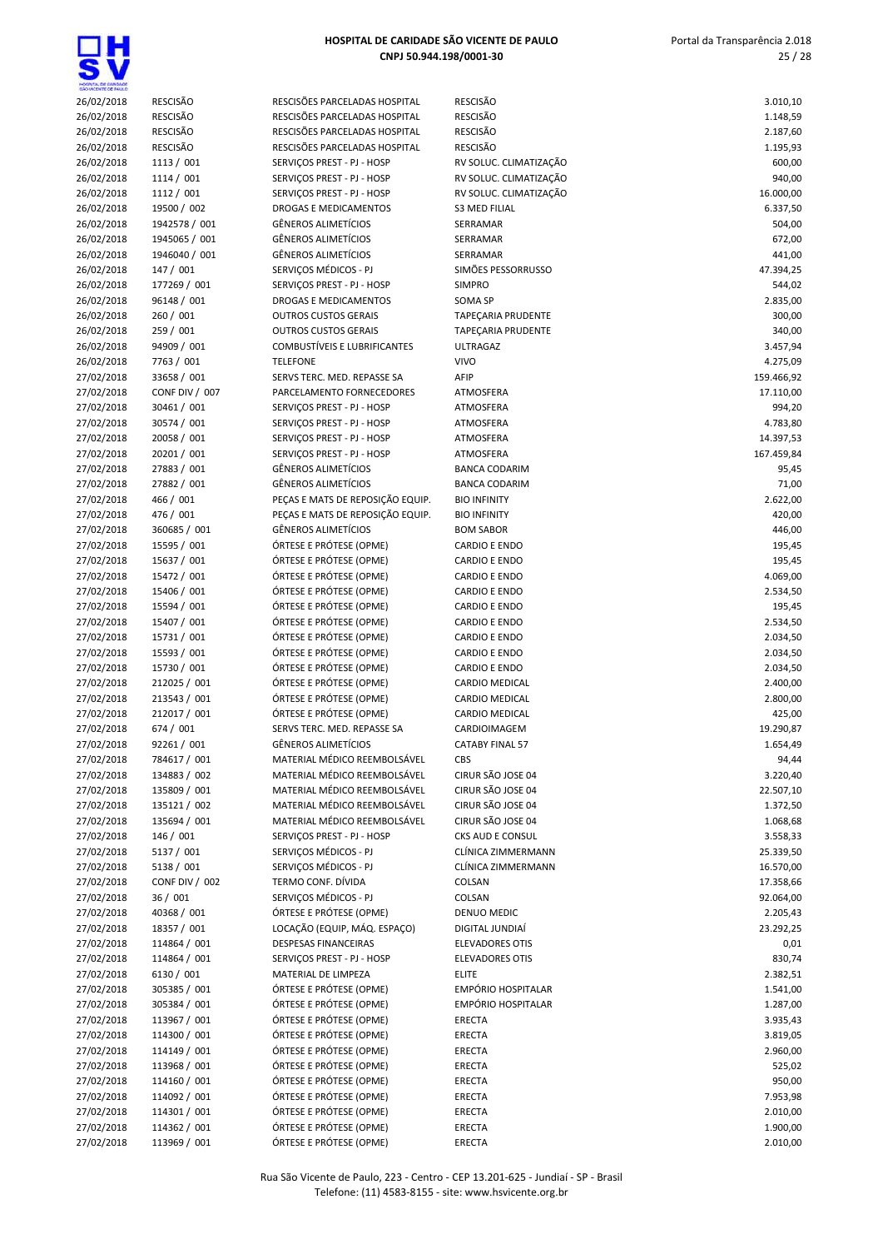| SÃO VICENTE DE PAIX O |                 |                                     |                           |            |
|-----------------------|-----------------|-------------------------------------|---------------------------|------------|
| 26/02/2018            | <b>RESCISÃO</b> | RESCISÕES PARCELADAS HOSPITAL       | <b>RESCISÃO</b>           | 3.010,10   |
| 26/02/2018            | <b>RESCISÃO</b> | RESCISÕES PARCELADAS HOSPITAL       | RESCISÃO                  | 1.148,59   |
| 26/02/2018            | <b>RESCISÃO</b> | RESCISÕES PARCELADAS HOSPITAL       | <b>RESCISÃO</b>           | 2.187,60   |
| 26/02/2018            | <b>RESCISÃO</b> | RESCISÕES PARCELADAS HOSPITAL       | RESCISÃO                  | 1.195,93   |
| 26/02/2018            | 1113 / 001      | SERVICOS PREST - PJ - HOSP          | RV SOLUC. CLIMATIZAÇÃO    | 600,00     |
| 26/02/2018            | 1114/001        | SERVIÇOS PREST - PJ - HOSP          | RV SOLUC. CLIMATIZAÇÃO    | 940,00     |
| 26/02/2018            | 1112 / 001      | SERVIÇOS PREST - PJ - HOSP          | RV SOLUC. CLIMATIZAÇÃO    | 16.000,00  |
| 26/02/2018            | 19500 / 002     | DROGAS E MEDICAMENTOS               | <b>S3 MED FILIAL</b>      | 6.337,50   |
| 26/02/2018            | 1942578 / 001   | <b>GÊNEROS ALIMETÍCIOS</b>          | SERRAMAR                  | 504,00     |
| 26/02/2018            | 1945065 / 001   | <b>GÊNEROS ALIMETÍCIOS</b>          | SERRAMAR                  | 672,00     |
| 26/02/2018            | 1946040 / 001   | GÊNEROS ALIMETÍCIOS                 | SERRAMAR                  | 441,00     |
| 26/02/2018            | 147 / 001       | SERVICOS MÉDICOS - PJ               | SIMÕES PESSORRUSSO        | 47.394,25  |
| 26/02/2018            | 177269 / 001    | SERVIÇOS PREST - PJ - HOSP          | <b>SIMPRO</b>             | 544,02     |
| 26/02/2018            | 96148 / 001     | DROGAS E MEDICAMENTOS               | <b>SOMA SP</b>            | 2.835,00   |
| 26/02/2018            | 260 / 001       | <b>OUTROS CUSTOS GERAIS</b>         | TAPEÇARIA PRUDENTE        | 300,00     |
| 26/02/2018            | 259 / 001       | <b>OUTROS CUSTOS GERAIS</b>         | TAPEÇARIA PRUDENTE        | 340,00     |
| 26/02/2018            | 94909 / 001     | <b>COMBUSTÍVEIS E LUBRIFICANTES</b> | <b>ULTRAGAZ</b>           | 3.457,94   |
| 26/02/2018            | 7763 / 001      | <b>TELEFONE</b>                     | <b>VIVO</b>               | 4.275,09   |
| 27/02/2018            | 33658 / 001     | SERVS TERC. MED. REPASSE SA         | AFIP                      | 159.466,92 |
| 27/02/2018            | CONF DIV / 007  | PARCELAMENTO FORNECEDORES           | ATMOSFERA                 | 17.110,00  |
| 27/02/2018            | 30461 / 001     | SERVIÇOS PREST - PJ - HOSP          | ATMOSFERA                 | 994,20     |
| 27/02/2018            | 30574 / 001     | SERVIÇOS PREST - PJ - HOSP          | ATMOSFERA                 | 4.783,80   |
| 27/02/2018            | 20058 / 001     | SERVICOS PREST - PJ - HOSP          | ATMOSFERA                 | 14.397,53  |
| 27/02/2018            | 20201 / 001     | SERVIÇOS PREST - PJ - HOSP          | ATMOSFERA                 | 167.459,84 |
| 27/02/2018            | 27883 / 001     | <b>GÊNEROS ALIMETÍCIOS</b>          | <b>BANCA CODARIM</b>      | 95,45      |
| 27/02/2018            | 27882 / 001     | <b>GÊNEROS ALIMETÍCIOS</b>          | <b>BANCA CODARIM</b>      | 71,00      |
| 27/02/2018            | 466 / 001       | PEÇAS E MATS DE REPOSIÇÃO EQUIP.    | <b>BIO INFINITY</b>       | 2.622,00   |
| 27/02/2018            | 476 / 001       | PECAS E MATS DE REPOSIÇÃO EQUIP.    | <b>BIO INFINITY</b>       | 420,00     |
| 27/02/2018            | 360685 / 001    | <b>GÊNEROS ALIMETÍCIOS</b>          | <b>BOM SABOR</b>          | 446,00     |
| 27/02/2018            | 15595 / 001     | ÓRTESE E PRÓTESE (OPME)             | <b>CARDIO E ENDO</b>      | 195,45     |
| 27/02/2018            | 15637 / 001     | ÓRTESE E PRÓTESE (OPME)             | CARDIO E ENDO             | 195,45     |
| 27/02/2018            | 15472 / 001     | ÓRTESE E PRÓTESE (OPME)             | CARDIO E ENDO             | 4.069,00   |
| 27/02/2018            | 15406 / 001     | ÓRTESE E PRÓTESE (OPME)             | <b>CARDIO E ENDO</b>      | 2.534,50   |
| 27/02/2018            | 15594 / 001     | ÓRTESE E PRÓTESE (OPME)             | CARDIO E ENDO             | 195,45     |
| 27/02/2018            | 15407 / 001     | ÓRTESE E PRÓTESE (OPME)             | <b>CARDIO E ENDO</b>      | 2.534,50   |
| 27/02/2018            | 15731 / 001     | ÓRTESE E PRÓTESE (OPME)             | <b>CARDIO E ENDO</b>      | 2.034,50   |
| 27/02/2018            | 15593 / 001     | ÓRTESE E PRÓTESE (OPME)             | <b>CARDIO E ENDO</b>      | 2.034,50   |
| 27/02/2018            | 15730 / 001     | ÓRTESE E PRÓTESE (OPME)             | <b>CARDIO E ENDO</b>      | 2.034,50   |
| 27/02/2018            | 212025 / 001    | ÓRTESE E PRÓTESE (OPME)             | CARDIO MEDICAL            | 2.400,00   |
| 27/02/2018            | 213543 / 001    | ÓRTESE E PRÓTESE (OPME)             | CARDIO MEDICAL            | 2.800,00   |
| 27/02/2018            | 212017 / 001    | ÓRTESE E PRÓTESE (OPME)             | <b>CARDIO MEDICAL</b>     | 425,00     |
| 27/02/2018            | 674 / 001       | SERVS TERC. MED. REPASSE SA         | CARDIOIMAGEM              | 19.290,87  |
| 27/02/2018            | 92261 / 001     | <b>GÊNEROS ALIMETÍCIOS</b>          | <b>CATABY FINAL 57</b>    | 1.654,49   |
| 27/02/2018            | 784617 / 001    | MATERIAL MÉDICO REEMBOLSÁVEL        | <b>CBS</b>                | 94,44      |
| 27/02/2018            | 134883 / 002    | MATERIAL MÉDICO REEMBOLSÁVEL        | CIRUR SÃO JOSE 04         | 3.220,40   |
| 27/02/2018            | 135809 / 001    | MATERIAL MÉDICO REEMBOLSÁVEL        | CIRUR SÃO JOSE 04         | 22.507,10  |
| 27/02/2018            | 135121 / 002    | MATERIAL MÉDICO REEMBOLSÁVEL        | CIRUR SÃO JOSE 04         | 1.372,50   |
| 27/02/2018            | 135694 / 001    | MATERIAL MÉDICO REEMBOLSÁVEL        | CIRUR SÃO JOSE 04         | 1.068,68   |
| 27/02/2018            | 146 / 001       | SERVIÇOS PREST - PJ - HOSP          | CKS AUD E CONSUL          | 3.558,33   |
| 27/02/2018            | 5137 / 001      | SERVICOS MÉDICOS - PJ               | CLÍNICA ZIMMERMANN        | 25.339,50  |
| 27/02/2018            | 5138 / 001      | SERVICOS MÉDICOS - PJ               | CLÍNICA ZIMMERMANN        | 16.570,00  |
| 27/02/2018            | CONF DIV / 002  | TERMO CONF. DÍVIDA                  | COLSAN                    | 17.358,66  |
| 27/02/2018            | 36 / 001        | SERVIÇOS MÉDICOS - PJ               | COLSAN                    | 92.064,00  |
| 27/02/2018            | 40368 / 001     | ÓRTESE E PRÓTESE (OPME)             | DENUO MEDIC               | 2.205,43   |
| 27/02/2018            | 18357 / 001     | LOCAÇÃO (EQUIP, MÁQ. ESPAÇO)        | DIGITAL JUNDIAÍ           | 23.292,25  |
| 27/02/2018            | 114864 / 001    | <b>DESPESAS FINANCEIRAS</b>         | <b>ELEVADORES OTIS</b>    | 0,01       |
| 27/02/2018            | 114864 / 001    | SERVIÇOS PREST - PJ - HOSP          | <b>ELEVADORES OTIS</b>    | 830,74     |
| 27/02/2018            | 6130 / 001      | MATERIAL DE LIMPEZA                 | <b>ELITE</b>              | 2.382,51   |
| 27/02/2018            | 305385 / 001    | ÓRTESE E PRÓTESE (OPME)             | <b>EMPÓRIO HOSPITALAR</b> | 1.541,00   |
| 27/02/2018            | 305384 / 001    | ÓRTESE E PRÓTESE (OPME)             | <b>EMPÓRIO HOSPITALAR</b> | 1.287,00   |
| 27/02/2018            | 113967 / 001    | ÓRTESE E PRÓTESE (OPME)             | ERECTA                    | 3.935,43   |
| 27/02/2018            | 114300 / 001    | ÓRTESE E PRÓTESE (OPME)             | ERECTA                    | 3.819,05   |
| 27/02/2018            | 114149 / 001    | ÓRTESE E PRÓTESE (OPME)             | ERECTA                    | 2.960,00   |
| 27/02/2018            | 113968 / 001    | ÓRTESE E PRÓTESE (OPME)             | ERECTA                    | 525,02     |
| 27/02/2018            | 114160 / 001    | ÓRTESE E PRÓTESE (OPME)             | ERECTA                    | 950,00     |
| 27/02/2018            | 114092 / 001    | ÓRTESE E PRÓTESE (OPME)             | ERECTA                    | 7.953,98   |
| 27/02/2018            | 114301 / 001    | ÓRTESE E PRÓTESE (OPME)             | ERECTA                    | 2.010,00   |
| 27/02/2018            | 114362 / 001    | ÓRTESE E PRÓTESE (OPME)             | ERECTA                    | 1.900,00   |
| 27/02/2018            | 113969 / 001    | ÓRTESE E PRÓTESE (OPME)             | ERECTA                    | 2.010,00   |
|                       |                 |                                     |                           |            |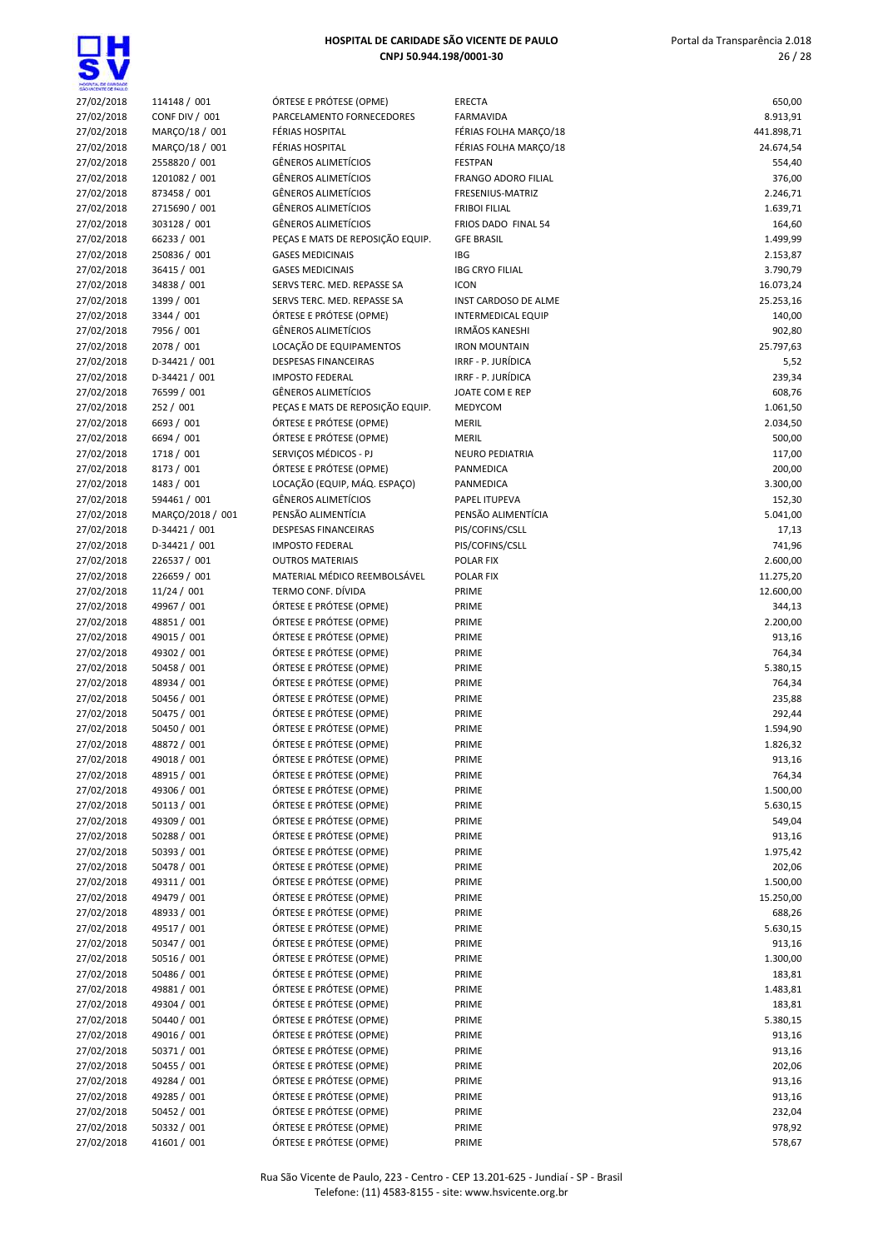

| SHO VICENTE DE INIULO |                  |                                  |                            |            |
|-----------------------|------------------|----------------------------------|----------------------------|------------|
| 27/02/2018            | 114148 / 001     | ÓRTESE E PRÓTESE (OPME)          | <b>ERECTA</b>              | 650,00     |
| 27/02/2018            | CONF DIV / 001   | PARCELAMENTO FORNECEDORES        | <b>FARMAVIDA</b>           | 8.913,91   |
| 27/02/2018            | MARÇO/18 / 001   | FÉRIAS HOSPITAL                  | FÉRIAS FOLHA MARÇO/18      | 441.898,71 |
| 27/02/2018            | MARÇO/18 / 001   | FÉRIAS HOSPITAL                  | FÉRIAS FOLHA MARÇO/18      | 24.674,54  |
| 27/02/2018            | 2558820 / 001    | GÊNEROS ALIMETÍCIOS              | <b>FESTPAN</b>             | 554,40     |
| 27/02/2018            | 1201082 / 001    | GÊNEROS ALIMETÍCIOS              | <b>FRANGO ADORO FILIAL</b> | 376,00     |
|                       |                  |                                  |                            |            |
| 27/02/2018            | 873458 / 001     | GÊNEROS ALIMETÍCIOS              | FRESENIUS-MATRIZ           | 2.246,71   |
| 27/02/2018            | 2715690 / 001    | GÊNEROS ALIMETÍCIOS              | <b>FRIBOI FILIAL</b>       | 1.639,71   |
| 27/02/2018            | 303128 / 001     | <b>GÊNEROS ALIMETÍCIOS</b>       | FRIOS DADO FINAL 54        | 164,60     |
| 27/02/2018            | 66233 / 001      | PEÇAS E MATS DE REPOSIÇÃO EQUIP. | <b>GFE BRASIL</b>          | 1.499,99   |
| 27/02/2018            | 250836 / 001     | <b>GASES MEDICINAIS</b>          | <b>IBG</b>                 | 2.153,87   |
| 27/02/2018            | 36415 / 001      | <b>GASES MEDICINAIS</b>          | <b>IBG CRYO FILIAL</b>     | 3.790,79   |
| 27/02/2018            | 34838 / 001      | SERVS TERC. MED. REPASSE SA      | <b>ICON</b>                | 16.073,24  |
| 27/02/2018            | 1399 / 001       | SERVS TERC. MED. REPASSE SA      | INST CARDOSO DE ALME       | 25.253,16  |
| 27/02/2018            | 3344 / 001       | ÓRTESE E PRÓTESE (OPME)          | <b>INTERMEDICAL EQUIP</b>  | 140,00     |
|                       | 7956 / 001       | <b>GÊNEROS ALIMETÍCIOS</b>       | <b>IRMÃOS KANESHI</b>      | 902,80     |
| 27/02/2018            |                  |                                  |                            |            |
| 27/02/2018            | 2078 / 001       | LOCAÇÃO DE EQUIPAMENTOS          | <b>IRON MOUNTAIN</b>       | 25.797,63  |
| 27/02/2018            | D-34421 / 001    | <b>DESPESAS FINANCEIRAS</b>      | IRRF - P. JURÍDICA         | 5,52       |
| 27/02/2018            | D-34421 / 001    | <b>IMPOSTO FEDERAL</b>           | IRRF - P. JURÍDICA         | 239,34     |
| 27/02/2018            | 76599 / 001      | <b>GÊNEROS ALIMETÍCIOS</b>       | JOATE COM E REP            | 608,76     |
| 27/02/2018            | 252 / 001        | PEÇAS E MATS DE REPOSIÇÃO EQUIP. | MEDYCOM                    | 1.061,50   |
| 27/02/2018            | 6693 / 001       | ÓRTESE E PRÓTESE (OPME)          | <b>MERIL</b>               | 2.034,50   |
| 27/02/2018            | 6694 / 001       | ÓRTESE E PRÓTESE (OPME)          | <b>MERIL</b>               | 500,00     |
| 27/02/2018            | 1718 / 001       | SERVIÇOS MÉDICOS - PJ            | <b>NEURO PEDIATRIA</b>     | 117,00     |
|                       | 8173 / 001       | ÓRTESE E PRÓTESE (OPME)          | PANMEDICA                  |            |
| 27/02/2018            |                  |                                  |                            | 200,00     |
| 27/02/2018            | 1483 / 001       | LOCAÇÃO (EQUIP, MÁQ. ESPAÇO)     | PANMEDICA                  | 3.300,00   |
| 27/02/2018            | 594461 / 001     | <b>GÊNEROS ALIMETÍCIOS</b>       | PAPEL ITUPEVA              | 152,30     |
| 27/02/2018            | MARÇO/2018 / 001 | PENSÃO ALIMENTÍCIA               | PENSÃO ALIMENTÍCIA         | 5.041,00   |
| 27/02/2018            | D-34421 / 001    | <b>DESPESAS FINANCEIRAS</b>      | PIS/COFINS/CSLL            | 17,13      |
| 27/02/2018            | D-34421 / 001    | <b>IMPOSTO FEDERAL</b>           | PIS/COFINS/CSLL            | 741,96     |
| 27/02/2018            | 226537 / 001     | <b>OUTROS MATERIAIS</b>          | POLAR FIX                  | 2.600,00   |
| 27/02/2018            | 226659 / 001     | MATERIAL MÉDICO REEMBOLSÁVEL     | POLAR FIX                  | 11.275,20  |
| 27/02/2018            | 11/24 / 001      | TERMO CONF. DÍVIDA               | PRIME                      | 12.600,00  |
| 27/02/2018            | 49967 / 001      | ÓRTESE E PRÓTESE (OPME)          | PRIME                      | 344,13     |
|                       |                  | ÓRTESE E PRÓTESE (OPME)          |                            |            |
| 27/02/2018            | 48851 / 001      |                                  | PRIME                      | 2.200,00   |
| 27/02/2018            | 49015 / 001      | ÓRTESE E PRÓTESE (OPME)          | PRIME                      | 913,16     |
| 27/02/2018            | 49302 / 001      | ÓRTESE E PRÓTESE (OPME)          | PRIME                      | 764,34     |
| 27/02/2018            | 50458 / 001      | ÓRTESE E PRÓTESE (OPME)          | PRIME                      | 5.380,15   |
| 27/02/2018            | 48934 / 001      | ÓRTESE E PRÓTESE (OPME)          | PRIME                      | 764,34     |
| 27/02/2018            | 50456 / 001      | ÓRTESE E PRÓTESE (OPME)          | PRIME                      | 235,88     |
| 27/02/2018            | 50475 / 001      | ÓRTESE E PRÓTESE (OPME)          | PRIME                      | 292,44     |
| 27/02/2018            | 50450 / 001      | ÓRTESE E PRÓTESE (OPME)          | PRIME                      | 1.594,90   |
| 27/02/2018            | 48872 / 001      | ÓRTESE E PRÓTESE (OPME)          | PRIME                      | 1.826,32   |
| 27/02/2018            | 49018 / 001      | ÓRTESE E PRÓTESE (OPME)          | PRIME                      | 913,16     |
|                       | 48915 / 001      |                                  |                            |            |
| 27/02/2018            |                  | ÓRTESE E PRÓTESE (OPME)          | PRIME                      | 764,34     |
| 27/02/2018            | 49306 / 001      | ÓRTESE E PRÓTESE (OPME)          | PRIME                      | 1.500,00   |
| 27/02/2018            | 50113 / 001      | ÓRTESE E PRÓTESE (OPME)          | PRIME                      | 5.630,15   |
| 27/02/2018            | 49309 / 001      | ÓRTESE E PRÓTESE (OPME)          | PRIME                      | 549,04     |
| 27/02/2018            | 50288 / 001      | ÓRTESE E PRÓTESE (OPME)          | PRIME                      | 913,16     |
| 27/02/2018            | 50393 / 001      | ÓRTESE E PRÓTESE (OPME)          | PRIME                      | 1.975,42   |
| 27/02/2018            | 50478 / 001      | ÓRTESE E PRÓTESE (OPME)          | PRIME                      | 202,06     |
| 27/02/2018            | 49311 / 001      | ÓRTESE E PRÓTESE (OPME)          | PRIME                      | 1.500,00   |
| 27/02/2018            | 49479 / 001      | ÓRTESE E PRÓTESE (OPME)          | PRIME                      | 15.250,00  |
| 27/02/2018            | 48933 / 001      | ÓRTESE E PRÓTESE (OPME)          | PRIME                      |            |
|                       |                  |                                  |                            | 688,26     |
| 27/02/2018            | 49517 / 001      | ÓRTESE E PRÓTESE (OPME)          | PRIME                      | 5.630,15   |
| 27/02/2018            | 50347 / 001      | ÓRTESE E PRÓTESE (OPME)          | PRIME                      | 913,16     |
| 27/02/2018            | 50516 / 001      | ÓRTESE E PRÓTESE (OPME)          | PRIME                      | 1.300,00   |
| 27/02/2018            | 50486 / 001      | ÓRTESE E PRÓTESE (OPME)          | PRIME                      | 183,81     |
| 27/02/2018            | 49881 / 001      | ÓRTESE E PRÓTESE (OPME)          | PRIME                      | 1.483,81   |
| 27/02/2018            | 49304 / 001      | ÓRTESE E PRÓTESE (OPME)          | PRIME                      | 183,81     |
| 27/02/2018            | 50440 / 001      | ÓRTESE E PRÓTESE (OPME)          | PRIME                      | 5.380,15   |
| 27/02/2018            | 49016 / 001      | ÓRTESE E PRÓTESE (OPME)          | PRIME                      | 913,16     |
| 27/02/2018            | 50371 / 001      | ÓRTESE E PRÓTESE (OPME)          | PRIME                      | 913,16     |
|                       |                  |                                  |                            |            |
| 27/02/2018            | 50455 / 001      | ÓRTESE E PRÓTESE (OPME)          | PRIME                      | 202,06     |
| 27/02/2018            | 49284 / 001      | ÓRTESE E PRÓTESE (OPME)          | PRIME                      | 913,16     |
| 27/02/2018            | 49285 / 001      | ÓRTESE E PRÓTESE (OPME)          | PRIME                      | 913,16     |
| 27/02/2018            | 50452 / 001      | ÓRTESE E PRÓTESE (OPME)          | PRIME                      | 232,04     |
| 27/02/2018            | 50332 / 001      | ÓRTESE E PRÓTESE (OPME)          | PRIME                      | 978,92     |
| 27/02/2018            | 41601 / 001      | ÓRTESE E PRÓTESE (OPME)          | PRIME                      | 578,67     |
|                       |                  |                                  |                            |            |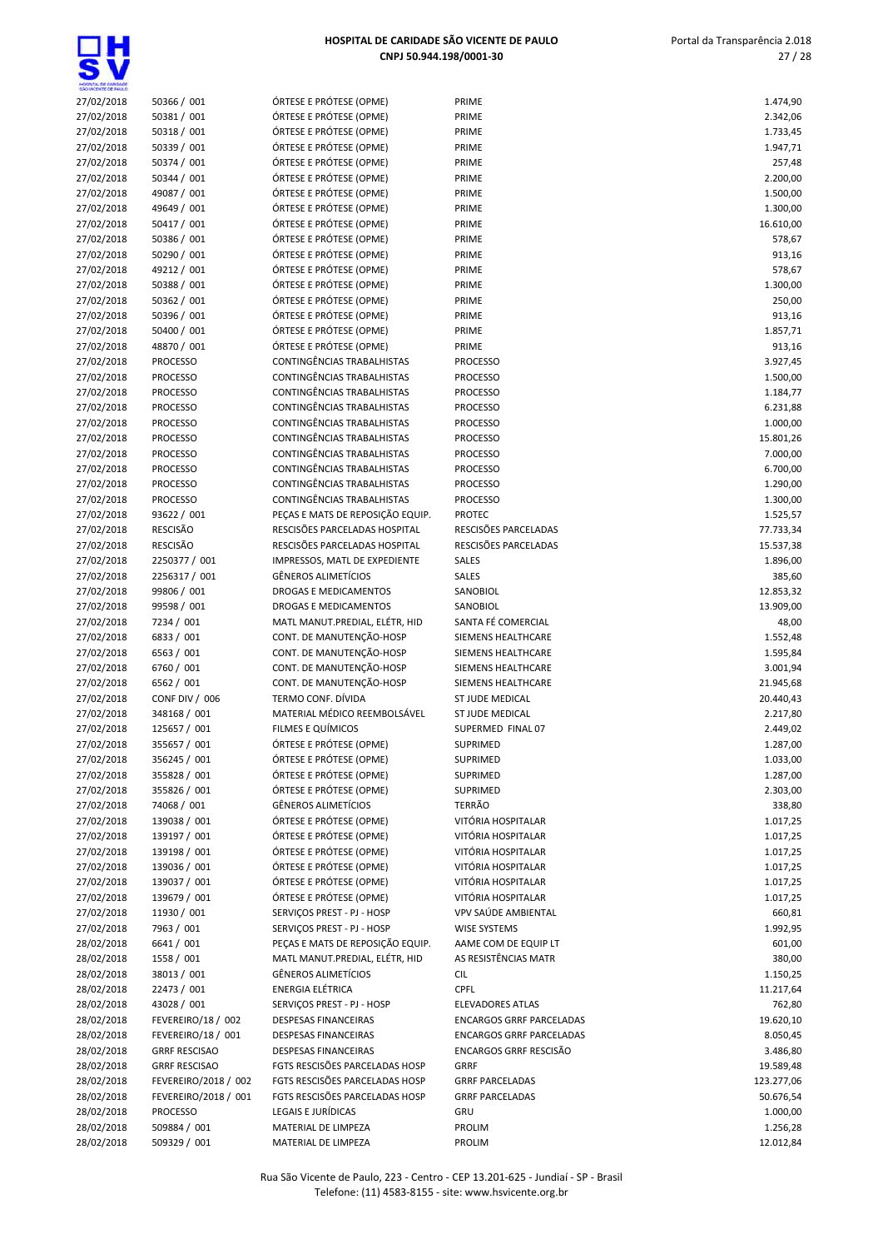<u>ក្ត</u>

| Mospita, de Gardade<br>São Vicente de Failló |                      |                                  |                                 |            |
|----------------------------------------------|----------------------|----------------------------------|---------------------------------|------------|
| 27/02/2018                                   | 50366 / 001          | ÓRTESE E PRÓTESE (OPME)          | PRIME                           | 1.474,90   |
| 27/02/2018                                   | 50381 / 001          | ÓRTESE E PRÓTESE (OPME)          | PRIME                           | 2.342,06   |
| 27/02/2018                                   | 50318 / 001          | ÓRTESE E PRÓTESE (OPME)          | PRIME                           | 1.733,45   |
| 27/02/2018                                   | 50339 / 001          | ÓRTESE E PRÓTESE (OPME)          | PRIME                           | 1.947,71   |
| 27/02/2018                                   | 50374 / 001          | ÓRTESE E PRÓTESE (OPME)          | PRIME                           | 257,48     |
| 27/02/2018                                   | 50344 / 001          | ÓRTESE E PRÓTESE (OPME)          | PRIME                           | 2.200,00   |
| 27/02/2018                                   | 49087 / 001          | ÓRTESE E PRÓTESE (OPME)          | PRIME                           | 1.500,00   |
| 27/02/2018                                   | 49649 / 001          | ÓRTESE E PRÓTESE (OPME)          | PRIME                           | 1.300,00   |
| 27/02/2018                                   | 50417 / 001          | ÓRTESE E PRÓTESE (OPME)          | PRIME                           | 16.610,00  |
| 27/02/2018                                   | 50386 / 001          | ÓRTESE E PRÓTESE (OPME)          | PRIME                           | 578,67     |
| 27/02/2018                                   | 50290 / 001          | ÓRTESE E PRÓTESE (OPME)          | PRIME                           | 913,16     |
| 27/02/2018                                   | 49212 / 001          | ÓRTESE E PRÓTESE (OPME)          | PRIME                           | 578,67     |
|                                              |                      | ÓRTESE E PRÓTESE (OPME)          |                                 |            |
| 27/02/2018                                   | 50388 / 001          |                                  | PRIME                           | 1.300,00   |
| 27/02/2018                                   | 50362 / 001          | ÓRTESE E PRÓTESE (OPME)          | PRIME                           | 250,00     |
| 27/02/2018                                   | 50396 / 001          | ÓRTESE E PRÓTESE (OPME)          | PRIME                           | 913,16     |
| 27/02/2018                                   | 50400 / 001          | ÓRTESE E PRÓTESE (OPME)          | PRIME                           | 1.857,71   |
| 27/02/2018                                   | 48870 / 001          | ÓRTESE E PRÓTESE (OPME)          | PRIME                           | 913,16     |
| 27/02/2018                                   | <b>PROCESSO</b>      | CONTINGÊNCIAS TRABALHISTAS       | <b>PROCESSO</b>                 | 3.927,45   |
| 27/02/2018                                   | <b>PROCESSO</b>      | CONTINGÊNCIAS TRABALHISTAS       | <b>PROCESSO</b>                 | 1.500,00   |
| 27/02/2018                                   | <b>PROCESSO</b>      | CONTINGÊNCIAS TRABALHISTAS       | <b>PROCESSO</b>                 | 1.184,77   |
| 27/02/2018                                   | <b>PROCESSO</b>      | CONTINGÊNCIAS TRABALHISTAS       | <b>PROCESSO</b>                 | 6.231,88   |
| 27/02/2018                                   | <b>PROCESSO</b>      | CONTINGÊNCIAS TRABALHISTAS       | <b>PROCESSO</b>                 | 1.000,00   |
| 27/02/2018                                   | <b>PROCESSO</b>      | CONTINGÊNCIAS TRABALHISTAS       | <b>PROCESSO</b>                 | 15.801,26  |
| 27/02/2018                                   | <b>PROCESSO</b>      | CONTINGÊNCIAS TRABALHISTAS       | <b>PROCESSO</b>                 | 7.000,00   |
| 27/02/2018                                   | <b>PROCESSO</b>      | CONTINGÊNCIAS TRABALHISTAS       | <b>PROCESSO</b>                 | 6.700,00   |
| 27/02/2018                                   | <b>PROCESSO</b>      | CONTINGÊNCIAS TRABALHISTAS       | <b>PROCESSO</b>                 | 1.290,00   |
| 27/02/2018                                   | <b>PROCESSO</b>      | CONTINGÊNCIAS TRABALHISTAS       | <b>PROCESSO</b>                 | 1.300,00   |
| 27/02/2018                                   | 93622 / 001          | PEÇAS E MATS DE REPOSIÇÃO EQUIP. | <b>PROTEC</b>                   | 1.525,57   |
| 27/02/2018                                   | <b>RESCISÃO</b>      | RESCISÕES PARCELADAS HOSPITAL    | RESCISÕES PARCELADAS            | 77.733,34  |
| 27/02/2018                                   | <b>RESCISÃO</b>      | RESCISÕES PARCELADAS HOSPITAL    | RESCISÕES PARCELADAS            | 15.537,38  |
| 27/02/2018                                   | 2250377 / 001        | IMPRESSOS, MATL DE EXPEDIENTE    | SALES                           | 1.896,00   |
| 27/02/2018                                   | 2256317 / 001        | <b>GÊNEROS ALIMETÍCIOS</b>       | SALES                           | 385,60     |
| 27/02/2018                                   | 99806 / 001          | DROGAS E MEDICAMENTOS            | SANOBIOL                        | 12.853,32  |
| 27/02/2018                                   | 99598 / 001          | DROGAS E MEDICAMENTOS            | SANOBIOL                        | 13.909,00  |
|                                              | 7234 / 001           | MATL MANUT.PREDIAL, ELÉTR, HID   | SANTA FÉ COMERCIAL              | 48,00      |
| 27/02/2018                                   |                      |                                  |                                 |            |
| 27/02/2018                                   | 6833 / 001           | CONT. DE MANUTENÇÃO-HOSP         | SIEMENS HEALTHCARE              | 1.552,48   |
| 27/02/2018                                   | 6563 / 001           | CONT. DE MANUTENÇÃO-HOSP         | SIEMENS HEALTHCARE              | 1.595,84   |
| 27/02/2018                                   | 6760 / 001           | CONT. DE MANUTENÇÃO-HOSP         | SIEMENS HEALTHCARE              | 3.001,94   |
| 27/02/2018                                   | 6562 / 001           | CONT. DE MANUTENÇÃO-HOSP         | SIEMENS HEALTHCARE              | 21.945,68  |
| 27/02/2018                                   | CONF DIV / 006       | TERMO CONF. DÍVIDA               | ST JUDE MEDICAL                 | 20.440,43  |
| 27/02/2018                                   | 348168 / 001         | MATERIAL MÉDICO REEMBOLSÁVEL     | <b>ST JUDE MEDICAL</b>          | 2.217,80   |
| 27/02/2018                                   | 125657 / 001         | FILMES E QUÍMICOS                | SUPERMED FINAL 07               | 2.449,02   |
| 27/02/2018                                   | 355657 / 001         | ÓRTESE E PRÓTESE (OPME)          | SUPRIMED                        | 1.287,00   |
| 27/02/2018                                   | 356245 / 001         | ÓRTESE E PRÓTESE (OPME)          | SUPRIMED                        | 1.033,00   |
| 27/02/2018                                   | 355828 / 001         | ÓRTESE E PRÓTESE (OPME)          | SUPRIMED                        | 1.287,00   |
| 27/02/2018                                   | 355826 / 001         | ÓRTESE E PRÓTESE (OPME)          | SUPRIMED                        | 2.303,00   |
| 27/02/2018                                   | 74068 / 001          | <b>GÊNEROS ALIMETÍCIOS</b>       | <b>TERRÃO</b>                   | 338,80     |
| 27/02/2018                                   | 139038 / 001         | ÓRTESE E PRÓTESE (OPME)          | VITÓRIA HOSPITALAR              | 1.017,25   |
| 27/02/2018                                   | 139197 / 001         | ÓRTESE E PRÓTESE (OPME)          | VITÓRIA HOSPITALAR              | 1.017,25   |
| 27/02/2018                                   | 139198 / 001         | ÓRTESE E PRÓTESE (OPME)          | VITÓRIA HOSPITALAR              | 1.017,25   |
| 27/02/2018                                   | 139036 / 001         | ÓRTESE E PRÓTESE (OPME)          | VITÓRIA HOSPITALAR              | 1.017,25   |
| 27/02/2018                                   | 139037 / 001         | ÓRTESE E PRÓTESE (OPME)          | VITÓRIA HOSPITALAR              | 1.017,25   |
| 27/02/2018                                   | 139679 / 001         | ÓRTESE E PRÓTESE (OPME)          | VITÓRIA HOSPITALAR              | 1.017,25   |
| 27/02/2018                                   | 11930 / 001          | SERVIÇOS PREST - PJ - HOSP       | VPV SAÚDE AMBIENTAL             | 660,81     |
| 27/02/2018                                   | 7963 / 001           | SERVICOS PREST - PJ - HOSP       | WISE SYSTEMS                    | 1.992,95   |
| 28/02/2018                                   | 6641 / 001           | PEÇAS E MATS DE REPOSIÇÃO EQUIP. | AAME COM DE EQUIP LT            | 601,00     |
|                                              | 1558 / 001           | MATL MANUT.PREDIAL, ELÉTR, HID   | AS RESISTÊNCIAS MATR            | 380,00     |
| 28/02/2018                                   |                      |                                  |                                 |            |
| 28/02/2018                                   | 38013 / 001          | <b>GÊNEROS ALIMETÍCIOS</b>       | <b>CIL</b>                      | 1.150,25   |
| 28/02/2018                                   | 22473 / 001          | <b>ENERGIA ELÉTRICA</b>          | CPFL                            | 11.217,64  |
| 28/02/2018                                   | 43028 / 001          | SERVIÇOS PREST - PJ - HOSP       | <b>ELEVADORES ATLAS</b>         | 762,80     |
| 28/02/2018                                   | FEVEREIRO/18 / 002   | DESPESAS FINANCEIRAS             | <b>ENCARGOS GRRF PARCELADAS</b> | 19.620,10  |
| 28/02/2018                                   | FEVEREIRO/18 / 001   | DESPESAS FINANCEIRAS             | <b>ENCARGOS GRRF PARCELADAS</b> | 8.050,45   |
| 28/02/2018                                   | <b>GRRF RESCISAO</b> | DESPESAS FINANCEIRAS             | <b>ENCARGOS GRRF RESCISÃO</b>   | 3.486,80   |
| 28/02/2018                                   | <b>GRRF RESCISAO</b> | FGTS RESCISÕES PARCELADAS HOSP   | <b>GRRF</b>                     | 19.589,48  |
| 28/02/2018                                   | FEVEREIRO/2018 / 002 | FGTS RESCISÕES PARCELADAS HOSP   | <b>GRRF PARCELADAS</b>          | 123.277,06 |
| 28/02/2018                                   | FEVEREIRO/2018 / 001 | FGTS RESCISÕES PARCELADAS HOSP   | <b>GRRF PARCELADAS</b>          | 50.676,54  |
| 28/02/2018                                   | <b>PROCESSO</b>      | LEGAIS E JURÍDICAS               | GRU                             | 1.000,00   |
| 28/02/2018                                   | 509884 / 001         | MATERIAL DE LIMPEZA              | PROLIM                          | 1.256,28   |
| 28/02/2018                                   | 509329 / 001         | MATERIAL DE LIMPEZA              | PROLIM                          | 12.012,84  |
|                                              |                      |                                  |                                 |            |